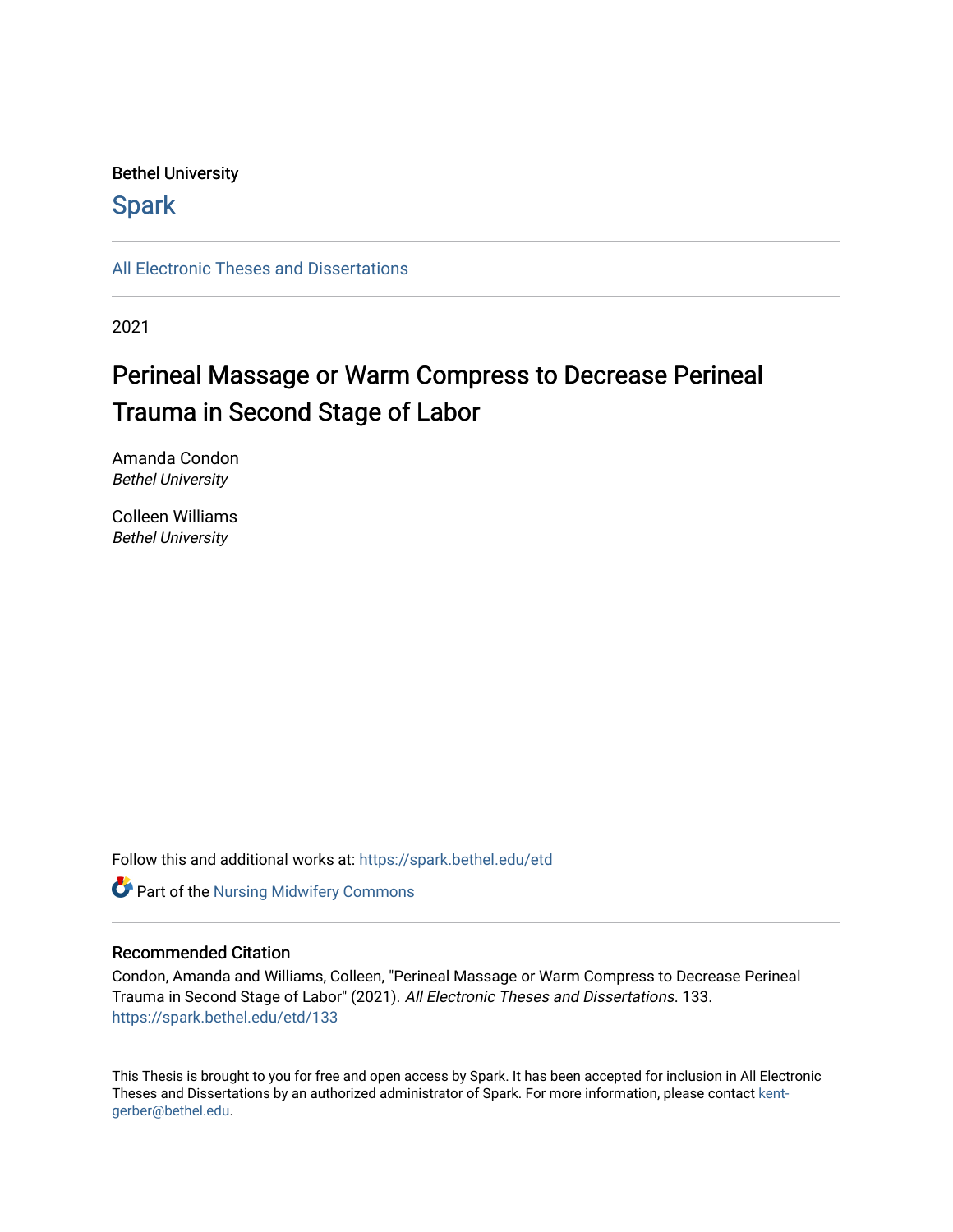#### Bethel University

# **Spark**

[All Electronic Theses and Dissertations](https://spark.bethel.edu/etd) 

2021

# Perineal Massage or Warm Compress to Decrease Perineal Trauma in Second Stage of Labor

Amanda Condon Bethel University

Colleen Williams Bethel University

Follow this and additional works at: [https://spark.bethel.edu/etd](https://spark.bethel.edu/etd?utm_source=spark.bethel.edu%2Fetd%2F133&utm_medium=PDF&utm_campaign=PDFCoverPages)

**Part of the Nursing Midwifery Commons** 

#### Recommended Citation

Condon, Amanda and Williams, Colleen, "Perineal Massage or Warm Compress to Decrease Perineal Trauma in Second Stage of Labor" (2021). All Electronic Theses and Dissertations. 133. [https://spark.bethel.edu/etd/133](https://spark.bethel.edu/etd/133?utm_source=spark.bethel.edu%2Fetd%2F133&utm_medium=PDF&utm_campaign=PDFCoverPages)

This Thesis is brought to you for free and open access by Spark. It has been accepted for inclusion in All Electronic Theses and Dissertations by an authorized administrator of Spark. For more information, please contact [kent](mailto:kent-gerber@bethel.edu)[gerber@bethel.edu.](mailto:kent-gerber@bethel.edu)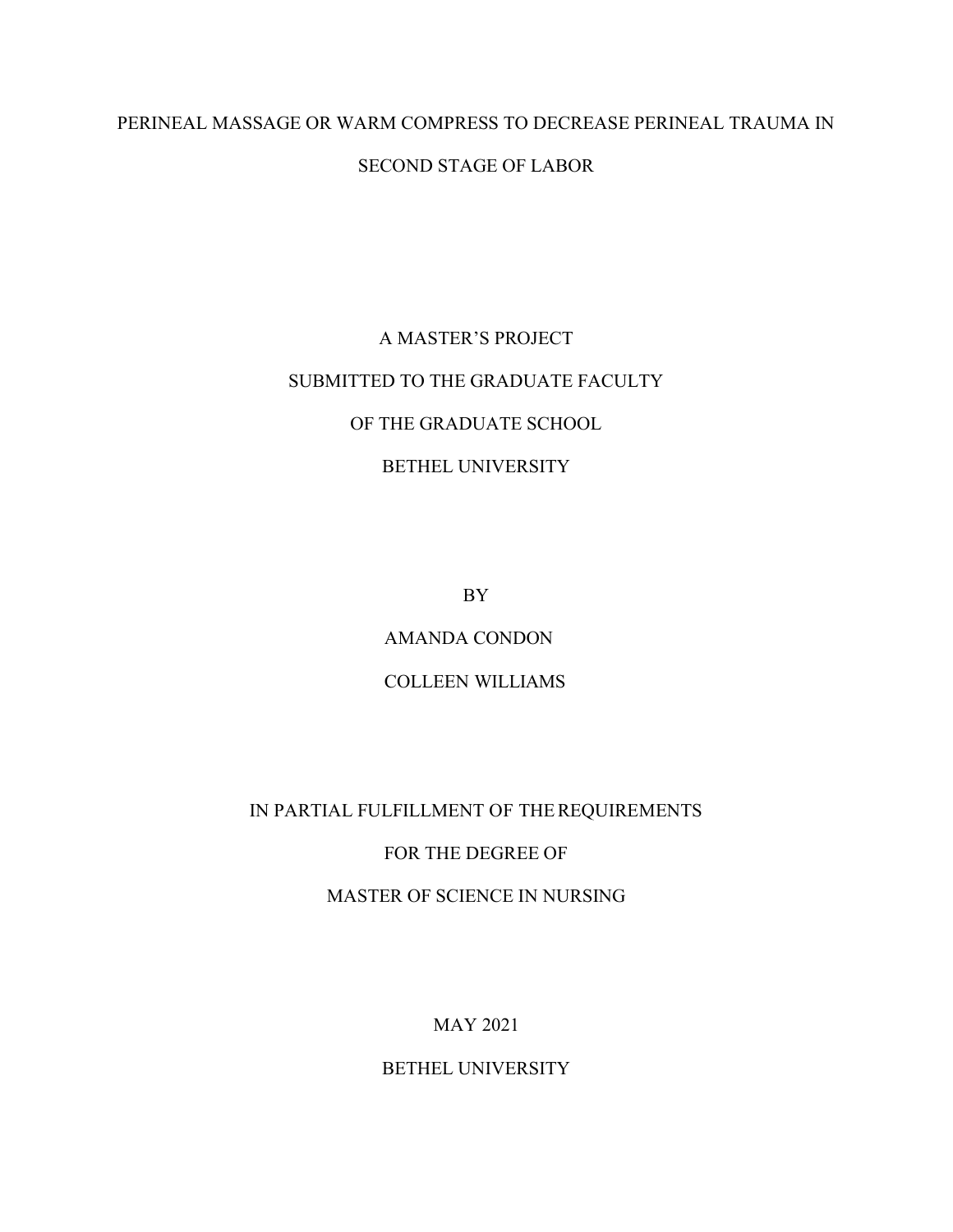# PERINEAL MASSAGE OR WARM COMPRESS TO DECREASE PERINEAL TRAUMA IN SECOND STAGE OF LABOR

# A MASTER'S PROJECT SUBMITTED TO THE GRADUATE FACULTY OF THE GRADUATE SCHOOL BETHEL UNIVERSITY

BY

AMANDA CONDON

# COLLEEN WILLIAMS

# IN PARTIAL FULFILLMENT OF THEREQUIREMENTS

## FOR THE DEGREE OF

MASTER OF SCIENCE IN NURSING

# MAY 2021

# BETHEL UNIVERSITY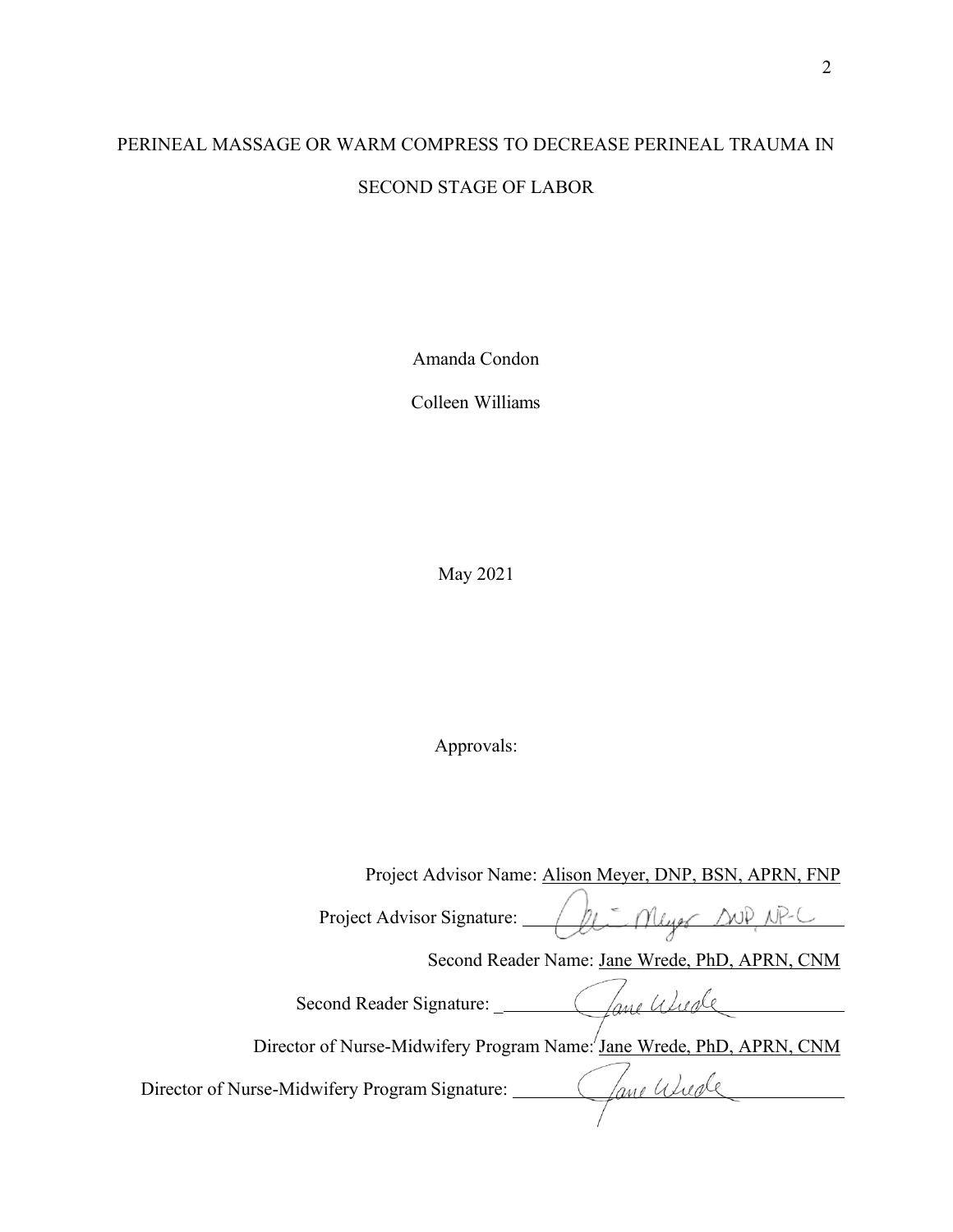# PERINEAL MASSAGE OR WARM COMPRESS TO DECREASE PERINEAL TRAUMA IN SECOND STAGE OF LABOR

Amanda Condon

Colleen Williams

May 2021

Approvals:

Project Advisor Name: Alison Meyer, DNP, BSN, APRN, FNP Project Advisor Signature:  $\sqrt{2\pi}$  Myer ANP NP-C Second Reader Name: Jane Wrede, PhD, APRN, CNM Second Reader Signature: \_ Director of Nurse-Midwifery Program Name: Jane Wrede, PhD, APRN, CNM Gane Wude Director of Nurse-Midwifery Program Signature: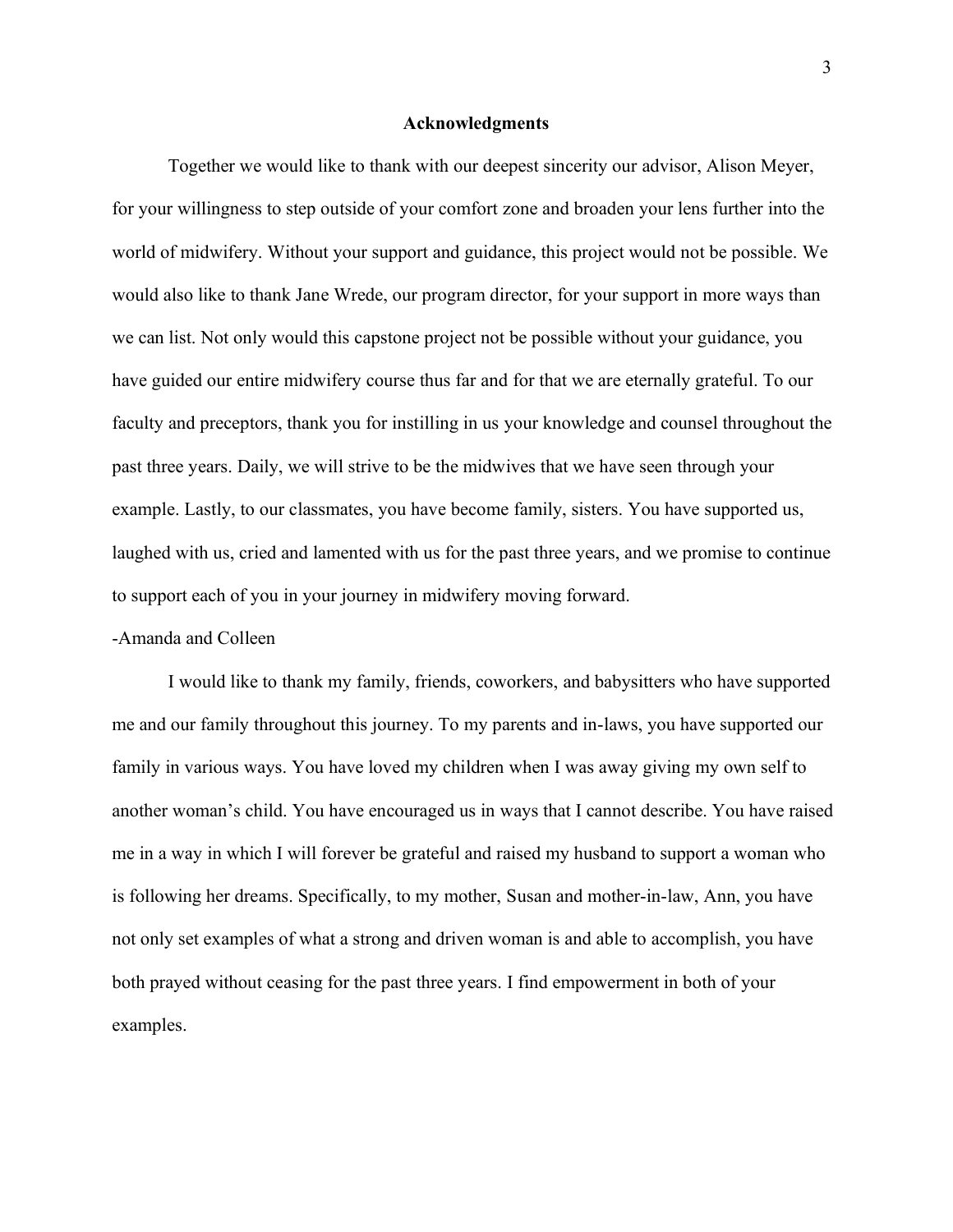#### **Acknowledgments**

Together we would like to thank with our deepest sincerity our advisor, Alison Meyer, for your willingness to step outside of your comfort zone and broaden your lens further into the world of midwifery. Without your support and guidance, this project would not be possible. We would also like to thank Jane Wrede, our program director, for your support in more ways than we can list. Not only would this capstone project not be possible without your guidance, you have guided our entire midwifery course thus far and for that we are eternally grateful. To our faculty and preceptors, thank you for instilling in us your knowledge and counsel throughout the past three years. Daily, we will strive to be the midwives that we have seen through your example. Lastly, to our classmates, you have become family, sisters. You have supported us, laughed with us, cried and lamented with us for the past three years, and we promise to continue to support each of you in your journey in midwifery moving forward.

#### -Amanda and Colleen

I would like to thank my family, friends, coworkers, and babysitters who have supported me and our family throughout this journey. To my parents and in-laws, you have supported our family in various ways. You have loved my children when I was away giving my own self to another woman's child. You have encouraged us in ways that I cannot describe. You have raised me in a way in which I will forever be grateful and raised my husband to support a woman who is following her dreams. Specifically, to my mother, Susan and mother-in-law, Ann, you have not only set examples of what a strong and driven woman is and able to accomplish, you have both prayed without ceasing for the past three years. I find empowerment in both of your examples.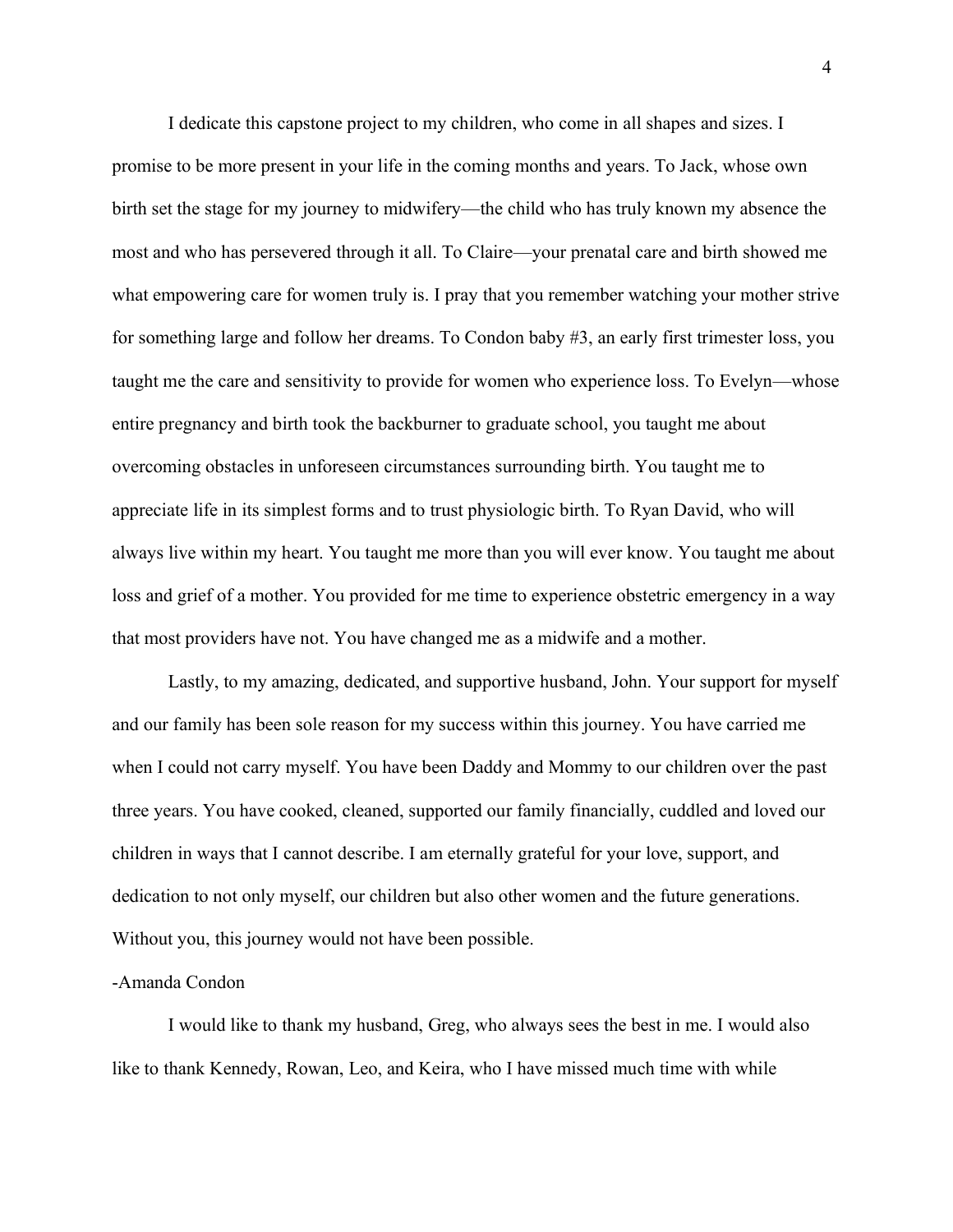I dedicate this capstone project to my children, who come in all shapes and sizes. I promise to be more present in your life in the coming months and years. To Jack, whose own birth set the stage for my journey to midwifery—the child who has truly known my absence the most and who has persevered through it all. To Claire—your prenatal care and birth showed me what empowering care for women truly is. I pray that you remember watching your mother strive for something large and follow her dreams. To Condon baby #3, an early first trimester loss, you taught me the care and sensitivity to provide for women who experience loss. To Evelyn—whose entire pregnancy and birth took the backburner to graduate school, you taught me about overcoming obstacles in unforeseen circumstances surrounding birth. You taught me to appreciate life in its simplest forms and to trust physiologic birth. To Ryan David, who will always live within my heart. You taught me more than you will ever know. You taught me about loss and grief of a mother. You provided for me time to experience obstetric emergency in a way that most providers have not. You have changed me as a midwife and a mother.

Lastly, to my amazing, dedicated, and supportive husband, John. Your support for myself and our family has been sole reason for my success within this journey. You have carried me when I could not carry myself. You have been Daddy and Mommy to our children over the past three years. You have cooked, cleaned, supported our family financially, cuddled and loved our children in ways that I cannot describe. I am eternally grateful for your love, support, and dedication to not only myself, our children but also other women and the future generations. Without you, this journey would not have been possible.

#### -Amanda Condon

I would like to thank my husband, Greg, who always sees the best in me. I would also like to thank Kennedy, Rowan, Leo, and Keira, who I have missed much time with while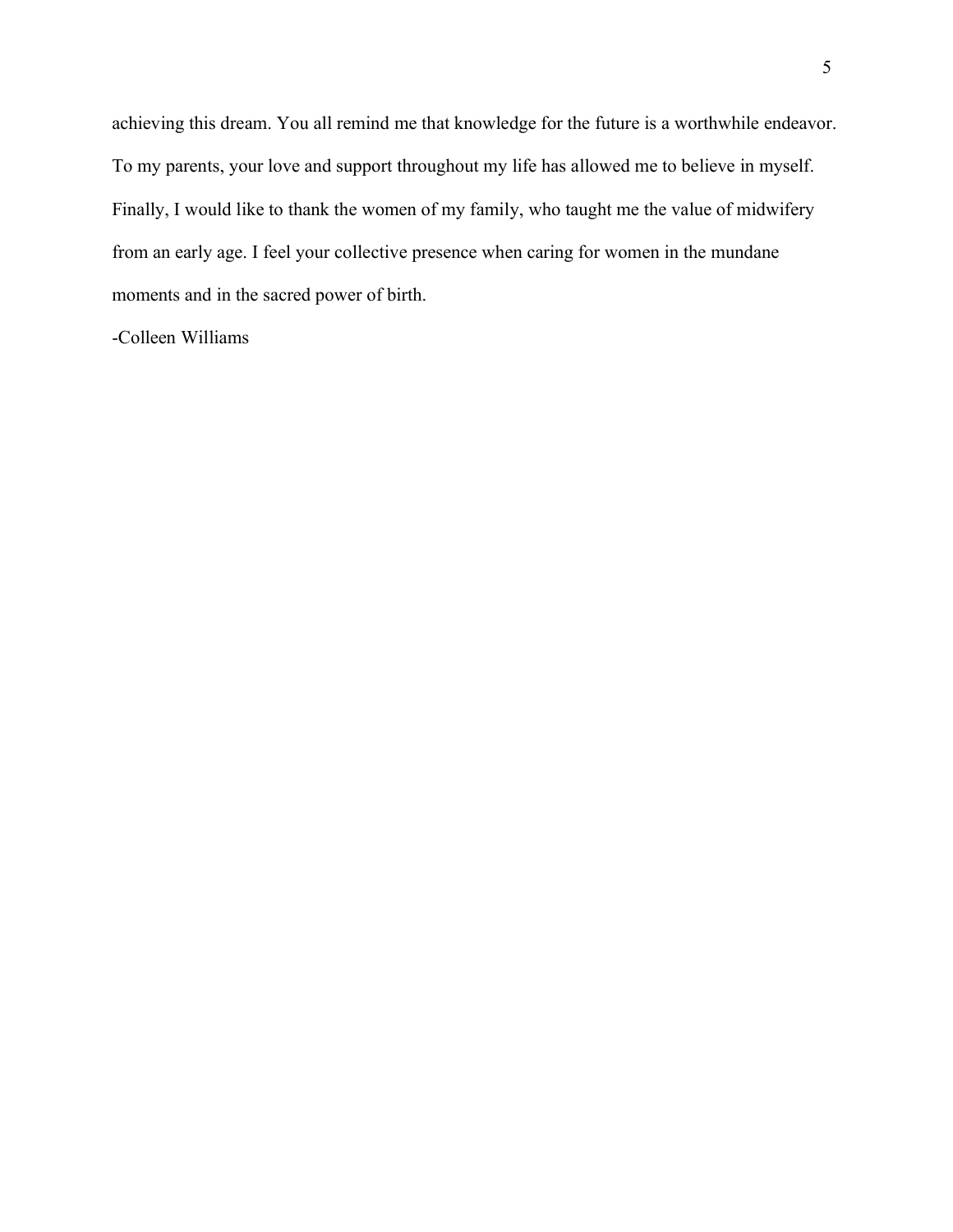achieving this dream. You all remind me that knowledge for the future is a worthwhile endeavor. To my parents, your love and support throughout my life has allowed me to believe in myself. Finally, I would like to thank the women of my family, who taught me the value of midwifery from an early age. I feel your collective presence when caring for women in the mundane moments and in the sacred power of birth.

-Colleen Williams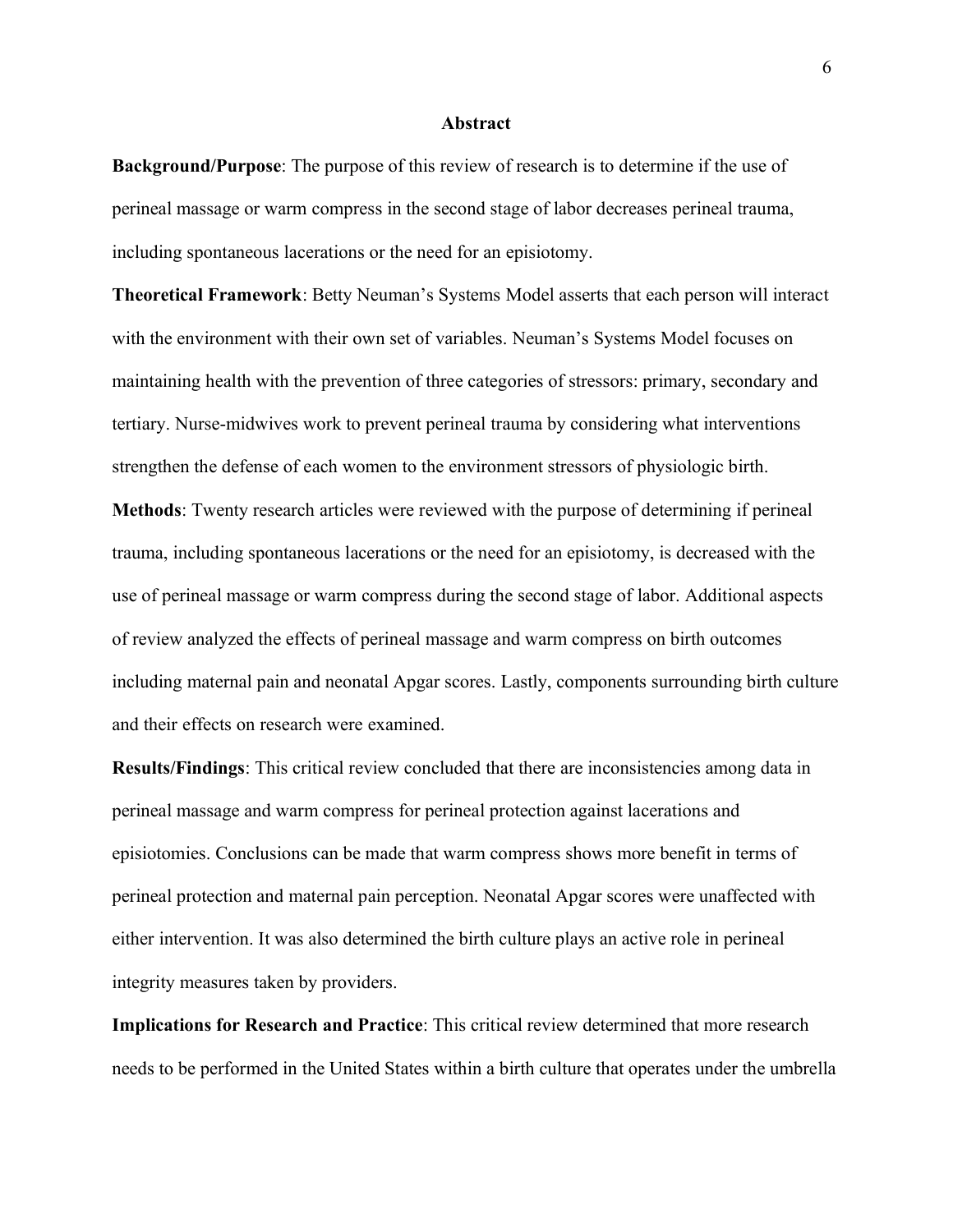#### **Abstract**

<span id="page-6-0"></span>**Background/Purpose**: The purpose of this review of research is to determine if the use of perineal massage or warm compress in the second stage of labor decreases perineal trauma, including spontaneous lacerations or the need for an episiotomy.

**Theoretical Framework**: Betty Neuman's Systems Model asserts that each person will interact with the environment with their own set of variables. Neuman's Systems Model focuses on maintaining health with the prevention of three categories of stressors: primary, secondary and tertiary. Nurse-midwives work to prevent perineal trauma by considering what interventions strengthen the defense of each women to the environment stressors of physiologic birth.

**Methods**: Twenty research articles were reviewed with the purpose of determining if perineal trauma, including spontaneous lacerations or the need for an episiotomy, is decreased with the use of perineal massage or warm compress during the second stage of labor. Additional aspects of review analyzed the effects of perineal massage and warm compress on birth outcomes including maternal pain and neonatal Apgar scores. Lastly, components surrounding birth culture and their effects on research were examined.

**Results/Findings**: This critical review concluded that there are inconsistencies among data in perineal massage and warm compress for perineal protection against lacerations and episiotomies. Conclusions can be made that warm compress shows more benefit in terms of perineal protection and maternal pain perception. Neonatal Apgar scores were unaffected with either intervention. It was also determined the birth culture plays an active role in perineal integrity measures taken by providers.

**Implications for Research and Practice**: This critical review determined that more research needs to be performed in the United States within a birth culture that operates under the umbrella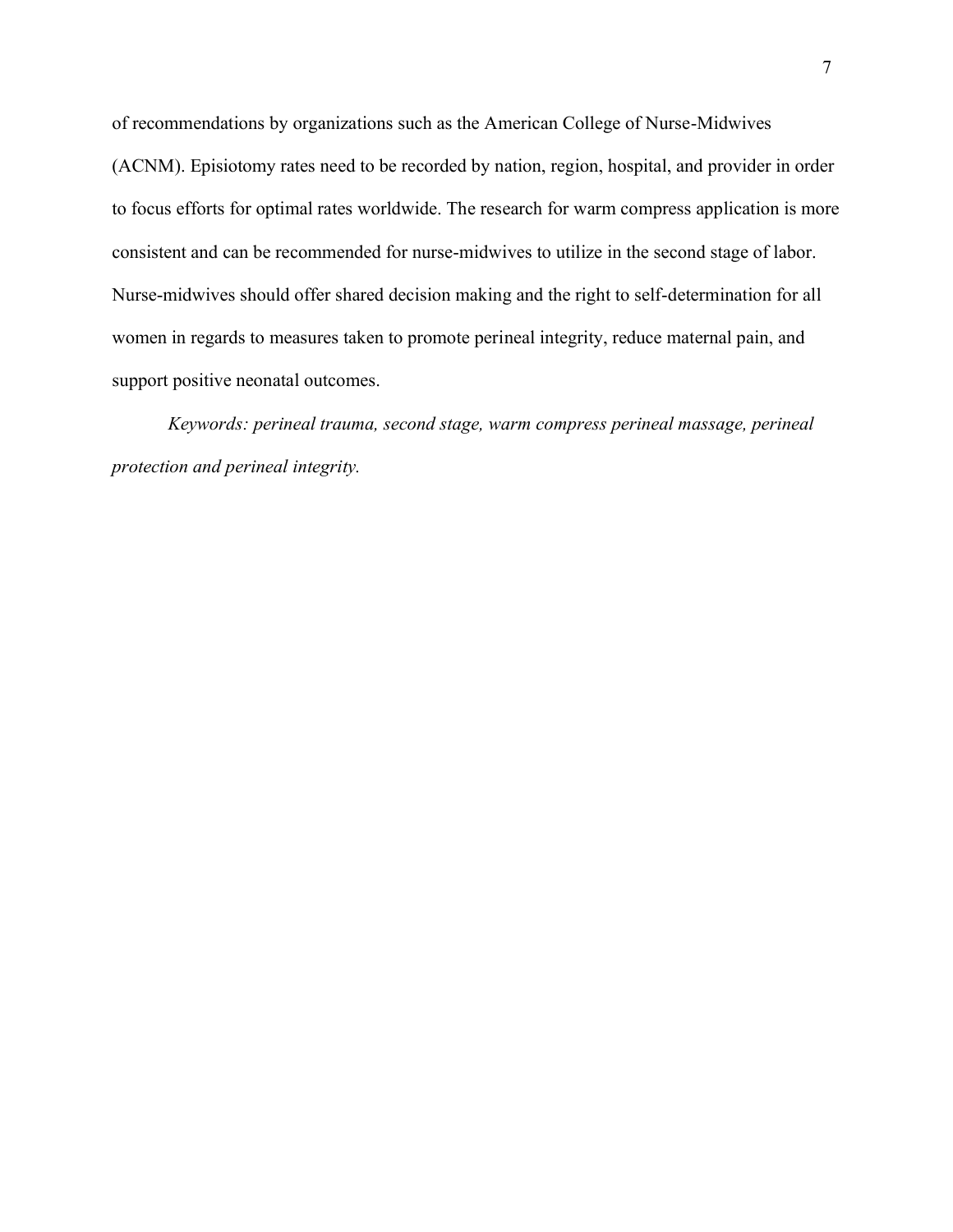of recommendations by organizations such as the American College of Nurse-Midwives (ACNM). Episiotomy rates need to be recorded by nation, region, hospital, and provider in order to focus efforts for optimal rates worldwide. The research for warm compress application is more consistent and can be recommended for nurse-midwives to utilize in the second stage of labor. Nurse-midwives should offer shared decision making and the right to self-determination for all women in regards to measures taken to promote perineal integrity, reduce maternal pain, and support positive neonatal outcomes.

*Keywords: perineal trauma, second stage, warm compress perineal massage, perineal protection and perineal integrity.*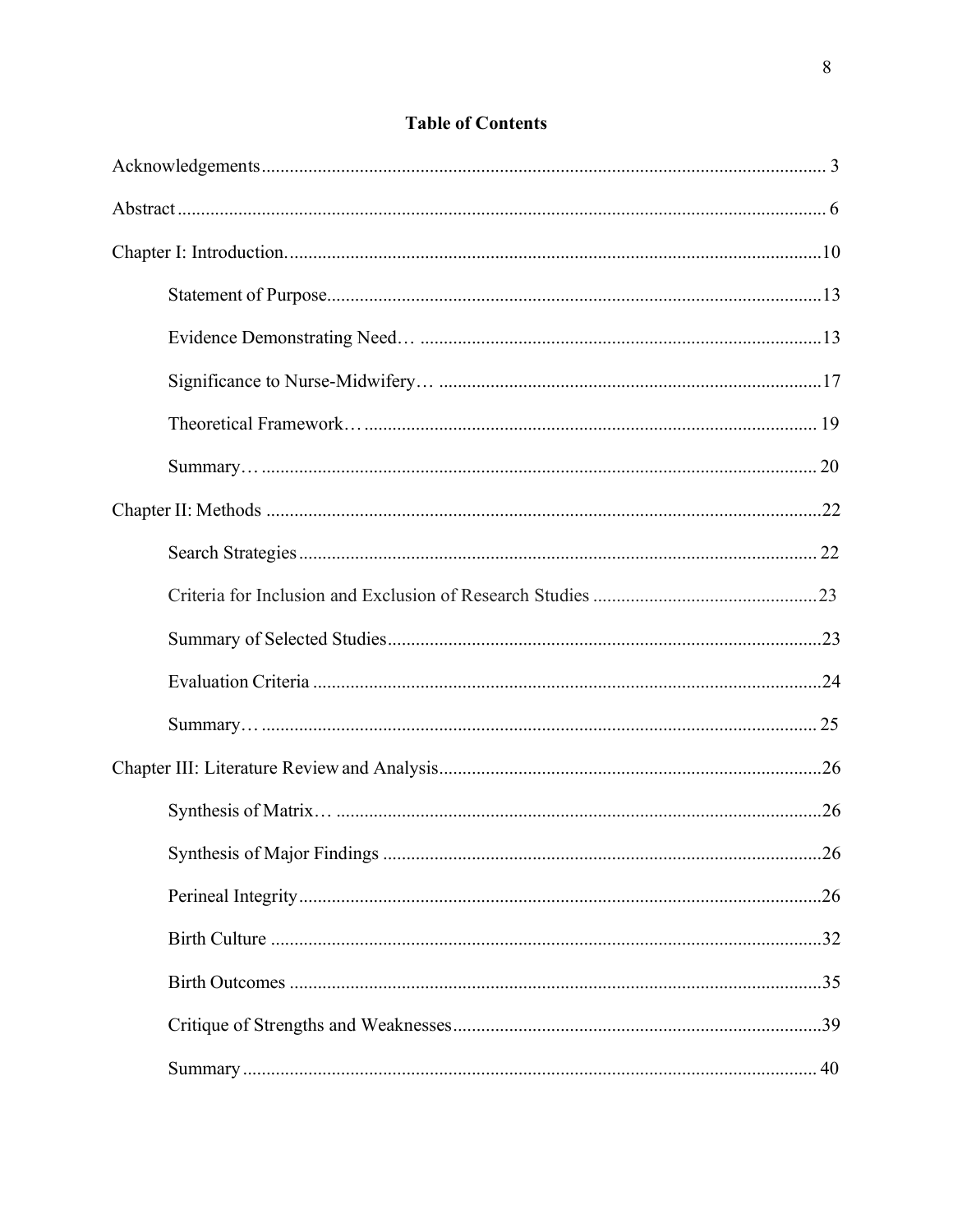# **Table of Contents**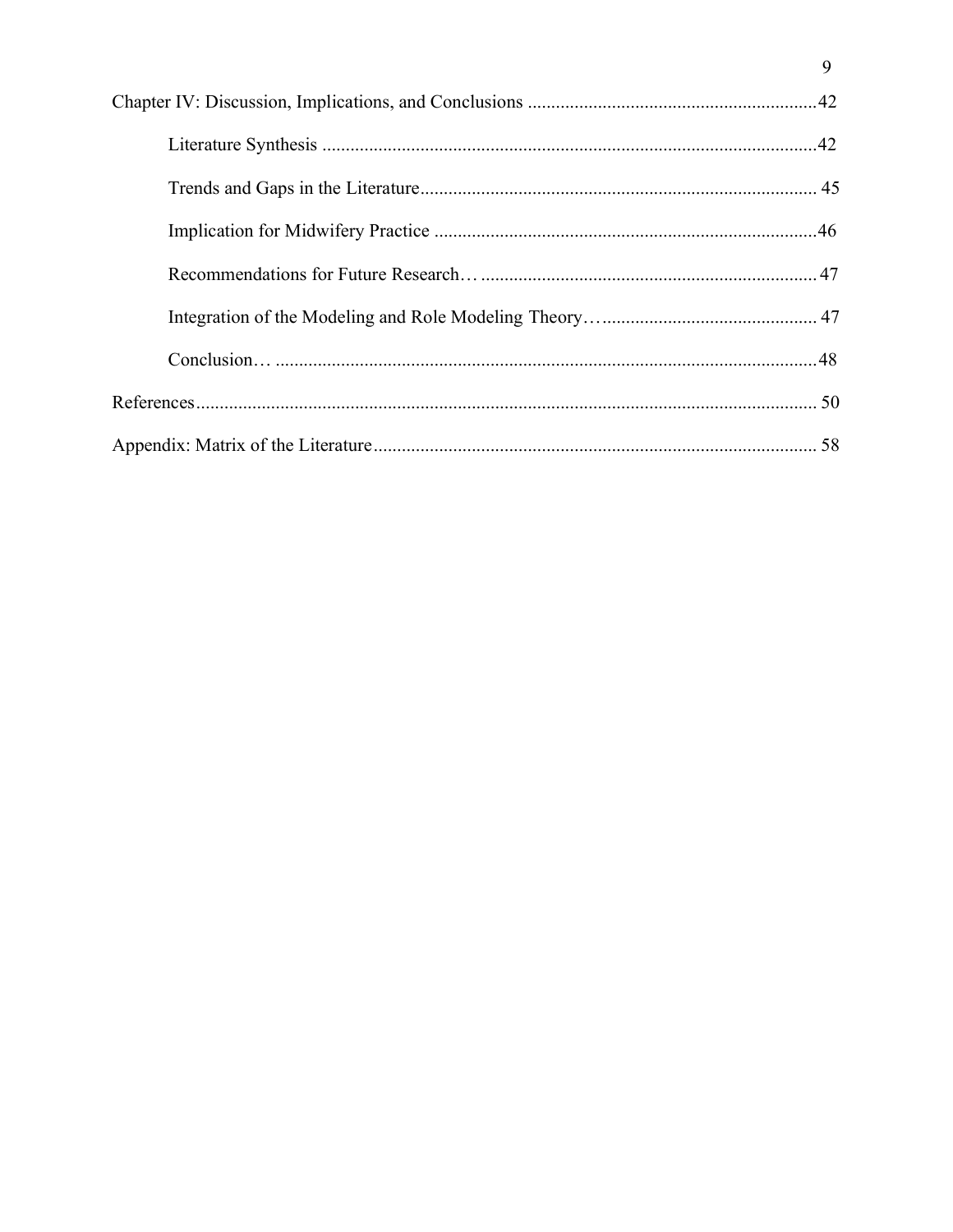$\overline{9}$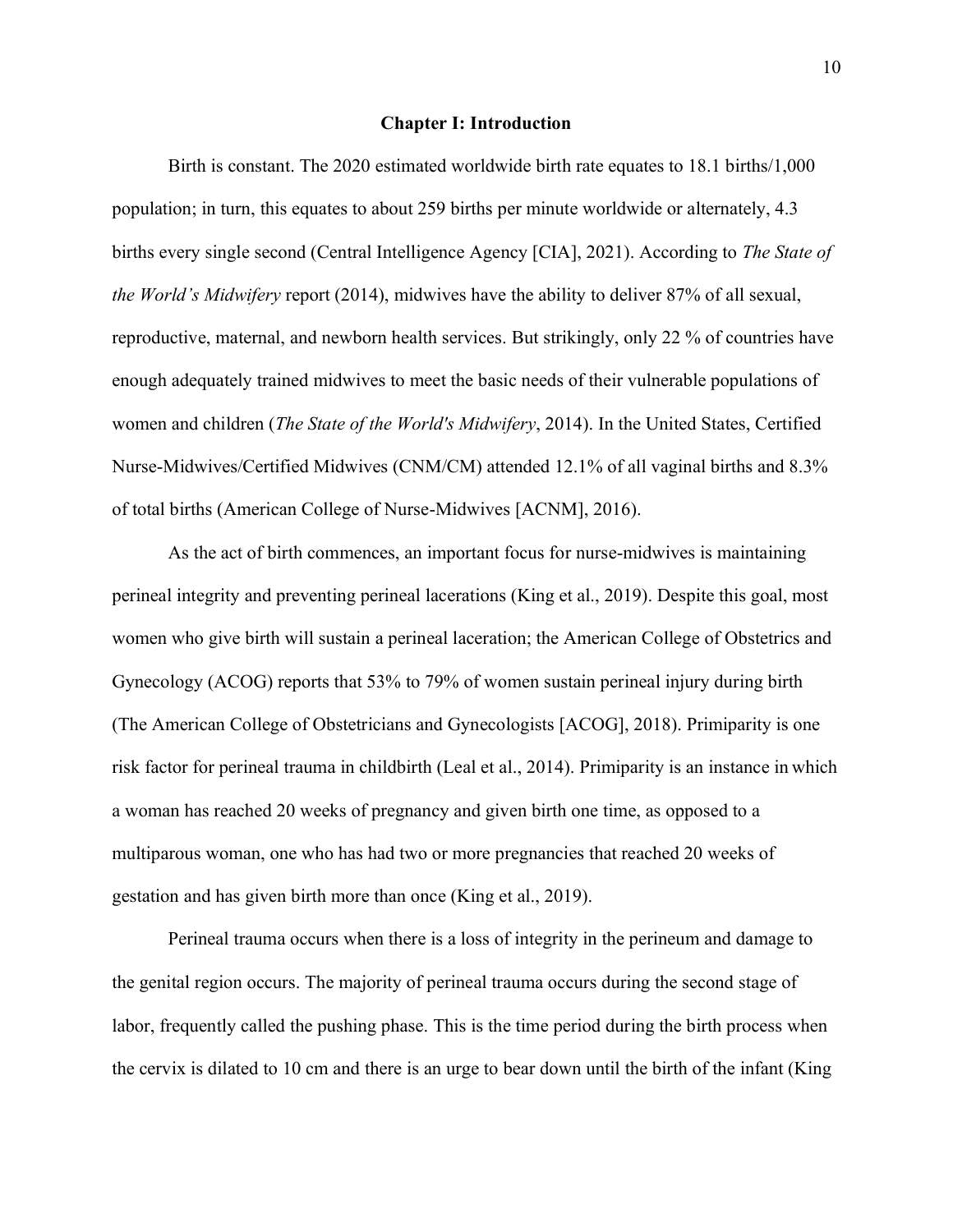#### **Chapter I: Introduction**

<span id="page-10-0"></span>Birth is constant. The 2020 estimated worldwide birth rate equates to 18.1 births/1,000 population; in turn, this equates to about 259 births per minute worldwide or alternately, 4.3 births every single second (Central Intelligence Agency [CIA], 2021). According to *The State of the World's Midwifery* report (2014), midwives have the ability to deliver 87% of all sexual, reproductive, maternal, and newborn health services. But strikingly, only 22 % of countries have enough adequately trained midwives to meet the basic needs of their vulnerable populations of women and children (*The State of the World's Midwifery*, 2014). In the United States, Certified Nurse-Midwives/Certified Midwives (CNM/CM) attended 12.1% of all vaginal births and 8.3% of total births (American College of Nurse-Midwives [ACNM], 2016).

As the act of birth commences, an important focus for nurse-midwives is maintaining perineal integrity and preventing perineal lacerations (King et al., 2019). Despite this goal, most women who give birth will sustain a perineal laceration; the American College of Obstetrics and Gynecology (ACOG) reports that 53% to 79% of women sustain perineal injury during birth (The American College of Obstetricians and Gynecologists [ACOG], 2018). Primiparity is one risk factor for perineal trauma in childbirth (Leal et al., 2014). Primiparity is an instance in which a woman has reached 20 weeks of pregnancy and given birth one time, as opposed to a multiparous woman, one who has had two or more pregnancies that reached 20 weeks of gestation and has given birth more than once (King et al., 2019).

Perineal trauma occurs when there is a loss of integrity in the perineum and damage to the genital region occurs. The majority of perineal trauma occurs during the second stage of labor, frequently called the pushing phase. This is the time period during the birth process when the cervix is dilated to 10 cm and there is an urge to bear down until the birth of the infant (King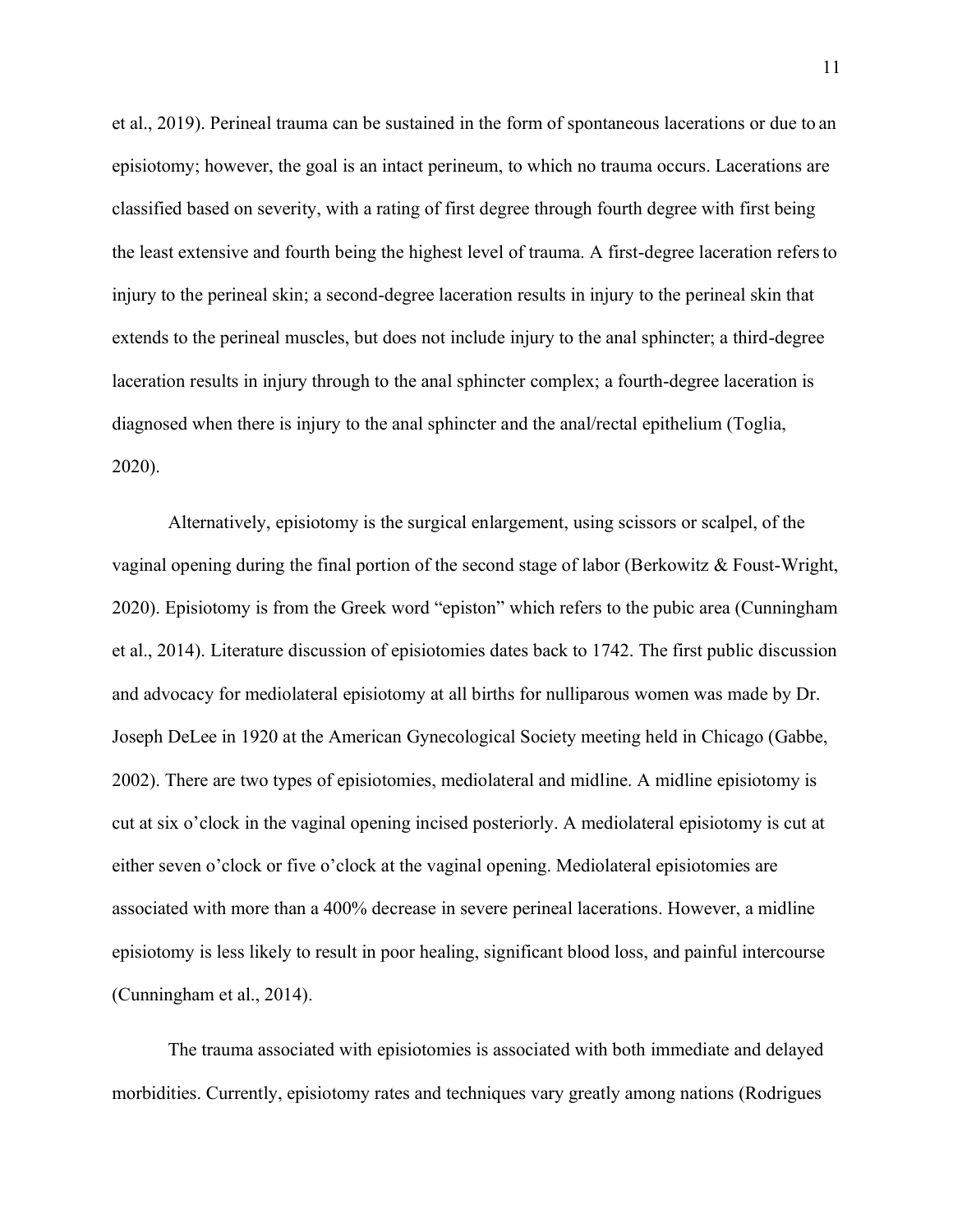et al., 2019). Perineal trauma can be sustained in the form of spontaneous lacerations or due to an episiotomy; however, the goal is an intact perineum, to which no trauma occurs. Lacerations are classified based on severity, with a rating of first degree through fourth degree with first being the least extensive and fourth being the highest level of trauma. A first-degree laceration refersto injury to the perineal skin; a second-degree laceration results in injury to the perineal skin that extends to the perineal muscles, but does not include injury to the anal sphincter; a third-degree laceration results in injury through to the anal sphincter complex; a fourth-degree laceration is diagnosed when there is injury to the anal sphincter and the anal/rectal epithelium (Toglia, 2020).

Alternatively, episiotomy is the surgical enlargement, using scissors or scalpel, of the vaginal opening during the final portion of the second stage of labor (Berkowitz & Foust-Wright, 2020). Episiotomy is from the Greek word "episton" which refers to the pubic area (Cunningham et al., 2014). Literature discussion of episiotomies dates back to 1742. The first public discussion and advocacy for mediolateral episiotomy at all births for nulliparous women was made by Dr. Joseph DeLee in 1920 at the American Gynecological Society meeting held in Chicago (Gabbe, 2002). There are two types of episiotomies, mediolateral and midline. A midline episiotomy is cut at six o'clock in the vaginal opening incised posteriorly. A mediolateral episiotomy is cut at either seven o'clock or five o'clock at the vaginal opening. Mediolateral episiotomies are associated with more than a 400% decrease in severe perineal lacerations. However, a midline episiotomy is less likely to result in poor healing, significant blood loss, and painful intercourse (Cunningham et al., 2014).

The trauma associated with episiotomies is associated with both immediate and delayed morbidities. Currently, episiotomy rates and techniques vary greatly among nations (Rodrigues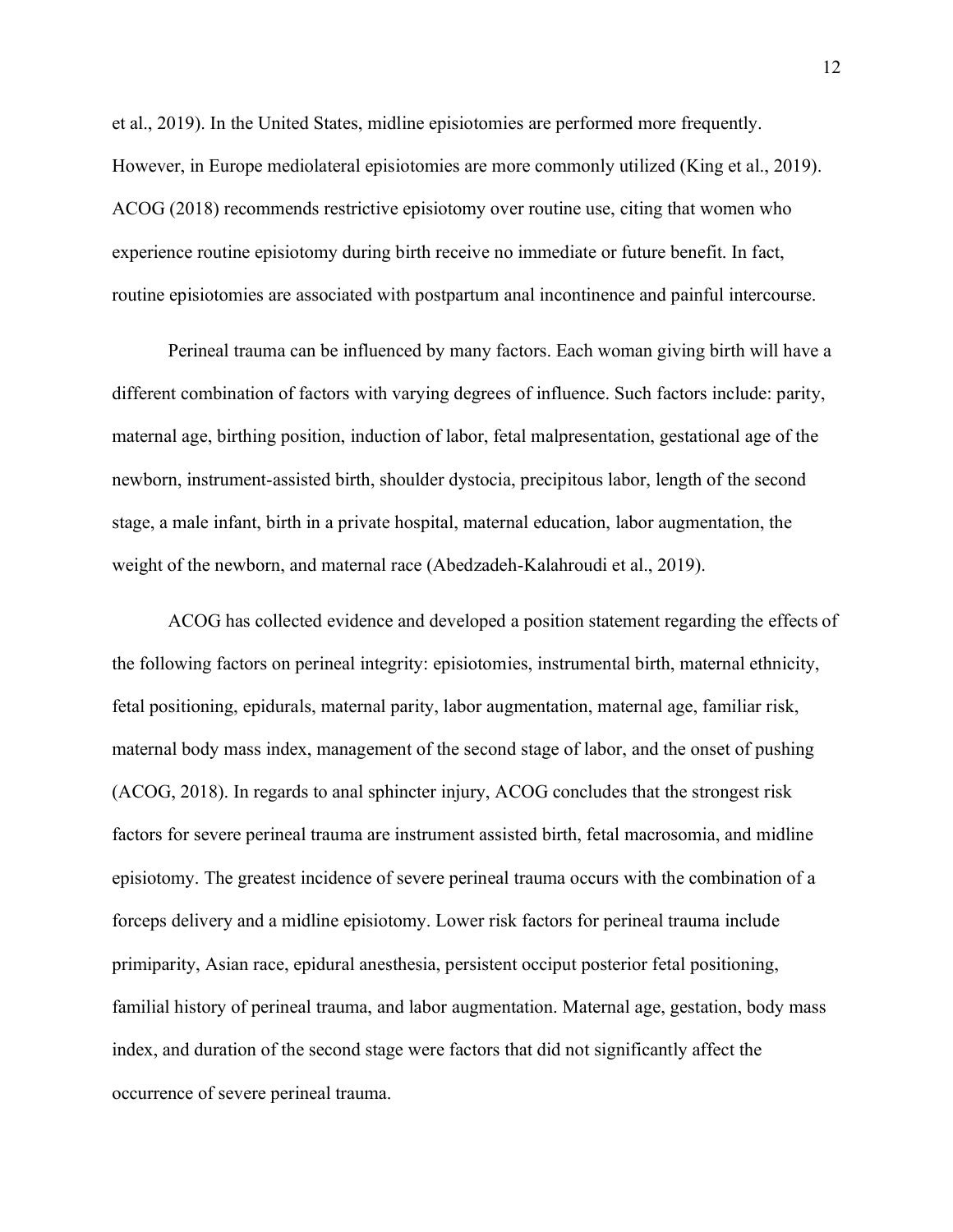et al., 2019). In the United States, midline episiotomies are performed more frequently. However, in Europe mediolateral episiotomies are more commonly utilized (King et al., 2019). ACOG (2018) recommends restrictive episiotomy over routine use, citing that women who experience routine episiotomy during birth receive no immediate or future benefit. In fact, routine episiotomies are associated with postpartum anal incontinence and painful intercourse.

Perineal trauma can be influenced by many factors. Each woman giving birth will have a different combination of factors with varying degrees of influence. Such factors include: parity, maternal age, birthing position, induction of labor, fetal malpresentation, gestational age of the newborn, instrument-assisted birth, shoulder dystocia, precipitous labor, length of the second stage, a male infant, birth in a private hospital, maternal education, labor augmentation, the weight of the newborn, and maternal race (Abedzadeh-Kalahroudi et al., 2019).

ACOG has collected evidence and developed a position statement regarding the effects of the following factors on perineal integrity: episiotomies, instrumental birth, maternal ethnicity, fetal positioning, epidurals, maternal parity, labor augmentation, maternal age, familiar risk, maternal body mass index, management of the second stage of labor, and the onset of pushing (ACOG, 2018). In regards to anal sphincter injury, ACOG concludes that the strongest risk factors for severe perineal trauma are instrument assisted birth, fetal macrosomia, and midline episiotomy. The greatest incidence of severe perineal trauma occurs with the combination of a forceps delivery and a midline episiotomy. Lower risk factors for perineal trauma include primiparity, Asian race, epidural anesthesia, persistent occiput posterior fetal positioning, familial history of perineal trauma, and labor augmentation. Maternal age, gestation, body mass index, and duration of the second stage were factors that did not significantly affect the occurrence of severe perineal trauma.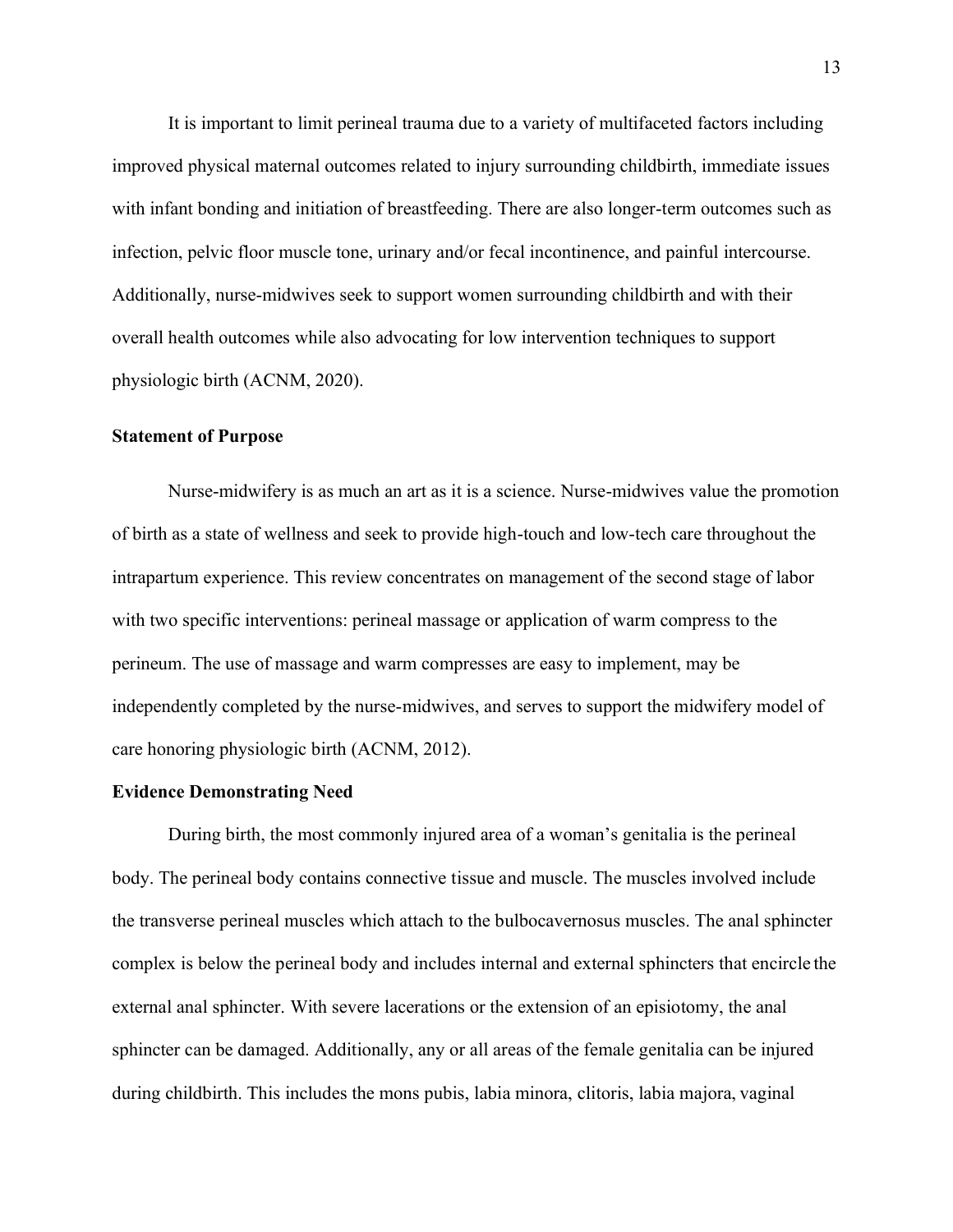It is important to limit perineal trauma due to a variety of multifaceted factors including improved physical maternal outcomes related to injury surrounding childbirth, immediate issues with infant bonding and initiation of breastfeeding. There are also longer-term outcomes such as infection, pelvic floor muscle tone, urinary and/or fecal incontinence, and painful intercourse. Additionally, nurse-midwives seek to support women surrounding childbirth and with their overall health outcomes while also advocating for low intervention techniques to support physiologic birth (ACNM, 2020).

#### <span id="page-13-0"></span>**Statement of Purpose**

Nurse-midwifery is as much an art as it is a science. Nurse-midwives value the promotion of birth as a state of wellness and seek to provide high-touch and low-tech care throughout the intrapartum experience. This review concentrates on management of the second stage of labor with two specific interventions: perineal massage or application of warm compress to the perineum. The use of massage and warm compresses are easy to implement, may be independently completed by the nurse-midwives, and serves to support the midwifery model of care honoring physiologic birth (ACNM, 2012).

#### <span id="page-13-1"></span>**Evidence Demonstrating Need**

During birth, the most commonly injured area of a woman's genitalia is the perineal body. The perineal body contains connective tissue and muscle. The muscles involved include the transverse perineal muscles which attach to the bulbocavernosus muscles. The anal sphincter complex is below the perineal body and includes internal and external sphincters that encircle the external anal sphincter. With severe lacerations or the extension of an episiotomy, the anal sphincter can be damaged. Additionally, any or all areas of the female genitalia can be injured during childbirth. This includes the mons pubis, labia minora, clitoris, labia majora, vaginal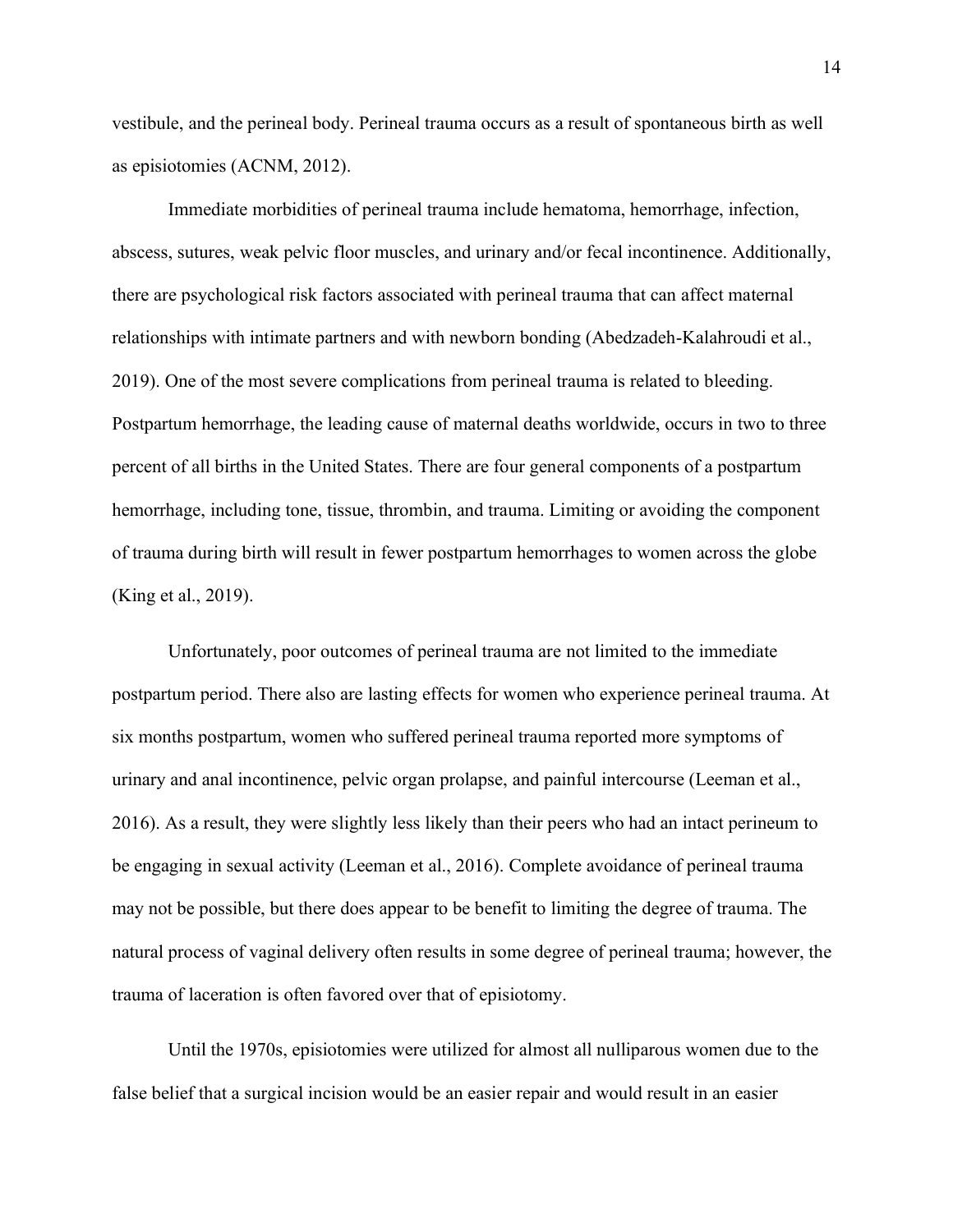vestibule, and the perineal body. Perineal trauma occurs as a result of spontaneous birth as well as episiotomies (ACNM, 2012).

Immediate morbidities of perineal trauma include hematoma, hemorrhage, infection, abscess, sutures, weak pelvic floor muscles, and urinary and/or fecal incontinence. Additionally, there are psychological risk factors associated with perineal trauma that can affect maternal relationships with intimate partners and with newborn bonding (Abedzadeh-Kalahroudi et al., 2019). One of the most severe complications from perineal trauma is related to bleeding. Postpartum hemorrhage, the leading cause of maternal deaths worldwide, occurs in two to three percent of all births in the United States. There are four general components of a postpartum hemorrhage, including tone, tissue, thrombin, and trauma. Limiting or avoiding the component of trauma during birth will result in fewer postpartum hemorrhages to women across the globe (King et al., 2019).

Unfortunately, poor outcomes of perineal trauma are not limited to the immediate postpartum period. There also are lasting effects for women who experience perineal trauma. At six months postpartum, women who suffered perineal trauma reported more symptoms of urinary and anal incontinence, pelvic organ prolapse, and painful intercourse (Leeman et al., 2016). As a result, they were slightly less likely than their peers who had an intact perineum to be engaging in sexual activity (Leeman et al., 2016). Complete avoidance of perineal trauma may not be possible, but there does appear to be benefit to limiting the degree of trauma. The natural process of vaginal delivery often results in some degree of perineal trauma; however, the trauma of laceration is often favored over that of episiotomy.

Until the 1970s, episiotomies were utilized for almost all nulliparous women due to the false belief that a surgical incision would be an easier repair and would result in an easier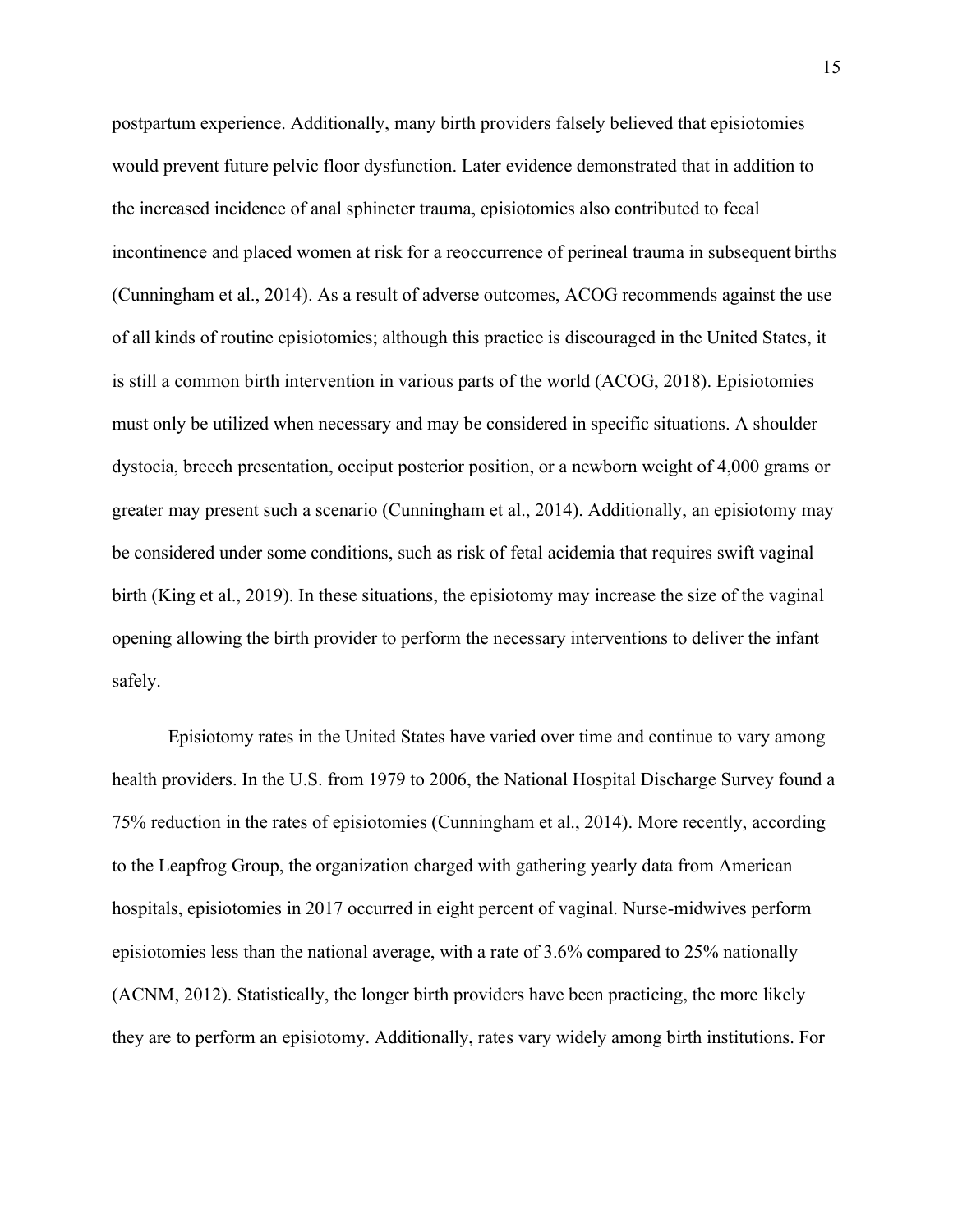postpartum experience. Additionally, many birth providers falsely believed that episiotomies would prevent future pelvic floor dysfunction. Later evidence demonstrated that in addition to the increased incidence of anal sphincter trauma, episiotomies also contributed to fecal incontinence and placed women at risk for a reoccurrence of perineal trauma in subsequent births (Cunningham et al., 2014). As a result of adverse outcomes, ACOG recommends against the use of all kinds of routine episiotomies; although this practice is discouraged in the United States, it is still a common birth intervention in various parts of the world (ACOG, 2018). Episiotomies must only be utilized when necessary and may be considered in specific situations. A shoulder dystocia, breech presentation, occiput posterior position, or a newborn weight of 4,000 grams or greater may present such a scenario (Cunningham et al., 2014). Additionally, an episiotomy may be considered under some conditions, such as risk of fetal acidemia that requires swift vaginal birth (King et al., 2019). In these situations, the episiotomy may increase the size of the vaginal opening allowing the birth provider to perform the necessary interventions to deliver the infant safely.

Episiotomy rates in the United States have varied over time and continue to vary among health providers. In the U.S. from 1979 to 2006, the National Hospital Discharge Survey found a 75% reduction in the rates of episiotomies (Cunningham et al., 2014). More recently, according to the Leapfrog Group, the organization charged with gathering yearly data from American hospitals, episiotomies in 2017 occurred in eight percent of vaginal. Nurse-midwives perform episiotomies less than the national average, with a rate of 3.6% compared to 25% nationally (ACNM, 2012). Statistically, the longer birth providers have been practicing, the more likely they are to perform an episiotomy. Additionally, rates vary widely among birth institutions. For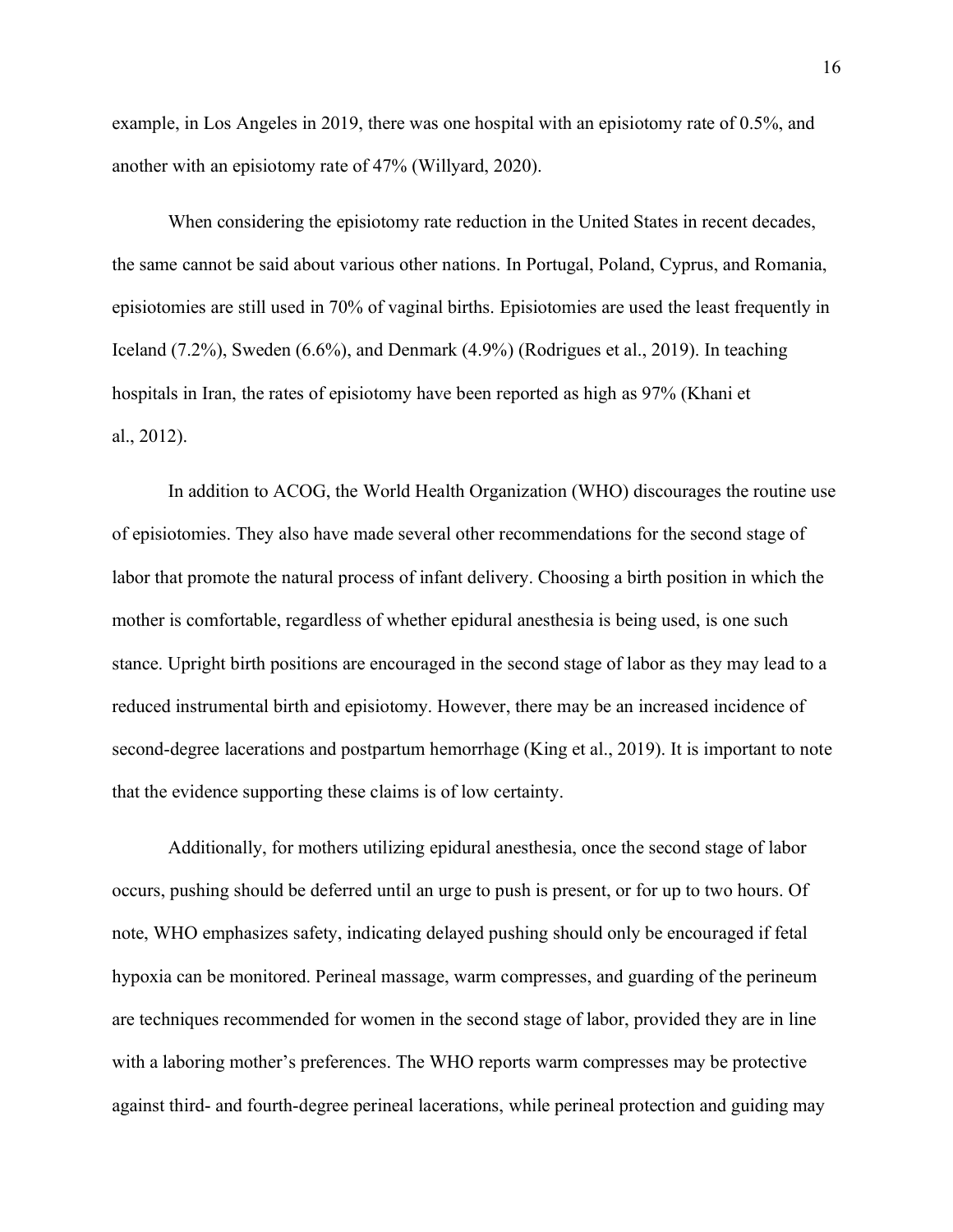example, in Los Angeles in 2019, there was one hospital with an episiotomy rate of 0.5%, and another with an episiotomy rate of 47% (Willyard, 2020).

When considering the episiotomy rate reduction in the United States in recent decades, the same cannot be said about various other nations. In Portugal, Poland, Cyprus, and Romania, episiotomies are still used in 70% of vaginal births. Episiotomies are used the least frequently in Iceland (7.2%), Sweden (6.6%), and Denmark (4.9%) (Rodrigues et al., 2019). In teaching hospitals in Iran, the rates of episiotomy have been reported as high as 97% (Khani et al., 2012).

In addition to ACOG, the World Health Organization (WHO) discourages the routine use of episiotomies. They also have made several other recommendations for the second stage of labor that promote the natural process of infant delivery. Choosing a birth position in which the mother is comfortable, regardless of whether epidural anesthesia is being used, is one such stance. Upright birth positions are encouraged in the second stage of labor as they may lead to a reduced instrumental birth and episiotomy. However, there may be an increased incidence of second-degree lacerations and postpartum hemorrhage (King et al., 2019). It is important to note that the evidence supporting these claims is of low certainty.

Additionally, for mothers utilizing epidural anesthesia, once the second stage of labor occurs, pushing should be deferred until an urge to push is present, or for up to two hours. Of note, WHO emphasizes safety, indicating delayed pushing should only be encouraged if fetal hypoxia can be monitored. Perineal massage, warm compresses, and guarding of the perineum are techniques recommended for women in the second stage of labor, provided they are in line with a laboring mother's preferences. The WHO reports warm compresses may be protective against third- and fourth-degree perineal lacerations, while perineal protection and guiding may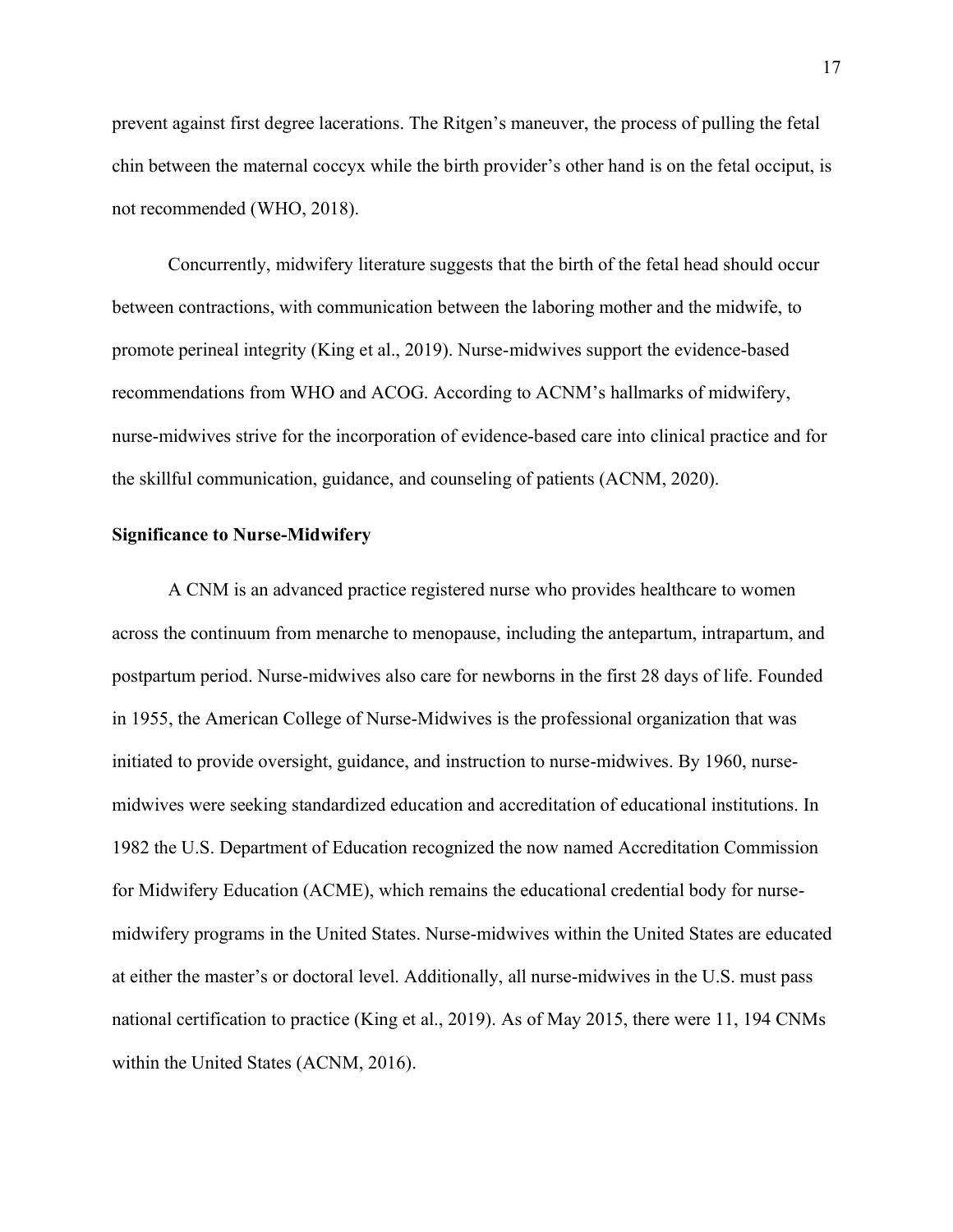prevent against first degree lacerations. The Ritgen's maneuver, the process of pulling the fetal chin between the maternal coccyx while the birth provider's other hand is on the fetal occiput, is not recommended (WHO, 2018).

Concurrently, midwifery literature suggests that the birth of the fetal head should occur between contractions, with communication between the laboring mother and the midwife, to promote perineal integrity (King et al., 2019). Nurse-midwives support the evidence-based recommendations from WHO and ACOG. According to ACNM's hallmarks of midwifery, nurse-midwives strive for the incorporation of evidence-based care into clinical practice and for the skillful communication, guidance, and counseling of patients (ACNM, 2020).

#### <span id="page-17-0"></span>**Significance to Nurse-Midwifery**

A CNM is an advanced practice registered nurse who provides healthcare to women across the continuum from menarche to menopause, including the antepartum, intrapartum, and postpartum period. Nurse-midwives also care for newborns in the first 28 days of life. Founded in 1955, the American College of Nurse-Midwives is the professional organization that was initiated to provide oversight, guidance, and instruction to nurse-midwives. By 1960, nursemidwives were seeking standardized education and accreditation of educational institutions. In 1982 the U.S. Department of Education recognized the now named Accreditation Commission for Midwifery Education (ACME), which remains the educational credential body for nursemidwifery programs in the United States. Nurse-midwives within the United States are educated at either the master's or doctoral level. Additionally, all nurse-midwives in the U.S. must pass national certification to practice (King et al., 2019). As of May 2015, there were 11, 194 CNMs within the United States (ACNM, 2016).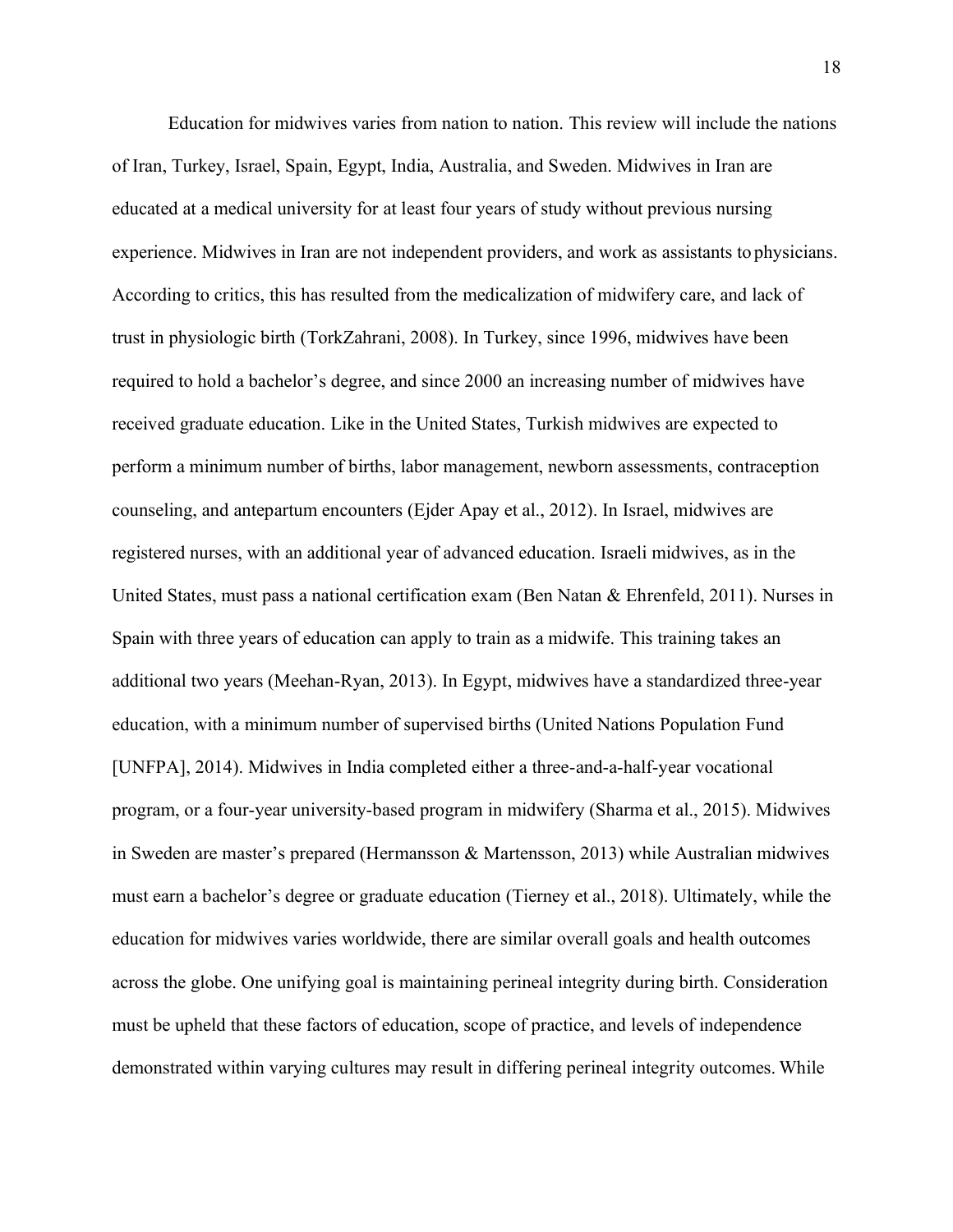Education for midwives varies from nation to nation. This review will include the nations of Iran, Turkey, Israel, Spain, Egypt, India, Australia, and Sweden. Midwives in Iran are educated at a medical university for at least four years of study without previous nursing experience. Midwives in Iran are not independent providers, and work as assistants to physicians. According to critics, this has resulted from the medicalization of midwifery care, and lack of trust in physiologic birth (TorkZahrani, 2008). In Turkey, since 1996, midwives have been required to hold a bachelor's degree, and since 2000 an increasing number of midwives have received graduate education. Like in the United States, Turkish midwives are expected to perform a minimum number of births, labor management, newborn assessments, contraception counseling, and antepartum encounters (Ejder Apay et al., 2012). In Israel, midwives are registered nurses, with an additional year of advanced education. Israeli midwives, as in the United States, must pass a national certification exam (Ben Natan & Ehrenfeld, 2011). Nurses in Spain with three years of education can apply to train as a midwife. This training takes an additional two years (Meehan-Ryan, 2013). In Egypt, midwives have a standardized three-year education, with a minimum number of supervised births (United Nations Population Fund [UNFPA], 2014). Midwives in India completed either a three-and-a-half-year vocational program, or a four-year university-based program in midwifery (Sharma et al., 2015). Midwives in Sweden are master's prepared (Hermansson & Martensson, 2013) while Australian midwives must earn a bachelor's degree or graduate education (Tierney et al., 2018). Ultimately, while the education for midwives varies worldwide, there are similar overall goals and health outcomes across the globe. One unifying goal is maintaining perineal integrity during birth. Consideration must be upheld that these factors of education, scope of practice, and levels of independence demonstrated within varying cultures may result in differing perineal integrity outcomes. While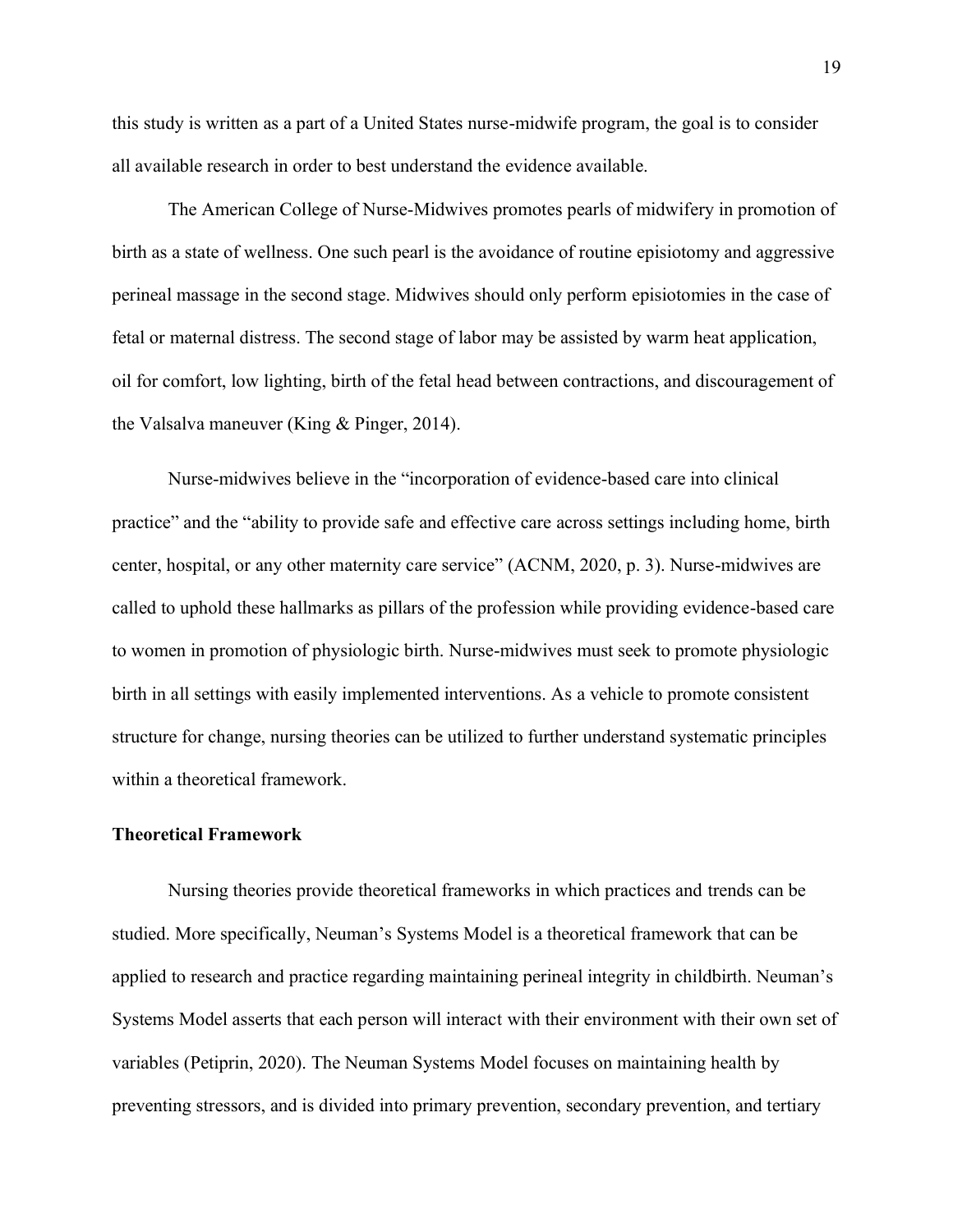this study is written as a part of a United States nurse-midwife program, the goal is to consider all available research in order to best understand the evidence available.

The American College of Nurse-Midwives promotes pearls of midwifery in promotion of birth as a state of wellness. One such pearl is the avoidance of routine episiotomy and aggressive perineal massage in the second stage. Midwives should only perform episiotomies in the case of fetal or maternal distress. The second stage of labor may be assisted by warm heat application, oil for comfort, low lighting, birth of the fetal head between contractions, and discouragement of the Valsalva maneuver (King & Pinger, 2014).

Nurse-midwives believe in the "incorporation of evidence-based care into clinical practice" and the "ability to provide safe and effective care across settings including home, birth center, hospital, or any other maternity care service" (ACNM, 2020, p. 3). Nurse-midwives are called to uphold these hallmarks as pillars of the profession while providing evidence-based care to women in promotion of physiologic birth. Nurse-midwives must seek to promote physiologic birth in all settings with easily implemented interventions. As a vehicle to promote consistent structure for change, nursing theories can be utilized to further understand systematic principles within a theoretical framework.

#### <span id="page-19-0"></span>**Theoretical Framework**

Nursing theories provide theoretical frameworks in which practices and trends can be studied. More specifically, Neuman's Systems Model is a theoretical framework that can be applied to research and practice regarding maintaining perineal integrity in childbirth. Neuman's Systems Model asserts that each person will interact with their environment with their own set of variables (Petiprin, 2020). The Neuman Systems Model focuses on maintaining health by preventing stressors, and is divided into primary prevention, secondary prevention, and tertiary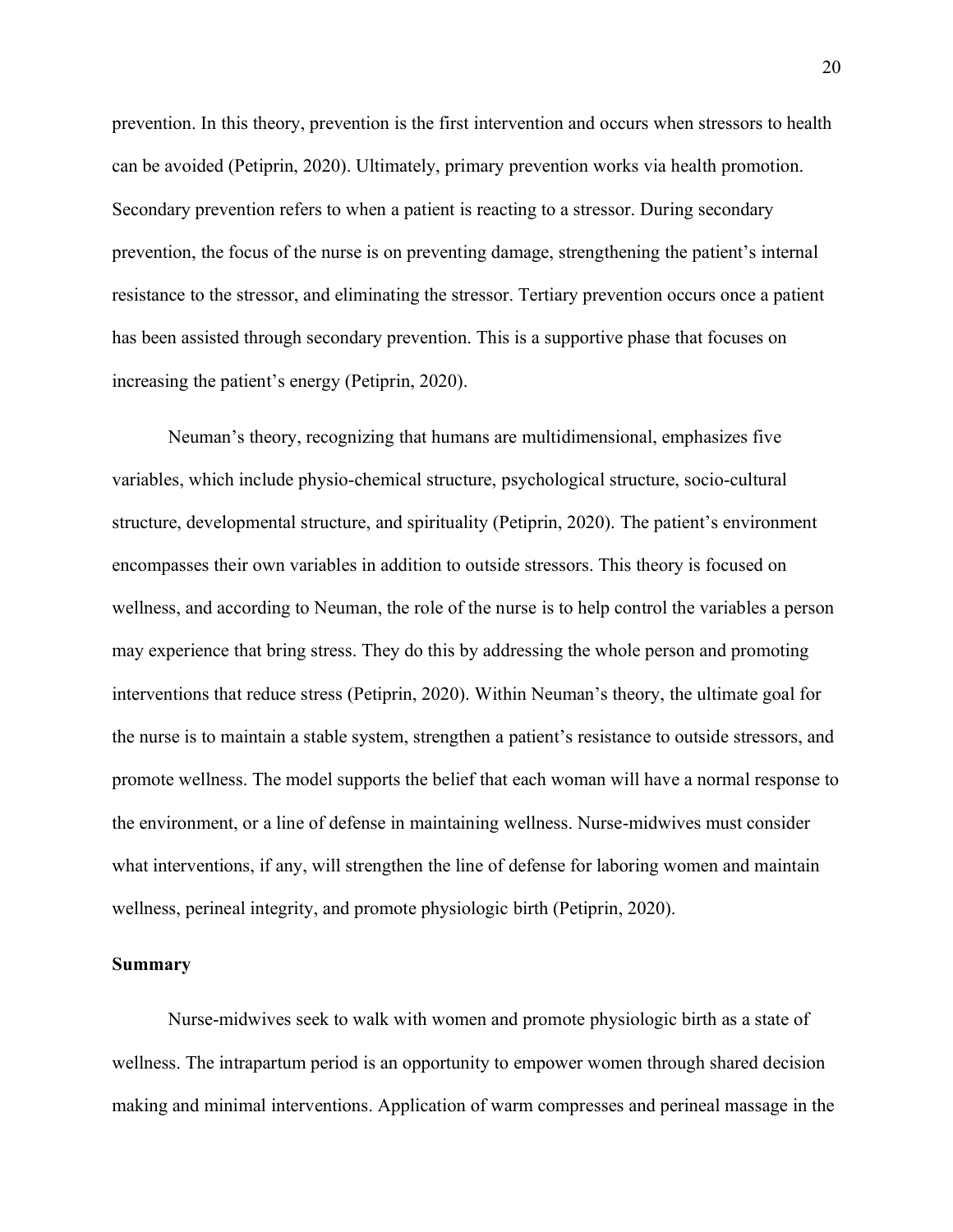prevention. In this theory, prevention is the first intervention and occurs when stressors to health can be avoided (Petiprin, 2020). Ultimately, primary prevention works via health promotion. Secondary prevention refers to when a patient is reacting to a stressor. During secondary prevention, the focus of the nurse is on preventing damage, strengthening the patient's internal resistance to the stressor, and eliminating the stressor. Tertiary prevention occurs once a patient has been assisted through secondary prevention. This is a supportive phase that focuses on increasing the patient's energy (Petiprin, 2020).

Neuman's theory, recognizing that humans are multidimensional, emphasizes five variables, which include physio-chemical structure, psychological structure, socio-cultural structure, developmental structure, and spirituality (Petiprin, 2020). The patient's environment encompasses their own variables in addition to outside stressors. This theory is focused on wellness, and according to Neuman, the role of the nurse is to help control the variables a person may experience that bring stress. They do this by addressing the whole person and promoting interventions that reduce stress (Petiprin, 2020). Within Neuman's theory, the ultimate goal for the nurse is to maintain a stable system, strengthen a patient's resistance to outside stressors, and promote wellness. The model supports the belief that each woman will have a normal response to the environment, or a line of defense in maintaining wellness. Nurse-midwives must consider what interventions, if any, will strengthen the line of defense for laboring women and maintain wellness, perineal integrity, and promote physiologic birth (Petiprin, 2020).

#### <span id="page-20-0"></span>**Summary**

Nurse-midwives seek to walk with women and promote physiologic birth as a state of wellness. The intrapartum period is an opportunity to empower women through shared decision making and minimal interventions. Application of warm compresses and perineal massage in the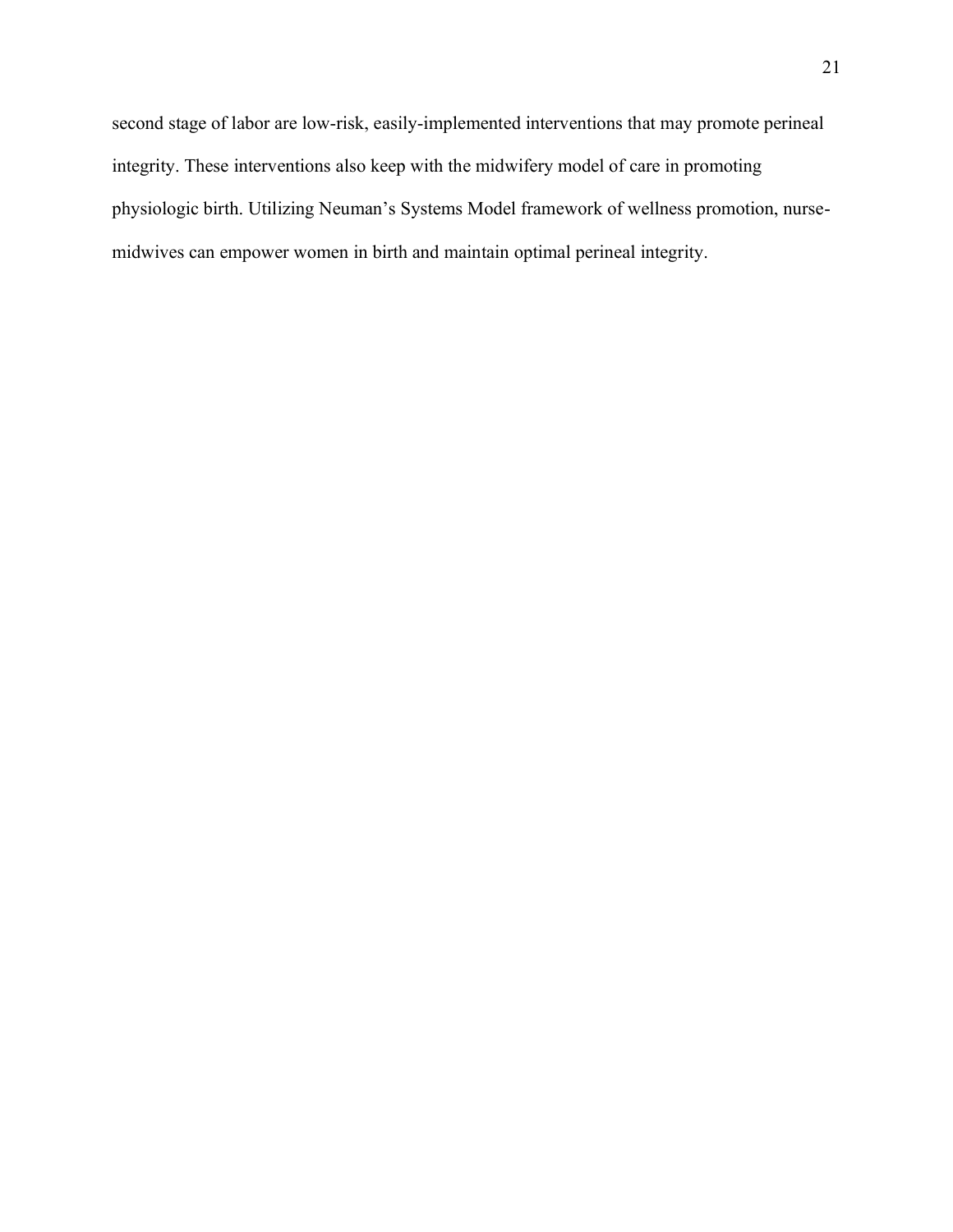second stage of labor are low-risk, easily-implemented interventions that may promote perineal integrity. These interventions also keep with the midwifery model of care in promoting physiologic birth. Utilizing Neuman's Systems Model framework of wellness promotion, nursemidwives can empower women in birth and maintain optimal perineal integrity.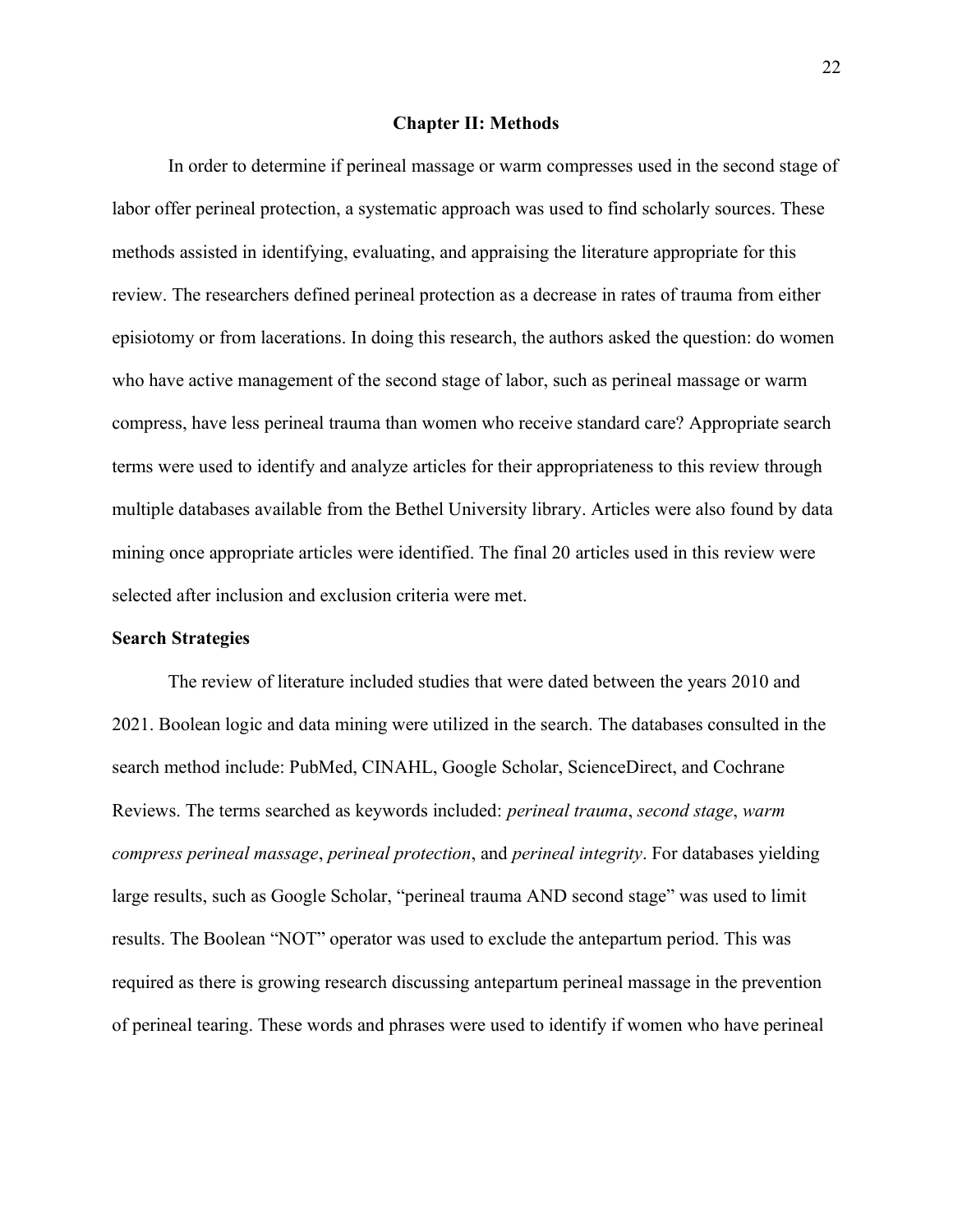#### **Chapter II: Methods**

<span id="page-22-0"></span>In order to determine if perineal massage or warm compresses used in the second stage of labor offer perineal protection, a systematic approach was used to find scholarly sources. These methods assisted in identifying, evaluating, and appraising the literature appropriate for this review. The researchers defined perineal protection as a decrease in rates of trauma from either episiotomy or from lacerations. In doing this research, the authors asked the question: do women who have active management of the second stage of labor, such as perineal massage or warm compress, have less perineal trauma than women who receive standard care? Appropriate search terms were used to identify and analyze articles for their appropriateness to this review through multiple databases available from the Bethel University library. Articles were also found by data mining once appropriate articles were identified. The final 20 articles used in this review were selected after inclusion and exclusion criteria were met.

#### <span id="page-22-1"></span>**Search Strategies**

The review of literature included studies that were dated between the years 2010 and 2021. Boolean logic and data mining were utilized in the search. The databases consulted in the search method include: PubMed, CINAHL, Google Scholar, ScienceDirect, and Cochrane Reviews. The terms searched as keywords included: *perineal trauma*, *second stage*, *warm compress perineal massage*, *perineal protection*, and *perineal integrity*. For databases yielding large results, such as Google Scholar, "perineal trauma AND second stage" was used to limit results. The Boolean "NOT" operator was used to exclude the antepartum period. This was required as there is growing research discussing antepartum perineal massage in the prevention of perineal tearing. These words and phrases were used to identify if women who have perineal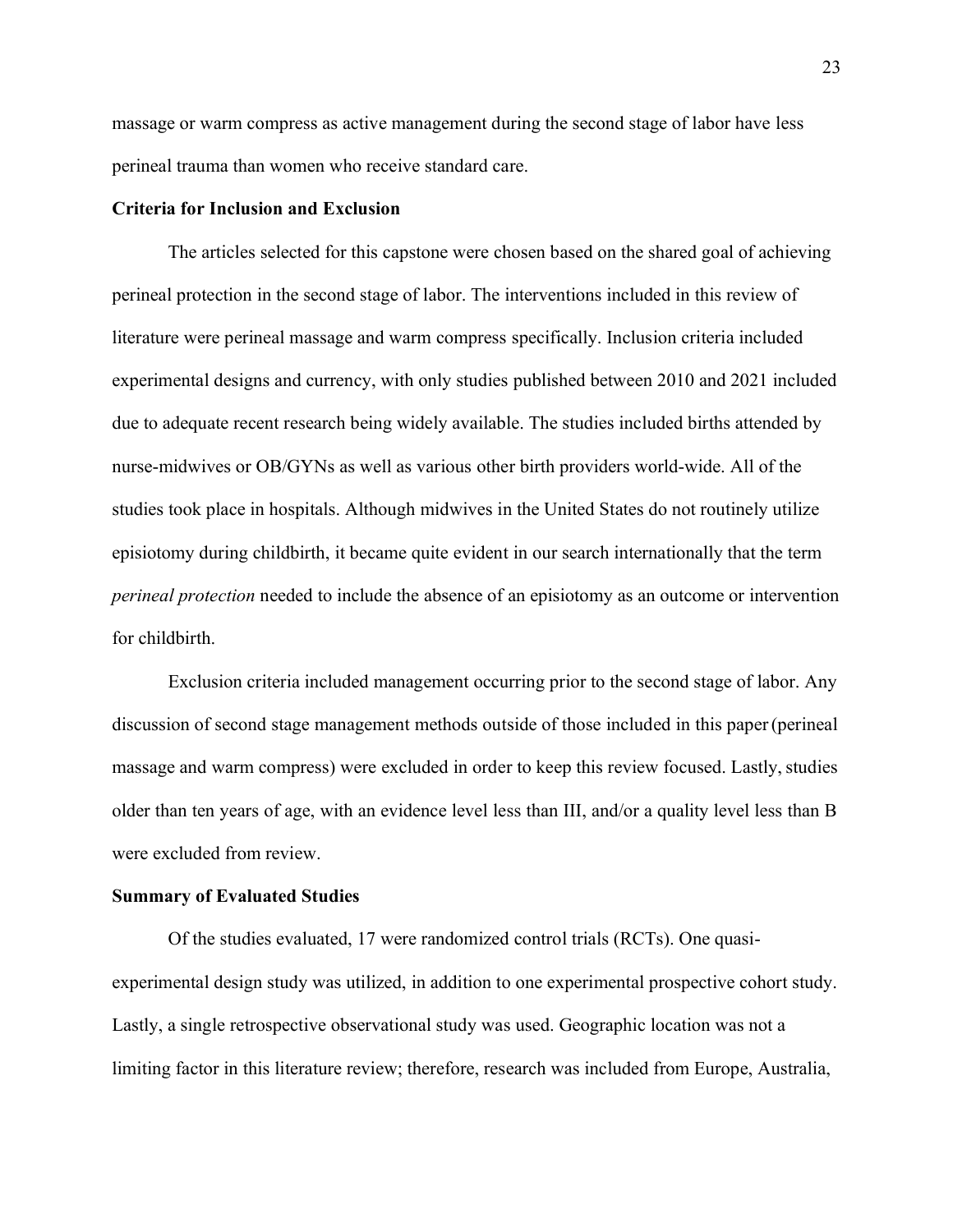massage or warm compress as active management during the second stage of labor have less perineal trauma than women who receive standard care.

#### **Criteria for Inclusion and Exclusion**

The articles selected for this capstone were chosen based on the shared goal of achieving perineal protection in the second stage of labor. The interventions included in this review of literature were perineal massage and warm compress specifically. Inclusion criteria included experimental designs and currency, with only studies published between 2010 and 2021 included due to adequate recent research being widely available. The studies included births attended by nurse-midwives or OB/GYNs as well as various other birth providers world-wide. All of the studies took place in hospitals. Although midwives in the United States do not routinely utilize episiotomy during childbirth, it became quite evident in our search internationally that the term *perineal protection* needed to include the absence of an episiotomy as an outcome or intervention for childbirth.

Exclusion criteria included management occurring prior to the second stage of labor. Any discussion of second stage management methods outside of those included in this paper(perineal massage and warm compress) were excluded in order to keep this review focused. Lastly, studies older than ten years of age, with an evidence level less than III, and/or a quality level less than B were excluded from review.

#### **Summary of Evaluated Studies**

Of the studies evaluated, 17 were randomized control trials (RCTs). One quasiexperimental design study was utilized, in addition to one experimental prospective cohort study. Lastly, a single retrospective observational study was used. Geographic location was not a limiting factor in this literature review; therefore, research was included from Europe, Australia,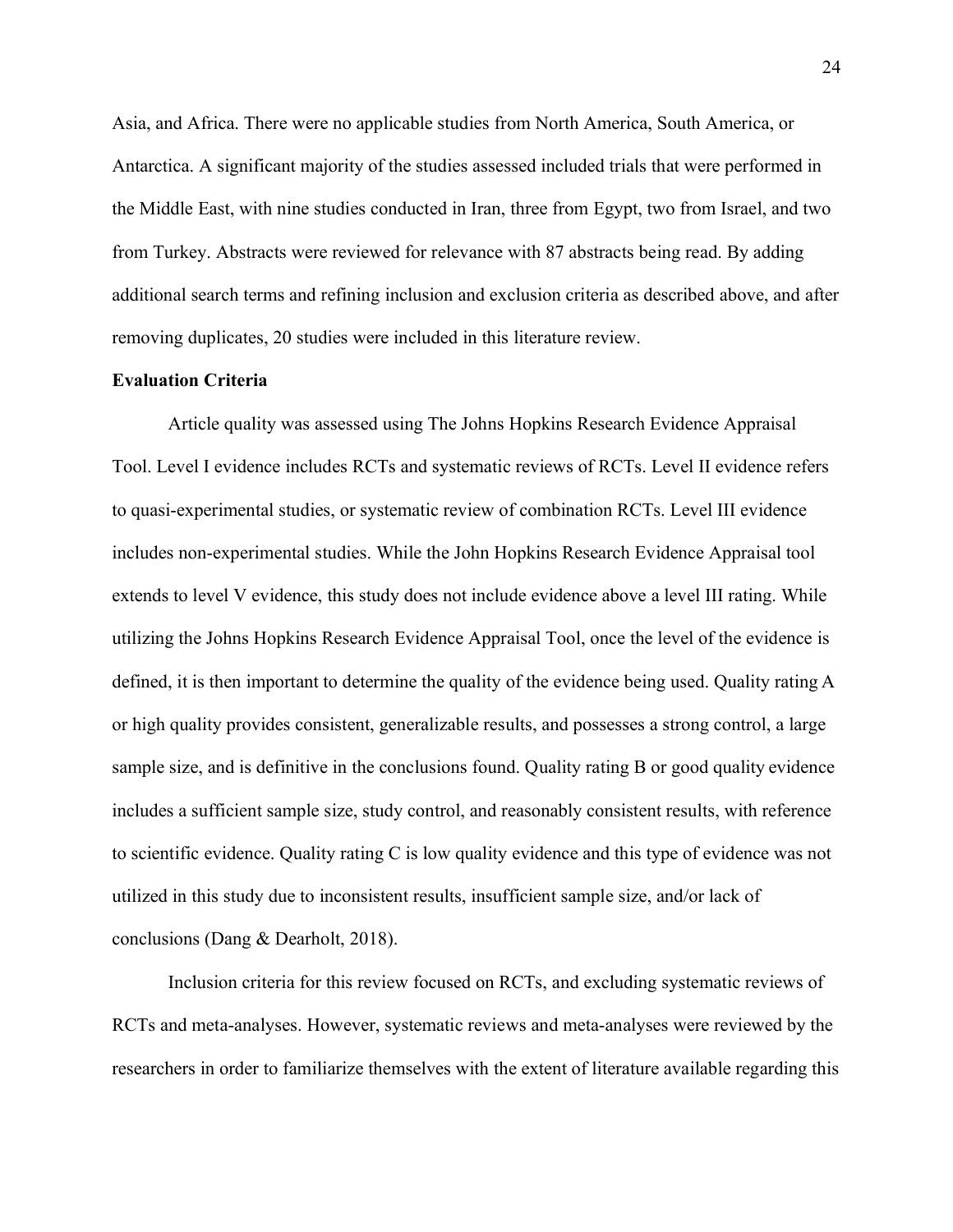Asia, and Africa. There were no applicable studies from North America, South America, or Antarctica. A significant majority of the studies assessed included trials that were performed in the Middle East, with nine studies conducted in Iran, three from Egypt, two from Israel, and two from Turkey. Abstracts were reviewed for relevance with 87 abstracts being read. By adding additional search terms and refining inclusion and exclusion criteria as described above, and after removing duplicates, 20 studies were included in this literature review.

#### <span id="page-24-0"></span>**Evaluation Criteria**

Article quality was assessed using The Johns Hopkins Research Evidence Appraisal Tool. Level I evidence includes RCTs and systematic reviews of RCTs. Level II evidence refers to quasi-experimental studies, or systematic review of combination RCTs. Level III evidence includes non-experimental studies. While the John Hopkins Research Evidence Appraisal tool extends to level V evidence, this study does not include evidence above a level III rating. While utilizing the Johns Hopkins Research Evidence Appraisal Tool, once the level of the evidence is defined, it is then important to determine the quality of the evidence being used. Quality rating A or high quality provides consistent, generalizable results, and possesses a strong control, a large sample size, and is definitive in the conclusions found. Quality rating B or good quality evidence includes a sufficient sample size, study control, and reasonably consistent results, with reference to scientific evidence. Quality rating C is low quality evidence and this type of evidence was not utilized in this study due to inconsistent results, insufficient sample size, and/or lack of conclusions (Dang & Dearholt, 2018).

Inclusion criteria for this review focused on RCTs, and excluding systematic reviews of RCTs and meta-analyses. However, systematic reviews and meta-analyses were reviewed by the researchers in order to familiarize themselves with the extent of literature available regarding this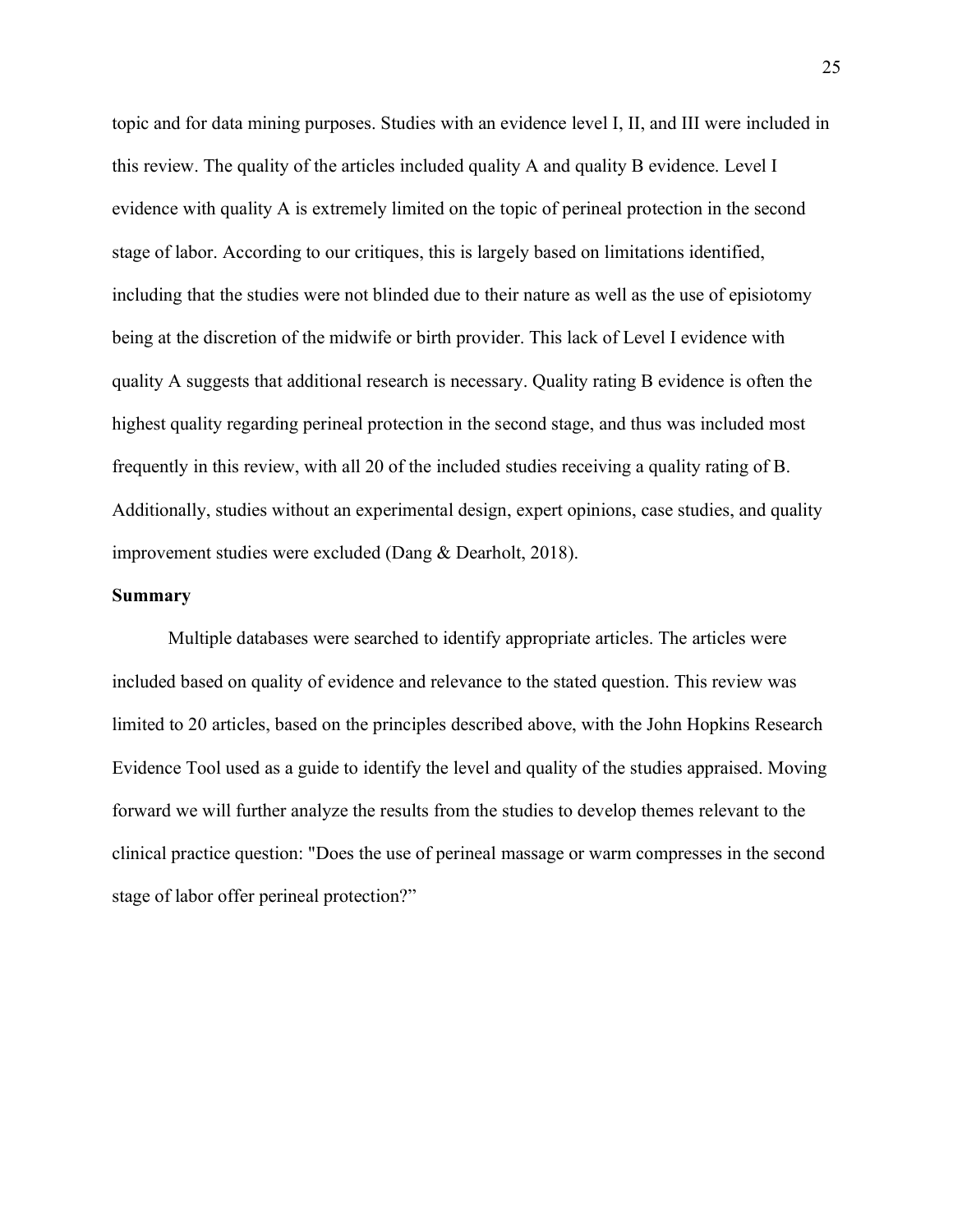topic and for data mining purposes. Studies with an evidence level I, II, and III were included in this review. The quality of the articles included quality A and quality B evidence. Level I evidence with quality A is extremely limited on the topic of perineal protection in the second stage of labor. According to our critiques, this is largely based on limitations identified, including that the studies were not blinded due to their nature as well as the use of episiotomy being at the discretion of the midwife or birth provider. This lack of Level I evidence with quality A suggests that additional research is necessary. Quality rating B evidence is often the highest quality regarding perineal protection in the second stage, and thus was included most frequently in this review, with all 20 of the included studies receiving a quality rating of B. Additionally, studies without an experimental design, expert opinions, case studies, and quality improvement studies were excluded (Dang & Dearholt, 2018).

#### <span id="page-25-0"></span>**Summary**

Multiple databases were searched to identify appropriate articles. The articles were included based on quality of evidence and relevance to the stated question. This review was limited to 20 articles, based on the principles described above, with the John Hopkins Research Evidence Tool used as a guide to identify the level and quality of the studies appraised. Moving forward we will further analyze the results from the studies to develop themes relevant to the clinical practice question: "Does the use of perineal massage or warm compresses in the second stage of labor offer perineal protection?"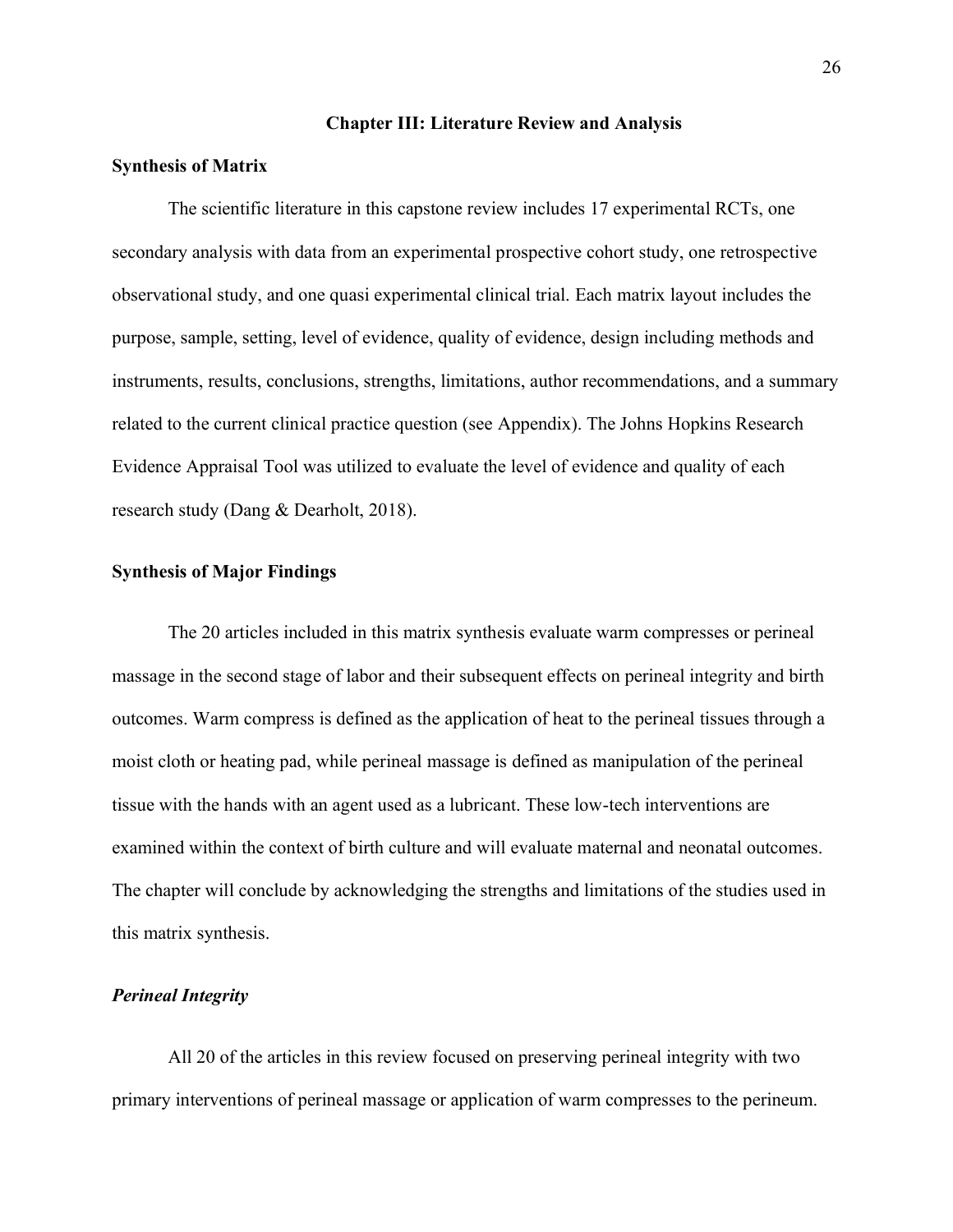#### **Chapter III: Literature Review and Analysis**

#### <span id="page-26-1"></span><span id="page-26-0"></span>**Synthesis of Matrix**

The scientific literature in this capstone review includes 17 experimental RCTs, one secondary analysis with data from an experimental prospective cohort study, one retrospective observational study, and one quasi experimental clinical trial. Each matrix layout includes the purpose, sample, setting, level of evidence, quality of evidence, design including methods and instruments, results, conclusions, strengths, limitations, author recommendations, and a summary related to the current clinical practice question (see Appendix). The Johns Hopkins Research Evidence Appraisal Tool was utilized to evaluate the level of evidence and quality of each research study (Dang & Dearholt, 2018).

#### <span id="page-26-2"></span>**Synthesis of Major Findings**

The 20 articles included in this matrix synthesis evaluate warm compresses or perineal massage in the second stage of labor and their subsequent effects on perineal integrity and birth outcomes. Warm compress is defined as the application of heat to the perineal tissues through a moist cloth or heating pad, while perineal massage is defined as manipulation of the perineal tissue with the hands with an agent used as a lubricant. These low-tech interventions are examined within the context of birth culture and will evaluate maternal and neonatal outcomes. The chapter will conclude by acknowledging the strengths and limitations of the studies used in this matrix synthesis.

#### <span id="page-26-3"></span>*Perineal Integrity*

All 20 of the articles in this review focused on preserving perineal integrity with two primary interventions of perineal massage or application of warm compresses to the perineum.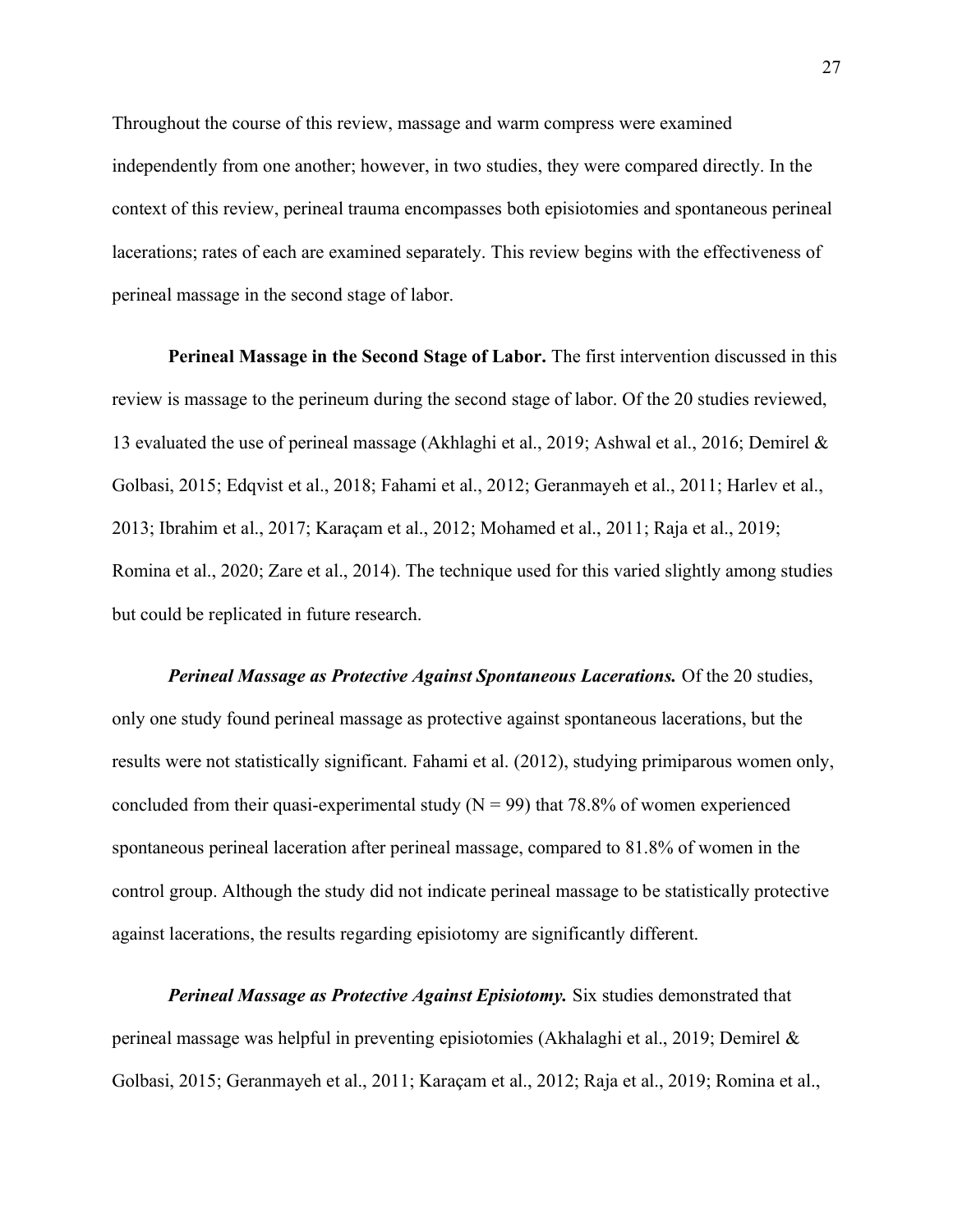Throughout the course of this review, massage and warm compress were examined independently from one another; however, in two studies, they were compared directly. In the context of this review, perineal trauma encompasses both episiotomies and spontaneous perineal lacerations; rates of each are examined separately. This review begins with the effectiveness of perineal massage in the second stage of labor.

**Perineal Massage in the Second Stage of Labor.** The first intervention discussed in this review is massage to the perineum during the second stage of labor. Of the 20 studies reviewed, 13 evaluated the use of perineal massage (Akhlaghi et al., 2019; Ashwal et al., 2016; Demirel & Golbasi, 2015; Edqvist et al., 2018; Fahami et al., 2012; Geranmayeh et al., 2011; Harlev et al., 2013; Ibrahim et al., 2017; Karaçam et al., 2012; Mohamed et al., 2011; Raja et al., 2019; Romina et al., 2020; Zare et al., 2014). The technique used for this varied slightly among studies but could be replicated in future research.

*Perineal Massage as Protective Against Spontaneous Lacerations.* Of the 20 studies, only one study found perineal massage as protective against spontaneous lacerations, but the results were not statistically significant. Fahami et al. (2012), studying primiparous women only, concluded from their quasi-experimental study  $(N = 99)$  that 78.8% of women experienced spontaneous perineal laceration after perineal massage, compared to 81.8% of women in the control group. Although the study did not indicate perineal massage to be statistically protective against lacerations, the results regarding episiotomy are significantly different.

*Perineal Massage as Protective Against Episiotomy.* Six studies demonstrated that perineal massage was helpful in preventing episiotomies (Akhalaghi et al., 2019; Demirel & Golbasi, 2015; Geranmayeh et al., 2011; Karaçam et al., 2012; Raja et al., 2019; Romina et al.,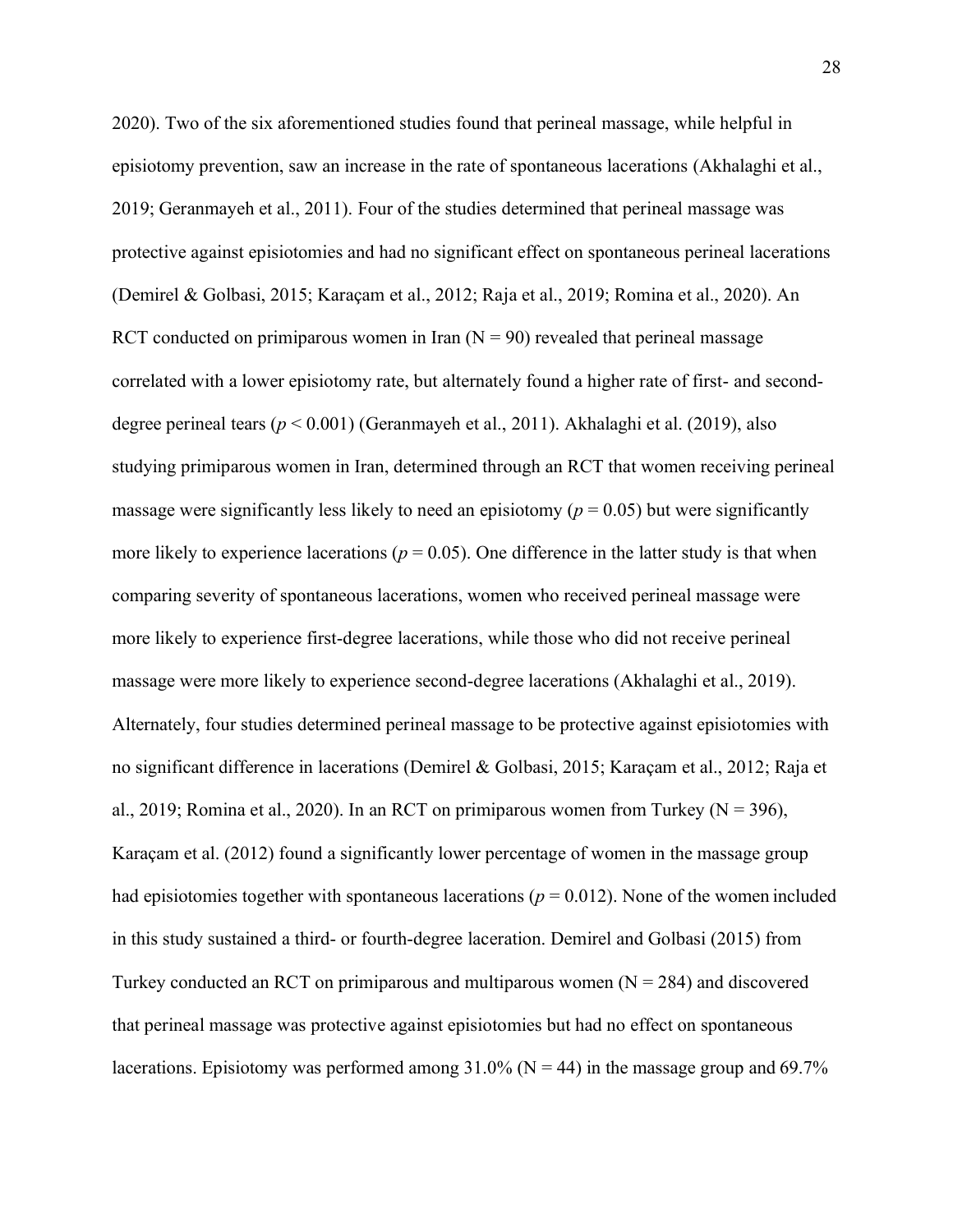2020). Two of the six aforementioned studies found that perineal massage, while helpful in episiotomy prevention, saw an increase in the rate of spontaneous lacerations (Akhalaghi et al., 2019; Geranmayeh et al., 2011). Four of the studies determined that perineal massage was protective against episiotomies and had no significant effect on spontaneous perineal lacerations (Demirel & Golbasi, 2015; Karaçam et al., 2012; Raja et al., 2019; Romina et al., 2020). An RCT conducted on primiparous women in Iran  $(N = 90)$  revealed that perineal massage correlated with a lower episiotomy rate, but alternately found a higher rate of first- and seconddegree perineal tears (*p* < 0.001) (Geranmayeh et al., 2011). Akhalaghi et al. (2019), also studying primiparous women in Iran, determined through an RCT that women receiving perineal massage were significantly less likely to need an episiotomy  $(p = 0.05)$  but were significantly more likely to experience lacerations ( $p = 0.05$ ). One difference in the latter study is that when comparing severity of spontaneous lacerations, women who received perineal massage were more likely to experience first-degree lacerations, while those who did not receive perineal massage were more likely to experience second-degree lacerations (Akhalaghi et al., 2019). Alternately, four studies determined perineal massage to be protective against episiotomies with no significant difference in lacerations (Demirel & Golbasi, 2015; Karaçam et al., 2012; Raja et al., 2019; Romina et al., 2020). In an RCT on primiparous women from Turkey ( $N = 396$ ), Karaçam et al. (2012) found a significantly lower percentage of women in the massage group had episiotomies together with spontaneous lacerations ( $p = 0.012$ ). None of the women included in this study sustained a third- or fourth-degree laceration. Demirel and Golbasi (2015) from Turkey conducted an RCT on primiparous and multiparous women  $(N = 284)$  and discovered that perineal massage was protective against episiotomies but had no effect on spontaneous lacerations. Episiotomy was performed among  $31.0\%$  (N = 44) in the massage group and 69.7%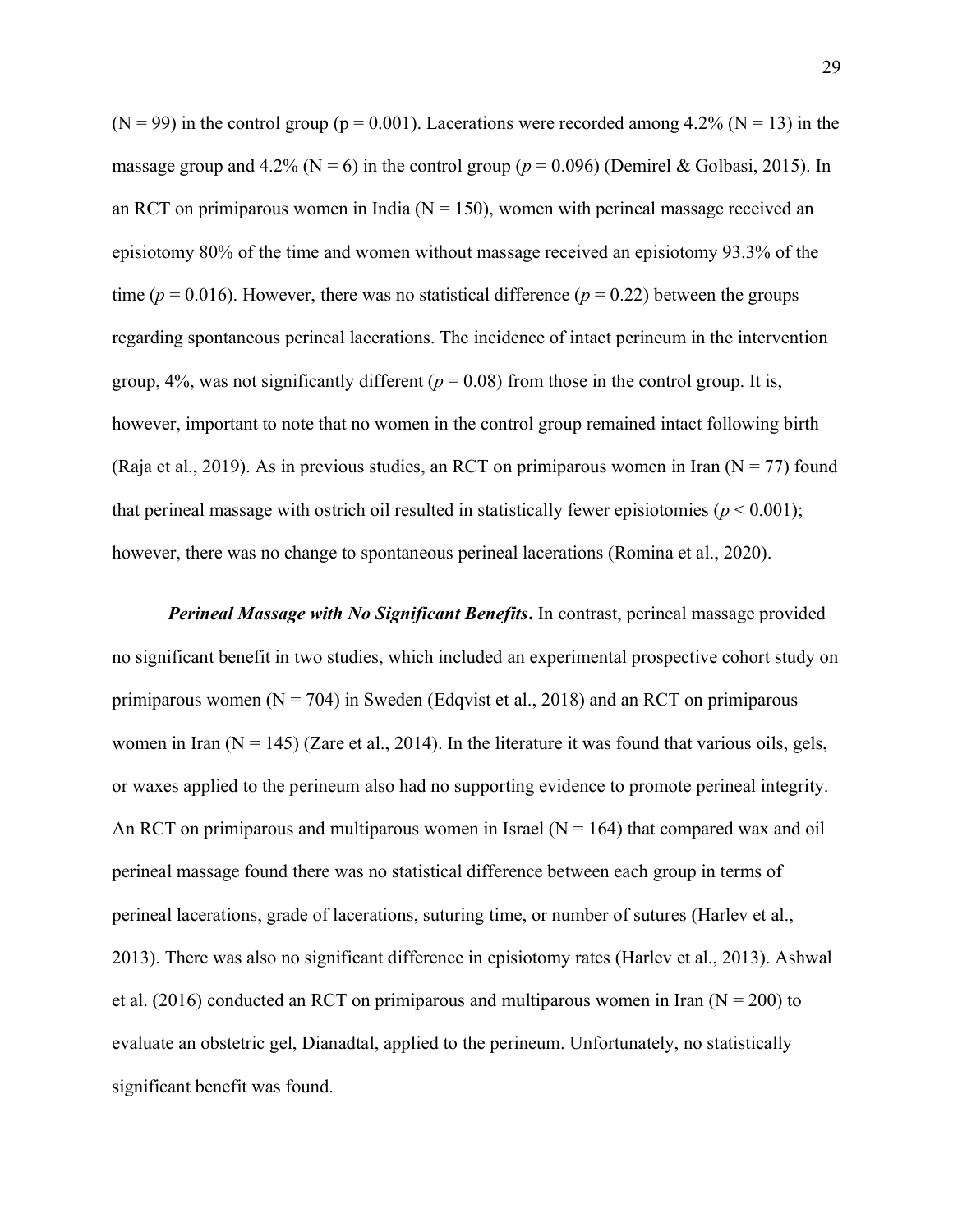$(N = 99)$  in the control group ( $p = 0.001$ ). Lacerations were recorded among 4.2% ( $N = 13$ ) in the massage group and 4.2% ( $N = 6$ ) in the control group ( $p = 0.096$ ) (Demirel & Golbasi, 2015). In an RCT on primiparous women in India ( $N = 150$ ), women with perineal massage received an episiotomy 80% of the time and women without massage received an episiotomy 93.3% of the time ( $p = 0.016$ ). However, there was no statistical difference ( $p = 0.22$ ) between the groups regarding spontaneous perineal lacerations. The incidence of intact perineum in the intervention group,  $4\%$ , was not significantly different ( $p = 0.08$ ) from those in the control group. It is, however, important to note that no women in the control group remained intact following birth (Raja et al., 2019). As in previous studies, an RCT on primiparous women in Iran ( $N = 77$ ) found that perineal massage with ostrich oil resulted in statistically fewer episiotomies (*p* < 0.001); however, there was no change to spontaneous perineal lacerations (Romina et al., 2020).

*Perineal Massage with No Significant Benefits***.** In contrast, perineal massage provided no significant benefit in two studies, which included an experimental prospective cohort study on primiparous women ( $N = 704$ ) in Sweden (Edqvist et al., 2018) and an RCT on primiparous women in Iran  $(N = 145)$  (Zare et al., 2014). In the literature it was found that various oils, gels, or waxes applied to the perineum also had no supporting evidence to promote perineal integrity. An RCT on primiparous and multiparous women in Israel ( $N = 164$ ) that compared wax and oil perineal massage found there was no statistical difference between each group in terms of perineal lacerations, grade of lacerations, suturing time, or number of sutures (Harlev et al., 2013). There was also no significant difference in episiotomy rates (Harlev et al., 2013). Ashwal et al. (2016) conducted an RCT on primiparous and multiparous women in Iran ( $N = 200$ ) to evaluate an obstetric gel, Dianadtal, applied to the perineum. Unfortunately, no statistically significant benefit was found.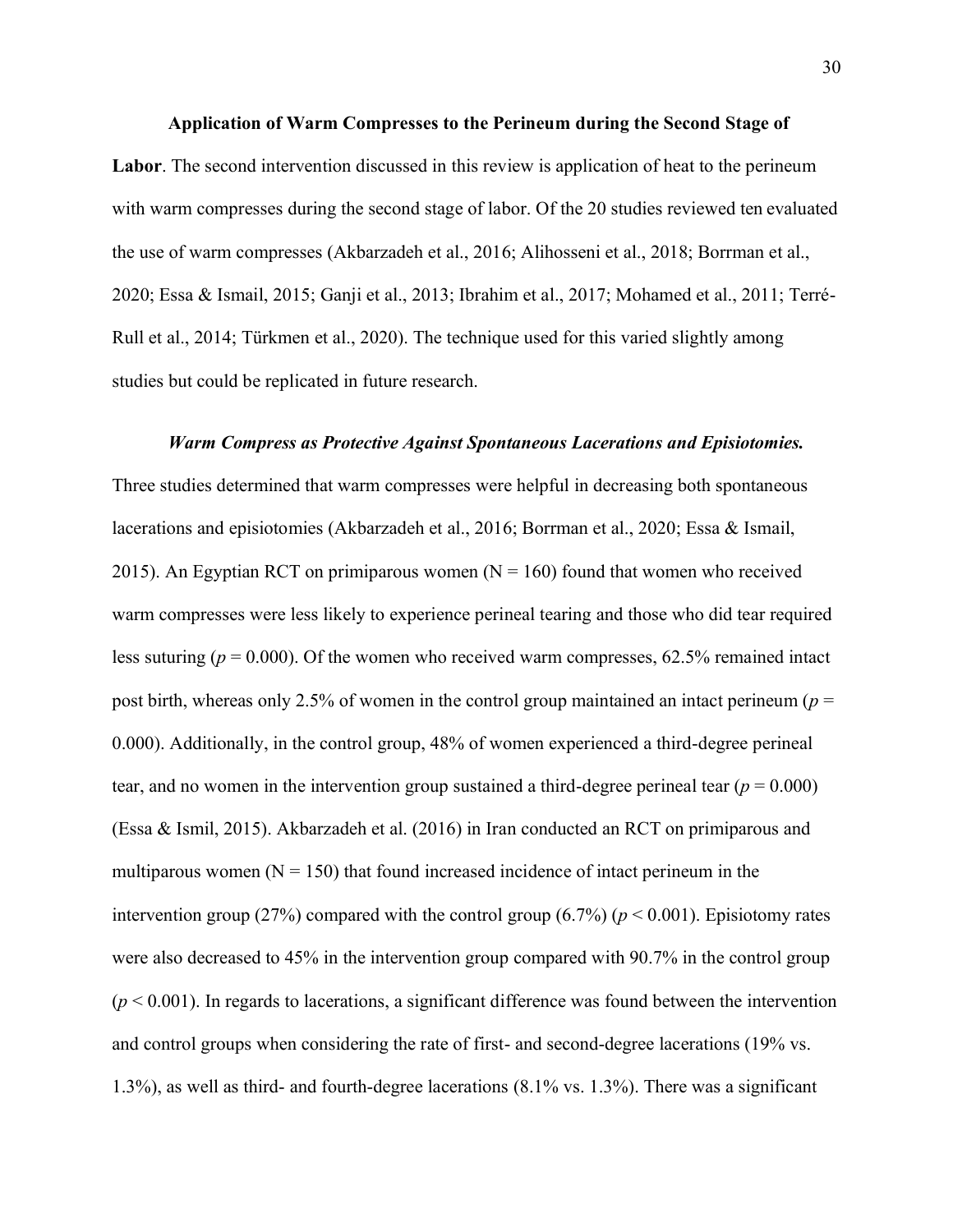#### **Application of Warm Compresses to the Perineum during the Second Stage of**

**Labor**. The second intervention discussed in this review is application of heat to the perineum with warm compresses during the second stage of labor. Of the 20 studies reviewed ten evaluated the use of warm compresses (Akbarzadeh et al., 2016; Alihosseni et al., 2018; Borrman et al., 2020; Essa & Ismail, 2015; Ganji et al., 2013; Ibrahim et al., 2017; Mohamed et al., 2011; Terré-Rull et al., 2014; Türkmen et al., 2020). The technique used for this varied slightly among studies but could be replicated in future research.

#### *Warm Compress as Protective Against Spontaneous Lacerations and Episiotomies.*

Three studies determined that warm compresses were helpful in decreasing both spontaneous lacerations and episiotomies (Akbarzadeh et al., 2016; Borrman et al., 2020; Essa & Ismail, 2015). An Egyptian RCT on primiparous women  $(N = 160)$  found that women who received warm compresses were less likely to experience perineal tearing and those who did tear required less suturing ( $p = 0.000$ ). Of the women who received warm compresses, 62.5% remained intact post birth, whereas only 2.5% of women in the control group maintained an intact perineum (*p* = 0.000). Additionally, in the control group, 48% of women experienced a third-degree perineal tear, and no women in the intervention group sustained a third-degree perineal tear  $(p = 0.000)$ (Essa & Ismil, 2015). Akbarzadeh et al. (2016) in Iran conducted an RCT on primiparous and multiparous women  $(N = 150)$  that found increased incidence of intact perineum in the intervention group (27%) compared with the control group (6.7%) ( $p < 0.001$ ). Episiotomy rates were also decreased to 45% in the intervention group compared with 90.7% in the control group  $(p < 0.001)$ . In regards to lacerations, a significant difference was found between the intervention and control groups when considering the rate of first- and second-degree lacerations (19% vs. 1.3%), as well as third- and fourth-degree lacerations (8.1% vs. 1.3%). There was a significant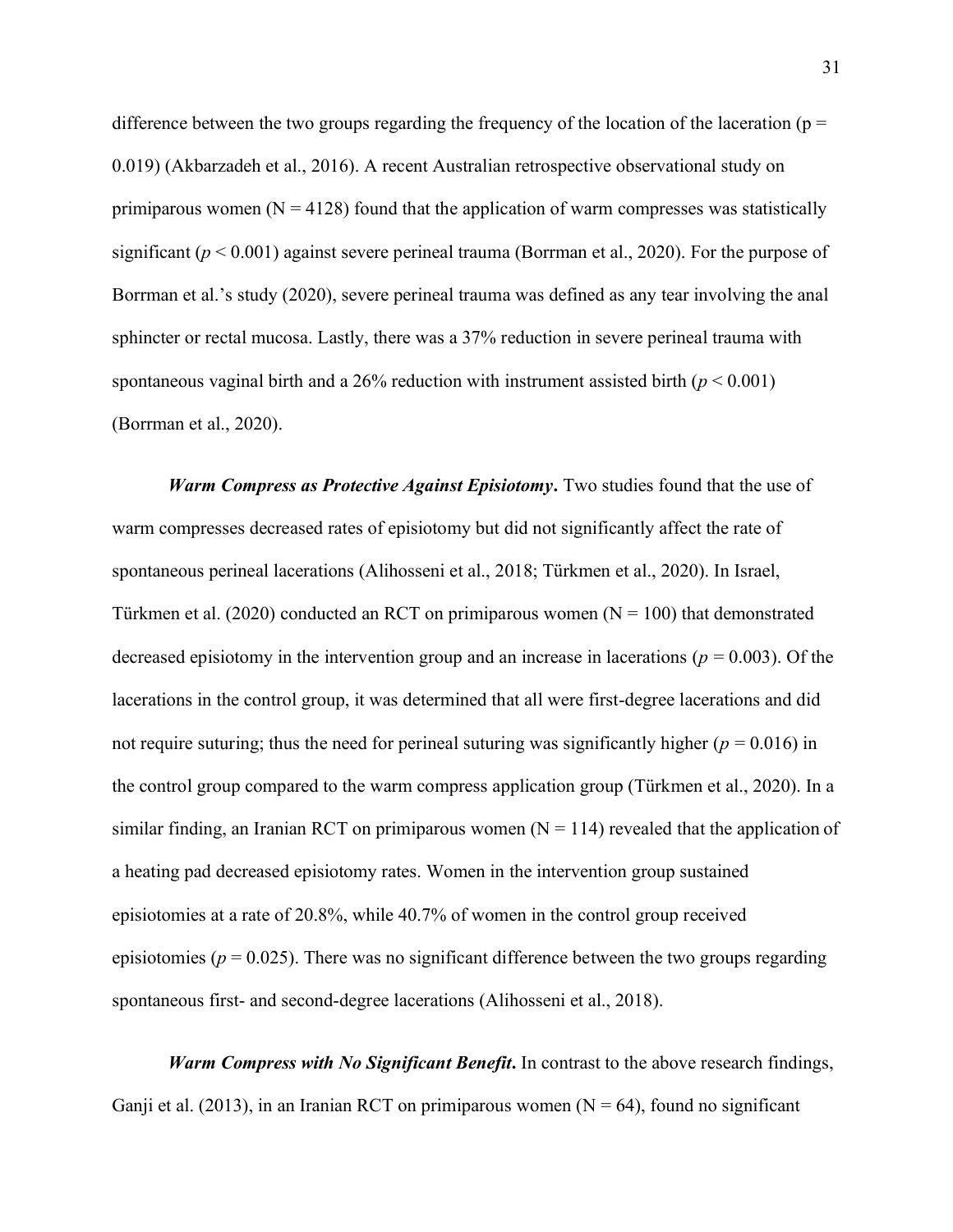difference between the two groups regarding the frequency of the location of the laceration ( $p =$ 0.019) (Akbarzadeh et al., 2016). A recent Australian retrospective observational study on primiparous women  $(N = 4128)$  found that the application of warm compresses was statistically significant (*p* < 0.001) against severe perineal trauma (Borrman et al., 2020). For the purpose of Borrman et al.'s study (2020), severe perineal trauma was defined as any tear involving the anal sphincter or rectal mucosa. Lastly, there was a 37% reduction in severe perineal trauma with spontaneous vaginal birth and a 26% reduction with instrument assisted birth  $(p < 0.001)$ (Borrman et al., 2020).

*Warm Compress as Protective Against Episiotomy***.** Two studies found that the use of warm compresses decreased rates of episiotomy but did not significantly affect the rate of spontaneous perineal lacerations (Alihosseni et al., 2018; Türkmen et al., 2020). In Israel, Türkmen et al. (2020) conducted an RCT on primiparous women ( $N = 100$ ) that demonstrated decreased episiotomy in the intervention group and an increase in lacerations ( $p = 0.003$ ). Of the lacerations in the control group, it was determined that all were first-degree lacerations and did not require suturing; thus the need for perineal suturing was significantly higher ( $p = 0.016$ ) in the control group compared to the warm compress application group (Türkmen et al., 2020). In a similar finding, an Iranian RCT on primiparous women  $(N = 114)$  revealed that the application of a heating pad decreased episiotomy rates. Women in the intervention group sustained episiotomies at a rate of 20.8%, while 40.7% of women in the control group received episiotomies ( $p = 0.025$ ). There was no significant difference between the two groups regarding spontaneous first- and second-degree lacerations (Alihosseni et al., 2018).

*Warm Compress with No Significant Benefit***.** In contrast to the above research findings, Ganji et al. (2013), in an Iranian RCT on primiparous women ( $N = 64$ ), found no significant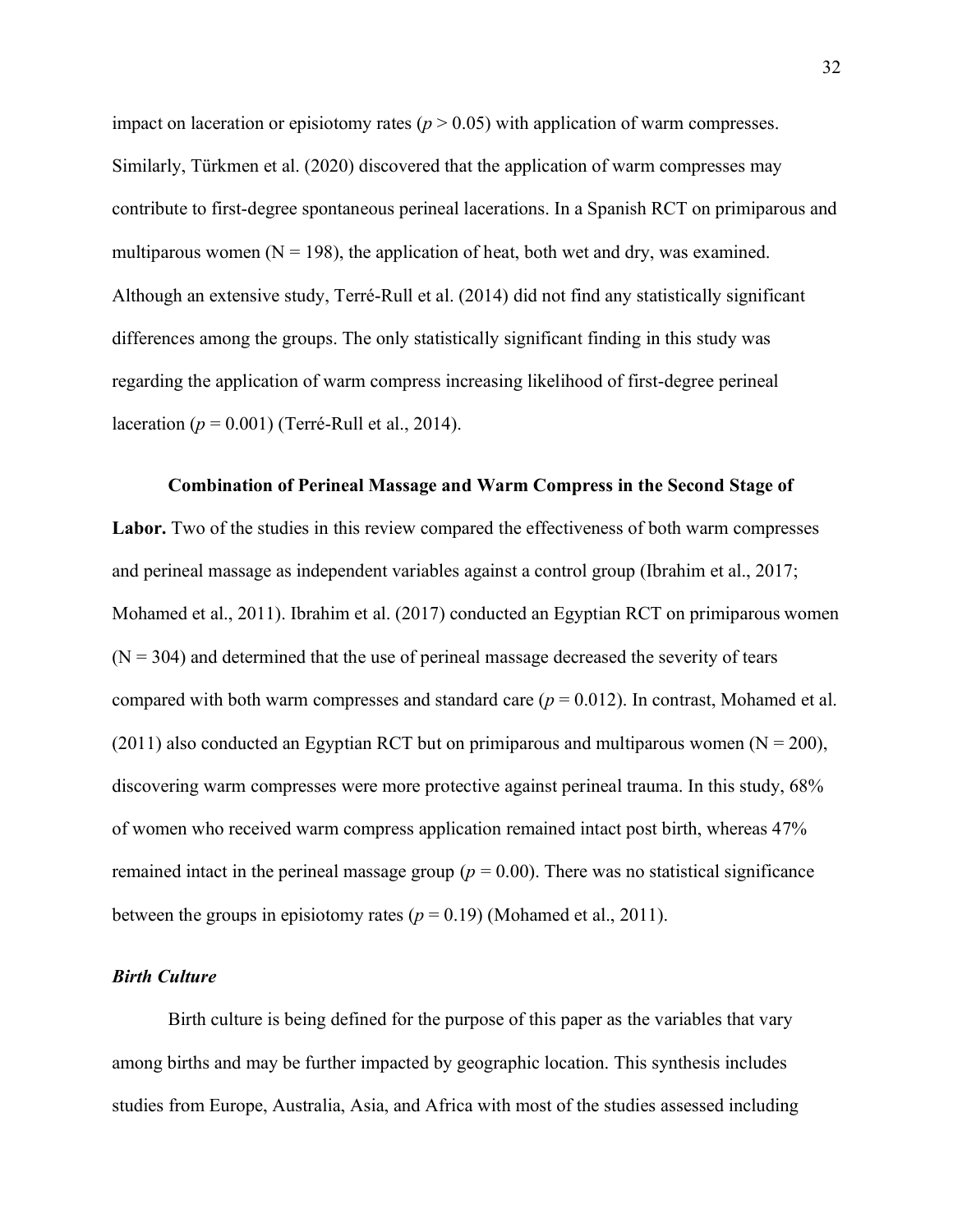impact on laceration or episiotomy rates  $(p > 0.05)$  with application of warm compresses. Similarly, Türkmen et al. (2020) discovered that the application of warm compresses may contribute to first-degree spontaneous perineal lacerations. In a Spanish RCT on primiparous and multiparous women ( $N = 198$ ), the application of heat, both wet and dry, was examined. Although an extensive study, Terré-Rull et al. (2014) did not find any statistically significant differences among the groups. The only statistically significant finding in this study was regarding the application of warm compress increasing likelihood of first-degree perineal laceration (*p* = 0.001) (Terré-Rull et al., 2014).

**Combination of Perineal Massage and Warm Compress in the Second Stage of**  Labor. Two of the studies in this review compared the effectiveness of both warm compresses and perineal massage as independent variables against a control group (Ibrahim et al., 2017; Mohamed et al., 2011). Ibrahim et al. (2017) conducted an Egyptian RCT on primiparous women  $(N = 304)$  and determined that the use of perineal massage decreased the severity of tears compared with both warm compresses and standard care (*p* = 0.012). In contrast, Mohamed et al. (2011) also conducted an Egyptian RCT but on primiparous and multiparous women ( $N = 200$ ), discovering warm compresses were more protective against perineal trauma. In this study, 68% of women who received warm compress application remained intact post birth, whereas 47% remained intact in the perineal massage group ( $p = 0.00$ ). There was no statistical significance between the groups in episiotomy rates  $(p = 0.19)$  (Mohamed et al., 2011).

### <span id="page-32-0"></span>*Birth Culture*

Birth culture is being defined for the purpose of this paper as the variables that vary among births and may be further impacted by geographic location. This synthesis includes studies from Europe, Australia, Asia, and Africa with most of the studies assessed including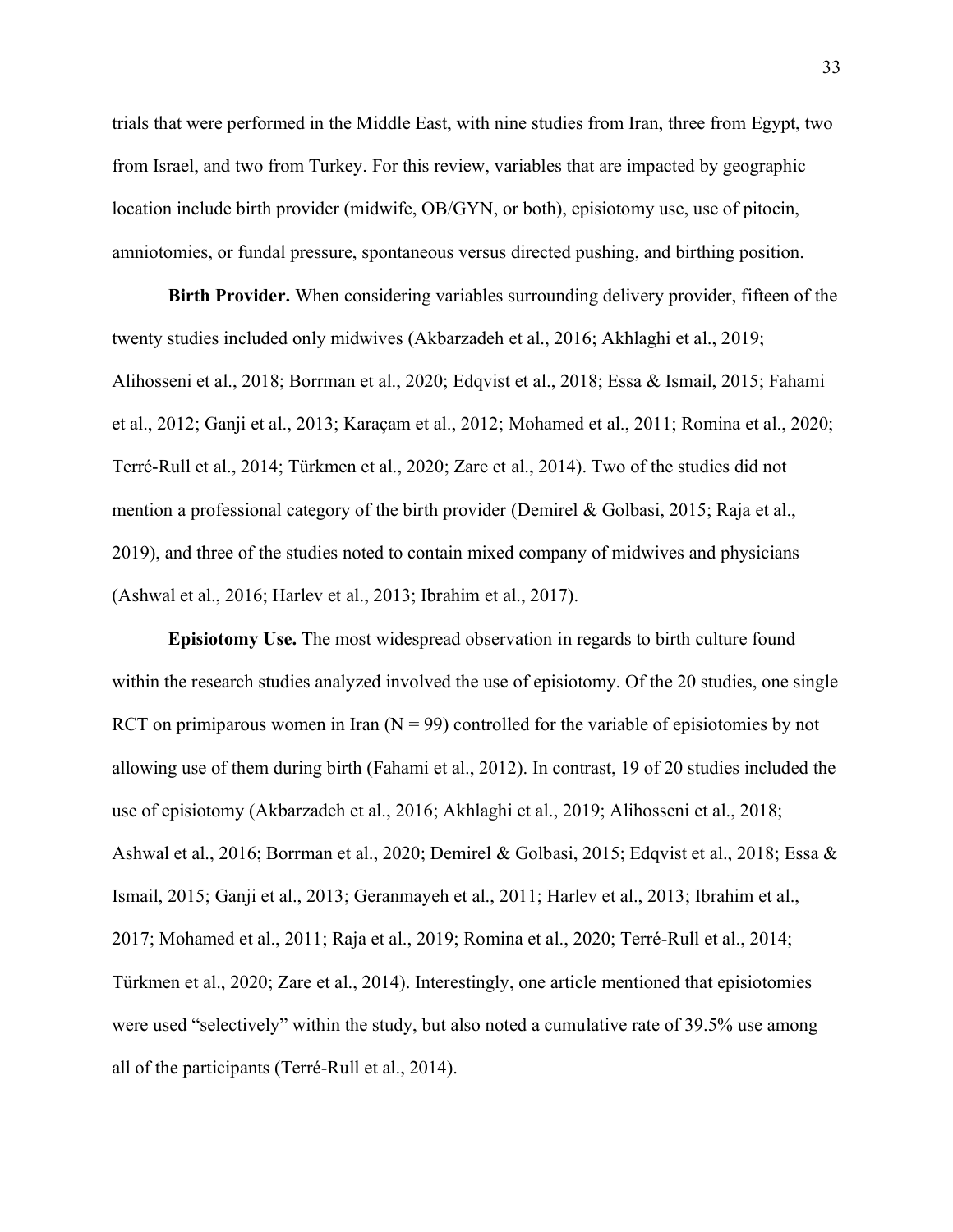trials that were performed in the Middle East, with nine studies from Iran, three from Egypt, two from Israel, and two from Turkey. For this review, variables that are impacted by geographic location include birth provider (midwife, OB/GYN, or both), episiotomy use, use of pitocin, amniotomies, or fundal pressure, spontaneous versus directed pushing, and birthing position.

**Birth Provider.** When considering variables surrounding delivery provider, fifteen of the twenty studies included only midwives (Akbarzadeh et al., 2016; Akhlaghi et al., 2019; Alihosseni et al., 2018; Borrman et al., 2020; Edqvist et al., 2018; Essa & Ismail, 2015; Fahami et al., 2012; Ganji et al., 2013; Karaçam et al., 2012; Mohamed et al., 2011; Romina et al., 2020; Terré-Rull et al., 2014; Türkmen et al., 2020; Zare et al., 2014). Two of the studies did not mention a professional category of the birth provider (Demirel & Golbasi, 2015; Raja et al., 2019), and three of the studies noted to contain mixed company of midwives and physicians (Ashwal et al., 2016; Harlev et al., 2013; Ibrahim et al., 2017).

**Episiotomy Use.** The most widespread observation in regards to birth culture found within the research studies analyzed involved the use of episiotomy. Of the 20 studies, one single RCT on primiparous women in Iran  $(N = 99)$  controlled for the variable of episiotomies by not allowing use of them during birth (Fahami et al., 2012). In contrast, 19 of 20 studies included the use of episiotomy (Akbarzadeh et al., 2016; Akhlaghi et al., 2019; Alihosseni et al., 2018; Ashwal et al., 2016; Borrman et al., 2020; Demirel & Golbasi, 2015; Edqvist et al., 2018; Essa & Ismail, 2015; Ganji et al., 2013; Geranmayeh et al., 2011; Harlev et al., 2013; Ibrahim et al., 2017; Mohamed et al., 2011; Raja et al., 2019; Romina et al., 2020; Terré-Rull et al., 2014; Türkmen et al., 2020; Zare et al., 2014). Interestingly, one article mentioned that episiotomies were used "selectively" within the study, but also noted a cumulative rate of 39.5% use among all of the participants (Terré-Rull et al., 2014).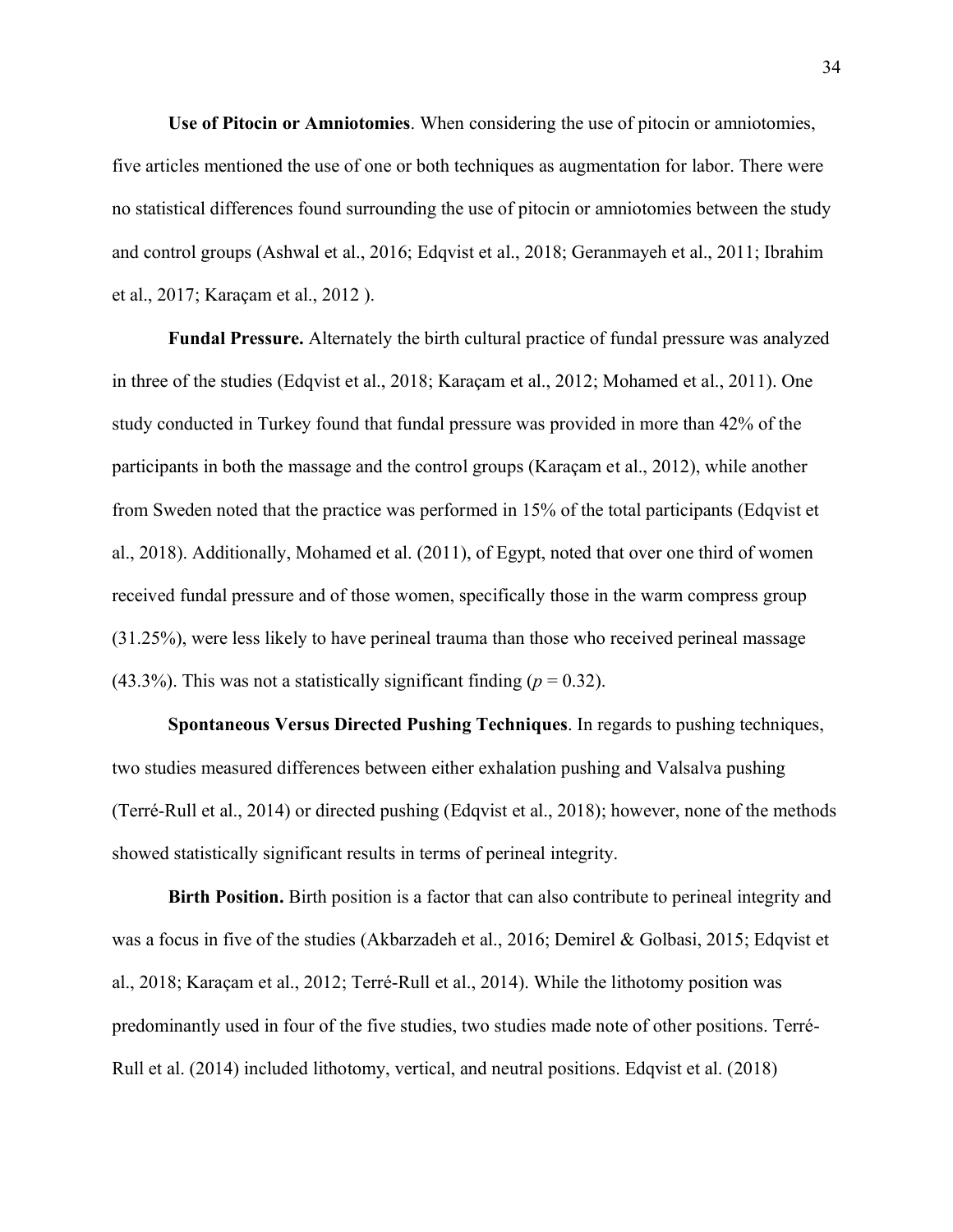**Use of Pitocin or Amniotomies**. When considering the use of pitocin or amniotomies, five articles mentioned the use of one or both techniques as augmentation for labor. There were no statistical differences found surrounding the use of pitocin or amniotomies between the study and control groups (Ashwal et al., 2016; Edqvist et al., 2018; Geranmayeh et al., 2011; Ibrahim et al., 2017; Karaçam et al., 2012 ).

**Fundal Pressure.** Alternately the birth cultural practice of fundal pressure was analyzed in three of the studies (Edqvist et al., 2018; Karaçam et al., 2012; Mohamed et al., 2011). One study conducted in Turkey found that fundal pressure was provided in more than 42% of the participants in both the massage and the control groups (Karaçam et al., 2012), while another from Sweden noted that the practice was performed in 15% of the total participants (Edqvist et al., 2018). Additionally, Mohamed et al. (2011), of Egypt, noted that over one third of women received fundal pressure and of those women, specifically those in the warm compress group (31.25%), were less likely to have perineal trauma than those who received perineal massage  $(43.3\%)$ . This was not a statistically significant finding ( $p = 0.32$ ).

**Spontaneous Versus Directed Pushing Techniques**. In regards to pushing techniques, two studies measured differences between either exhalation pushing and Valsalva pushing (Terré-Rull et al., 2014) or directed pushing (Edqvist et al., 2018); however, none of the methods showed statistically significant results in terms of perineal integrity.

**Birth Position.** Birth position is a factor that can also contribute to perineal integrity and was a focus in five of the studies (Akbarzadeh et al., 2016; Demirel & Golbasi, 2015; Edqvist et al., 2018; Karaçam et al., 2012; Terré-Rull et al., 2014). While the lithotomy position was predominantly used in four of the five studies, two studies made note of other positions. Terré-Rull et al. (2014) included lithotomy, vertical, and neutral positions. Edqvist et al. (2018)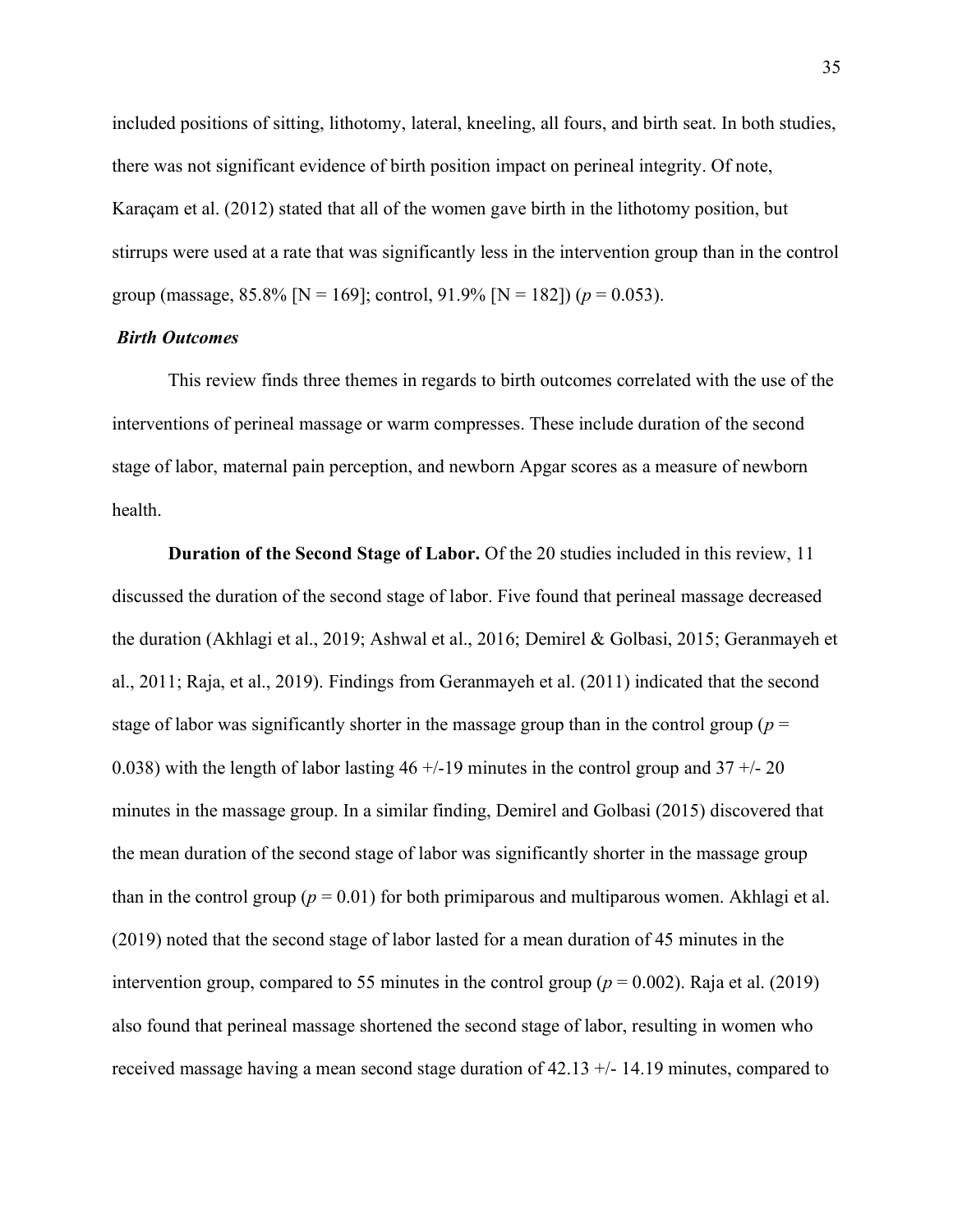included positions of sitting, lithotomy, lateral, kneeling, all fours, and birth seat. In both studies, there was not significant evidence of birth position impact on perineal integrity. Of note, Karaçam et al. (2012) stated that all of the women gave birth in the lithotomy position, but stirrups were used at a rate that was significantly less in the intervention group than in the control group (massage,  $85.8\%$  [N = 169]; control,  $91.9\%$  [N = 182]) ( $p = 0.053$ ).

#### <span id="page-35-0"></span>*Birth Outcomes*

This review finds three themes in regards to birth outcomes correlated with the use of the interventions of perineal massage or warm compresses. These include duration of the second stage of labor, maternal pain perception, and newborn Apgar scores as a measure of newborn health.

**Duration of the Second Stage of Labor.** Of the 20 studies included in this review, 11 discussed the duration of the second stage of labor. Five found that perineal massage decreased the duration (Akhlagi et al., 2019; Ashwal et al., 2016; Demirel & Golbasi, 2015; Geranmayeh et al., 2011; Raja, et al., 2019). Findings from Geranmayeh et al. (2011) indicated that the second stage of labor was significantly shorter in the massage group than in the control group ( $p =$ 0.038) with the length of labor lasting  $46 + (-19)$  minutes in the control group and  $37 + (-20)$ minutes in the massage group. In a similar finding, Demirel and Golbasi (2015) discovered that the mean duration of the second stage of labor was significantly shorter in the massage group than in the control group ( $p = 0.01$ ) for both primiparous and multiparous women. Akhlagi et al. (2019) noted that the second stage of labor lasted for a mean duration of 45 minutes in the intervention group, compared to 55 minutes in the control group ( $p = 0.002$ ). Raja et al. (2019) also found that perineal massage shortened the second stage of labor, resulting in women who received massage having a mean second stage duration of 42.13 +/- 14.19 minutes, compared to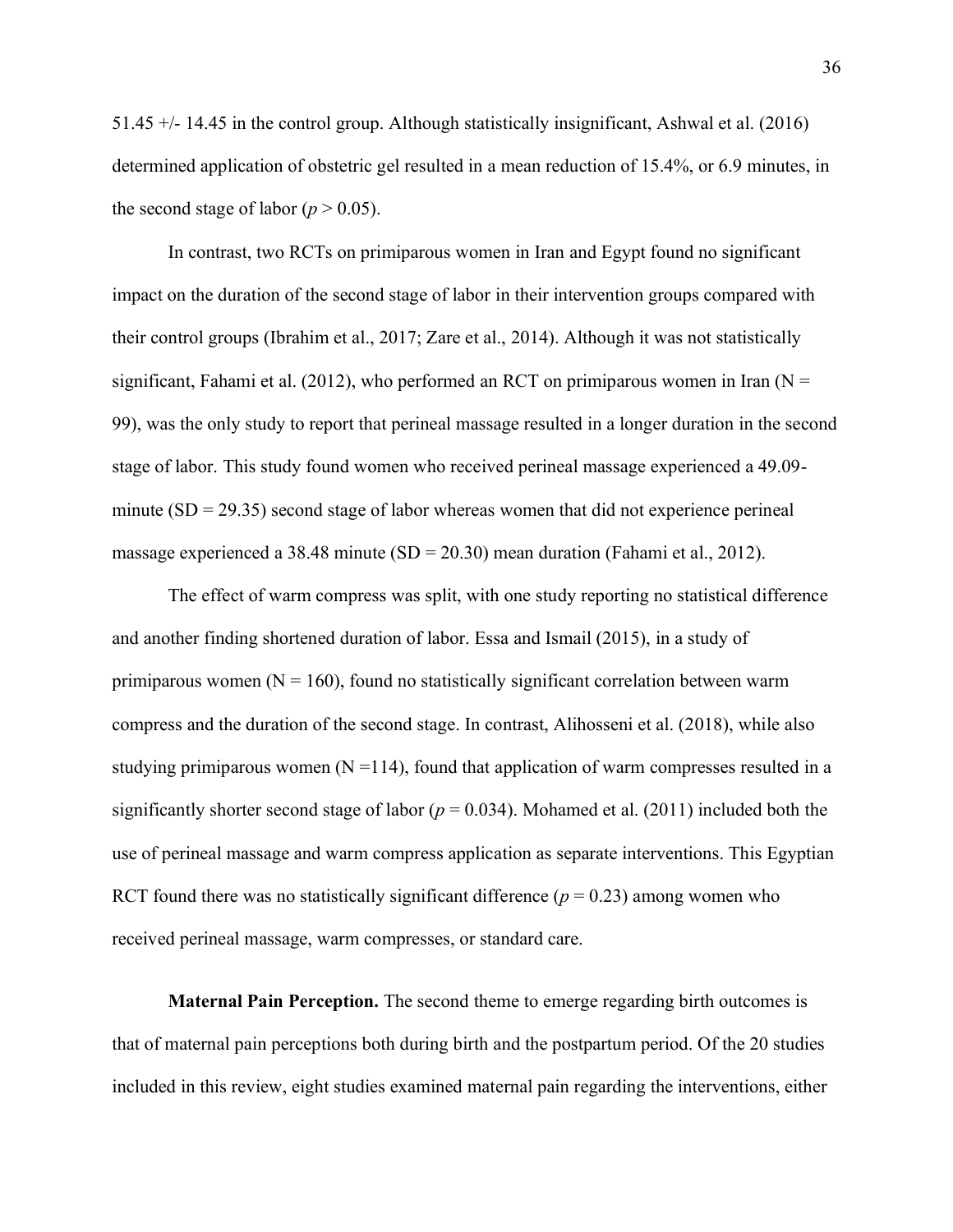51.45 +/- 14.45 in the control group. Although statistically insignificant, Ashwal et al. (2016) determined application of obstetric gel resulted in a mean reduction of 15.4%, or 6.9 minutes, in the second stage of labor ( $p > 0.05$ ).

In contrast, two RCTs on primiparous women in Iran and Egypt found no significant impact on the duration of the second stage of labor in their intervention groups compared with their control groups (Ibrahim et al., 2017; Zare et al., 2014). Although it was not statistically significant, Fahami et al. (2012), who performed an RCT on primiparous women in Iran ( $N =$ 99), was the only study to report that perineal massage resulted in a longer duration in the second stage of labor. This study found women who received perineal massage experienced a 49.09 minute  $(SD = 29.35)$  second stage of labor whereas women that did not experience perineal massage experienced a 38.48 minute  $(SD = 20.30)$  mean duration (Fahami et al., 2012).

The effect of warm compress was split, with one study reporting no statistical difference and another finding shortened duration of labor. Essa and Ismail (2015), in a study of primiparous women  $(N = 160)$ , found no statistically significant correlation between warm compress and the duration of the second stage. In contrast, Alihosseni et al. (2018), while also studying primiparous women  $(N = 114)$ , found that application of warm compresses resulted in a significantly shorter second stage of labor ( $p = 0.034$ ). Mohamed et al. (2011) included both the use of perineal massage and warm compress application as separate interventions. This Egyptian RCT found there was no statistically significant difference  $(p = 0.23)$  among women who received perineal massage, warm compresses, or standard care.

**Maternal Pain Perception.** The second theme to emerge regarding birth outcomes is that of maternal pain perceptions both during birth and the postpartum period. Of the 20 studies included in this review, eight studies examined maternal pain regarding the interventions, either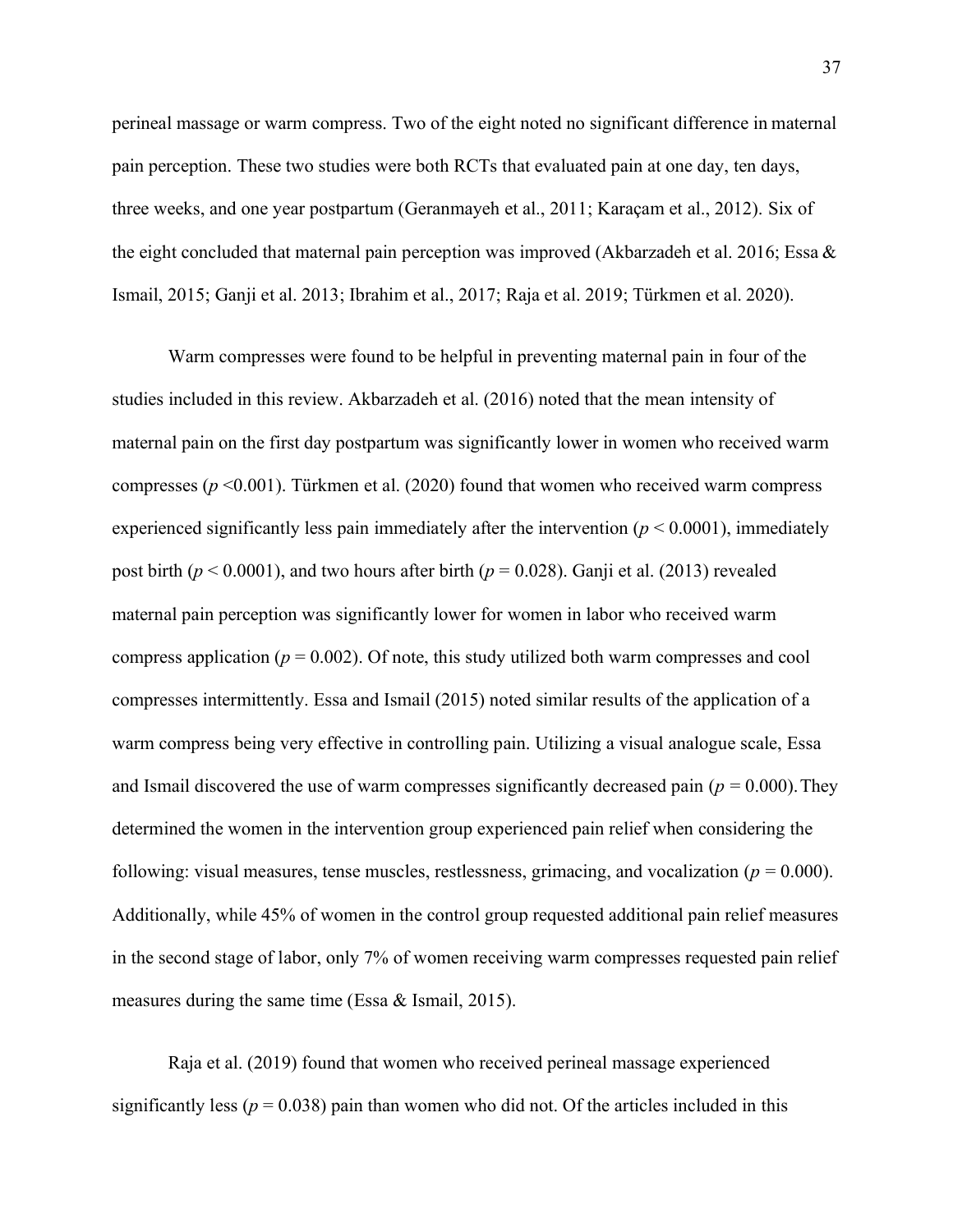perineal massage or warm compress. Two of the eight noted no significant difference in maternal pain perception. These two studies were both RCTs that evaluated pain at one day, ten days, three weeks, and one year postpartum (Geranmayeh et al., 2011; Karaçam et al., 2012). Six of the eight concluded that maternal pain perception was improved (Akbarzadeh et al. 2016; Essa & Ismail, 2015; Ganji et al. 2013; Ibrahim et al., 2017; Raja et al. 2019; Türkmen et al. 2020).

Warm compresses were found to be helpful in preventing maternal pain in four of the studies included in this review. Akbarzadeh et al. (2016) noted that the mean intensity of maternal pain on the first day postpartum was significantly lower in women who received warm compresses (*p* <0.001). Türkmen et al. (2020) found that women who received warm compress experienced significantly less pain immediately after the intervention  $(p < 0.0001)$ , immediately post birth ( $p < 0.0001$ ), and two hours after birth ( $p = 0.028$ ). Ganji et al. (2013) revealed maternal pain perception was significantly lower for women in labor who received warm compress application ( $p = 0.002$ ). Of note, this study utilized both warm compresses and cool compresses intermittently. Essa and Ismail (2015) noted similar results of the application of a warm compress being very effective in controlling pain. Utilizing a visual analogue scale, Essa and Ismail discovered the use of warm compresses significantly decreased pain ( $p = 0.000$ ). They determined the women in the intervention group experienced pain relief when considering the following: visual measures, tense muscles, restlessness, grimacing, and vocalization  $(p = 0.000)$ . Additionally, while 45% of women in the control group requested additional pain relief measures in the second stage of labor, only 7% of women receiving warm compresses requested pain relief measures during the same time (Essa & Ismail, 2015).

Raja et al. (2019) found that women who received perineal massage experienced significantly less ( $p = 0.038$ ) pain than women who did not. Of the articles included in this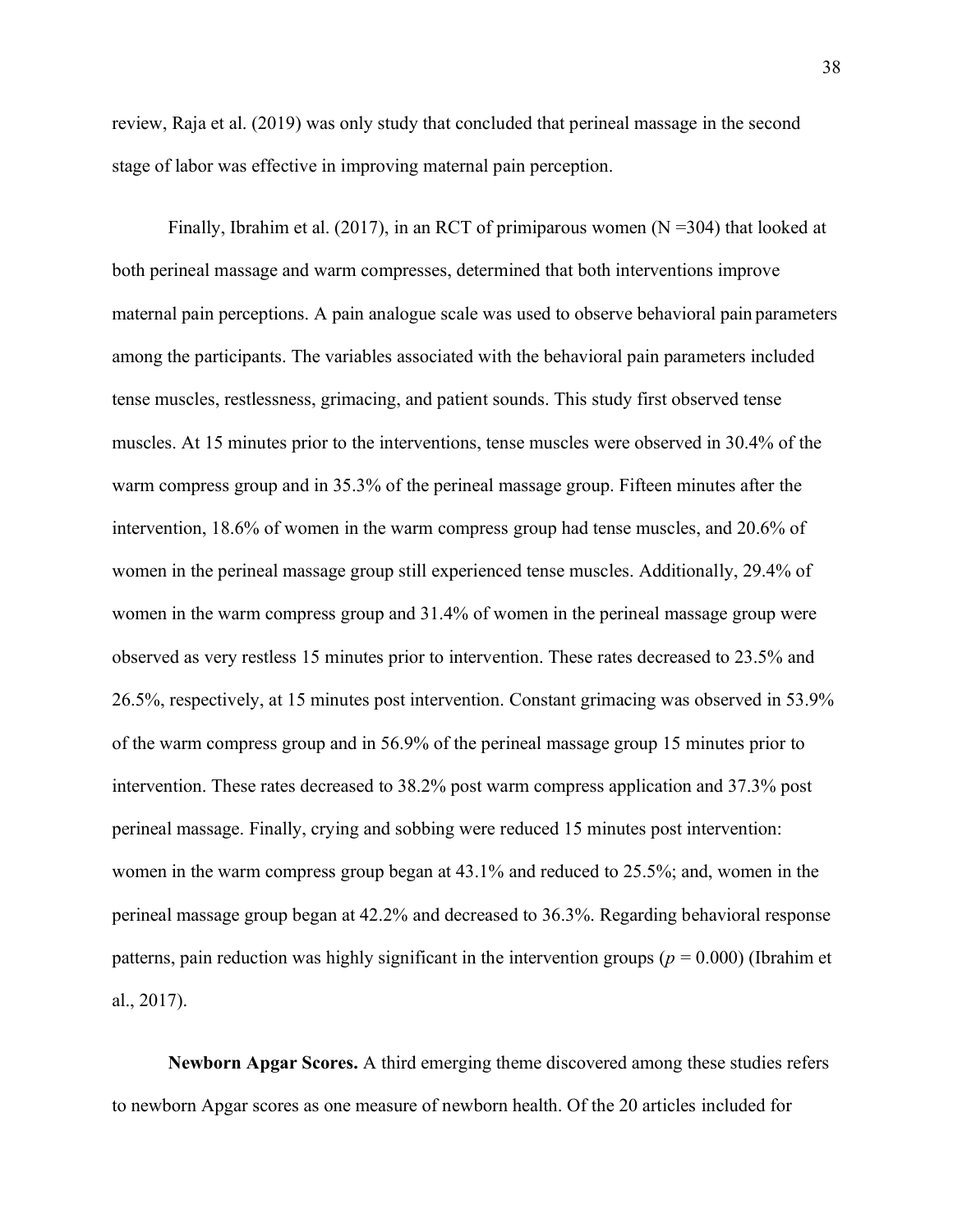review, Raja et al. (2019) was only study that concluded that perineal massage in the second stage of labor was effective in improving maternal pain perception.

Finally, Ibrahim et al. (2017), in an RCT of primiparous women ( $N = 304$ ) that looked at both perineal massage and warm compresses, determined that both interventions improve maternal pain perceptions. A pain analogue scale was used to observe behavioral pain parameters among the participants. The variables associated with the behavioral pain parameters included tense muscles, restlessness, grimacing, and patient sounds. This study first observed tense muscles. At 15 minutes prior to the interventions, tense muscles were observed in 30.4% of the warm compress group and in 35.3% of the perineal massage group. Fifteen minutes after the intervention, 18.6% of women in the warm compress group had tense muscles, and 20.6% of women in the perineal massage group still experienced tense muscles. Additionally, 29.4% of women in the warm compress group and 31.4% of women in the perineal massage group were observed as very restless 15 minutes prior to intervention. These rates decreased to 23.5% and 26.5%, respectively, at 15 minutes post intervention. Constant grimacing was observed in 53.9% of the warm compress group and in 56.9% of the perineal massage group 15 minutes prior to intervention. These rates decreased to 38.2% post warm compress application and 37.3% post perineal massage. Finally, crying and sobbing were reduced 15 minutes post intervention: women in the warm compress group began at 43.1% and reduced to 25.5%; and, women in the perineal massage group began at 42.2% and decreased to 36.3%. Regarding behavioral response patterns, pain reduction was highly significant in the intervention groups ( $p = 0.000$ ) (Ibrahim et al., 2017).

**Newborn Apgar Scores.** A third emerging theme discovered among these studies refers to newborn Apgar scores as one measure of newborn health. Of the 20 articles included for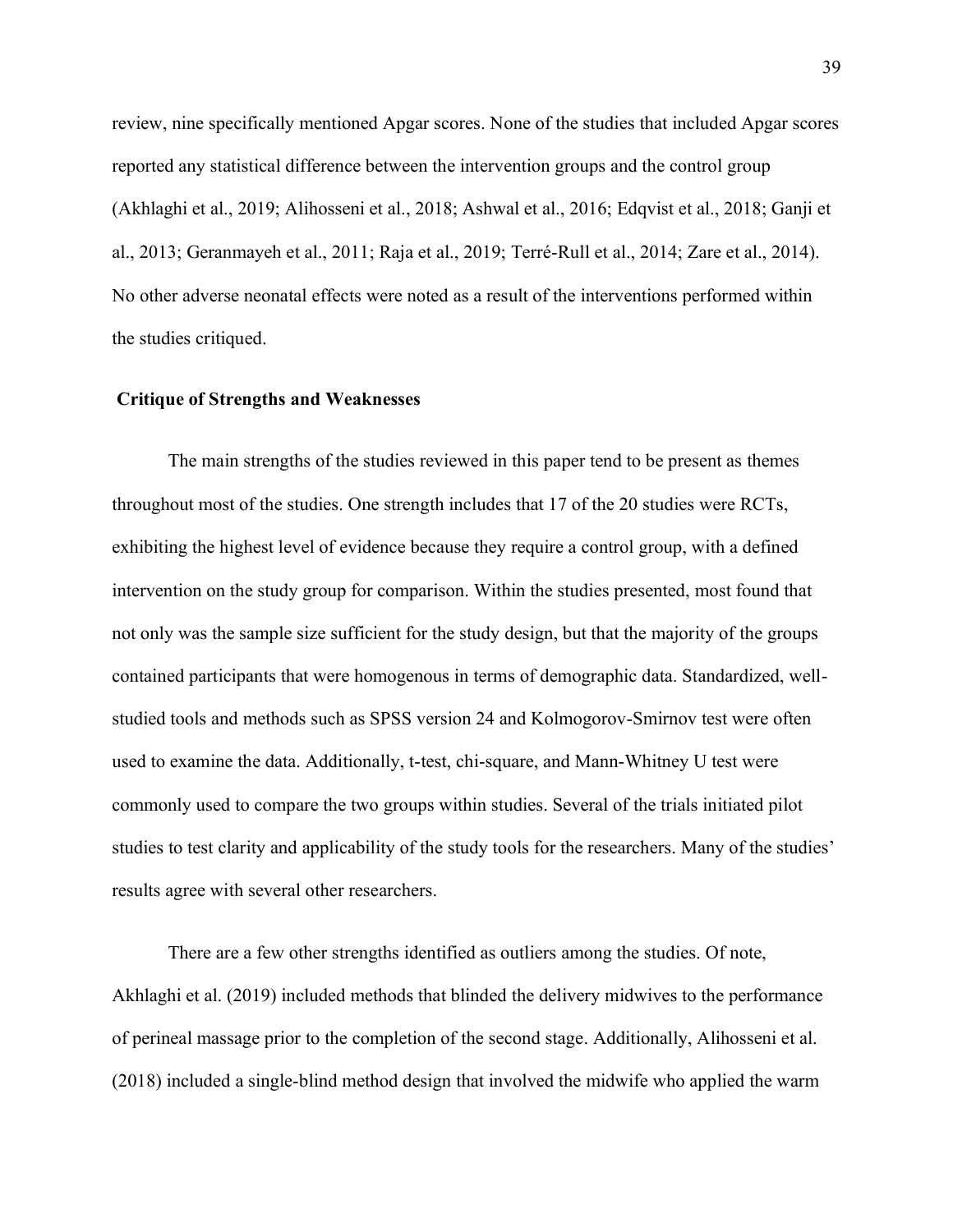review, nine specifically mentioned Apgar scores. None of the studies that included Apgar scores reported any statistical difference between the intervention groups and the control group (Akhlaghi et al., 2019; Alihosseni et al., 2018; Ashwal et al., 2016; Edqvist et al., 2018; Ganji et al., 2013; Geranmayeh et al., 2011; Raja et al., 2019; Terré-Rull et al., 2014; Zare et al., 2014). No other adverse neonatal effects were noted as a result of the interventions performed within the studies critiqued.

#### **Critique of Strengths and Weaknesses**

The main strengths of the studies reviewed in this paper tend to be present as themes throughout most of the studies. One strength includes that 17 of the 20 studies were RCTs, exhibiting the highest level of evidence because they require a control group, with a defined intervention on the study group for comparison. Within the studies presented, most found that not only was the sample size sufficient for the study design, but that the majority of the groups contained participants that were homogenous in terms of demographic data. Standardized, wellstudied tools and methods such as SPSS version 24 and Kolmogorov-Smirnov test were often used to examine the data. Additionally, t-test, chi-square, and Mann-Whitney U test were commonly used to compare the two groups within studies. Several of the trials initiated pilot studies to test clarity and applicability of the study tools for the researchers. Many of the studies' results agree with several other researchers.

There are a few other strengths identified as outliers among the studies. Of note, Akhlaghi et al. (2019) included methods that blinded the delivery midwives to the performance of perineal massage prior to the completion of the second stage. Additionally, Alihosseni et al. (2018) included a single-blind method design that involved the midwife who applied the warm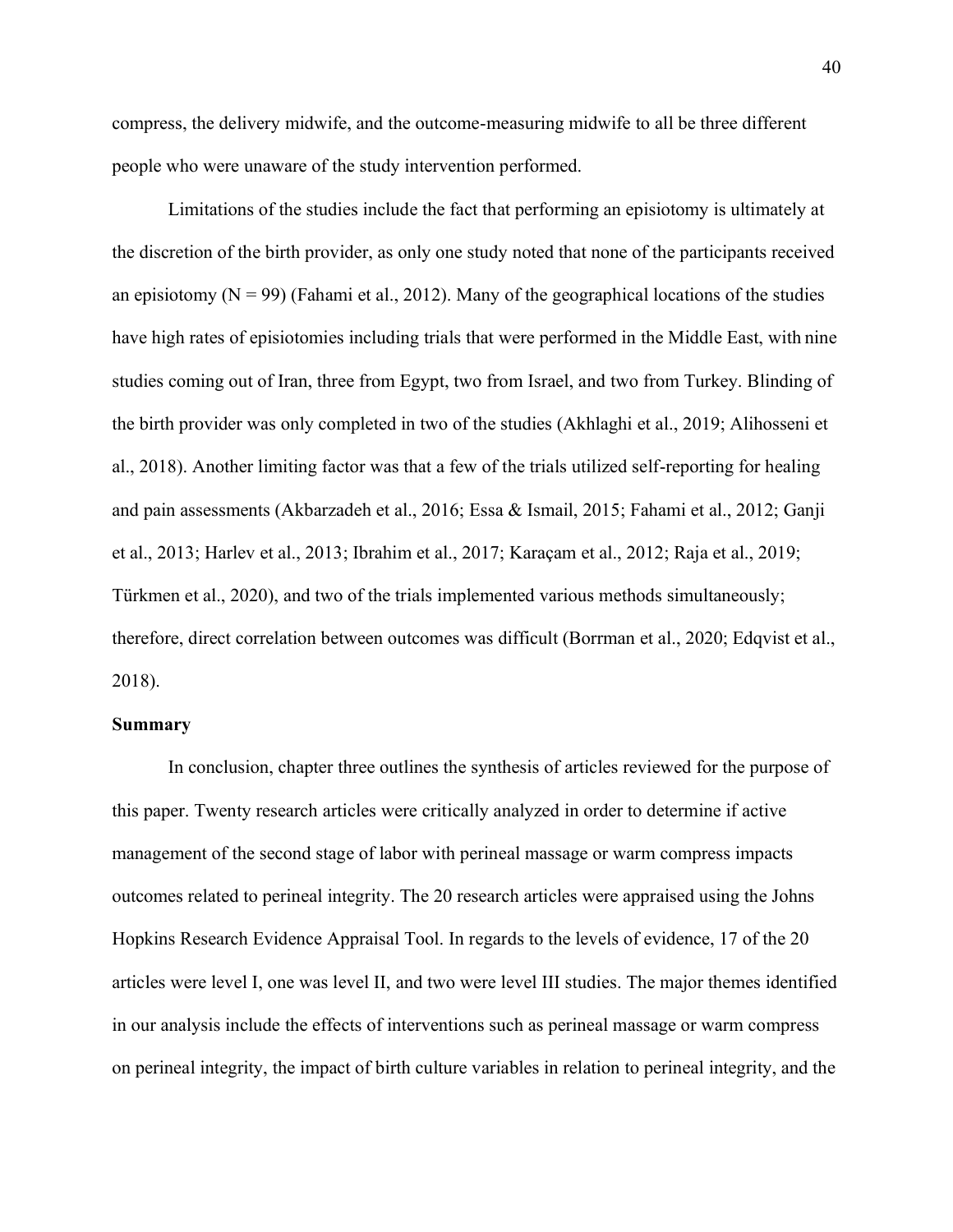compress, the delivery midwife, and the outcome-measuring midwife to all be three different people who were unaware of the study intervention performed.

Limitations of the studies include the fact that performing an episiotomy is ultimately at the discretion of the birth provider, as only one study noted that none of the participants received an episiotomy  $(N = 99)$  (Fahami et al., 2012). Many of the geographical locations of the studies have high rates of episiotomies including trials that were performed in the Middle East, with nine studies coming out of Iran, three from Egypt, two from Israel, and two from Turkey. Blinding of the birth provider was only completed in two of the studies (Akhlaghi et al., 2019; Alihosseni et al., 2018). Another limiting factor was that a few of the trials utilized self-reporting for healing and pain assessments (Akbarzadeh et al., 2016; Essa & Ismail, 2015; Fahami et al., 2012; Ganji et al., 2013; Harlev et al., 2013; Ibrahim et al., 2017; Karaçam et al., 2012; Raja et al., 2019; Türkmen et al., 2020), and two of the trials implemented various methods simultaneously; therefore, direct correlation between outcomes was difficult (Borrman et al., 2020; Edqvist et al., 2018).

#### **Summary**

In conclusion, chapter three outlines the synthesis of articles reviewed for the purpose of this paper. Twenty research articles were critically analyzed in order to determine if active management of the second stage of labor with perineal massage or warm compress impacts outcomes related to perineal integrity. The 20 research articles were appraised using the Johns Hopkins Research Evidence Appraisal Tool. In regards to the levels of evidence, 17 of the 20 articles were level I, one was level II, and two were level III studies. The major themes identified in our analysis include the effects of interventions such as perineal massage or warm compress on perineal integrity, the impact of birth culture variables in relation to perineal integrity, and the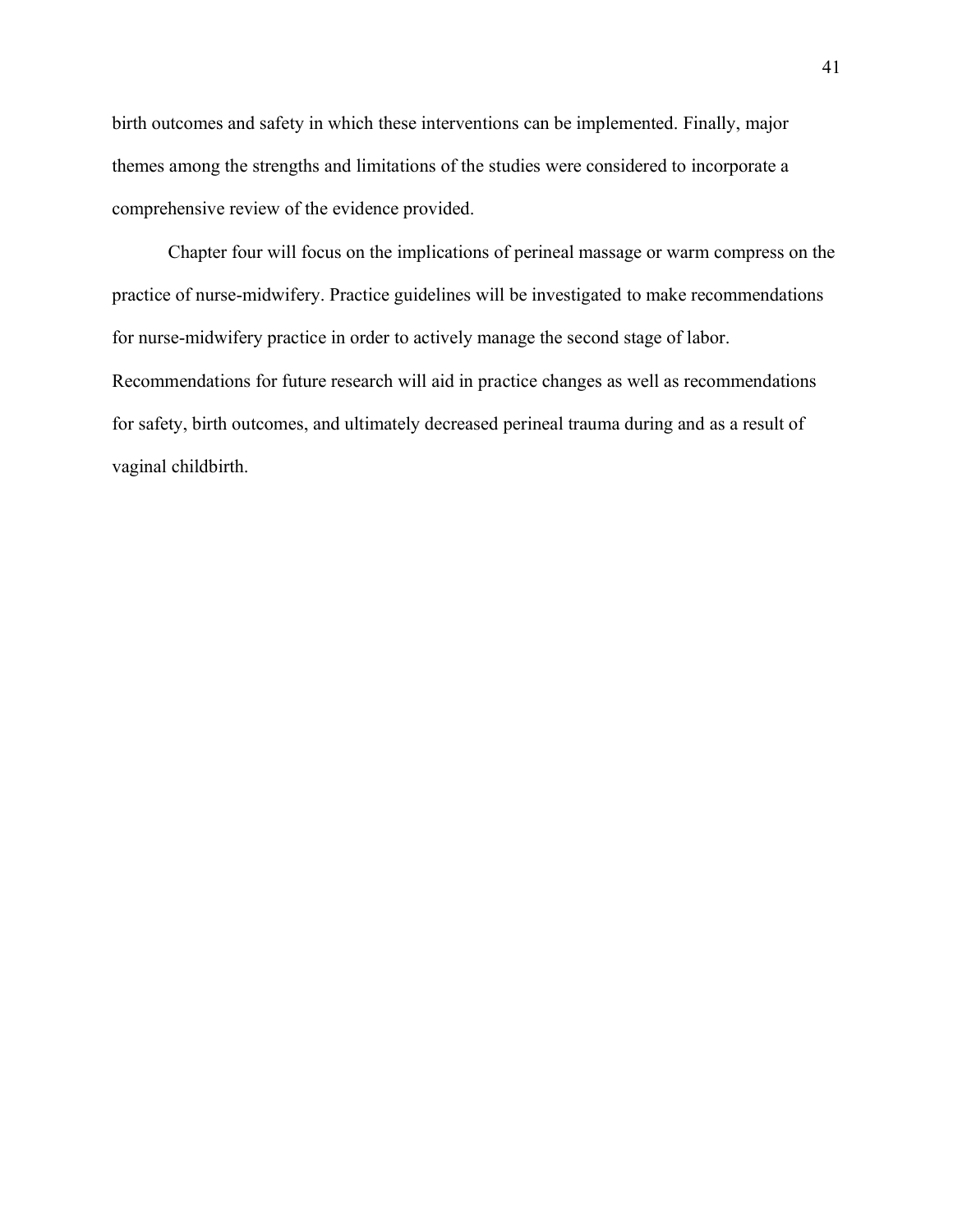birth outcomes and safety in which these interventions can be implemented. Finally, major themes among the strengths and limitations of the studies were considered to incorporate a comprehensive review of the evidence provided.

Chapter four will focus on the implications of perineal massage or warm compress on the practice of nurse-midwifery. Practice guidelines will be investigated to make recommendations for nurse-midwifery practice in order to actively manage the second stage of labor. Recommendations for future research will aid in practice changes as well as recommendations for safety, birth outcomes, and ultimately decreased perineal trauma during and as a result of vaginal childbirth.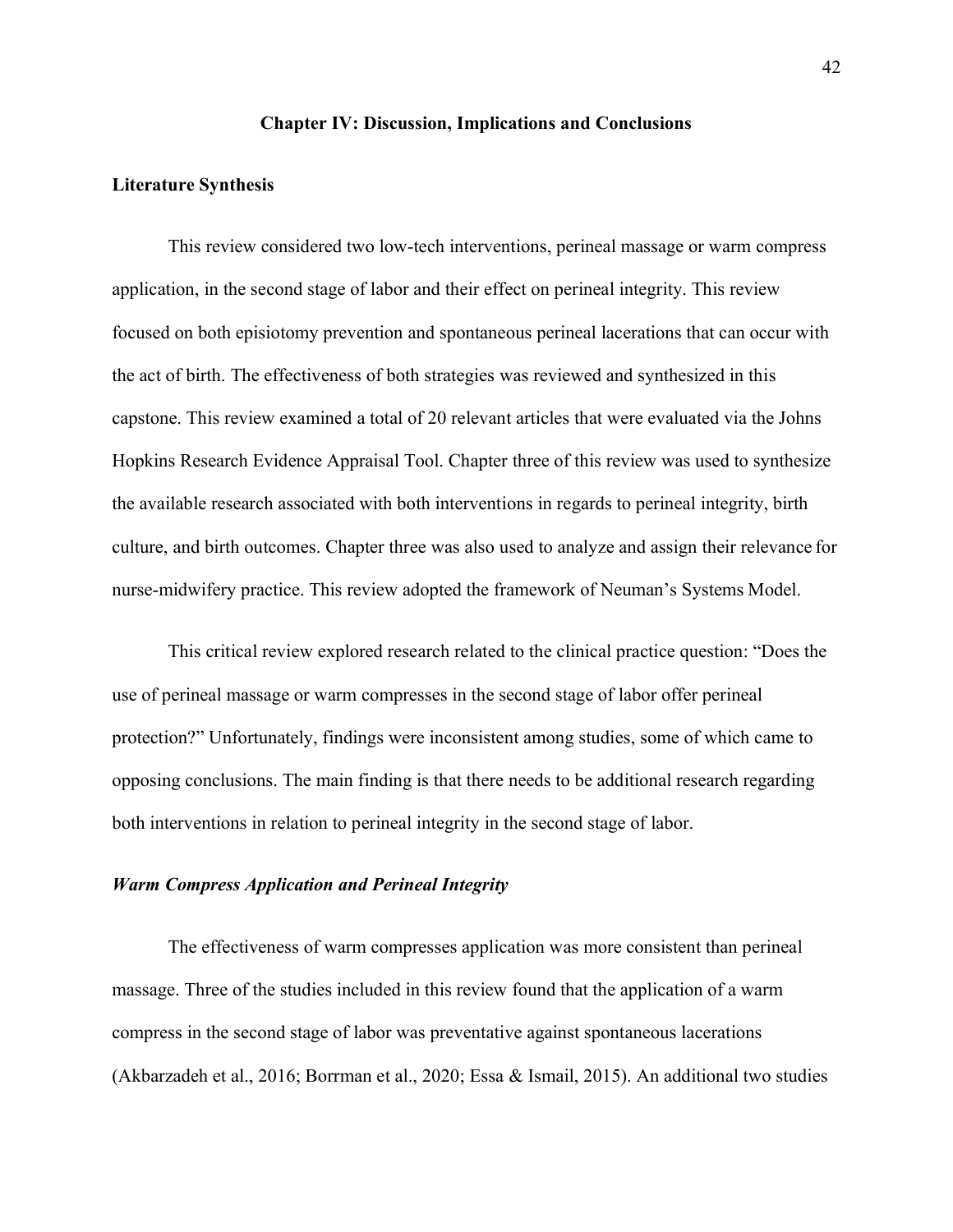#### **Chapter IV: Discussion, Implications and Conclusions**

#### **Literature Synthesis**

This review considered two low-tech interventions, perineal massage or warm compress application, in the second stage of labor and their effect on perineal integrity. This review focused on both episiotomy prevention and spontaneous perineal lacerations that can occur with the act of birth. The effectiveness of both strategies was reviewed and synthesized in this capstone. This review examined a total of 20 relevant articles that were evaluated via the Johns Hopkins Research Evidence Appraisal Tool. Chapter three of this review was used to synthesize the available research associated with both interventions in regards to perineal integrity, birth culture, and birth outcomes. Chapter three was also used to analyze and assign their relevance for nurse-midwifery practice. This review adopted the framework of Neuman's Systems Model.

This critical review explored research related to the clinical practice question: "Does the use of perineal massage or warm compresses in the second stage of labor offer perineal protection?" Unfortunately, findings were inconsistent among studies, some of which came to opposing conclusions. The main finding is that there needs to be additional research regarding both interventions in relation to perineal integrity in the second stage of labor.

## *Warm Compress Application and Perineal Integrity*

The effectiveness of warm compresses application was more consistent than perineal massage. Three of the studies included in this review found that the application of a warm compress in the second stage of labor was preventative against spontaneous lacerations (Akbarzadeh et al., 2016; Borrman et al., 2020; Essa & Ismail, 2015). An additional two studies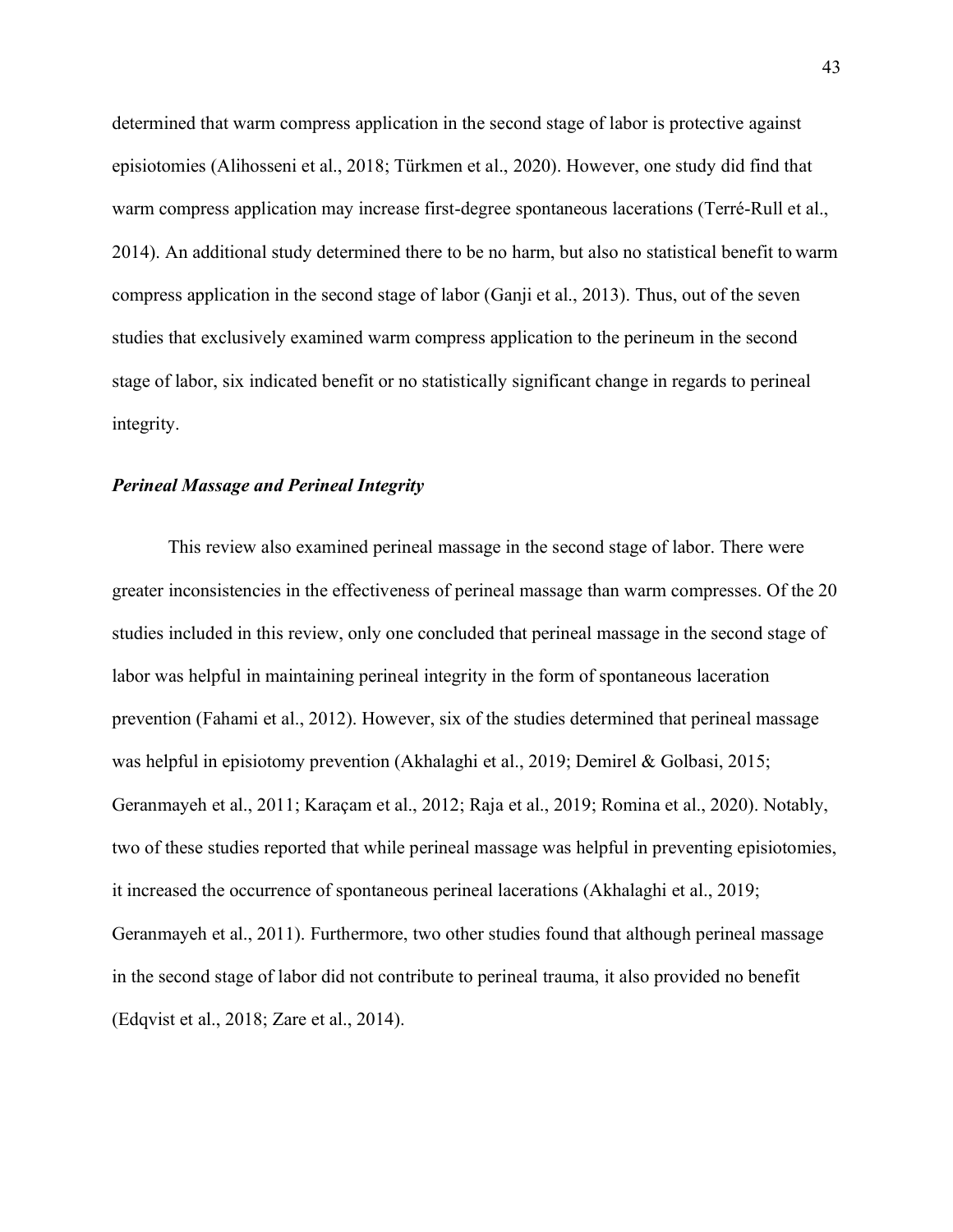determined that warm compress application in the second stage of labor is protective against episiotomies (Alihosseni et al., 2018; Türkmen et al., 2020). However, one study did find that warm compress application may increase first-degree spontaneous lacerations (Terré-Rull et al., 2014). An additional study determined there to be no harm, but also no statistical benefit to warm compress application in the second stage of labor (Ganji et al., 2013). Thus, out of the seven studies that exclusively examined warm compress application to the perineum in the second stage of labor, six indicated benefit or no statistically significant change in regards to perineal integrity.

### *Perineal Massage and Perineal Integrity*

This review also examined perineal massage in the second stage of labor. There were greater inconsistencies in the effectiveness of perineal massage than warm compresses. Of the 20 studies included in this review, only one concluded that perineal massage in the second stage of labor was helpful in maintaining perineal integrity in the form of spontaneous laceration prevention (Fahami et al., 2012). However, six of the studies determined that perineal massage was helpful in episiotomy prevention (Akhalaghi et al., 2019; Demirel & Golbasi, 2015; Geranmayeh et al., 2011; Karaçam et al., 2012; Raja et al., 2019; Romina et al., 2020). Notably, two of these studies reported that while perineal massage was helpful in preventing episiotomies, it increased the occurrence of spontaneous perineal lacerations (Akhalaghi et al., 2019; Geranmayeh et al., 2011). Furthermore, two other studies found that although perineal massage in the second stage of labor did not contribute to perineal trauma, it also provided no benefit (Edqvist et al., 2018; Zare et al., 2014).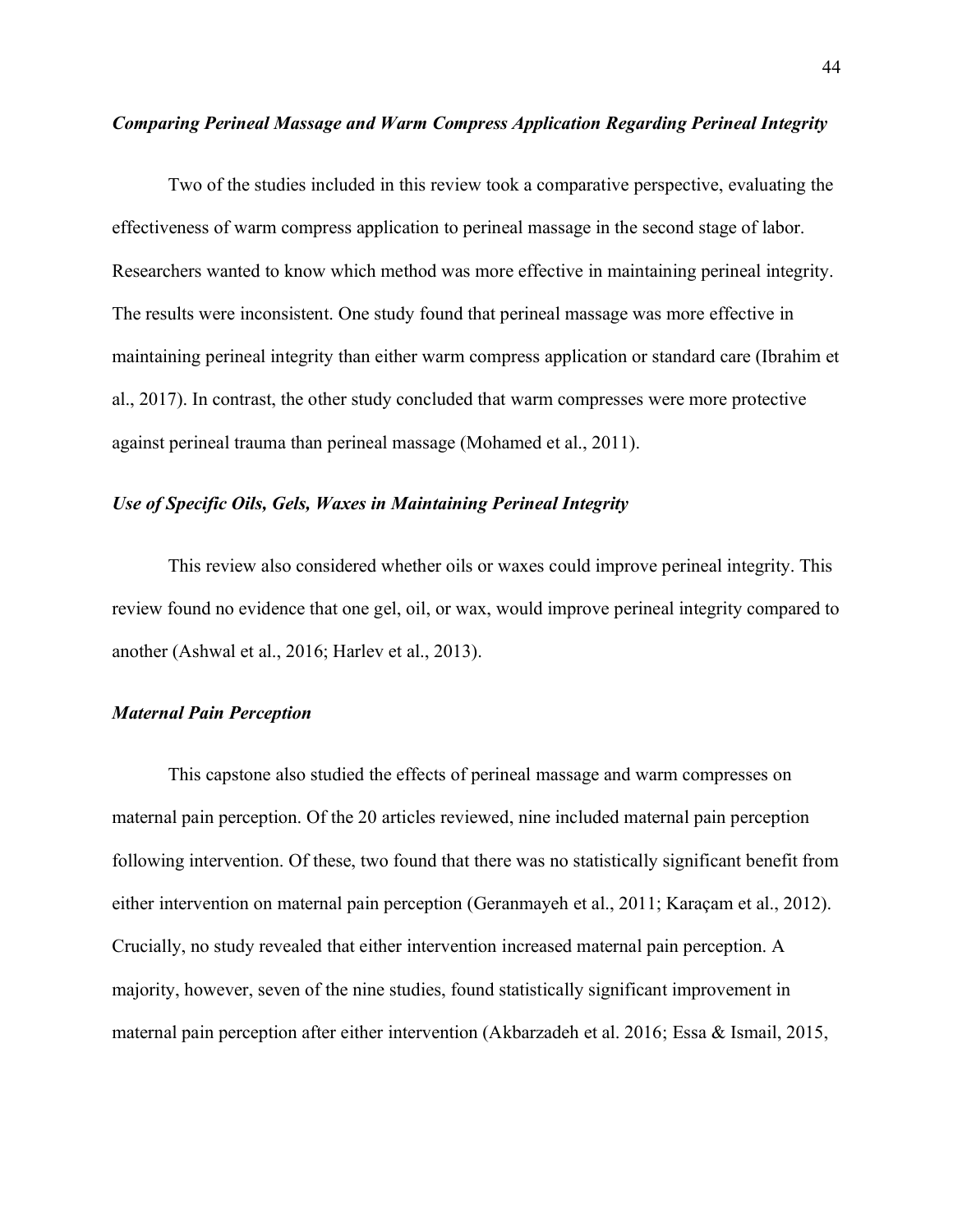## *Comparing Perineal Massage and Warm Compress Application Regarding Perineal Integrity*

Two of the studies included in this review took a comparative perspective, evaluating the effectiveness of warm compress application to perineal massage in the second stage of labor. Researchers wanted to know which method was more effective in maintaining perineal integrity. The results were inconsistent. One study found that perineal massage was more effective in maintaining perineal integrity than either warm compress application or standard care (Ibrahim et al., 2017). In contrast, the other study concluded that warm compresses were more protective against perineal trauma than perineal massage (Mohamed et al., 2011).

## *Use of Specific Oils, Gels, Waxes in Maintaining Perineal Integrity*

This review also considered whether oils or waxes could improve perineal integrity. This review found no evidence that one gel, oil, or wax, would improve perineal integrity compared to another (Ashwal et al., 2016; Harlev et al., 2013).

## *Maternal Pain Perception*

This capstone also studied the effects of perineal massage and warm compresses on maternal pain perception. Of the 20 articles reviewed, nine included maternal pain perception following intervention. Of these, two found that there was no statistically significant benefit from either intervention on maternal pain perception (Geranmayeh et al., 2011; Karaçam et al., 2012). Crucially, no study revealed that either intervention increased maternal pain perception. A majority, however, seven of the nine studies, found statistically significant improvement in maternal pain perception after either intervention (Akbarzadeh et al. 2016; Essa & Ismail, 2015,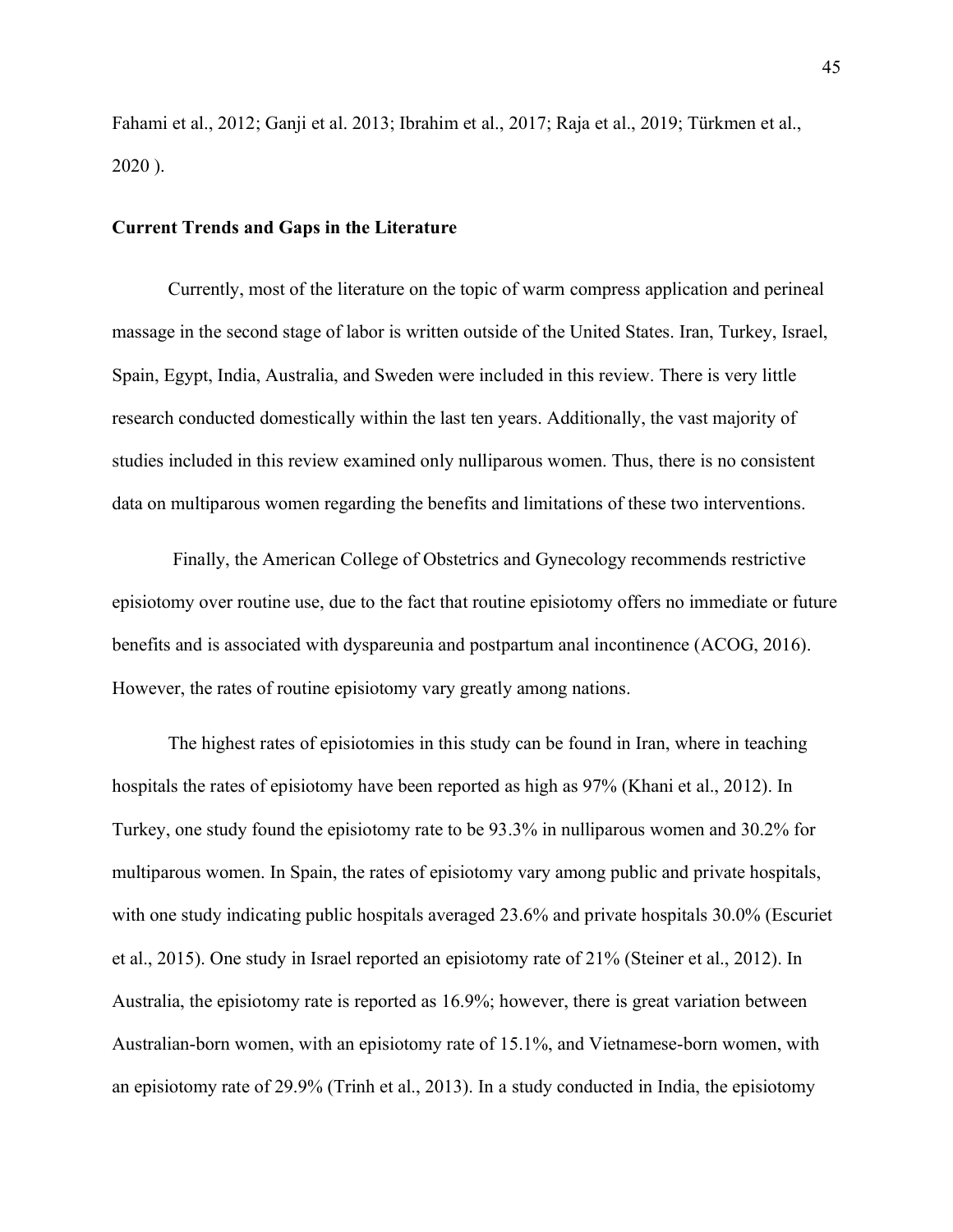Fahami et al., 2012; Ganji et al. 2013; Ibrahim et al., 2017; Raja et al., 2019; Türkmen et al., 2020 ).

## **Current Trends and Gaps in the Literature**

Currently, most of the literature on the topic of warm compress application and perineal massage in the second stage of labor is written outside of the United States. Iran, Turkey, Israel, Spain, Egypt, India, Australia, and Sweden were included in this review. There is very little research conducted domestically within the last ten years. Additionally, the vast majority of studies included in this review examined only nulliparous women. Thus, there is no consistent data on multiparous women regarding the benefits and limitations of these two interventions.

Finally, the American College of Obstetrics and Gynecology recommends restrictive episiotomy over routine use, due to the fact that routine episiotomy offers no immediate or future benefits and is associated with dyspareunia and postpartum anal incontinence (ACOG, 2016). However, the rates of routine episiotomy vary greatly among nations.

The highest rates of episiotomies in this study can be found in Iran, where in teaching hospitals the rates of episiotomy have been reported as high as 97% (Khani et al., 2012). In Turkey, one study found the episiotomy rate to be 93.3% in nulliparous women and 30.2% for multiparous women. In Spain, the rates of episiotomy vary among public and private hospitals, with one study indicating public hospitals averaged 23.6% and private hospitals 30.0% (Escuriet et al., 2015). One study in Israel reported an episiotomy rate of 21% (Steiner et al., 2012). In Australia, the episiotomy rate is reported as 16.9%; however, there is great variation between Australian-born women, with an episiotomy rate of 15.1%, and Vietnamese-born women, with an episiotomy rate of 29.9% (Trinh et al., 2013). In a study conducted in India, the episiotomy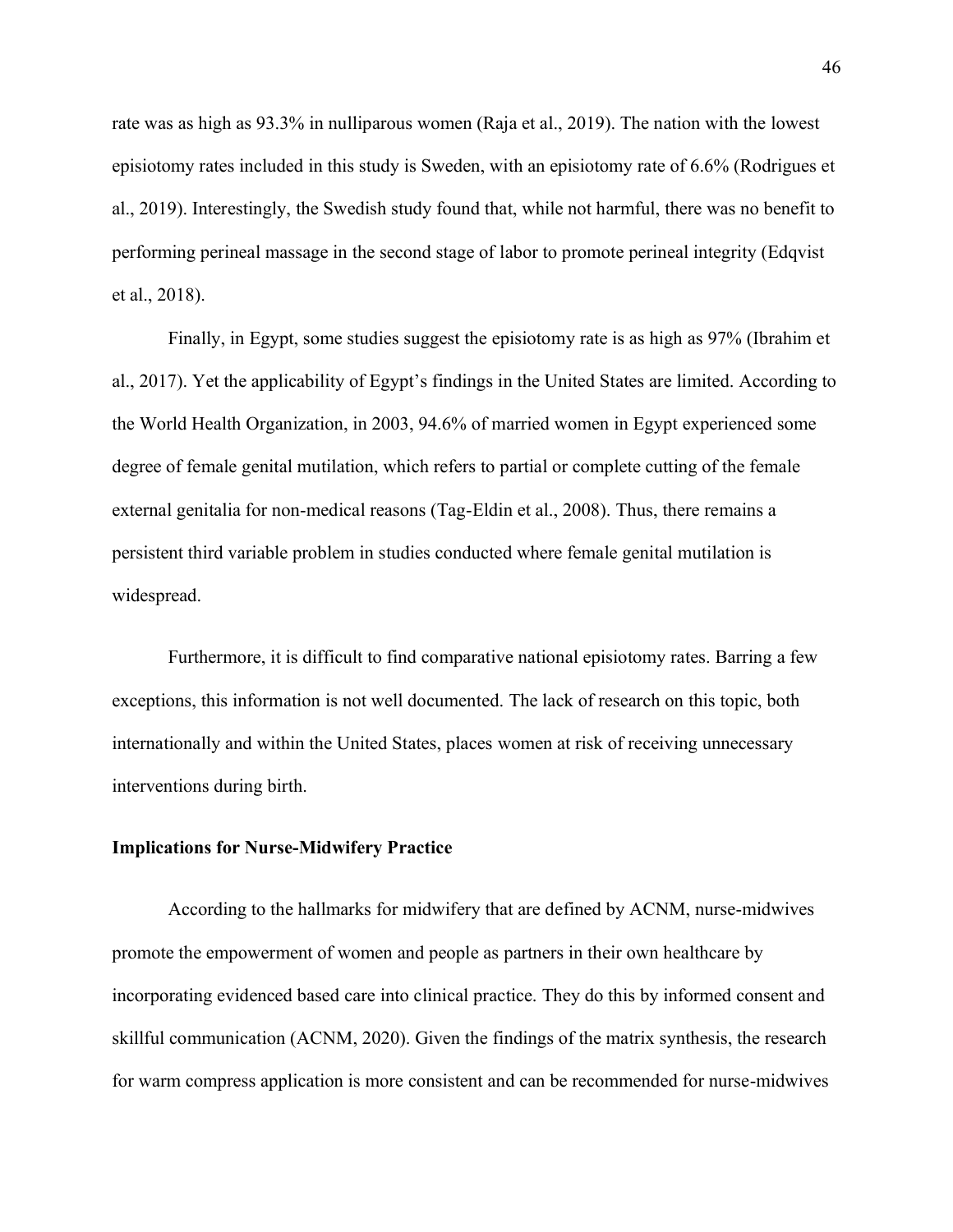rate was as high as 93.3% in nulliparous women (Raja et al., 2019). The nation with the lowest episiotomy rates included in this study is Sweden, with an episiotomy rate of 6.6% (Rodrigues et al., 2019). Interestingly, the Swedish study found that, while not harmful, there was no benefit to performing perineal massage in the second stage of labor to promote perineal integrity (Edqvist et al., 2018).

Finally, in Egypt, some studies suggest the episiotomy rate is as high as 97% (Ibrahim et al., 2017). Yet the applicability of Egypt's findings in the United States are limited. According to the World Health Organization, in 2003, 94.6% of married women in Egypt experienced some degree of female genital mutilation, which refers to partial or complete cutting of the female external genitalia for non-medical reasons (Tag-Eldin et al., 2008). Thus, there remains a persistent third variable problem in studies conducted where female genital mutilation is widespread.

Furthermore, it is difficult to find comparative national episiotomy rates. Barring a few exceptions, this information is not well documented. The lack of research on this topic, both internationally and within the United States, places women at risk of receiving unnecessary interventions during birth.

#### **Implications for Nurse-Midwifery Practice**

According to the hallmarks for midwifery that are defined by ACNM, nurse-midwives promote the empowerment of women and people as partners in their own healthcare by incorporating evidenced based care into clinical practice. They do this by informed consent and skillful communication (ACNM, 2020). Given the findings of the matrix synthesis, the research for warm compress application is more consistent and can be recommended for nurse-midwives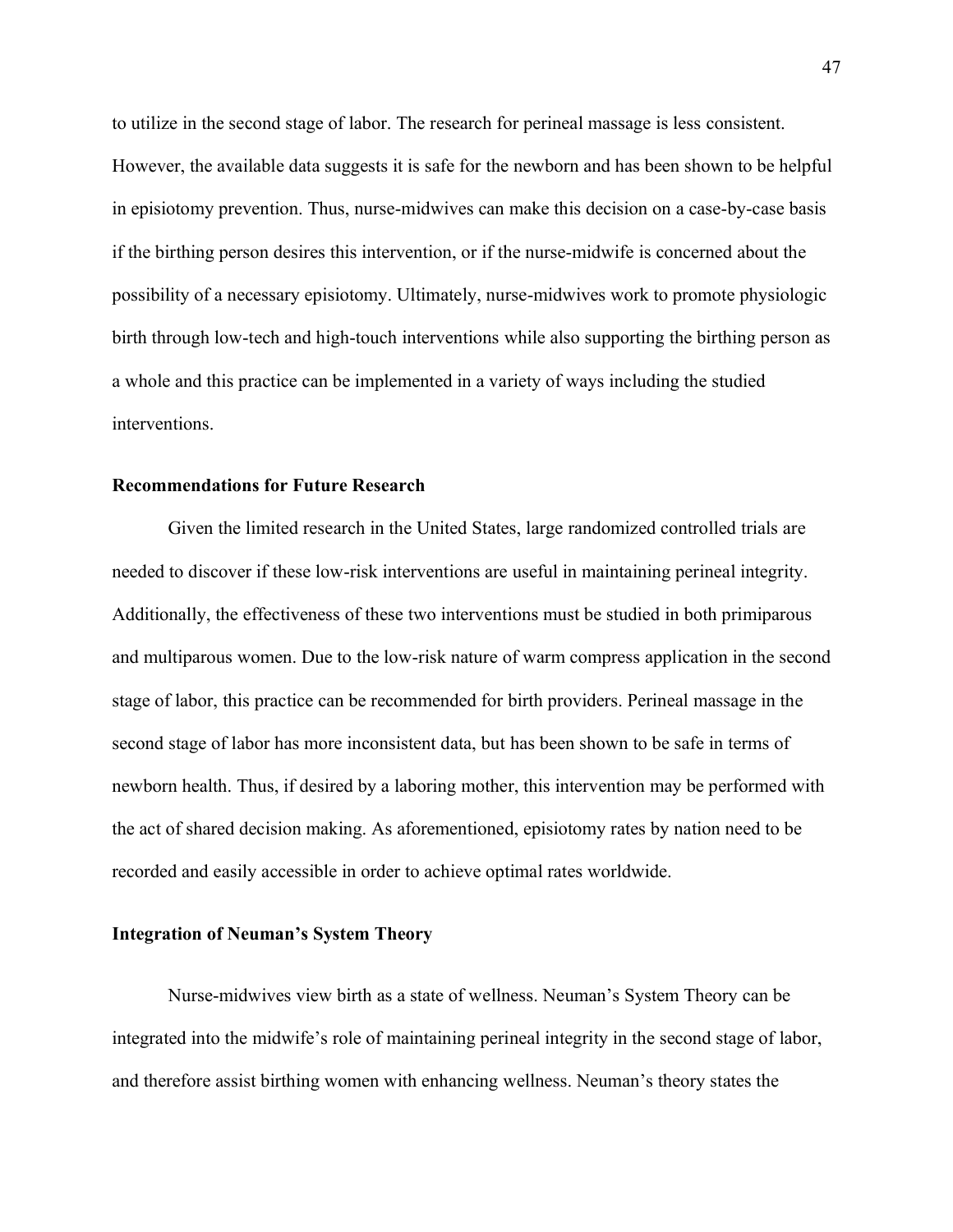to utilize in the second stage of labor. The research for perineal massage is less consistent. However, the available data suggests it is safe for the newborn and has been shown to be helpful in episiotomy prevention. Thus, nurse-midwives can make this decision on a case-by-case basis if the birthing person desires this intervention, or if the nurse-midwife is concerned about the possibility of a necessary episiotomy. Ultimately, nurse-midwives work to promote physiologic birth through low-tech and high-touch interventions while also supporting the birthing person as a whole and this practice can be implemented in a variety of ways including the studied interventions.

### **Recommendations for Future Research**

Given the limited research in the United States, large randomized controlled trials are needed to discover if these low-risk interventions are useful in maintaining perineal integrity. Additionally, the effectiveness of these two interventions must be studied in both primiparous and multiparous women. Due to the low-risk nature of warm compress application in the second stage of labor, this practice can be recommended for birth providers. Perineal massage in the second stage of labor has more inconsistent data, but has been shown to be safe in terms of newborn health. Thus, if desired by a laboring mother, this intervention may be performed with the act of shared decision making. As aforementioned, episiotomy rates by nation need to be recorded and easily accessible in order to achieve optimal rates worldwide.

### **Integration of Neuman's System Theory**

Nurse-midwives view birth as a state of wellness. Neuman's System Theory can be integrated into the midwife's role of maintaining perineal integrity in the second stage of labor, and therefore assist birthing women with enhancing wellness. Neuman's theory states the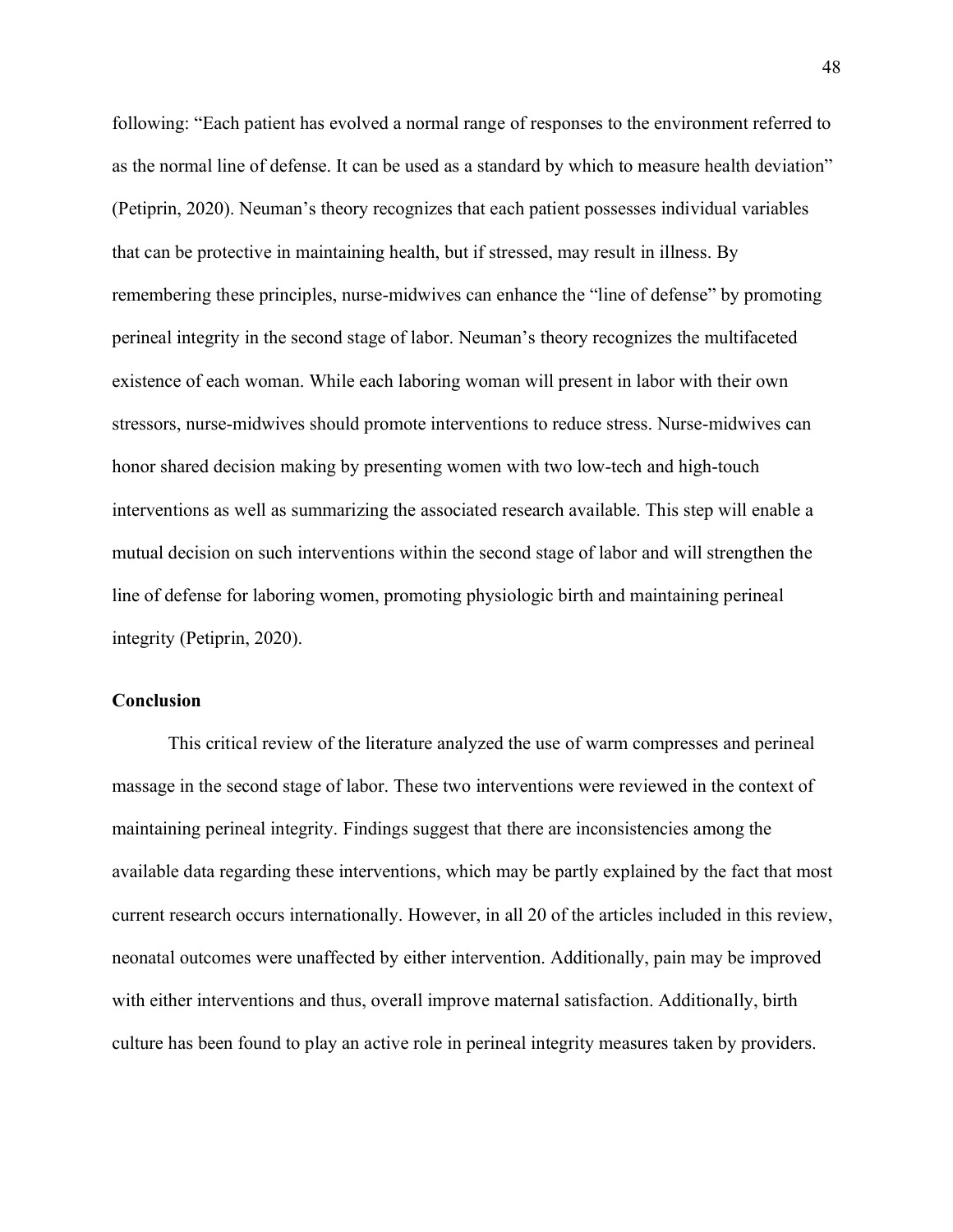following: "Each patient has evolved a normal range of responses to the environment referred to as the normal line of defense. It can be used as a standard by which to measure health deviation" (Petiprin, 2020). Neuman's theory recognizes that each patient possesses individual variables that can be protective in maintaining health, but if stressed, may result in illness. By remembering these principles, nurse-midwives can enhance the "line of defense" by promoting perineal integrity in the second stage of labor. Neuman's theory recognizes the multifaceted existence of each woman. While each laboring woman will present in labor with their own stressors, nurse-midwives should promote interventions to reduce stress. Nurse-midwives can honor shared decision making by presenting women with two low-tech and high-touch interventions as well as summarizing the associated research available. This step will enable a mutual decision on such interventions within the second stage of labor and will strengthen the line of defense for laboring women, promoting physiologic birth and maintaining perineal integrity (Petiprin, 2020).

## **Conclusion**

This critical review of the literature analyzed the use of warm compresses and perineal massage in the second stage of labor. These two interventions were reviewed in the context of maintaining perineal integrity. Findings suggest that there are inconsistencies among the available data regarding these interventions, which may be partly explained by the fact that most current research occurs internationally. However, in all 20 of the articles included in this review, neonatal outcomes were unaffected by either intervention. Additionally, pain may be improved with either interventions and thus, overall improve maternal satisfaction. Additionally, birth culture has been found to play an active role in perineal integrity measures taken by providers.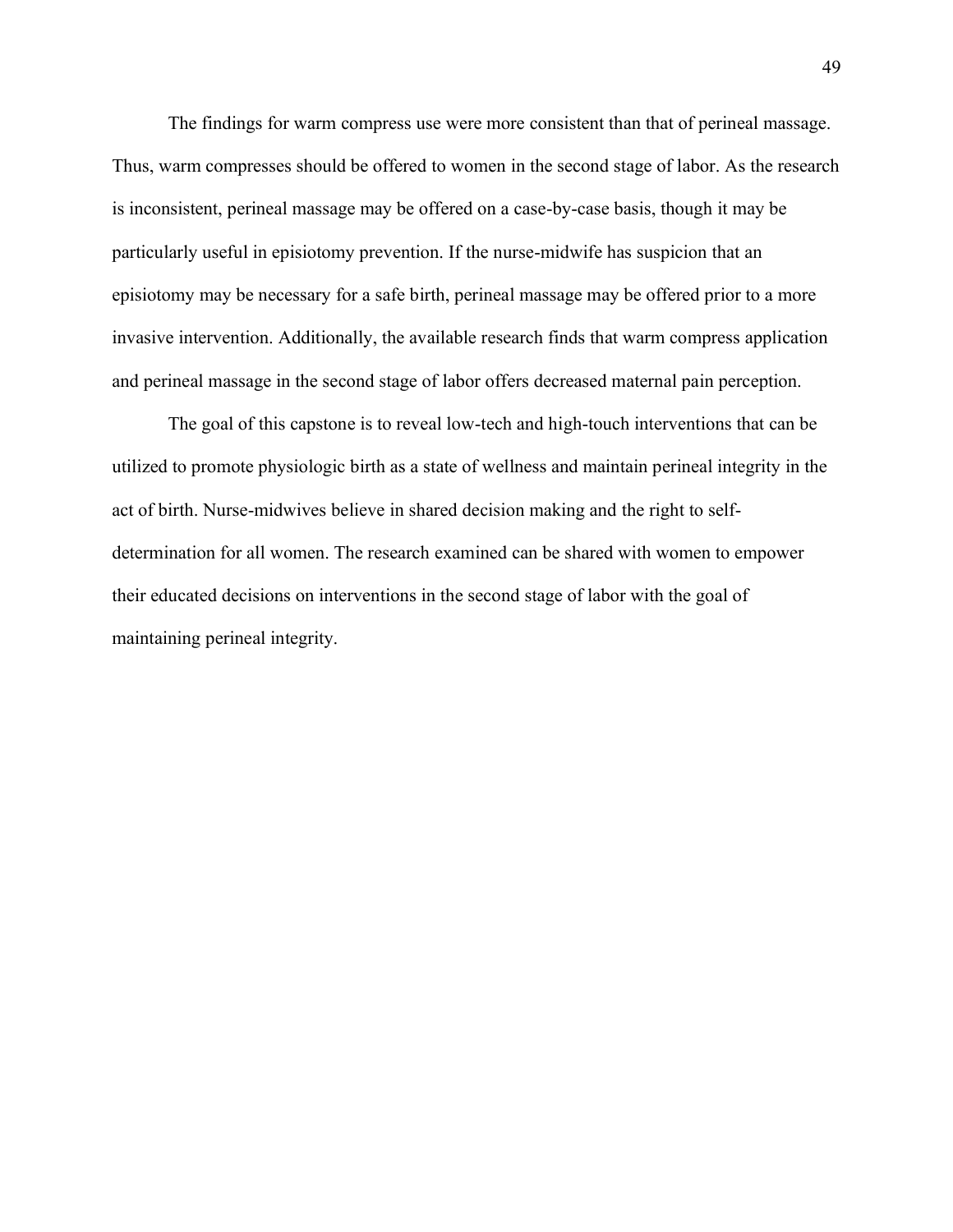The findings for warm compress use were more consistent than that of perineal massage. Thus, warm compresses should be offered to women in the second stage of labor. As the research is inconsistent, perineal massage may be offered on a case-by-case basis, though it may be particularly useful in episiotomy prevention. If the nurse-midwife has suspicion that an episiotomy may be necessary for a safe birth, perineal massage may be offered prior to a more invasive intervention. Additionally, the available research finds that warm compress application and perineal massage in the second stage of labor offers decreased maternal pain perception.

The goal of this capstone is to reveal low-tech and high-touch interventions that can be utilized to promote physiologic birth as a state of wellness and maintain perineal integrity in the act of birth. Nurse-midwives believe in shared decision making and the right to selfdetermination for all women. The research examined can be shared with women to empower their educated decisions on interventions in the second stage of labor with the goal of maintaining perineal integrity.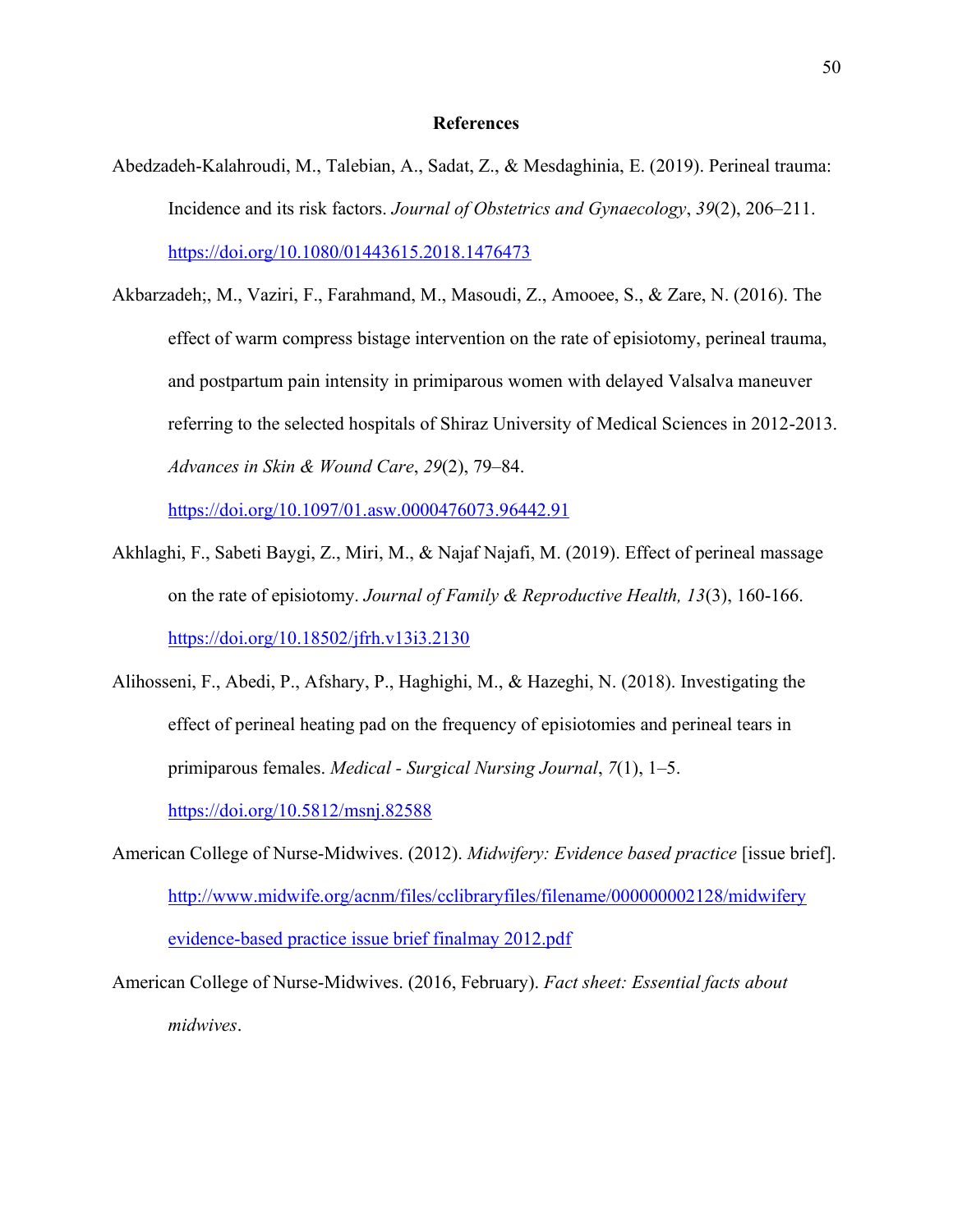### **References**

- Abedzadeh-Kalahroudi, M., Talebian, A., Sadat, Z., & Mesdaghinia, E. (2019). Perineal trauma: Incidence and its risk factors. *Journal of Obstetrics and Gynaecology*, *39*(2), 206–211. <https://doi.org/10.1080/01443615.2018.1476473>
- Akbarzadeh;, M., Vaziri, F., Farahmand, M., Masoudi, Z., Amooee, S., & Zare, N. (2016). The effect of warm compress bistage intervention on the rate of episiotomy, perineal trauma, and postpartum pain intensity in primiparous women with delayed Valsalva maneuver referring to the selected hospitals of Shiraz University of Medical Sciences in 2012-2013. *Advances in Skin & Wound Care*, *29*(2), 79–84.

<https://doi.org/10.1097/01.asw.0000476073.96442.91>

- Akhlaghi, F., Sabeti Baygi, Z., Miri, M., & Najaf Najafi, M. (2019). Effect of perineal massage on the rate of episiotomy. *Journal of Family & Reproductive Health, 13*(3), 160-166. <https://doi.org/10.18502/jfrh.v13i3.2130>
- Alihosseni, F., Abedi, P., Afshary, P., Haghighi, M., & Hazeghi, N. (2018). Investigating the effect of perineal heating pad on the frequency of episiotomies and perineal tears in primiparous females. *Medical - Surgical Nursing Journal*, *7*(1), 1–5. <https://doi.org/10.5812/msnj.82588>
- American College of Nurse-Midwives. (2012). *Midwifery: Evidence based practice* [issue brief]. [http://www.midwife.org/acnm/files/cclibraryfiles/filename/000000002128/midwifery](http://www.midwife.org/acnm/files/cclibraryfiles/filename/000000002128/midwifery%20evidence-based%20practice%20issue%20brief%20finalmay%202012.pdf) [evidence-based practice issue brief finalmay 2012.pdf](http://www.midwife.org/acnm/files/cclibraryfiles/filename/000000002128/midwifery%20evidence-based%20practice%20issue%20brief%20finalmay%202012.pdf)

American College of Nurse-Midwives. (2016, February). *Fact sheet: Essential facts about midwives*.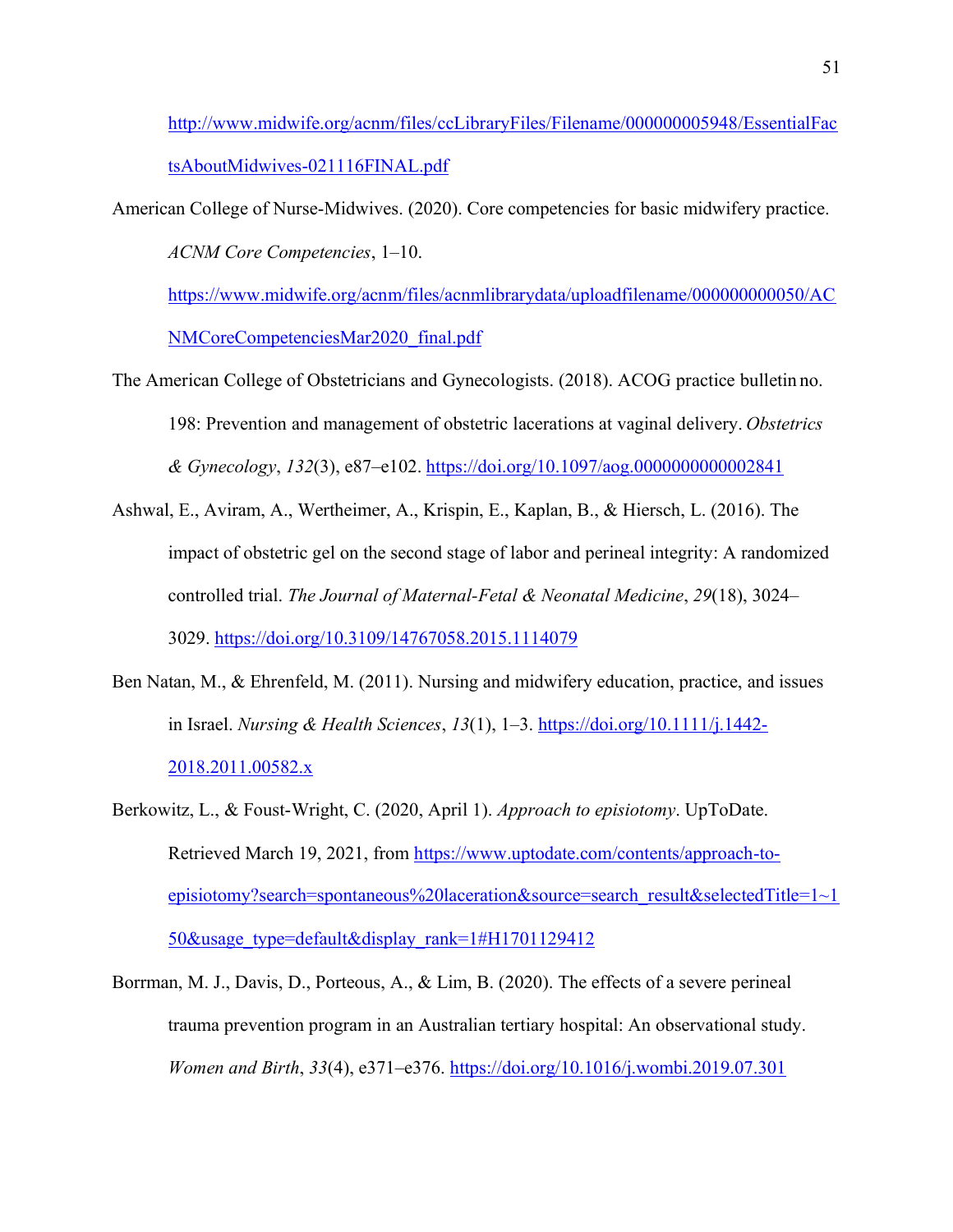[http://www.midwife.org/acnm/files/ccLibraryFiles/Filename/000000005948/EssentialFac](http://www.midwife.org/acnm/files/ccLibraryFiles/Filename/000000005948/EssentialFactsAboutMidwives-021116FINAL.pdf) [tsAboutMidwives-021116FINAL.pdf](http://www.midwife.org/acnm/files/ccLibraryFiles/Filename/000000005948/EssentialFactsAboutMidwives-021116FINAL.pdf)

American College of Nurse-Midwives. (2020). Core competencies for basic midwifery practice. *ACNM Core Competencies*, 1–10.

[https://www.midwife.org/acnm/files/acnmlibrarydata/uploadfilename/000000000050/AC](https://www.midwife.org/acnm/files/acnmlibrarydata/uploadfilename/000000000050/ACNMCoreCompetenciesMar2020_final.pdf) [NMCoreCompetenciesMar2020\\_final.pdf](https://www.midwife.org/acnm/files/acnmlibrarydata/uploadfilename/000000000050/ACNMCoreCompetenciesMar2020_final.pdf)

- The American College of Obstetricians and Gynecologists. (2018). ACOG practice bulletin no. 198: Prevention and management of obstetric lacerations at vaginal delivery. *Obstetrics & Gynecology*, *132*(3), e87–e102. <https://doi.org/10.1097/aog.0000000000002841>
- Ashwal, E., Aviram, A., Wertheimer, A., Krispin, E., Kaplan, B., & Hiersch, L. (2016). The impact of obstetric gel on the second stage of labor and perineal integrity: A randomized controlled trial. *The Journal of Maternal-Fetal & Neonatal Medicine*, *29*(18), 3024– 3029.<https://doi.org/10.3109/14767058.2015.1114079>
- Ben Natan, M., & Ehrenfeld, M. (2011). Nursing and midwifery education, practice, and issues in Israel. *Nursing & Health Sciences*, *13*(1), 1–3. [https://doi.org/10.1111/j.1442-](https://doi.org/10.1111/j.1442-2018.2011.00582.x) [2018.2011.00582.x](https://doi.org/10.1111/j.1442-2018.2011.00582.x)
- Berkowitz, L., & Foust-Wright, C. (2020, April 1). *Approach to episiotomy*. UpToDate. Retrieved March 19, 2021, from [https://www.uptodate.com/contents/approach-to](https://www.uptodate.com/contents/approach-to-episiotomy?search=spontaneous%20laceration&source=search_result&selectedTitle=1%7E150&usage_type=default&display_rank=1&H1701129412)[episiotomy?search=spontaneous%20laceration&source=search\\_result&selectedTitle=1~1](https://www.uptodate.com/contents/approach-to-episiotomy?search=spontaneous%20laceration&source=search_result&selectedTitle=1%7E150&usage_type=default&display_rank=1&H1701129412) [50&usage\\_type=default&display\\_rank=1#H1701129412](https://www.uptodate.com/contents/approach-to-episiotomy?search=spontaneous%20laceration&source=search_result&selectedTitle=1%7E150&usage_type=default&display_rank=1&H1701129412)
- Borrman, M. J., Davis, D., Porteous, A., & Lim, B. (2020). The effects of a severe perineal trauma prevention program in an Australian tertiary hospital: An observational study. *Women and Birth*, *33*(4), e371–e376.<https://doi.org/10.1016/j.wombi.2019.07.301>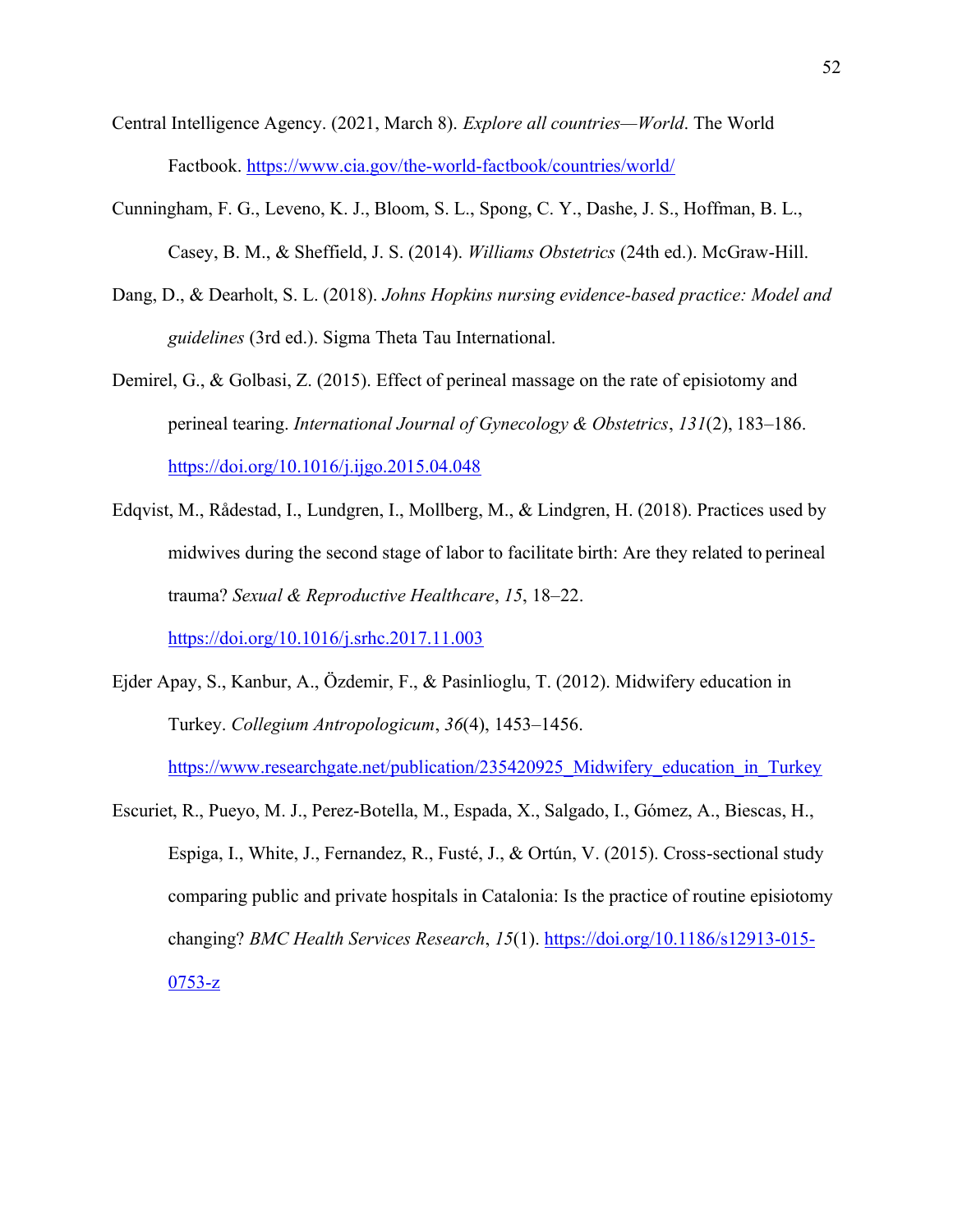- Central Intelligence Agency. (2021, March 8). *Explore all countries—World*. The World Factbook.<https://www.cia.gov/the-world-factbook/countries/world/>
- Cunningham, F. G., Leveno, K. J., Bloom, S. L., Spong, C. Y., Dashe, J. S., Hoffman, B. L., Casey, B. M., & Sheffield, J. S. (2014). *Williams Obstetrics* (24th ed.). McGraw-Hill.
- Dang, D., & Dearholt, S. L. (2018). *Johns Hopkins nursing evidence-based practice: Model and guidelines* (3rd ed.). Sigma Theta Tau International.
- Demirel, G., & Golbasi, Z. (2015). Effect of perineal massage on the rate of episiotomy and perineal tearing. *International Journal of Gynecology & Obstetrics*, *131*(2), 183–186. <https://doi.org/10.1016/j.ijgo.2015.04.048>
- Edqvist, M., Rådestad, I., Lundgren, I., Mollberg, M., & Lindgren, H. (2018). Practices used by midwives during the second stage of labor to facilitate birth: Are they related to perineal trauma? *Sexual & Reproductive Healthcare*, *15*, 18–22.

<https://doi.org/10.1016/j.srhc.2017.11.003>

Ejder Apay, S., Kanbur, A., Özdemir, F., & Pasinlioglu, T. (2012). Midwifery education in Turkey. *Collegium Antropologicum*, *36*(4), 1453–1456.

https://www.researchgate.net/publication/235420925 Midwifery education in Turkey

Escuriet, R., Pueyo, M. J., Perez-Botella, M., Espada, X., Salgado, I., Gómez, A., Biescas, H., Espiga, I., White, J., Fernandez, R., Fusté, J., & Ortún, V. (2015). Cross-sectional study comparing public and private hospitals in Catalonia: Is the practice of routine episiotomy changing? *BMC Health Services Research*, *15*(1). [https://doi.org/10.1186/s12913-015-](https://doi.org/10.1186/s12913-015-0753-z)  $0753-z$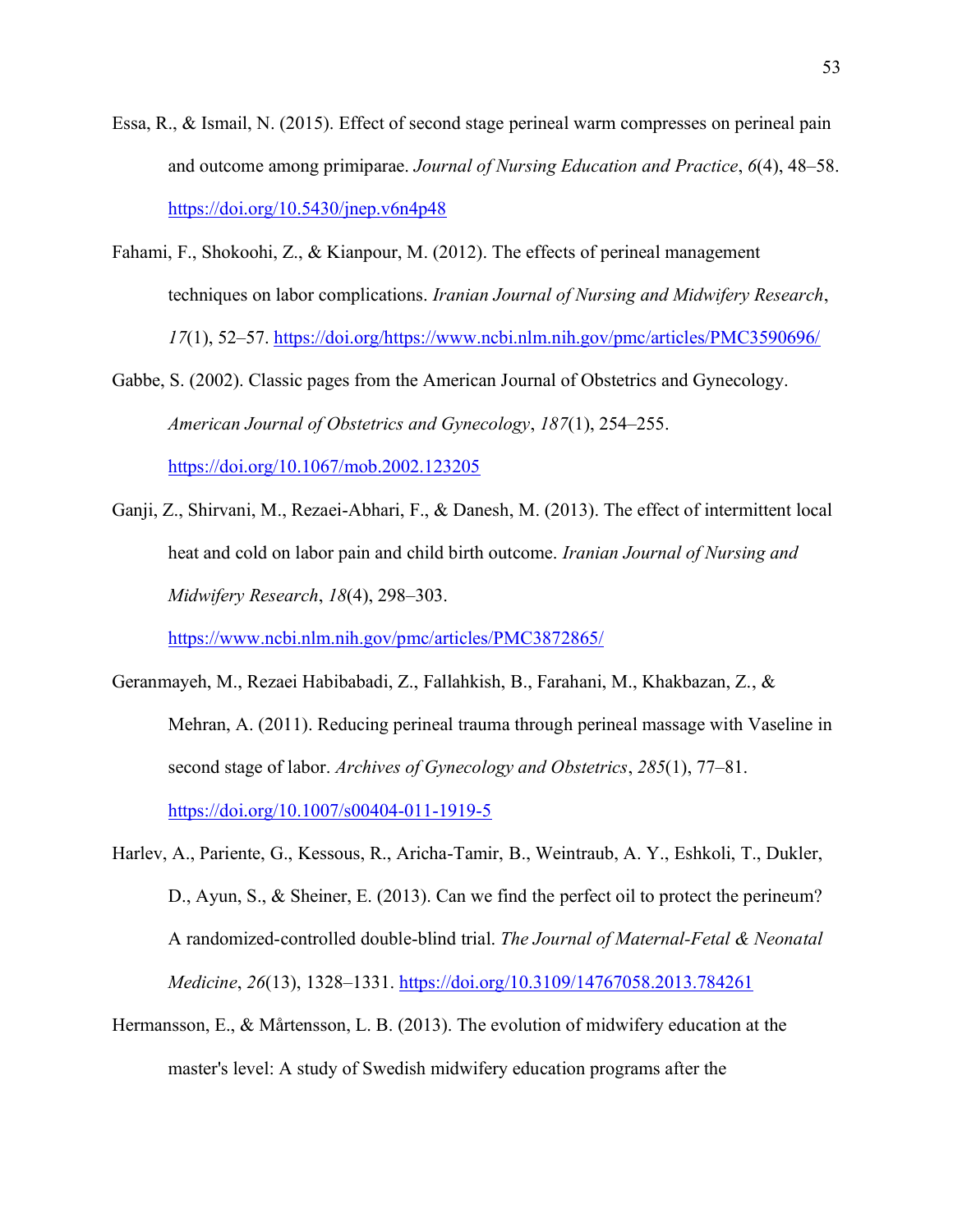- Essa, R., & Ismail, N. (2015). Effect of second stage perineal warm compresses on perineal pain and outcome among primiparae. *Journal of Nursing Education and Practice*, *6*(4), 48–58. <https://doi.org/10.5430/jnep.v6n4p48>
- Fahami, F., Shokoohi, Z., & Kianpour, M. (2012). The effects of perineal management techniques on labor complications. *Iranian Journal of Nursing and Midwifery Research*, *17*(1), 52–57. https://doi.org/https:/[/www.ncbi.nlm.nih.gov/pmc/articles/PMC3590696/](http://www.ncbi.nlm.nih.gov/pmc/articles/PMC3590696/)
- Gabbe, S. (2002). Classic pages from the American Journal of Obstetrics and Gynecology. *American Journal of Obstetrics and Gynecology*, *187*(1), 254–255. <https://doi.org/10.1067/mob.2002.123205>
- Ganji, Z., Shirvani, M., Rezaei-Abhari, F., & Danesh, M. (2013). The effect of intermittent local heat and cold on labor pain and child birth outcome. *Iranian Journal of Nursing and Midwifery Research*, *18*(4), 298–303.

<https://www.ncbi.nlm.nih.gov/pmc/articles/PMC3872865/>

- Geranmayeh, M., Rezaei Habibabadi, Z., Fallahkish, B., Farahani, M., Khakbazan, Z., & Mehran, A. (2011). Reducing perineal trauma through perineal massage with Vaseline in second stage of labor. *Archives of Gynecology and Obstetrics*, *285*(1), 77–81. <https://doi.org/10.1007/s00404-011-1919-5>
- Harlev, A., Pariente, G., Kessous, R., Aricha-Tamir, B., Weintraub, A. Y., Eshkoli, T., Dukler, D., Ayun, S., & Sheiner, E. (2013). Can we find the perfect oil to protect the perineum? A randomized-controlled double-blind trial. *The Journal of Maternal-Fetal & Neonatal Medicine*, *26*(13), 1328–1331.<https://doi.org/10.3109/14767058.2013.784261>
- Hermansson, E., & Mårtensson, L. B. (2013). The evolution of midwifery education at the master's level: A study of Swedish midwifery education programs after the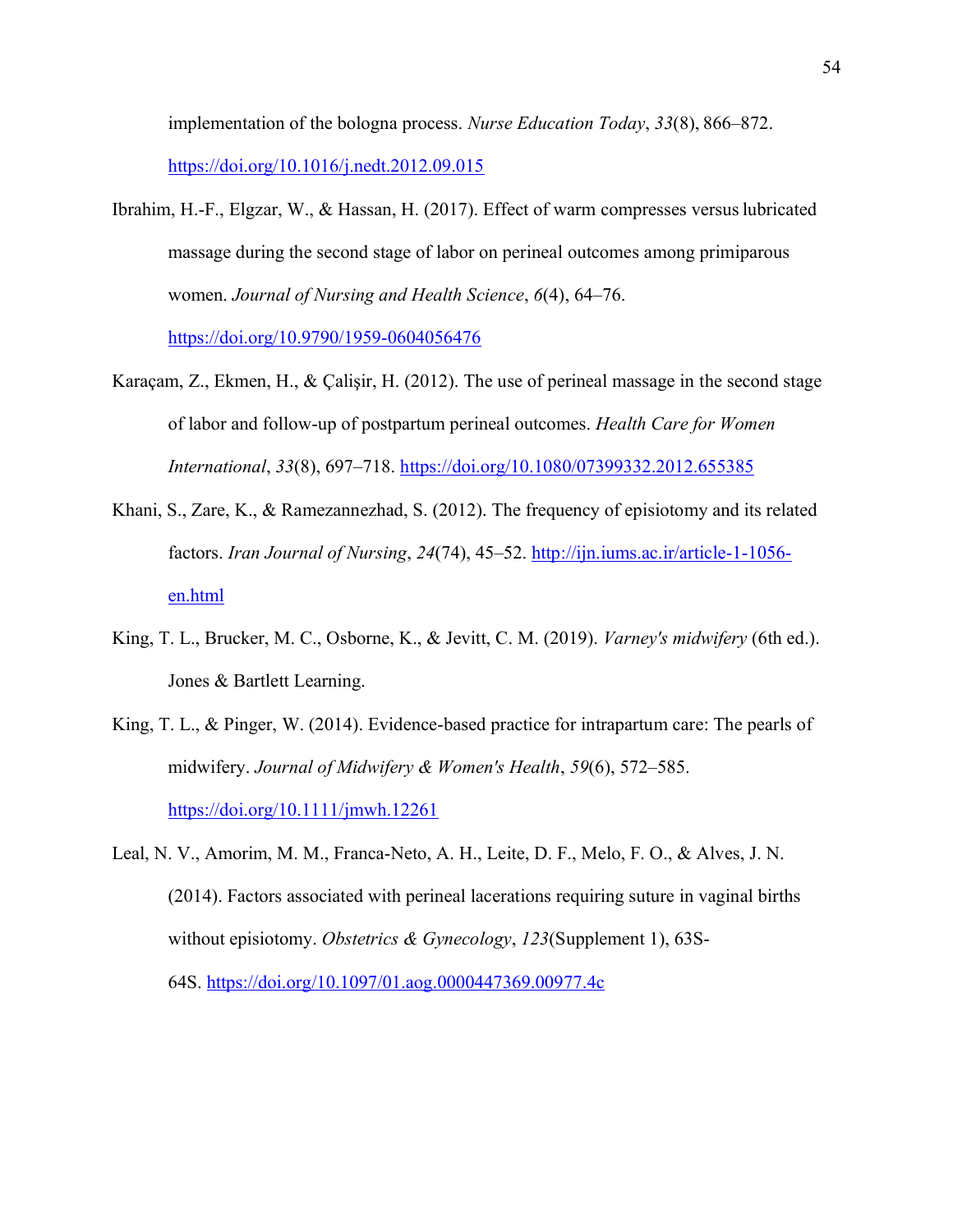implementation of the bologna process. *Nurse Education Today*, *33*(8), 866–872. <https://doi.org/10.1016/j.nedt.2012.09.015>

- Ibrahim, H.-F., Elgzar, W., & Hassan, H. (2017). Effect of warm compresses versuslubricated massage during the second stage of labor on perineal outcomes among primiparous women. *Journal of Nursing and Health Science*, *6*(4), 64–76. <https://doi.org/10.9790/1959-0604056476>
- Karaçam, Z., Ekmen, H., & Çalişir, H. (2012). The use of perineal massage in the second stage of labor and follow-up of postpartum perineal outcomes. *Health Care for Women International*, *33*(8), 697–718.<https://doi.org/10.1080/07399332.2012.655385>
- Khani, S., Zare, K., & Ramezannezhad, S. (2012). The frequency of episiotomy and its related factors. *Iran Journal of Nursing*, *24*(74), 45–52. [http://ijn.iums.ac.ir/article-1-1056](http://ijn.iums.ac.ir/article-1-1056-en.html) [en.html](http://ijn.iums.ac.ir/article-1-1056-en.html)
- King, T. L., Brucker, M. C., Osborne, K., & Jevitt, C. M. (2019). *Varney's midwifery* (6th ed.). Jones & Bartlett Learning.
- King, T. L., & Pinger, W. (2014). Evidence-based practice for intrapartum care: The pearls of midwifery. *Journal of Midwifery & Women's Health*, *59*(6), 572–585. <https://doi.org/10.1111/jmwh.12261>
- Leal, N. V., Amorim, M. M., Franca-Neto, A. H., Leite, D. F., Melo, F. O., & Alves, J. N. (2014). Factors associated with perineal lacerations requiring suture in vaginal births without episiotomy. *Obstetrics & Gynecology*, *123*(Supplement 1), 63S-64S.<https://doi.org/10.1097/01.aog.0000447369.00977.4c>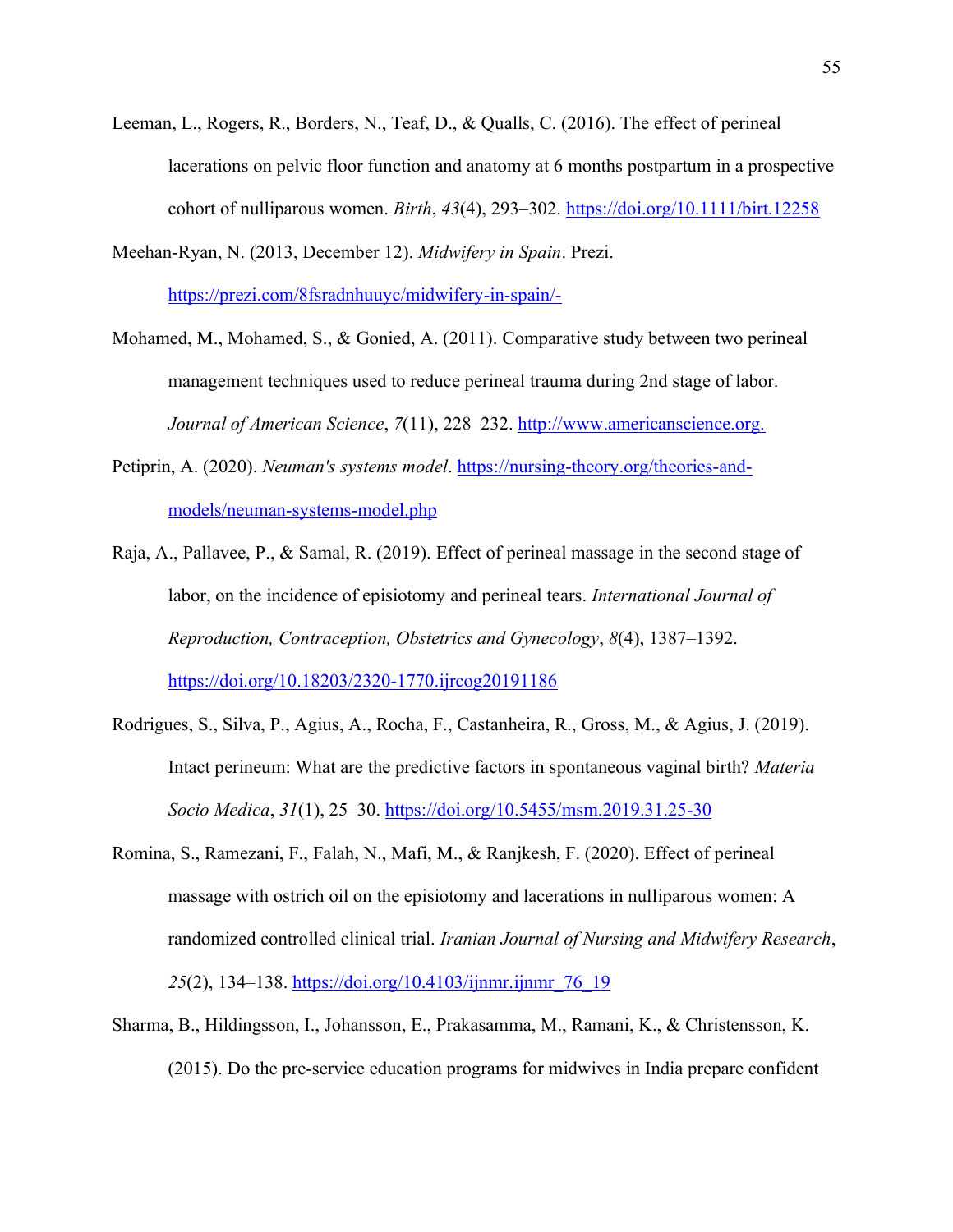Leeman, L., Rogers, R., Borders, N., Teaf, D., & Qualls, C. (2016). The effect of perineal lacerations on pelvic floor function and anatomy at 6 months postpartum in a prospective cohort of nulliparous women. *Birth*, *43*(4), 293–302.<https://doi.org/10.1111/birt.12258>

Meehan-Ryan, N. (2013, December 12). *Midwifery in Spain*. Prezi. <https://prezi.com/8fsradnhuuyc/midwifery-in-spain/->

- Mohamed, M., Mohamed, S., & Gonied, A. (2011). Comparative study between two perineal management techniques used to reduce perineal trauma during 2nd stage of labor. *Journal of American Science*, *7*(11), 228–232. [http://www.americanscience.org.](http://www.americanscience.org./)
- Petiprin, A. (2020). *Neuman's systems model*. [https://nursing-theory.org/theories-and](https://nursing-theory.org/theories-and-models/neuman-systems-model.php)[models/neuman-systems-model.php](https://nursing-theory.org/theories-and-models/neuman-systems-model.php)
- Raja, A., Pallavee, P., & Samal, R. (2019). Effect of perineal massage in the second stage of labor, on the incidence of episiotomy and perineal tears. *International Journal of Reproduction, Contraception, Obstetrics and Gynecology*, *8*(4), 1387–1392. <https://doi.org/10.18203/2320-1770.ijrcog20191186>
- Rodrigues, S., Silva, P., Agius, A., Rocha, F., Castanheira, R., Gross, M., & Agius, J. (2019). Intact perineum: What are the predictive factors in spontaneous vaginal birth? *Materia Socio Medica*, *31*(1), 25–30.<https://doi.org/10.5455/msm.2019.31.25-30>
- Romina, S., Ramezani, F., Falah, N., Mafi, M., & Ranjkesh, F. (2020). Effect of perineal massage with ostrich oil on the episiotomy and lacerations in nulliparous women: A randomized controlled clinical trial. *Iranian Journal of Nursing and Midwifery Research*, *25*(2), 134–138. [https://doi.org/10.4103/ijnmr.ijnmr\\_76\\_19](https://doi.org/10.4103/ijnmr.ijnmr_76_19)
- Sharma, B., Hildingsson, I., Johansson, E., Prakasamma, M., Ramani, K., & Christensson, K. (2015). Do the pre-service education programs for midwives in India prepare confident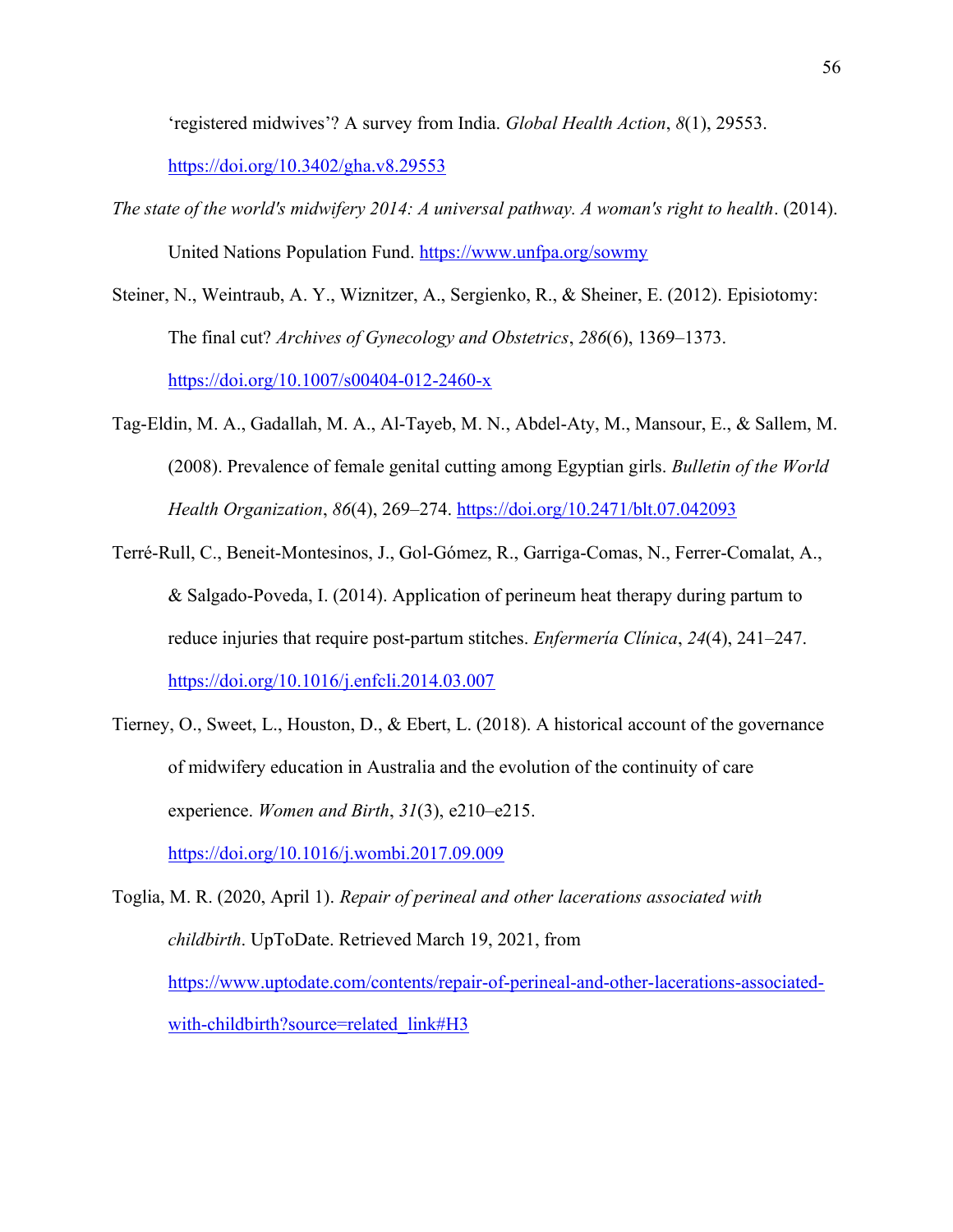'registered midwives'? A survey from India. *Global Health Action*, *8*(1), 29553.

<https://doi.org/10.3402/gha.v8.29553>

- *The state of the world's midwifery 2014: A universal pathway. A woman's right to health*. (2014). United Nations Population Fund.<https://www.unfpa.org/sowmy>
- Steiner, N., Weintraub, A. Y., Wiznitzer, A., Sergienko, R., & Sheiner, E. (2012). Episiotomy: The final cut? *Archives of Gynecology and Obstetrics*, *286*(6), 1369–1373. <https://doi.org/10.1007/s00404-012-2460-x>
- Tag-Eldin, M. A., Gadallah, M. A., Al-Tayeb, M. N., Abdel-Aty, M., Mansour, E., & Sallem, M. (2008). Prevalence of female genital cutting among Egyptian girls. *Bulletin of the World Health Organization*, *86*(4), 269–274.<https://doi.org/10.2471/blt.07.042093>
- Terré-Rull, C., Beneit-Montesinos, J., Gol-Gómez, R., Garriga-Comas, N., Ferrer-Comalat, A., & Salgado-Poveda, I. (2014). Application of perineum heat therapy during partum to reduce injuries that require post-partum stitches. *Enfermería Clínica*, *24*(4), 241–247. <https://doi.org/10.1016/j.enfcli.2014.03.007>
- Tierney, O., Sweet, L., Houston, D., & Ebert, L. (2018). A historical account of the governance of midwifery education in Australia and the evolution of the continuity of care experience. *Women and Birth*, *31*(3), e210–e215.

<https://doi.org/10.1016/j.wombi.2017.09.009>

Toglia, M. R. (2020, April 1). *Repair of perineal and other lacerations associated with childbirth*. UpToDate. Retrieved March 19, 2021, from [https://www.uptodate.com/contents/repair-of-perineal-and-other-lacerations-associated](https://www.uptodate.com/contents/repair-of-perineal-and-other-lacerations-associated-with-childbirth?source=related_link&H3)[with-childbirth?source=related\\_link#H3](https://www.uptodate.com/contents/repair-of-perineal-and-other-lacerations-associated-with-childbirth?source=related_link&H3)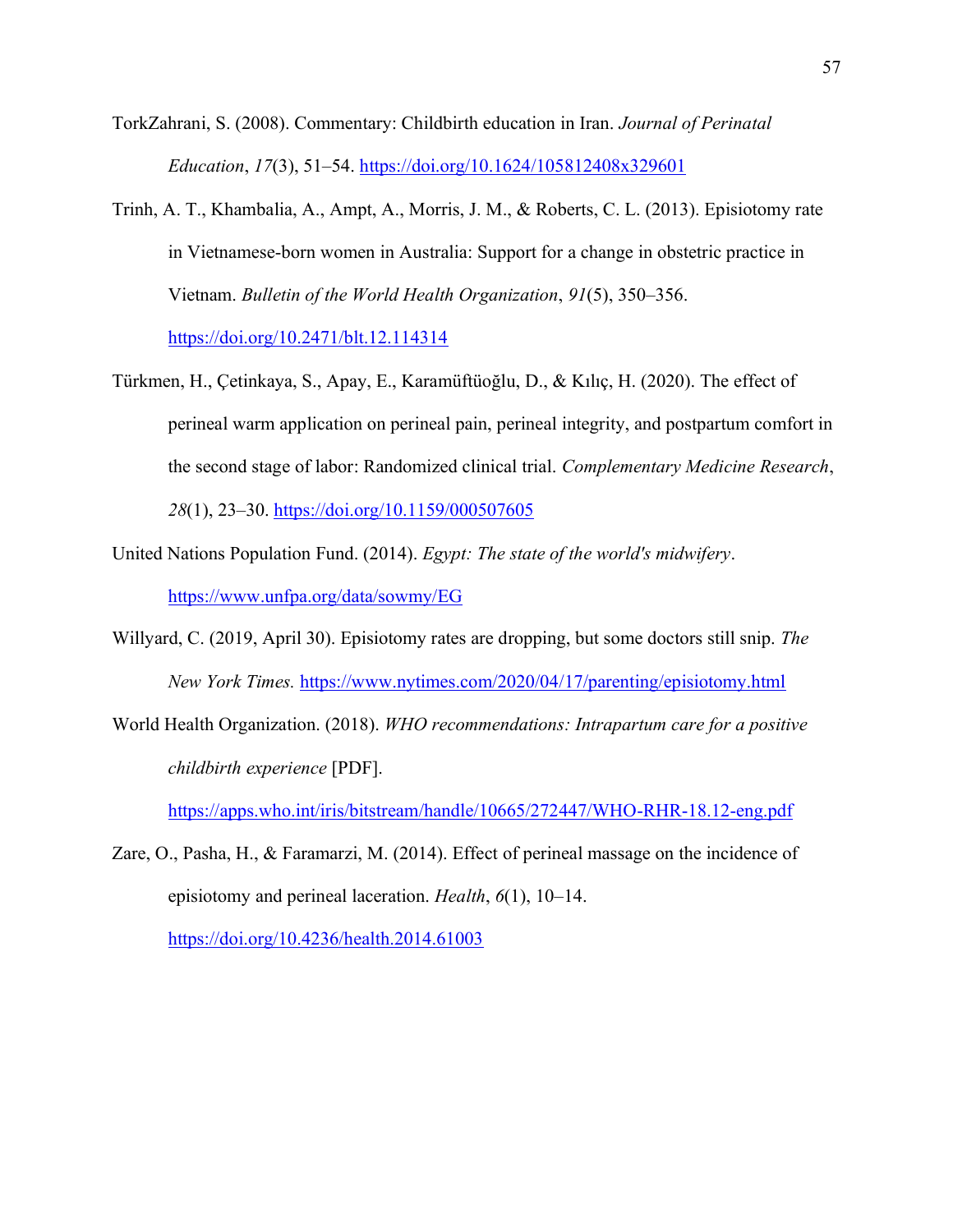- TorkZahrani, S. (2008). Commentary: Childbirth education in Iran. *Journal of Perinatal Education*, *17*(3), 51–54.<https://doi.org/10.1624/105812408x329601>
- Trinh, A. T., Khambalia, A., Ampt, A., Morris, J. M., & Roberts, C. L. (2013). Episiotomy rate in Vietnamese-born women in Australia: Support for a change in obstetric practice in Vietnam. *Bulletin of the World Health Organization*, *91*(5), 350–356.

<https://doi.org/10.2471/blt.12.114314>

- Türkmen, H., Çetinkaya, S., Apay, E., Karamüftüoğlu, D., & Kılıç, H. (2020). The effect of perineal warm application on perineal pain, perineal integrity, and postpartum comfort in the second stage of labor: Randomized clinical trial. *Complementary Medicine Research*, *28*(1), 23–30.<https://doi.org/10.1159/000507605>
- United Nations Population Fund. (2014). *Egypt: The state of the world's midwifery*. <https://www.unfpa.org/data/sowmy/EG>
- Willyard, C. (2019, April 30). Episiotomy rates are dropping, but some doctors still snip. *The New York Times.* <https://www.nytimes.com/2020/04/17/parenting/episiotomy.html>
- World Health Organization. (2018). *WHO recommendations: Intrapartum care for a positive childbirth experience* [PDF].

<https://apps.who.int/iris/bitstream/handle/10665/272447/WHO-RHR-18.12-eng.pdf>

Zare, O., Pasha, H., & Faramarzi, M. (2014). Effect of perineal massage on the incidence of episiotomy and perineal laceration. *Health*, *6*(1), 10–14.

<https://doi.org/10.4236/health.2014.61003>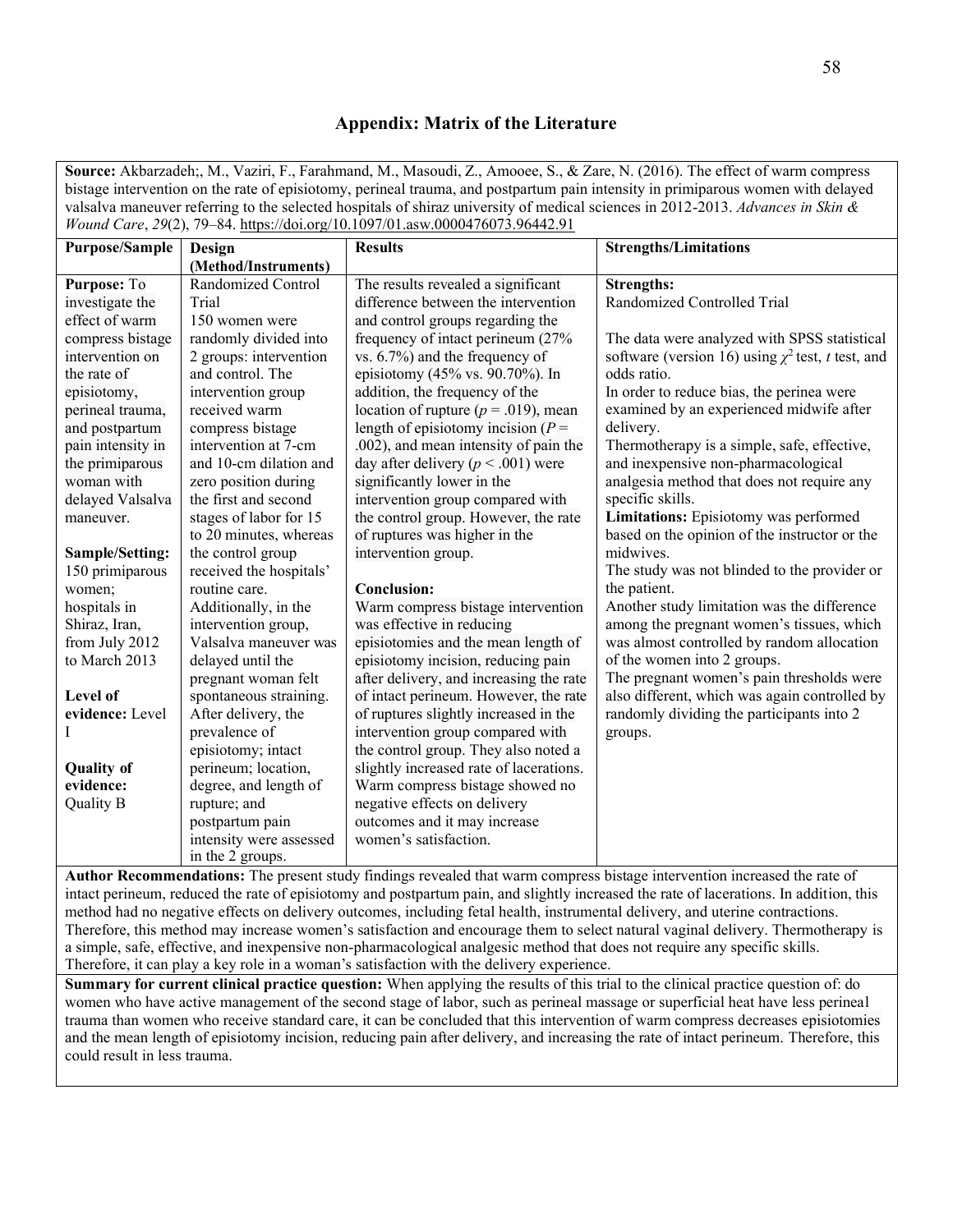# **Appendix: Matrix of the Literature**

**Source:** Akbarzadeh;, M., Vaziri, F., Farahmand, M., Masoudi, Z., Amooee, S., & Zare, N. (2016). The effect of warm compress bistage intervention on the rate of episiotomy, perineal trauma, and postpartum pain intensity in primiparous women with delayed valsalva maneuver referring to the selected hospitals of shiraz university of medical sciences in 2012-2013. *Advances in Skin & Wound Care*, *29*(2), 79–84.<https://doi.org/10.1097/01.asw.0000476073.96442.91>

| <b>Purpose/Sample</b> | Design                  | <b>Results</b>                           | <b>Strengths/Limitations</b>                           |
|-----------------------|-------------------------|------------------------------------------|--------------------------------------------------------|
|                       | (Method/Instruments)    |                                          |                                                        |
| Purpose: To           | Randomized Control      | The results revealed a significant       | <b>Strengths:</b>                                      |
| investigate the       | Trial                   | difference between the intervention      | Randomized Controlled Trial                            |
| effect of warm        | 150 women were          | and control groups regarding the         |                                                        |
| compress bistage      | randomly divided into   | frequency of intact perineum (27%        | The data were analyzed with SPSS statistical           |
| intervention on       | 2 groups: intervention  | vs. 6.7%) and the frequency of           | software (version 16) using $\chi^2$ test, t test, and |
| the rate of           | and control. The        | episiotomy (45% vs. 90.70%). In          | odds ratio.                                            |
| episiotomy,           | intervention group      | addition, the frequency of the           | In order to reduce bias, the perinea were              |
| perineal trauma,      | received warm           | location of rupture ( $p = .019$ ), mean | examined by an experienced midwife after               |
| and postpartum        | compress bistage        | length of episiotomy incision ( $P =$    | delivery.                                              |
| pain intensity in     | intervention at 7-cm    | .002), and mean intensity of pain the    | Thermotherapy is a simple, safe, effective,            |
| the primiparous       | and 10-cm dilation and  | day after delivery ( $p < .001$ ) were   | and inexpensive non-pharmacological                    |
| woman with            | zero position during    | significantly lower in the               | analgesia method that does not require any             |
| delayed Valsalva      | the first and second    | intervention group compared with         | specific skills.                                       |
| maneuver.             | stages of labor for 15  | the control group. However, the rate     | Limitations: Episiotomy was performed                  |
|                       | to 20 minutes, whereas  | of ruptures was higher in the            | based on the opinion of the instructor or the          |
| Sample/Setting:       | the control group       | intervention group.                      | midwives.                                              |
| 150 primiparous       | received the hospitals' |                                          | The study was not blinded to the provider or           |
| women;                | routine care.           | <b>Conclusion:</b>                       | the patient.                                           |
| hospitals in          | Additionally, in the    | Warm compress bistage intervention       | Another study limitation was the difference            |
| Shiraz, Iran,         | intervention group,     | was effective in reducing                | among the pregnant women's tissues, which              |
| from July 2012        | Valsalva maneuver was   | episiotomies and the mean length of      | was almost controlled by random allocation             |
| to March 2013         | delayed until the       | episiotomy incision, reducing pain       | of the women into 2 groups.                            |
|                       | pregnant woman felt     | after delivery, and increasing the rate  | The pregnant women's pain thresholds were              |
| Level of              | spontaneous straining.  | of intact perineum. However, the rate    | also different, which was again controlled by          |
| evidence: Level       | After delivery, the     | of ruptures slightly increased in the    | randomly dividing the participants into 2              |
|                       | prevalence of           | intervention group compared with         | groups.                                                |
|                       | episiotomy; intact      | the control group. They also noted a     |                                                        |
| <b>Quality of</b>     | perineum; location,     | slightly increased rate of lacerations.  |                                                        |
| evidence:             | degree, and length of   | Warm compress bistage showed no          |                                                        |
| Quality B             | rupture; and            | negative effects on delivery             |                                                        |
|                       | postpartum pain         | outcomes and it may increase             |                                                        |
|                       | intensity were assessed | women's satisfaction.                    |                                                        |
|                       | in the 2 groups.        |                                          |                                                        |

**Author Recommendations:** The present study findings revealed that warm compress bistage intervention increased the rate of intact perineum, reduced the rate of episiotomy and postpartum pain, and slightly increased the rate of lacerations. In addition, this method had no negative effects on delivery outcomes, including fetal health, instrumental delivery, and uterine contractions. Therefore, this method may increase women's satisfaction and encourage them to select natural vaginal delivery. Thermotherapy is a simple, safe, effective, and inexpensive non-pharmacological analgesic method that does not require any specific skills. Therefore, it can play a key role in a woman's satisfaction with the delivery experience.

**Summary for current clinical practice question:** When applying the results of this trial to the clinical practice question of: do women who have active management of the second stage of labor, such as perineal massage or superficial heat have less perineal trauma than women who receive standard care, it can be concluded that this intervention of warm compress decreases episiotomies and the mean length of episiotomy incision, reducing pain after delivery, and increasing the rate of intact perineum. Therefore, this could result in less trauma.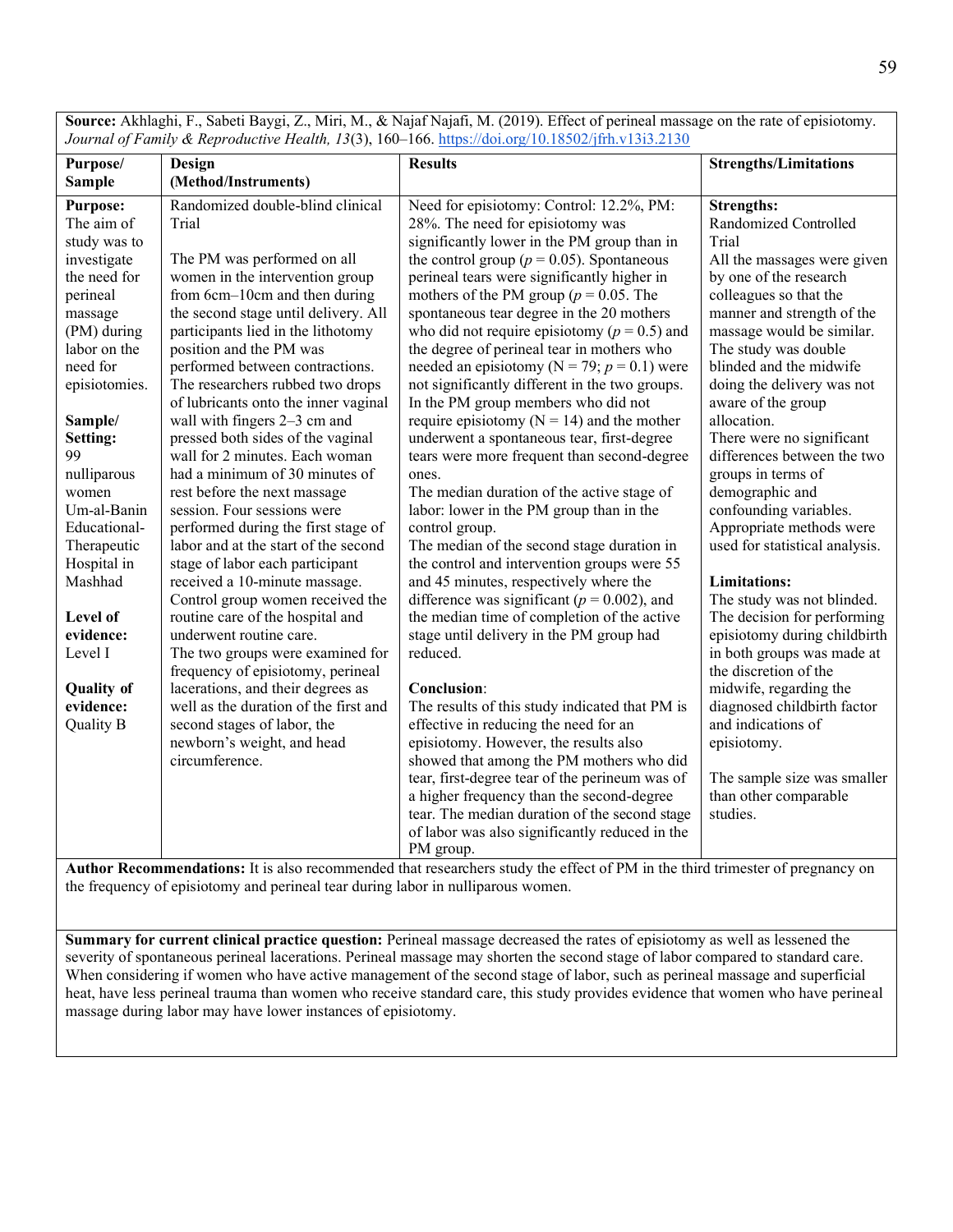*Journal of Family & Reproductive Health, 13*(3), 160–166[. https://doi.org/10.18502/jfrh.v13i3.2130](https://doi.org/10.18502/jfrh.v13i3.2130) **Purpose/ Sample Design (Method/Instruments) Results Strengths/Limitations Purpose:**  The aim of study was to investigate the need for perineal massage (PM) during labor on the need for episiotomies. **Sample/ Setting:**  99 nulliparous women Um-al-Banin Educational-Therapeutic Hospital in Mashhad **Level of evidence:**  Level I **Quality of evidence:**  Quality B Randomized double-blind clinical Trial The PM was performed on all women in the intervention group from 6cm–10cm and then during the second stage until delivery. All participants lied in the lithotomy position and the PM was performed between contractions. The researchers rubbed two drops of lubricants onto the inner vaginal wall with fingers 2–3 cm and pressed both sides of the vaginal wall for 2 minutes. Each woman had a minimum of 30 minutes of rest before the next massage session. Four sessions were performed during the first stage of labor and at the start of the second stage of labor each participant received a 10-minute massage. Control group women received the routine care of the hospital and underwent routine care. The two groups were examined for frequency of episiotomy, perineal lacerations, and their degrees as well as the duration of the first and second stages of labor, the newborn's weight, and head circumference. Need for episiotomy: Control: 12.2%, PM: 28%. The need for episiotomy was significantly lower in the PM group than in the control group ( $p = 0.05$ ). Spontaneous perineal tears were significantly higher in mothers of the PM group ( $p = 0.05$ ). The spontaneous tear degree in the 20 mothers who did not require episiotomy  $(p = 0.5)$  and the degree of perineal tear in mothers who needed an episiotomy ( $N = 79$ ;  $p = 0.1$ ) were not significantly different in the two groups. In the PM group members who did not require episiotomy  $(N = 14)$  and the mother underwent a spontaneous tear, first-degree tears were more frequent than second-degree ones. The median duration of the active stage of labor: lower in the PM group than in the control group. The median of the second stage duration in the control and intervention groups were 55 and 45 minutes, respectively where the difference was significant  $(p = 0.002)$ , and the median time of completion of the active stage until delivery in the PM group had reduced. **Conclusion**: The results of this study indicated that PM is effective in reducing the need for an episiotomy. However, the results also showed that among the PM mothers who did tear, first-degree tear of the perineum was of a higher frequency than the second-degree tear. The median duration of the second stage of labor was also significantly reduced in the PM group. **Strengths:**  Randomized Controlled Trial All the massages were given by one of the research colleagues so that the manner and strength of the massage would be similar. The study was double blinded and the midwife doing the delivery was not aware of the group allocation. There were no significant differences between the two groups in terms of demographic and confounding variables. Appropriate methods were used for statistical analysis. **Limitations:** The study was not blinded. The decision for performing episiotomy during childbirth in both groups was made at the discretion of the midwife, regarding the diagnosed childbirth factor and indications of episiotomy. The sample size was smaller than other comparable studies.

**Source:** Akhlaghi, F., Sabeti Baygi, Z., Miri, M., & Najaf Najafi, M. (2019). Effect of perineal massage on the rate of episiotomy.

59

**Author Recommendations:** It is also recommended that researchers study the effect of PM in the third trimester of pregnancy on the frequency of episiotomy and perineal tear during labor in nulliparous women.

**Summary for current clinical practice question:** Perineal massage decreased the rates of episiotomy as well as lessened the severity of spontaneous perineal lacerations. Perineal massage may shorten the second stage of labor compared to standard care. When considering if women who have active management of the second stage of labor, such as perineal massage and superficial heat, have less perineal trauma than women who receive standard care, this study provides evidence that women who have perineal massage during labor may have lower instances of episiotomy.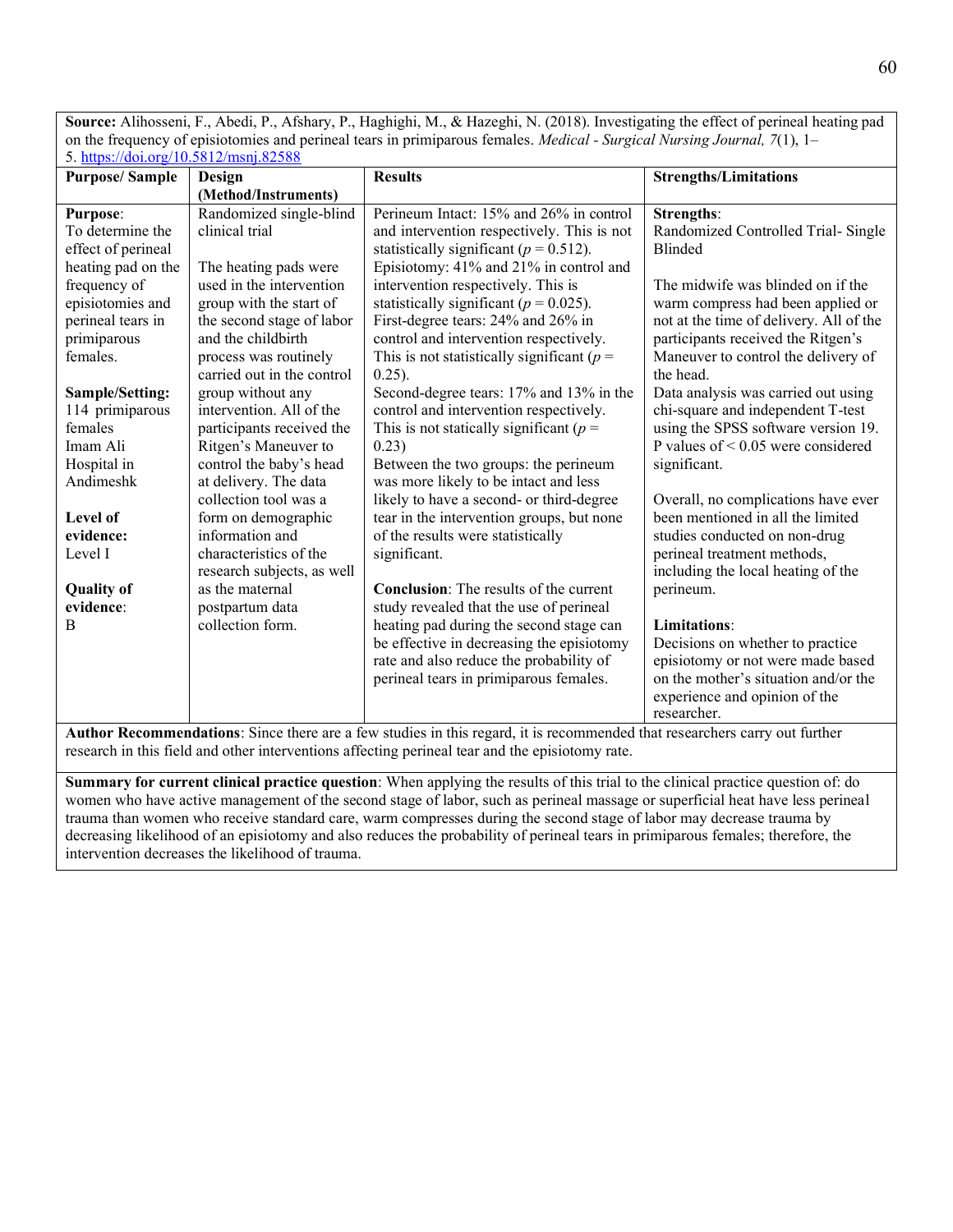**Source:** Alihosseni, F., Abedi, P., Afshary, P., Haghighi, M., & Hazeghi, N. (2018). Investigating the effect of perineal heating pad on the frequency of episiotomies and perineal tears in primiparous females. *Medical - Surgical Nursing Journal, 7*(1), 1– 5.<https://doi.org/10.5812/msnj.82588>

| (Method/Instruments)<br>Randomized single-blind<br>Perineum Intact: 15% and 26% in control<br>and intervention respectively. This is not<br>statistically significant ( $p = 0.512$ ).<br>Episiotomy: 41% and 21% in control and<br>The heating pads were<br>used in the intervention<br>intervention respectively. This is<br>group with the start of<br>statistically significant ( $p = 0.025$ ).<br>the second stage of labor<br>First-degree tears: 24% and 26% in | <b>Strengths:</b><br>Randomized Controlled Trial-Single<br>Blinded<br>The midwife was blinded on if the<br>warm compress had been applied or                                                                                                                                                                                                                                             |
|-------------------------------------------------------------------------------------------------------------------------------------------------------------------------------------------------------------------------------------------------------------------------------------------------------------------------------------------------------------------------------------------------------------------------------------------------------------------------|------------------------------------------------------------------------------------------------------------------------------------------------------------------------------------------------------------------------------------------------------------------------------------------------------------------------------------------------------------------------------------------|
|                                                                                                                                                                                                                                                                                                                                                                                                                                                                         |                                                                                                                                                                                                                                                                                                                                                                                          |
|                                                                                                                                                                                                                                                                                                                                                                                                                                                                         |                                                                                                                                                                                                                                                                                                                                                                                          |
|                                                                                                                                                                                                                                                                                                                                                                                                                                                                         | not at the time of delivery. All of the                                                                                                                                                                                                                                                                                                                                                  |
| control and intervention respectively.<br>This is not statistically significant ( $p =$<br>$0.25$ ).                                                                                                                                                                                                                                                                                                                                                                    | participants received the Ritgen's<br>Maneuver to control the delivery of<br>the head.                                                                                                                                                                                                                                                                                                   |
| control and intervention respectively.<br>This is not statically significant ( $p =$<br>0.23)<br>Between the two groups: the perineum<br>was more likely to be intact and less                                                                                                                                                                                                                                                                                          | Data analysis was carried out using<br>chi-square and independent T-test<br>using the SPSS software version 19.<br>P values of $\leq 0.05$ were considered<br>significant.                                                                                                                                                                                                               |
| likely to have a second- or third-degree<br>tear in the intervention groups, but none<br>of the results were statistically<br>significant.                                                                                                                                                                                                                                                                                                                              | Overall, no complications have ever<br>been mentioned in all the limited<br>studies conducted on non-drug<br>perineal treatment methods,<br>including the local heating of the                                                                                                                                                                                                           |
| <b>Conclusion:</b> The results of the current<br>study revealed that the use of perineal<br>heating pad during the second stage can<br>rate and also reduce the probability of<br>perineal tears in primiparous females.                                                                                                                                                                                                                                                | perineum.<br>Limitations:<br>Decisions on whether to practice<br>episiotomy or not were made based<br>on the mother's situation and/or the<br>experience and opinion of the                                                                                                                                                                                                              |
|                                                                                                                                                                                                                                                                                                                                                                                                                                                                         | process was routinely<br>carried out in the control<br>Second-degree tears: 17% and 13% in the<br>intervention. All of the<br>participants received the<br>Ritgen's Maneuver to<br>control the baby's head<br>at delivery. The data<br>collection tool was a<br>form on demographic<br>characteristics of the<br>research subjects, as well<br>be effective in decreasing the episiotomy |

**Author Recommendations**: Since there are a few studies in this regard, it is recommended that researchers carry out further research in this field and other interventions affecting perineal tear and the episiotomy rate.

**Summary for current clinical practice question**: When applying the results of this trial to the clinical practice question of: do women who have active management of the second stage of labor, such as perineal massage or superficial heat have less perineal trauma than women who receive standard care, warm compresses during the second stage of labor may decrease trauma by decreasing likelihood of an episiotomy and also reduces the probability of perineal tears in primiparous females; therefore, the intervention decreases the likelihood of trauma.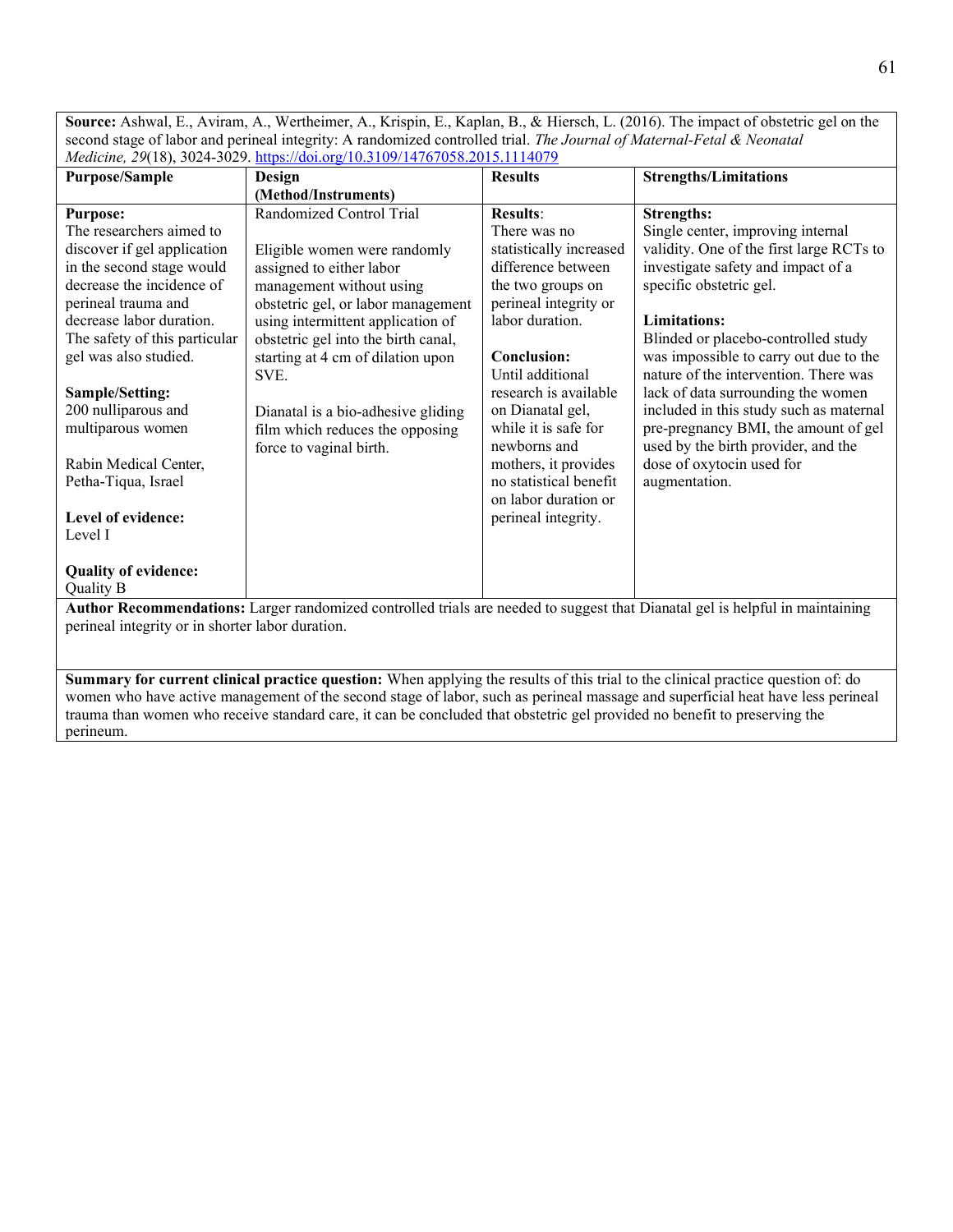**Source:** Ashwal, E., Aviram, A., Wertheimer, A., Krispin, E., Kaplan, B., & Hiersch, L. (2016). The impact of obstetric gel on the second stage of labor and perineal integrity: A randomized controlled trial. *The Journal of Maternal-Fetal & Neonatal Medicine, 29*(18), 3024-3029.<https://doi.org/10.3109/14767058.2015.1114079>

| <b>Purpose/Sample</b>                                                            | Design                                           | <b>Results</b>          | <b>Strengths/Limitations</b>                                                                                                    |
|----------------------------------------------------------------------------------|--------------------------------------------------|-------------------------|---------------------------------------------------------------------------------------------------------------------------------|
|                                                                                  | (Method/Instruments)                             |                         |                                                                                                                                 |
| <b>Purpose:</b>                                                                  | Randomized Control Trial                         | <b>Results:</b>         | <b>Strengths:</b>                                                                                                               |
| The researchers aimed to                                                         |                                                  | There was no            | Single center, improving internal                                                                                               |
| discover if gel application                                                      | Eligible women were randomly                     | statistically increased | validity. One of the first large RCTs to                                                                                        |
| in the second stage would                                                        | assigned to either labor                         | difference between      | investigate safety and impact of a                                                                                              |
| decrease the incidence of                                                        | management without using                         | the two groups on       | specific obstetric gel.                                                                                                         |
| perineal trauma and                                                              | obstetric gel, or labor management               | perineal integrity or   |                                                                                                                                 |
| decrease labor duration.                                                         | using intermittent application of                | labor duration.         | <b>Limitations:</b>                                                                                                             |
| The safety of this particular                                                    | obstetric gel into the birth canal,              |                         | Blinded or placebo-controlled study                                                                                             |
| gel was also studied.                                                            | starting at 4 cm of dilation upon                | <b>Conclusion:</b>      | was impossible to carry out due to the                                                                                          |
|                                                                                  | SVE.                                             | Until additional        | nature of the intervention. There was                                                                                           |
| Sample/Setting:                                                                  |                                                  | research is available   | lack of data surrounding the women                                                                                              |
| 200 nulliparous and                                                              | Dianatal is a bio-adhesive gliding               | on Dianatal gel,        | included in this study such as maternal                                                                                         |
| multiparous women                                                                | film which reduces the opposing                  | while it is safe for    | pre-pregnancy BMI, the amount of gel                                                                                            |
|                                                                                  | force to vaginal birth.                          | newborns and            | used by the birth provider, and the                                                                                             |
| Rabin Medical Center,                                                            |                                                  | mothers, it provides    | dose of oxytocin used for                                                                                                       |
| Petha-Tiqua, Israel                                                              |                                                  | no statistical benefit  | augmentation.                                                                                                                   |
|                                                                                  |                                                  | on labor duration or    |                                                                                                                                 |
| Level of evidence:                                                               |                                                  | perineal integrity.     |                                                                                                                                 |
| Level I                                                                          |                                                  |                         |                                                                                                                                 |
|                                                                                  |                                                  |                         |                                                                                                                                 |
| <b>Quality of evidence:</b>                                                      |                                                  |                         |                                                                                                                                 |
| Quality B<br>. Also as $\mathbf D$ is a constructed of the second $\mathbf T$ is | $1.001 - 1.001 - 1.001 - 11.011 - 1.001 - 1.001$ | $-1$ $-1$ $+$ $ -$      | $\mathbf{1}$ and $\mathbf{N}^*$ and $\mathbf{1}$ and $\mathbf{1}$ and $\mathbf{1}$ and $\mathbf{1}$ and $\mathbf{1}$<br>1.1.1.1 |

**Author Recommendations:** Larger randomized controlled trials are needed to suggest that Dianatal gel is helpful in maintaining perineal integrity or in shorter labor duration.

**Summary for current clinical practice question:** When applying the results of this trial to the clinical practice question of: do women who have active management of the second stage of labor, such as perineal massage and superficial heat have less perineal trauma than women who receive standard care, it can be concluded that obstetric gel provided no benefit to preserving the perineum.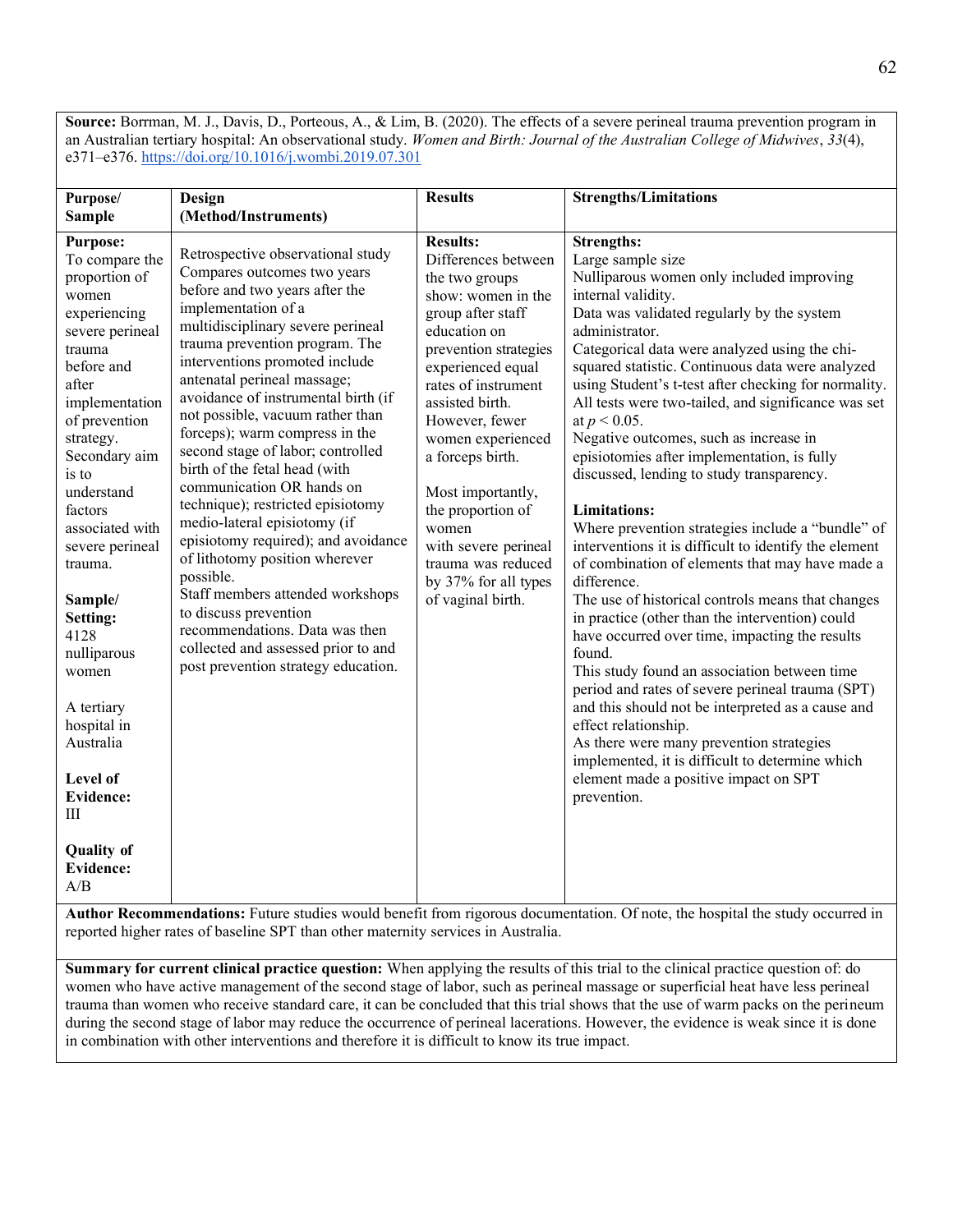**Source:** Borrman, M. J., Davis, D., Porteous, A., & Lim, B. (2020). The effects of a severe perineal trauma prevention program in an Australian tertiary hospital: An observational study. *Women and Birth: Journal of the Australian College of Midwives*, *33*(4), e371–e376.<https://doi.org/10.1016/j.wombi.2019.07.301>

| Purpose/                                                                                                                                                                                                                                                                                                                                                                                                                                                                  | Design                                                                                                                                                                                                                                                                                                                                                                                                                                                                                                                                                                                                                                                                                                                                                                                                                    | <b>Results</b>                                                                                                                                                                                                                                                                                                                                                                                                       | <b>Strengths/Limitations</b>                                                                                                                                                                                                                                                                                                                                                                                                                                                                                                                                                                                                                                                                                                                                                                                                                                                                                                                                                                                                                                                                                                                                                                                                                                                                                                                                                                               |
|---------------------------------------------------------------------------------------------------------------------------------------------------------------------------------------------------------------------------------------------------------------------------------------------------------------------------------------------------------------------------------------------------------------------------------------------------------------------------|---------------------------------------------------------------------------------------------------------------------------------------------------------------------------------------------------------------------------------------------------------------------------------------------------------------------------------------------------------------------------------------------------------------------------------------------------------------------------------------------------------------------------------------------------------------------------------------------------------------------------------------------------------------------------------------------------------------------------------------------------------------------------------------------------------------------------|----------------------------------------------------------------------------------------------------------------------------------------------------------------------------------------------------------------------------------------------------------------------------------------------------------------------------------------------------------------------------------------------------------------------|------------------------------------------------------------------------------------------------------------------------------------------------------------------------------------------------------------------------------------------------------------------------------------------------------------------------------------------------------------------------------------------------------------------------------------------------------------------------------------------------------------------------------------------------------------------------------------------------------------------------------------------------------------------------------------------------------------------------------------------------------------------------------------------------------------------------------------------------------------------------------------------------------------------------------------------------------------------------------------------------------------------------------------------------------------------------------------------------------------------------------------------------------------------------------------------------------------------------------------------------------------------------------------------------------------------------------------------------------------------------------------------------------------|
| <b>Sample</b>                                                                                                                                                                                                                                                                                                                                                                                                                                                             | (Method/Instruments)                                                                                                                                                                                                                                                                                                                                                                                                                                                                                                                                                                                                                                                                                                                                                                                                      |                                                                                                                                                                                                                                                                                                                                                                                                                      |                                                                                                                                                                                                                                                                                                                                                                                                                                                                                                                                                                                                                                                                                                                                                                                                                                                                                                                                                                                                                                                                                                                                                                                                                                                                                                                                                                                                            |
| <b>Purpose:</b><br>To compare the<br>proportion of<br>women<br>experiencing<br>severe perineal<br>trauma<br>before and<br>after<br>implementation<br>of prevention<br>strategy.<br>Secondary aim<br>is to<br>understand<br>factors<br>associated with<br>severe perineal<br>trauma.<br>Sample/<br>Setting:<br>4128<br>nulliparous<br>women<br>A tertiary<br>hospital in<br>Australia<br>Level of<br><b>Evidence:</b><br>Ш<br><b>Quality of</b><br><b>Evidence:</b><br>A/B | Retrospective observational study<br>Compares outcomes two years<br>before and two years after the<br>implementation of a<br>multidisciplinary severe perineal<br>trauma prevention program. The<br>interventions promoted include<br>antenatal perineal massage;<br>avoidance of instrumental birth (if<br>not possible, vacuum rather than<br>forceps); warm compress in the<br>second stage of labor; controlled<br>birth of the fetal head (with<br>communication OR hands on<br>technique); restricted episiotomy<br>medio-lateral episiotomy (if<br>episiotomy required); and avoidance<br>of lithotomy position wherever<br>possible.<br>Staff members attended workshops<br>to discuss prevention<br>recommendations. Data was then<br>collected and assessed prior to and<br>post prevention strategy education. | <b>Results:</b><br>Differences between<br>the two groups<br>show: women in the<br>group after staff<br>education on<br>prevention strategies<br>experienced equal<br>rates of instrument<br>assisted birth.<br>However, fewer<br>women experienced<br>a forceps birth.<br>Most importantly,<br>the proportion of<br>women<br>with severe perineal<br>trauma was reduced<br>by 37% for all types<br>of vaginal birth. | <b>Strengths:</b><br>Large sample size<br>Nulliparous women only included improving<br>internal validity.<br>Data was validated regularly by the system<br>administrator.<br>Categorical data were analyzed using the chi-<br>squared statistic. Continuous data were analyzed<br>using Student's t-test after checking for normality.<br>All tests were two-tailed, and significance was set<br>at $p < 0.05$ .<br>Negative outcomes, such as increase in<br>episiotomies after implementation, is fully<br>discussed, lending to study transparency.<br><b>Limitations:</b><br>Where prevention strategies include a "bundle" of<br>interventions it is difficult to identify the element<br>of combination of elements that may have made a<br>difference.<br>The use of historical controls means that changes<br>in practice (other than the intervention) could<br>have occurred over time, impacting the results<br>found.<br>This study found an association between time<br>period and rates of severe perineal trauma (SPT)<br>and this should not be interpreted as a cause and<br>effect relationship.<br>As there were many prevention strategies<br>implemented, it is difficult to determine which<br>element made a positive impact on SPT<br>prevention.<br>Author Recommendations: Future studies would benefit from rigorous documentation. Of note, the hospital the study occurred in |

reported higher rates of baseline SPT than other maternity services in Australia.

**Summary for current clinical practice question:** When applying the results of this trial to the clinical practice question of: do women who have active management of the second stage of labor, such as perineal massage or superficial heat have less perineal trauma than women who receive standard care, it can be concluded that this trial shows that the use of warm packs on the perineum during the second stage of labor may reduce the occurrence of perineal lacerations. However, the evidence is weak since it is done in combination with other interventions and therefore it is difficult to know its true impact.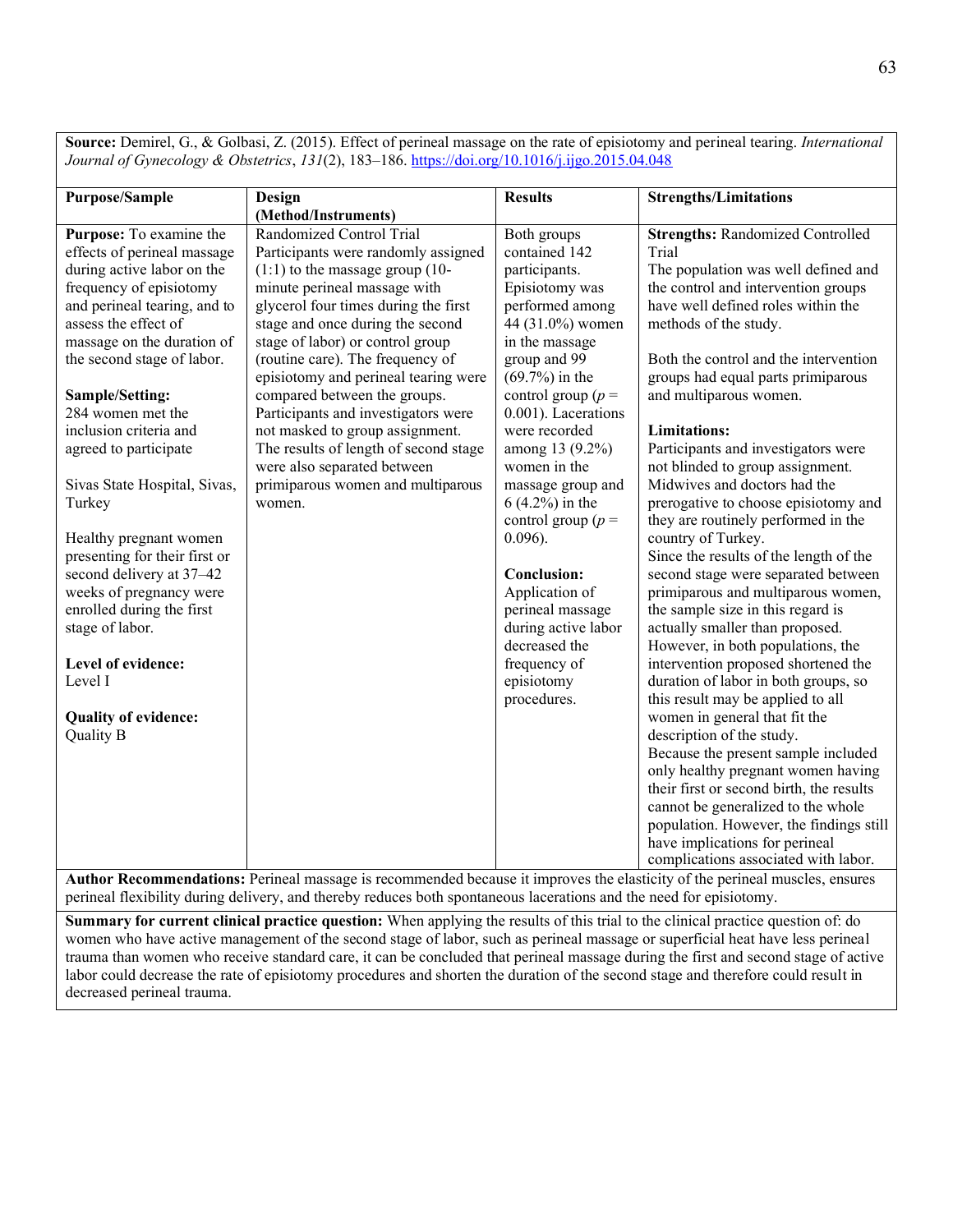**Source:** Demirel, G., & Golbasi, Z. (2015). Effect of perineal massage on the rate of episiotomy and perineal tearing. *International Journal of Gynecology & Obstetrics*, *131*(2), 183–186.<https://doi.org/10.1016/j.ijgo.2015.04.048>

| <b>Purpose/Sample</b><br>Purpose: To examine the<br>effects of perineal massage<br>during active labor on the<br>frequency of episiotomy<br>and perineal tearing, and to<br>assess the effect of<br>massage on the duration of<br>the second stage of labor.<br>Sample/Setting:<br>284 women met the<br>inclusion criteria and<br>agreed to participate<br>Sivas State Hospital, Sivas,<br>Turkey<br>Healthy pregnant women<br>presenting for their first or<br>second delivery at 37-42<br>weeks of pregnancy were<br>enrolled during the first<br>stage of labor.<br>Level of evidence:<br>Level I<br>Quality of evidence:<br>Quality B | Design<br>(Method/Instruments)<br>Randomized Control Trial<br>Participants were randomly assigned<br>$(1:1)$ to the massage group $(10-)$<br>minute perineal massage with<br>glycerol four times during the first<br>stage and once during the second<br>stage of labor) or control group<br>(routine care). The frequency of<br>episiotomy and perineal tearing were<br>compared between the groups.<br>Participants and investigators were<br>not masked to group assignment.<br>The results of length of second stage<br>were also separated between<br>primiparous women and multiparous<br>women. | <b>Results</b><br>Both groups<br>contained 142<br>participants.<br>Episiotomy was<br>performed among<br>44 (31.0%) women<br>in the massage<br>group and 99<br>$(69.7%)$ in the<br>control group ( $p =$<br>0.001). Lacerations<br>were recorded<br>among 13 (9.2%)<br>women in the<br>massage group and<br>$6(4.2%)$ in the<br>control group ( $p =$<br>$0.096$ ).<br><b>Conclusion:</b><br>Application of<br>perineal massage<br>during active labor<br>decreased the<br>frequency of<br>episiotomy<br>procedures. | <b>Strengths/Limitations</b><br><b>Strengths: Randomized Controlled</b><br>Trial<br>The population was well defined and<br>the control and intervention groups<br>have well defined roles within the<br>methods of the study.<br>Both the control and the intervention<br>groups had equal parts primiparous<br>and multiparous women.<br><b>Limitations:</b><br>Participants and investigators were<br>not blinded to group assignment.<br>Midwives and doctors had the<br>prerogative to choose episiotomy and<br>they are routinely performed in the<br>country of Turkey.<br>Since the results of the length of the<br>second stage were separated between<br>primiparous and multiparous women,<br>the sample size in this regard is<br>actually smaller than proposed.<br>However, in both populations, the<br>intervention proposed shortened the<br>duration of labor in both groups, so<br>this result may be applied to all<br>women in general that fit the<br>description of the study.<br>Because the present sample included<br>only healthy pregnant women having<br>their first or second birth, the results<br>cannot be generalized to the whole |
|-------------------------------------------------------------------------------------------------------------------------------------------------------------------------------------------------------------------------------------------------------------------------------------------------------------------------------------------------------------------------------------------------------------------------------------------------------------------------------------------------------------------------------------------------------------------------------------------------------------------------------------------|--------------------------------------------------------------------------------------------------------------------------------------------------------------------------------------------------------------------------------------------------------------------------------------------------------------------------------------------------------------------------------------------------------------------------------------------------------------------------------------------------------------------------------------------------------------------------------------------------------|---------------------------------------------------------------------------------------------------------------------------------------------------------------------------------------------------------------------------------------------------------------------------------------------------------------------------------------------------------------------------------------------------------------------------------------------------------------------------------------------------------------------|--------------------------------------------------------------------------------------------------------------------------------------------------------------------------------------------------------------------------------------------------------------------------------------------------------------------------------------------------------------------------------------------------------------------------------------------------------------------------------------------------------------------------------------------------------------------------------------------------------------------------------------------------------------------------------------------------------------------------------------------------------------------------------------------------------------------------------------------------------------------------------------------------------------------------------------------------------------------------------------------------------------------------------------------------------------------------------------------------------------------------------------------------------------------|
|                                                                                                                                                                                                                                                                                                                                                                                                                                                                                                                                                                                                                                           |                                                                                                                                                                                                                                                                                                                                                                                                                                                                                                                                                                                                        |                                                                                                                                                                                                                                                                                                                                                                                                                                                                                                                     | population. However, the findings still<br>have implications for perineal                                                                                                                                                                                                                                                                                                                                                                                                                                                                                                                                                                                                                                                                                                                                                                                                                                                                                                                                                                                                                                                                                          |
|                                                                                                                                                                                                                                                                                                                                                                                                                                                                                                                                                                                                                                           |                                                                                                                                                                                                                                                                                                                                                                                                                                                                                                                                                                                                        |                                                                                                                                                                                                                                                                                                                                                                                                                                                                                                                     | complications associated with labor.                                                                                                                                                                                                                                                                                                                                                                                                                                                                                                                                                                                                                                                                                                                                                                                                                                                                                                                                                                                                                                                                                                                               |

**Author Recommendations:** Perineal massage is recommended because it improves the elasticity of the perineal muscles, ensures perineal flexibility during delivery, and thereby reduces both spontaneous lacerations and the need for episiotomy.

**Summary for current clinical practice question:** When applying the results of this trial to the clinical practice question of: do women who have active management of the second stage of labor, such as perineal massage or superficial heat have less perineal trauma than women who receive standard care, it can be concluded that perineal massage during the first and second stage of active labor could decrease the rate of episiotomy procedures and shorten the duration of the second stage and therefore could result in decreased perineal trauma.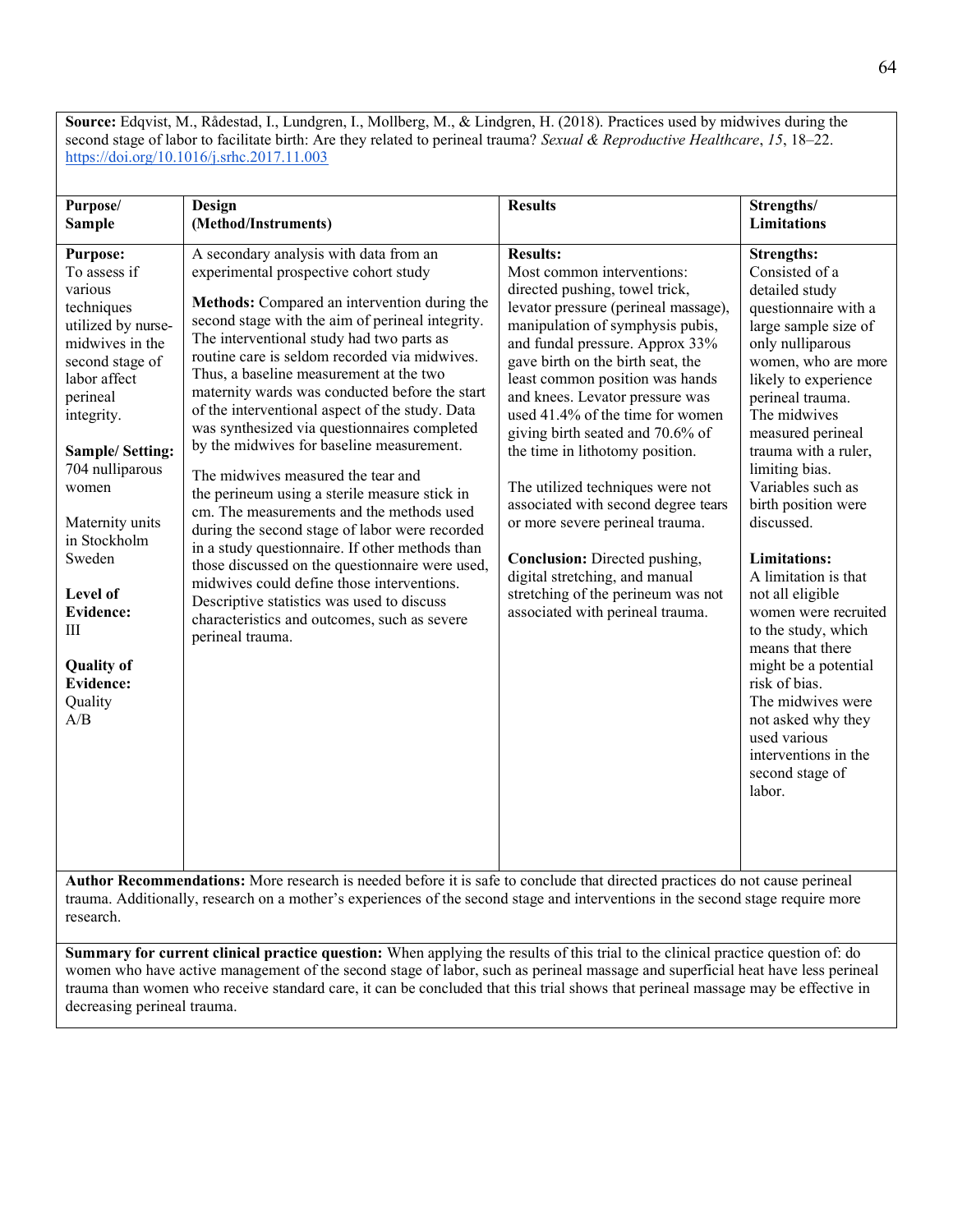**Source:** Edqvist, M., Rådestad, I., Lundgren, I., Mollberg, M., & Lindgren, H. (2018). Practices used by midwives during the second stage of labor to facilitate birth: Are they related to perineal trauma? *Sexual & Reproductive Healthcare*, *15*, 18–22. <https://doi.org/10.1016/j.srhc.2017.11.003>

|                                                                                                                                                                                                                                                                                                                                                                   |                                                                                                                                                                                                                                                                                                                                                                                                                                                                                                                                                                                                                                                                                                                                                                                                                                                                                                                                                                                            | <b>Results</b>                                                                                                                                                                                                                                                                                                                                                                                                                                                                                                                                                                                                                                                                  |                                                                                                                                                                                                                                                                                                                                                                                                                                                                                                                                                                                                                                      |
|-------------------------------------------------------------------------------------------------------------------------------------------------------------------------------------------------------------------------------------------------------------------------------------------------------------------------------------------------------------------|--------------------------------------------------------------------------------------------------------------------------------------------------------------------------------------------------------------------------------------------------------------------------------------------------------------------------------------------------------------------------------------------------------------------------------------------------------------------------------------------------------------------------------------------------------------------------------------------------------------------------------------------------------------------------------------------------------------------------------------------------------------------------------------------------------------------------------------------------------------------------------------------------------------------------------------------------------------------------------------------|---------------------------------------------------------------------------------------------------------------------------------------------------------------------------------------------------------------------------------------------------------------------------------------------------------------------------------------------------------------------------------------------------------------------------------------------------------------------------------------------------------------------------------------------------------------------------------------------------------------------------------------------------------------------------------|--------------------------------------------------------------------------------------------------------------------------------------------------------------------------------------------------------------------------------------------------------------------------------------------------------------------------------------------------------------------------------------------------------------------------------------------------------------------------------------------------------------------------------------------------------------------------------------------------------------------------------------|
| Purpose/                                                                                                                                                                                                                                                                                                                                                          | Design                                                                                                                                                                                                                                                                                                                                                                                                                                                                                                                                                                                                                                                                                                                                                                                                                                                                                                                                                                                     |                                                                                                                                                                                                                                                                                                                                                                                                                                                                                                                                                                                                                                                                                 | Strengths/<br><b>Limitations</b>                                                                                                                                                                                                                                                                                                                                                                                                                                                                                                                                                                                                     |
| <b>Sample</b>                                                                                                                                                                                                                                                                                                                                                     | (Method/Instruments)                                                                                                                                                                                                                                                                                                                                                                                                                                                                                                                                                                                                                                                                                                                                                                                                                                                                                                                                                                       |                                                                                                                                                                                                                                                                                                                                                                                                                                                                                                                                                                                                                                                                                 |                                                                                                                                                                                                                                                                                                                                                                                                                                                                                                                                                                                                                                      |
| <b>Purpose:</b><br>To assess if<br>various<br>techniques<br>utilized by nurse-<br>midwives in the<br>second stage of<br>labor affect<br>perineal<br>integrity.<br><b>Sample/Setting:</b><br>704 nulliparous<br>women<br>Maternity units<br>in Stockholm<br>Sweden<br>Level of<br><b>Evidence:</b><br>Ш<br><b>Quality of</b><br><b>Evidence:</b><br>Quality<br>A/B | A secondary analysis with data from an<br>experimental prospective cohort study<br>Methods: Compared an intervention during the<br>second stage with the aim of perineal integrity.<br>The interventional study had two parts as<br>routine care is seldom recorded via midwives.<br>Thus, a baseline measurement at the two<br>maternity wards was conducted before the start<br>of the interventional aspect of the study. Data<br>was synthesized via questionnaires completed<br>by the midwives for baseline measurement.<br>The midwives measured the tear and<br>the perineum using a sterile measure stick in<br>cm. The measurements and the methods used<br>during the second stage of labor were recorded<br>in a study questionnaire. If other methods than<br>those discussed on the questionnaire were used,<br>midwives could define those interventions.<br>Descriptive statistics was used to discuss<br>characteristics and outcomes, such as severe<br>perineal trauma. | <b>Results:</b><br>Most common interventions:<br>directed pushing, towel trick,<br>levator pressure (perineal massage),<br>manipulation of symphysis pubis,<br>and fundal pressure. Approx 33%<br>gave birth on the birth seat, the<br>least common position was hands<br>and knees. Levator pressure was<br>used 41.4% of the time for women<br>giving birth seated and 70.6% of<br>the time in lithotomy position.<br>The utilized techniques were not<br>associated with second degree tears<br>or more severe perineal trauma.<br>Conclusion: Directed pushing,<br>digital stretching, and manual<br>stretching of the perineum was not<br>associated with perineal trauma. | <b>Strengths:</b><br>Consisted of a<br>detailed study<br>questionnaire with a<br>large sample size of<br>only nulliparous<br>women, who are more<br>likely to experience<br>perineal trauma.<br>The midwives<br>measured perineal<br>trauma with a ruler,<br>limiting bias.<br>Variables such as<br>birth position were<br>discussed.<br><b>Limitations:</b><br>A limitation is that<br>not all eligible<br>women were recruited<br>to the study, which<br>means that there<br>might be a potential<br>risk of bias.<br>The midwives were<br>not asked why they<br>used various<br>interventions in the<br>second stage of<br>labor. |

**Author Recommendations:** More research is needed before it is safe to conclude that directed practices do not cause perineal trauma. Additionally, research on a mother's experiences of the second stage and interventions in the second stage require more research.

**Summary for current clinical practice question:** When applying the results of this trial to the clinical practice question of: do women who have active management of the second stage of labor, such as perineal massage and superficial heat have less perineal trauma than women who receive standard care, it can be concluded that this trial shows that perineal massage may be effective in decreasing perineal trauma.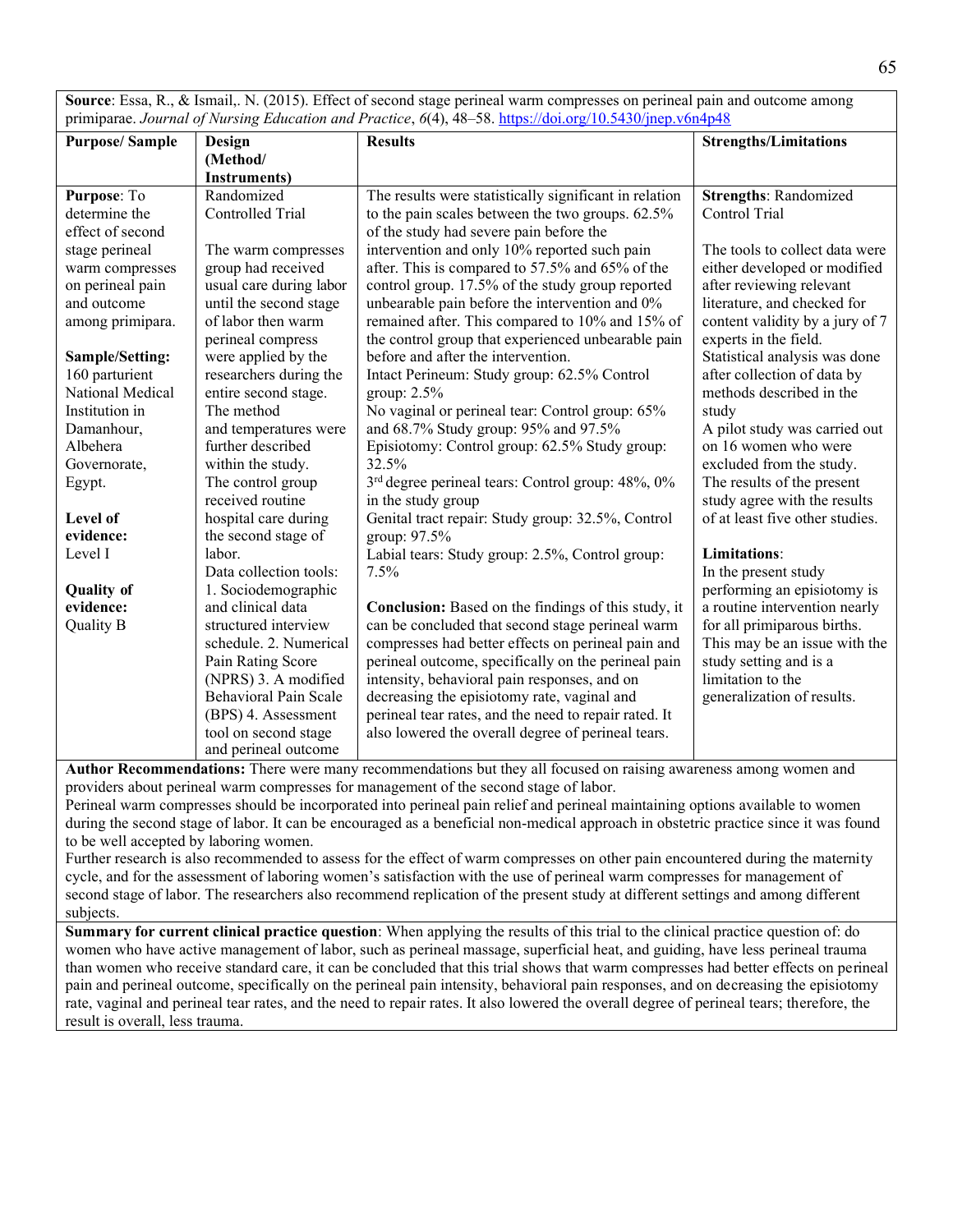**Source**: Essa, R., & Ismail,. N. (2015). Effect of second stage perineal warm compresses on perineal pain and outcome among primiparae. *Journal of Nursing Education and Practice*, *6*(4), 48–58[. https://doi.org/10.5430/jnep.v6n4p48](https://doi.org/10.5430/jnep.v6n4p48)

|                       |                         | philiparac. Journal of two sing Baucation and Fractice, $\sigma(\tau)$ , $\tau_0$ 30. <u>https://aor.org/10.3430/jitep.com-ip-ro</u> |                                 |
|-----------------------|-------------------------|--------------------------------------------------------------------------------------------------------------------------------------|---------------------------------|
| <b>Purpose/Sample</b> | Design                  | <b>Results</b>                                                                                                                       | <b>Strengths/Limitations</b>    |
|                       | (Method/                |                                                                                                                                      |                                 |
|                       | Instruments)            |                                                                                                                                      |                                 |
| Purpose: To           | Randomized              | The results were statistically significant in relation                                                                               | <b>Strengths: Randomized</b>    |
| determine the         | Controlled Trial        | to the pain scales between the two groups. 62.5%                                                                                     | Control Trial                   |
| effect of second      |                         | of the study had severe pain before the                                                                                              |                                 |
| stage perineal        | The warm compresses     | intervention and only 10% reported such pain                                                                                         | The tools to collect data were  |
| warm compresses       | group had received      | after. This is compared to 57.5% and 65% of the                                                                                      | either developed or modified    |
| on perineal pain      | usual care during labor | control group. 17.5% of the study group reported                                                                                     | after reviewing relevant        |
| and outcome           | until the second stage  | unbearable pain before the intervention and 0%                                                                                       | literature, and checked for     |
| among primipara.      | of labor then warm      | remained after. This compared to 10% and 15% of                                                                                      | content validity by a jury of 7 |
|                       | perineal compress       | the control group that experienced unbearable pain                                                                                   | experts in the field.           |
| Sample/Setting:       | were applied by the     | before and after the intervention.                                                                                                   | Statistical analysis was done   |
| 160 parturient        | researchers during the  | Intact Perineum: Study group: 62.5% Control                                                                                          | after collection of data by     |
| National Medical      | entire second stage.    | group: $2.5\%$                                                                                                                       | methods described in the        |
| Institution in        | The method              | No vaginal or perineal tear: Control group: 65%                                                                                      | study                           |
| Damanhour,            | and temperatures were   | and 68.7% Study group: 95% and 97.5%                                                                                                 | A pilot study was carried out   |
| Albehera              | further described       | Episiotomy: Control group: 62.5% Study group:                                                                                        | on 16 women who were            |
| Governorate,          | within the study.       | 32.5%                                                                                                                                | excluded from the study.        |
| Egypt.                | The control group       | 3 <sup>rd</sup> degree perineal tears: Control group: 48%, 0%                                                                        | The results of the present      |
|                       | received routine        | in the study group                                                                                                                   | study agree with the results    |
| Level of              | hospital care during    | Genital tract repair: Study group: 32.5%, Control                                                                                    | of at least five other studies. |
| evidence:             | the second stage of     | group: 97.5%                                                                                                                         |                                 |
| Level I               | labor.                  | Labial tears: Study group: 2.5%, Control group:                                                                                      | Limitations:                    |
|                       | Data collection tools:  | 7.5%                                                                                                                                 | In the present study            |
| <b>Quality of</b>     | 1. Sociodemographic     |                                                                                                                                      | performing an episiotomy is     |
| evidence:             | and clinical data       | Conclusion: Based on the findings of this study, it                                                                                  | a routine intervention nearly   |
| Quality B             | structured interview    | can be concluded that second stage perineal warm                                                                                     | for all primiparous births.     |
|                       | schedule. 2. Numerical  | compresses had better effects on perineal pain and                                                                                   | This may be an issue with the   |
|                       | Pain Rating Score       | perineal outcome, specifically on the perineal pain                                                                                  | study setting and is a          |
|                       | (NPRS) 3. A modified    | intensity, behavioral pain responses, and on                                                                                         | limitation to the               |
|                       | Behavioral Pain Scale   | decreasing the episiotomy rate, vaginal and                                                                                          | generalization of results.      |
|                       | (BPS) 4. Assessment     | perineal tear rates, and the need to repair rated. It                                                                                |                                 |
|                       | tool on second stage    | also lowered the overall degree of perineal tears.                                                                                   |                                 |
|                       | and perineal outcome    |                                                                                                                                      |                                 |

**Author Recommendations:** There were many recommendations but they all focused on raising awareness among women and providers about perineal warm compresses for management of the second stage of labor.

Perineal warm compresses should be incorporated into perineal pain relief and perineal maintaining options available to women during the second stage of labor. It can be encouraged as a beneficial non-medical approach in obstetric practice since it was found to be well accepted by laboring women.

Further research is also recommended to assess for the effect of warm compresses on other pain encountered during the maternity cycle, and for the assessment of laboring women's satisfaction with the use of perineal warm compresses for management of second stage of labor. The researchers also recommend replication of the present study at different settings and among different subjects.

**Summary for current clinical practice question**: When applying the results of this trial to the clinical practice question of: do women who have active management of labor, such as perineal massage, superficial heat, and guiding, have less perineal trauma than women who receive standard care, it can be concluded that this trial shows that warm compresses had better effects on perineal pain and perineal outcome, specifically on the perineal pain intensity, behavioral pain responses, and on decreasing the episiotomy rate, vaginal and perineal tear rates, and the need to repair rates. It also lowered the overall degree of perineal tears; therefore, the result is overall, less trauma.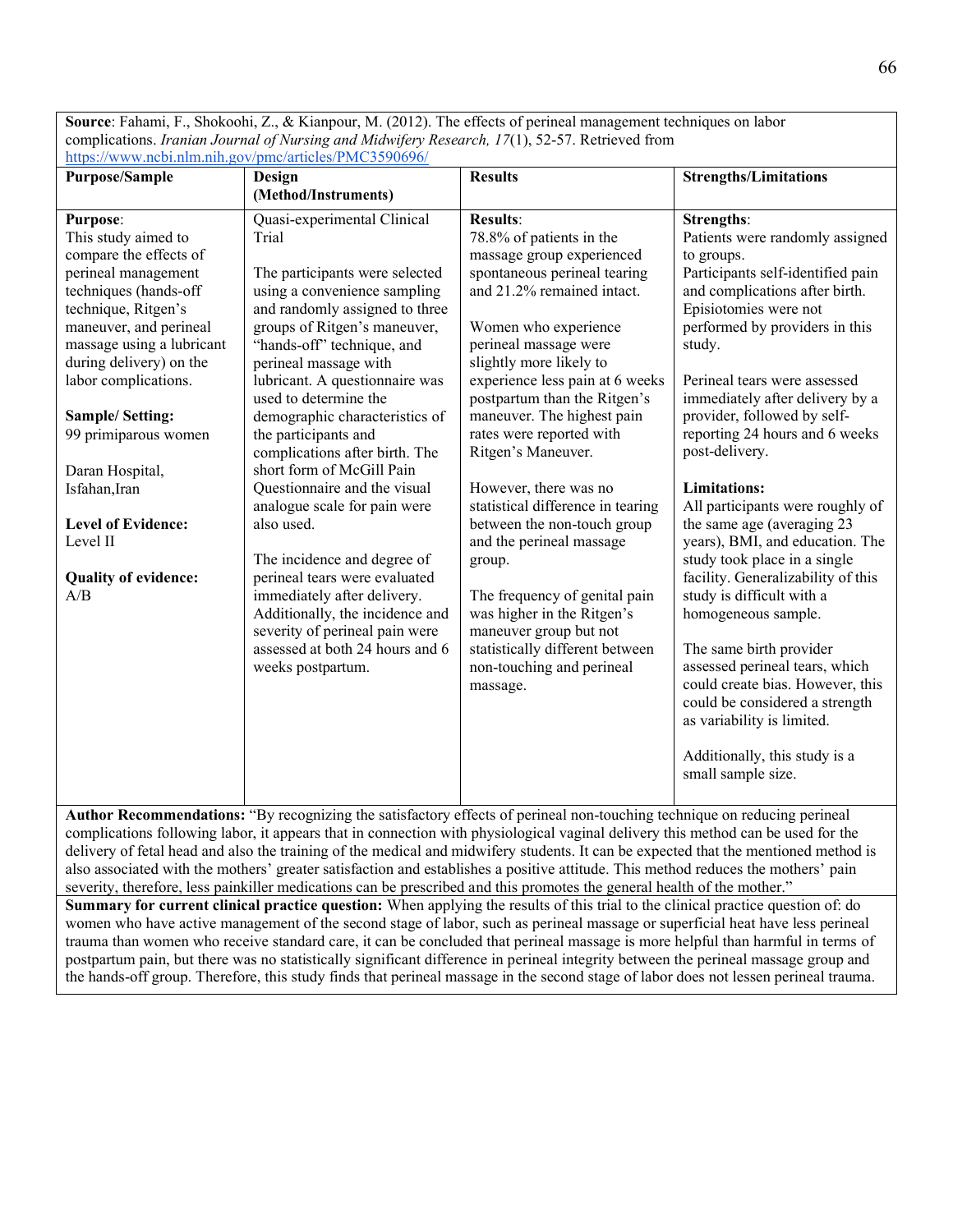**Source**: Fahami, F., Shokoohi, Z., & Kianpour, M. (2012). The effects of perineal management techniques on labor complications. *Iranian Journal of Nursing and Midwifery Research, 17*(1), 52-57. Retrieved from <https://www.ncbi.nlm.nih.gov/pmc/articles/PMC3590696/>

| <b>Purpose/Sample</b>                                                                                                                                                                                                                                                                                                                                                                                                  | Design                                                                                                                                                                                                                                                                                                                                                                                                                                                                                                                                                                                                                                                                                                                        | <b>Results</b>                                                                                                                                                                                                                                                                                                                                                                                                                                                                                                                                                                                                                                                                | <b>Strengths/Limitations</b>                                                                                                                                                                                                                                                                                                                                                                                                                                                                                                                                                                                                                                                                                                                                                                                                                       |
|------------------------------------------------------------------------------------------------------------------------------------------------------------------------------------------------------------------------------------------------------------------------------------------------------------------------------------------------------------------------------------------------------------------------|-------------------------------------------------------------------------------------------------------------------------------------------------------------------------------------------------------------------------------------------------------------------------------------------------------------------------------------------------------------------------------------------------------------------------------------------------------------------------------------------------------------------------------------------------------------------------------------------------------------------------------------------------------------------------------------------------------------------------------|-------------------------------------------------------------------------------------------------------------------------------------------------------------------------------------------------------------------------------------------------------------------------------------------------------------------------------------------------------------------------------------------------------------------------------------------------------------------------------------------------------------------------------------------------------------------------------------------------------------------------------------------------------------------------------|----------------------------------------------------------------------------------------------------------------------------------------------------------------------------------------------------------------------------------------------------------------------------------------------------------------------------------------------------------------------------------------------------------------------------------------------------------------------------------------------------------------------------------------------------------------------------------------------------------------------------------------------------------------------------------------------------------------------------------------------------------------------------------------------------------------------------------------------------|
|                                                                                                                                                                                                                                                                                                                                                                                                                        | (Method/Instruments)                                                                                                                                                                                                                                                                                                                                                                                                                                                                                                                                                                                                                                                                                                          |                                                                                                                                                                                                                                                                                                                                                                                                                                                                                                                                                                                                                                                                               |                                                                                                                                                                                                                                                                                                                                                                                                                                                                                                                                                                                                                                                                                                                                                                                                                                                    |
| <b>Purpose:</b><br>This study aimed to<br>compare the effects of<br>perineal management<br>techniques (hands-off<br>technique, Ritgen's<br>maneuver, and perineal<br>massage using a lubricant<br>during delivery) on the<br>labor complications.<br><b>Sample/Setting:</b><br>99 primiparous women<br>Daran Hospital,<br>Isfahan, Iran<br><b>Level of Evidence:</b><br>Level II<br><b>Quality of evidence:</b><br>A/B | Quasi-experimental Clinical<br>Trial<br>The participants were selected<br>using a convenience sampling<br>and randomly assigned to three<br>groups of Ritgen's maneuver,<br>"hands-off" technique, and<br>perineal massage with<br>lubricant. A questionnaire was<br>used to determine the<br>demographic characteristics of<br>the participants and<br>complications after birth. The<br>short form of McGill Pain<br>Questionnaire and the visual<br>analogue scale for pain were<br>also used.<br>The incidence and degree of<br>perineal tears were evaluated<br>immediately after delivery.<br>Additionally, the incidence and<br>severity of perineal pain were<br>assessed at both 24 hours and 6<br>weeks postpartum. | <b>Results:</b><br>78.8% of patients in the<br>massage group experienced<br>spontaneous perineal tearing<br>and 21.2% remained intact.<br>Women who experience<br>perineal massage were<br>slightly more likely to<br>experience less pain at 6 weeks<br>postpartum than the Ritgen's<br>maneuver. The highest pain<br>rates were reported with<br>Ritgen's Maneuver.<br>However, there was no<br>statistical difference in tearing<br>between the non-touch group<br>and the perineal massage<br>group.<br>The frequency of genital pain<br>was higher in the Ritgen's<br>maneuver group but not<br>statistically different between<br>non-touching and perineal<br>massage. | <b>Strengths:</b><br>Patients were randomly assigned<br>to groups.<br>Participants self-identified pain<br>and complications after birth.<br>Episiotomies were not<br>performed by providers in this<br>study.<br>Perineal tears were assessed<br>immediately after delivery by a<br>provider, followed by self-<br>reporting 24 hours and 6 weeks<br>post-delivery.<br><b>Limitations:</b><br>All participants were roughly of<br>the same age (averaging 23<br>years), BMI, and education. The<br>study took place in a single<br>facility. Generalizability of this<br>study is difficult with a<br>homogeneous sample.<br>The same birth provider<br>assessed perineal tears, which<br>could create bias. However, this<br>could be considered a strength<br>as variability is limited.<br>Additionally, this study is a<br>small sample size. |
|                                                                                                                                                                                                                                                                                                                                                                                                                        | Author Recommendations: "By recognizing the satisfactory effects of periped non-touching technique on reducing periped                                                                                                                                                                                                                                                                                                                                                                                                                                                                                                                                                                                                        |                                                                                                                                                                                                                                                                                                                                                                                                                                                                                                                                                                                                                                                                               |                                                                                                                                                                                                                                                                                                                                                                                                                                                                                                                                                                                                                                                                                                                                                                                                                                                    |

**Author Recommendations:** "By recognizing the satisfactory effects of perineal non-touching technique on reducing perineal complications following labor, it appears that in connection with physiological vaginal delivery this method can be used for the delivery of fetal head and also the training of the medical and midwifery students. It can be expected that the mentioned method is also associated with the mothers' greater satisfaction and establishes a positive attitude. This method reduces the mothers' pain severity, therefore, less painkiller medications can be prescribed and this promotes the general health of the mother."

**Summary for current clinical practice question:** When applying the results of this trial to the clinical practice question of: do women who have active management of the second stage of labor, such as perineal massage or superficial heat have less perineal trauma than women who receive standard care, it can be concluded that perineal massage is more helpful than harmful in terms of postpartum pain, but there was no statistically significant difference in perineal integrity between the perineal massage group and the hands-off group. Therefore, this study finds that perineal massage in the second stage of labor does not lessen perineal trauma.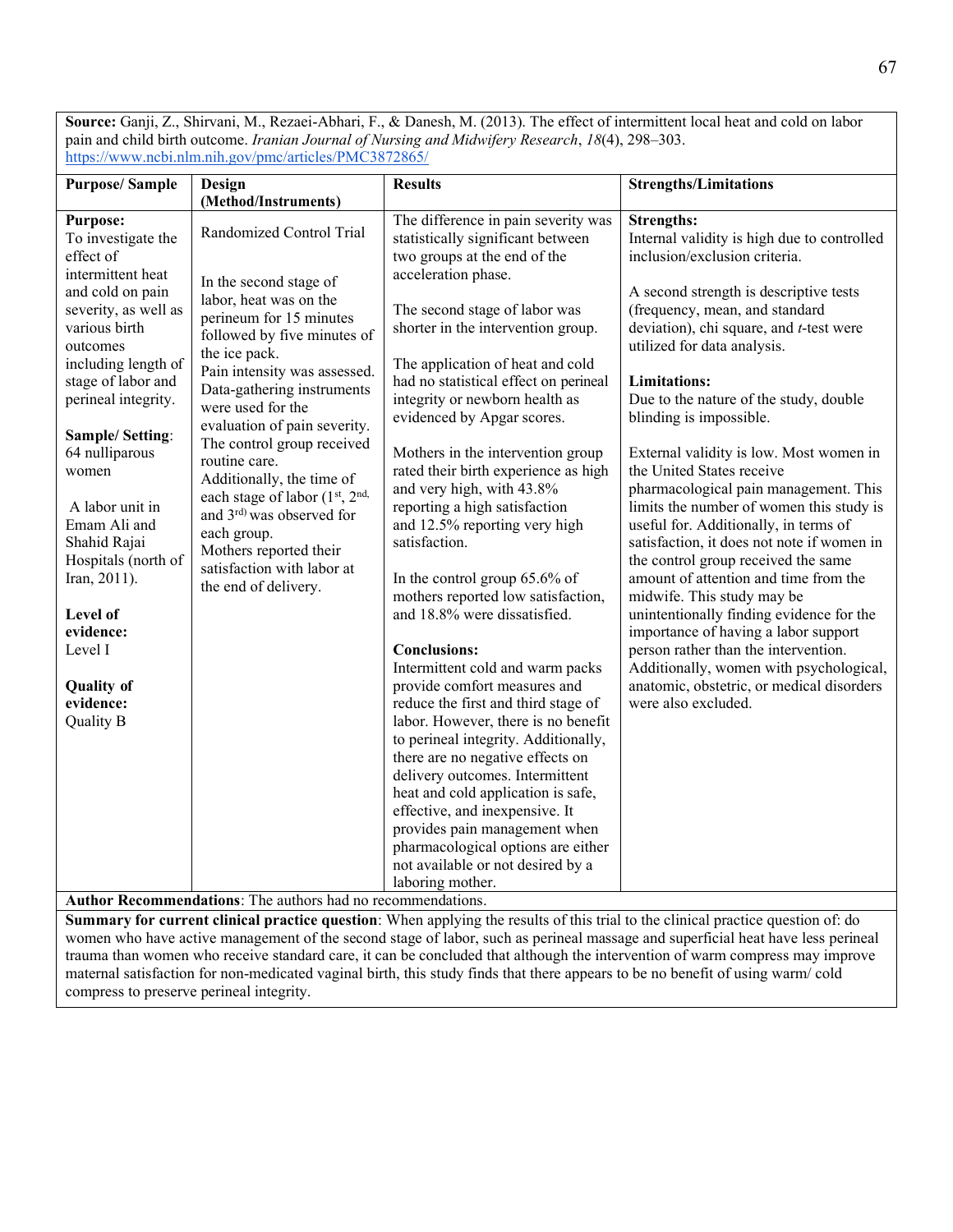**Source:** Ganji, Z., Shirvani, M., Rezaei-Abhari, F., & Danesh, M. (2013). The effect of intermittent local heat and cold on labor pain and child birth outcome. *Iranian Journal of Nursing and Midwifery Research*, *18*(4), 298–303. <https://www.ncbi.nlm.nih.gov/pmc/articles/PMC3872865/>

| <b>Purpose/Sample</b>                                                                                                                                                                                                                                                                                                                                                                                                                                                | Design                                                                                                                                                                                                                                                                                                                                                                                                                                                                                                                                                                              | <b>Results</b>                                                                                                                                                                                                                                                                                                                                                                                                                                                                                                                                                                                                                                                                                                                                                                                                                                                                                                                                                                                                                                                                                                                                          | <b>Strengths/Limitations</b>                                                                                                                                                                                                                                                                                                                                                                                                                                                                                                                                                                                                                                                                                                                                                                                                                                                                                                                              |  |
|----------------------------------------------------------------------------------------------------------------------------------------------------------------------------------------------------------------------------------------------------------------------------------------------------------------------------------------------------------------------------------------------------------------------------------------------------------------------|-------------------------------------------------------------------------------------------------------------------------------------------------------------------------------------------------------------------------------------------------------------------------------------------------------------------------------------------------------------------------------------------------------------------------------------------------------------------------------------------------------------------------------------------------------------------------------------|---------------------------------------------------------------------------------------------------------------------------------------------------------------------------------------------------------------------------------------------------------------------------------------------------------------------------------------------------------------------------------------------------------------------------------------------------------------------------------------------------------------------------------------------------------------------------------------------------------------------------------------------------------------------------------------------------------------------------------------------------------------------------------------------------------------------------------------------------------------------------------------------------------------------------------------------------------------------------------------------------------------------------------------------------------------------------------------------------------------------------------------------------------|-----------------------------------------------------------------------------------------------------------------------------------------------------------------------------------------------------------------------------------------------------------------------------------------------------------------------------------------------------------------------------------------------------------------------------------------------------------------------------------------------------------------------------------------------------------------------------------------------------------------------------------------------------------------------------------------------------------------------------------------------------------------------------------------------------------------------------------------------------------------------------------------------------------------------------------------------------------|--|
|                                                                                                                                                                                                                                                                                                                                                                                                                                                                      | (Method/Instruments)                                                                                                                                                                                                                                                                                                                                                                                                                                                                                                                                                                |                                                                                                                                                                                                                                                                                                                                                                                                                                                                                                                                                                                                                                                                                                                                                                                                                                                                                                                                                                                                                                                                                                                                                         |                                                                                                                                                                                                                                                                                                                                                                                                                                                                                                                                                                                                                                                                                                                                                                                                                                                                                                                                                           |  |
| <b>Purpose:</b><br>To investigate the<br>effect of<br>intermittent heat<br>and cold on pain<br>severity, as well as<br>various birth<br>outcomes<br>including length of<br>stage of labor and<br>perineal integrity.<br><b>Sample/Setting:</b><br>64 nulliparous<br>women<br>A labor unit in<br>Emam Ali and<br>Shahid Rajai<br>Hospitals (north of<br>Iran, 2011).<br><b>Level of</b><br>evidence:<br>Level I<br><b>Quality of</b><br>evidence:<br><b>Quality B</b> | Randomized Control Trial<br>In the second stage of<br>labor, heat was on the<br>perineum for 15 minutes<br>followed by five minutes of<br>the ice pack.<br>Pain intensity was assessed.<br>Data-gathering instruments<br>were used for the<br>evaluation of pain severity.<br>The control group received<br>routine care.<br>Additionally, the time of<br>each stage of labor (1st, 2nd,<br>and 3rd) was observed for<br>each group.<br>Mothers reported their<br>satisfaction with labor at<br>the end of delivery.<br>Author Recommendations: The authors had no recommendations. | The difference in pain severity was<br>statistically significant between<br>two groups at the end of the<br>acceleration phase.<br>The second stage of labor was<br>shorter in the intervention group.<br>The application of heat and cold<br>had no statistical effect on perineal<br>integrity or newborn health as<br>evidenced by Apgar scores.<br>Mothers in the intervention group<br>rated their birth experience as high<br>and very high, with 43.8%<br>reporting a high satisfaction<br>and 12.5% reporting very high<br>satisfaction.<br>In the control group 65.6% of<br>mothers reported low satisfaction,<br>and 18.8% were dissatisfied.<br><b>Conclusions:</b><br>Intermittent cold and warm packs<br>provide comfort measures and<br>reduce the first and third stage of<br>labor. However, there is no benefit<br>to perineal integrity. Additionally,<br>there are no negative effects on<br>delivery outcomes. Intermittent<br>heat and cold application is safe,<br>effective, and inexpensive. It<br>provides pain management when<br>pharmacological options are either<br>not available or not desired by a<br>laboring mother. | <b>Strengths:</b><br>Internal validity is high due to controlled<br>inclusion/exclusion criteria.<br>A second strength is descriptive tests<br>(frequency, mean, and standard<br>deviation), chi square, and t-test were<br>utilized for data analysis.<br>Limitations:<br>Due to the nature of the study, double<br>blinding is impossible.<br>External validity is low. Most women in<br>the United States receive<br>pharmacological pain management. This<br>limits the number of women this study is<br>useful for. Additionally, in terms of<br>satisfaction, it does not note if women in<br>the control group received the same<br>amount of attention and time from the<br>midwife. This study may be<br>unintentionally finding evidence for the<br>importance of having a labor support<br>person rather than the intervention.<br>Additionally, women with psychological,<br>anatomic, obstetric, or medical disorders<br>were also excluded. |  |
|                                                                                                                                                                                                                                                                                                                                                                                                                                                                      |                                                                                                                                                                                                                                                                                                                                                                                                                                                                                                                                                                                     |                                                                                                                                                                                                                                                                                                                                                                                                                                                                                                                                                                                                                                                                                                                                                                                                                                                                                                                                                                                                                                                                                                                                                         | Summary for current clinical practice question: When applying the results of this trial to the clinical practice question of: do                                                                                                                                                                                                                                                                                                                                                                                                                                                                                                                                                                                                                                                                                                                                                                                                                          |  |
|                                                                                                                                                                                                                                                                                                                                                                                                                                                                      |                                                                                                                                                                                                                                                                                                                                                                                                                                                                                                                                                                                     |                                                                                                                                                                                                                                                                                                                                                                                                                                                                                                                                                                                                                                                                                                                                                                                                                                                                                                                                                                                                                                                                                                                                                         |                                                                                                                                                                                                                                                                                                                                                                                                                                                                                                                                                                                                                                                                                                                                                                                                                                                                                                                                                           |  |
| women who have active management of the second stage of labor, such as perineal massage and superficial heat have less perineal<br>toring their incorporate and the standard search conditional distributional the interaction of common company accept                                                                                                                                                                                                              |                                                                                                                                                                                                                                                                                                                                                                                                                                                                                                                                                                                     |                                                                                                                                                                                                                                                                                                                                                                                                                                                                                                                                                                                                                                                                                                                                                                                                                                                                                                                                                                                                                                                                                                                                                         |                                                                                                                                                                                                                                                                                                                                                                                                                                                                                                                                                                                                                                                                                                                                                                                                                                                                                                                                                           |  |

trauma than women who receive standard care, it can be concluded that although the intervention of warm compress may improve maternal satisfaction for non-medicated vaginal birth, this study finds that there appears to be no benefit of using warm/ cold compress to preserve perineal integrity.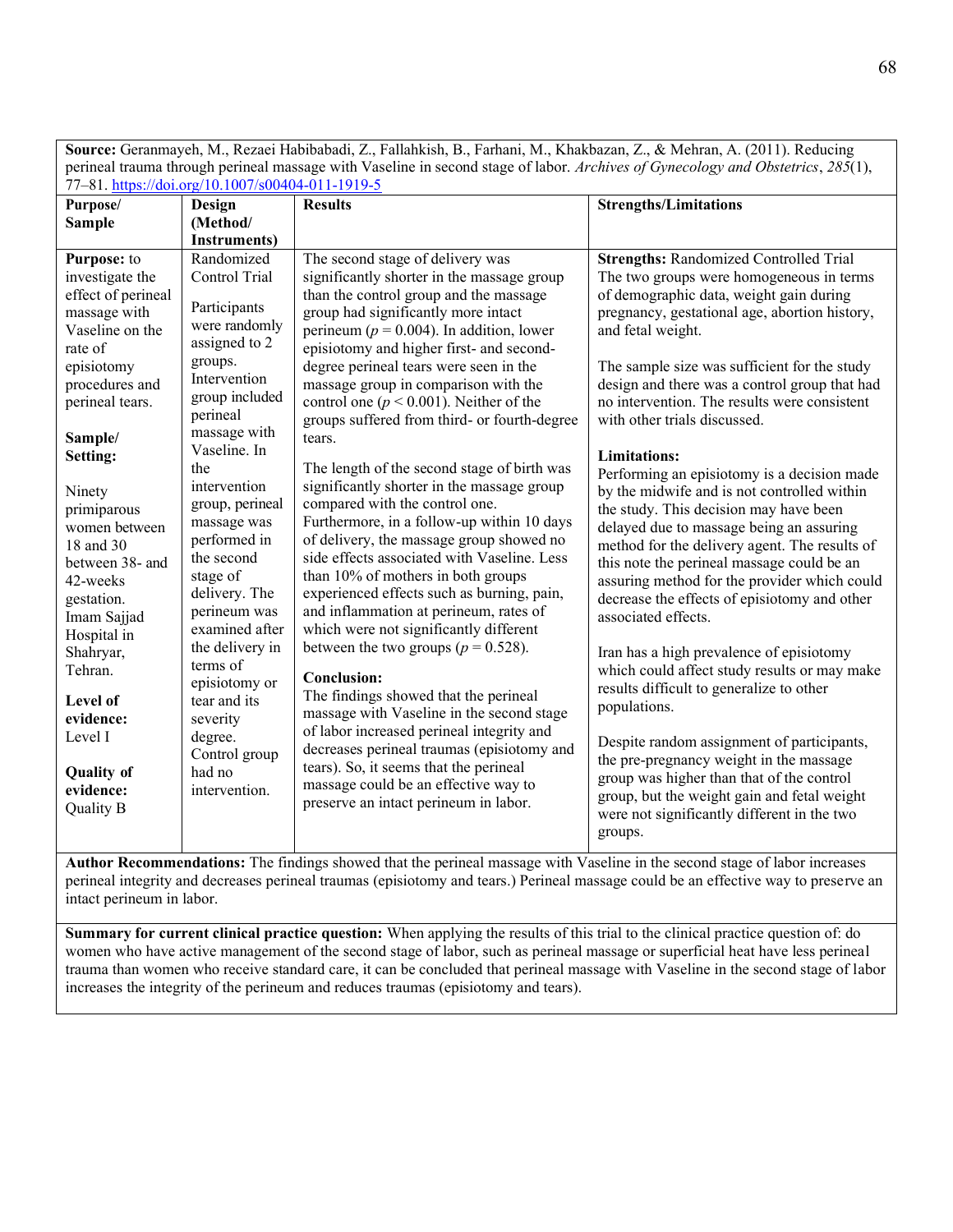**Source:** Geranmayeh, M., Rezaei Habibabadi, Z., Fallahkish, B., Farhani, M., Khakbazan, Z., & Mehran, A. (2011). Reducing perineal trauma through perineal massage with Vaseline in second stage of labor. *Archives of Gynecology and Obstetrics*, *285*(1), 77–81.<https://doi.org/10.1007/s00404-011-1919-5>

| Purpose/                                                                                                                                                                                                                                                                                                                                                                                                                  | Design                                                                                                                                                                                                                                                                                                                                                                                                                                                          | <b>Results</b>                                                                                                                                                                                                                                                                                                                                                                                                                                                                                                                                                                                                                                                                                                                                                                                                                                                                                                                                                                                                                                                                                                                                                                                                                                                                      | <b>Strengths/Limitations</b>                                                                                                                                                                                                                                                                                                                                                                                                                                                                                                                                                                                                                                                                                                                                                                                                                                                                                                                                                                                                                                                                                                                                                                                                        |
|---------------------------------------------------------------------------------------------------------------------------------------------------------------------------------------------------------------------------------------------------------------------------------------------------------------------------------------------------------------------------------------------------------------------------|-----------------------------------------------------------------------------------------------------------------------------------------------------------------------------------------------------------------------------------------------------------------------------------------------------------------------------------------------------------------------------------------------------------------------------------------------------------------|-------------------------------------------------------------------------------------------------------------------------------------------------------------------------------------------------------------------------------------------------------------------------------------------------------------------------------------------------------------------------------------------------------------------------------------------------------------------------------------------------------------------------------------------------------------------------------------------------------------------------------------------------------------------------------------------------------------------------------------------------------------------------------------------------------------------------------------------------------------------------------------------------------------------------------------------------------------------------------------------------------------------------------------------------------------------------------------------------------------------------------------------------------------------------------------------------------------------------------------------------------------------------------------|-------------------------------------------------------------------------------------------------------------------------------------------------------------------------------------------------------------------------------------------------------------------------------------------------------------------------------------------------------------------------------------------------------------------------------------------------------------------------------------------------------------------------------------------------------------------------------------------------------------------------------------------------------------------------------------------------------------------------------------------------------------------------------------------------------------------------------------------------------------------------------------------------------------------------------------------------------------------------------------------------------------------------------------------------------------------------------------------------------------------------------------------------------------------------------------------------------------------------------------|
| <b>Sample</b>                                                                                                                                                                                                                                                                                                                                                                                                             | (Method/                                                                                                                                                                                                                                                                                                                                                                                                                                                        |                                                                                                                                                                                                                                                                                                                                                                                                                                                                                                                                                                                                                                                                                                                                                                                                                                                                                                                                                                                                                                                                                                                                                                                                                                                                                     |                                                                                                                                                                                                                                                                                                                                                                                                                                                                                                                                                                                                                                                                                                                                                                                                                                                                                                                                                                                                                                                                                                                                                                                                                                     |
|                                                                                                                                                                                                                                                                                                                                                                                                                           | <b>Instruments</b> )                                                                                                                                                                                                                                                                                                                                                                                                                                            |                                                                                                                                                                                                                                                                                                                                                                                                                                                                                                                                                                                                                                                                                                                                                                                                                                                                                                                                                                                                                                                                                                                                                                                                                                                                                     |                                                                                                                                                                                                                                                                                                                                                                                                                                                                                                                                                                                                                                                                                                                                                                                                                                                                                                                                                                                                                                                                                                                                                                                                                                     |
| Purpose: to<br>investigate the<br>effect of perineal<br>massage with<br>Vaseline on the<br>rate of<br>episiotomy<br>procedures and<br>perineal tears.<br>Sample/<br>Setting:<br>Ninety<br>primiparous<br>women between<br>18 and 30<br>between 38- and<br>42-weeks<br>gestation.<br>Imam Sajjad<br>Hospital in<br>Shahryar,<br>Tehran.<br>Level of<br>evidence:<br>Level I<br><b>Quality of</b><br>evidence:<br>Quality B | Randomized<br>Control Trial<br>Participants<br>were randomly<br>assigned to 2<br>groups.<br>Intervention<br>group included<br>perineal<br>massage with<br>Vaseline. In<br>the<br>intervention<br>group, perineal<br>massage was<br>performed in<br>the second<br>stage of<br>delivery. The<br>perineum was<br>examined after<br>the delivery in<br>terms of<br>episiotomy or<br>tear and its<br>severity<br>degree.<br>Control group<br>had no<br>intervention. | The second stage of delivery was<br>significantly shorter in the massage group<br>than the control group and the massage<br>group had significantly more intact<br>perineum ( $p = 0.004$ ). In addition, lower<br>episiotomy and higher first- and second-<br>degree perineal tears were seen in the<br>massage group in comparison with the<br>control one ( $p < 0.001$ ). Neither of the<br>groups suffered from third- or fourth-degree<br>tears.<br>The length of the second stage of birth was<br>significantly shorter in the massage group<br>compared with the control one.<br>Furthermore, in a follow-up within 10 days<br>of delivery, the massage group showed no<br>side effects associated with Vaseline. Less<br>than 10% of mothers in both groups<br>experienced effects such as burning, pain,<br>and inflammation at perineum, rates of<br>which were not significantly different<br>between the two groups ( $p = 0.528$ ).<br><b>Conclusion:</b><br>The findings showed that the perineal<br>massage with Vaseline in the second stage<br>of labor increased perineal integrity and<br>decreases perineal traumas (episiotomy and<br>tears). So, it seems that the perineal<br>massage could be an effective way to<br>preserve an intact perineum in labor. | <b>Strengths: Randomized Controlled Trial</b><br>The two groups were homogeneous in terms<br>of demographic data, weight gain during<br>pregnancy, gestational age, abortion history,<br>and fetal weight.<br>The sample size was sufficient for the study<br>design and there was a control group that had<br>no intervention. The results were consistent<br>with other trials discussed.<br><b>Limitations:</b><br>Performing an episiotomy is a decision made<br>by the midwife and is not controlled within<br>the study. This decision may have been<br>delayed due to massage being an assuring<br>method for the delivery agent. The results of<br>this note the perineal massage could be an<br>assuring method for the provider which could<br>decrease the effects of episiotomy and other<br>associated effects.<br>Iran has a high prevalence of episiotomy<br>which could affect study results or may make<br>results difficult to generalize to other<br>populations.<br>Despite random assignment of participants,<br>the pre-pregnancy weight in the massage<br>group was higher than that of the control<br>group, but the weight gain and fetal weight<br>were not significantly different in the two<br>groups. |

**Author Recommendations:** The findings showed that the perineal massage with Vaseline in the second stage of labor increases perineal integrity and decreases perineal traumas (episiotomy and tears.) Perineal massage could be an effective way to preserve an intact perineum in labor.

**Summary for current clinical practice question:** When applying the results of this trial to the clinical practice question of: do women who have active management of the second stage of labor, such as perineal massage or superficial heat have less perineal trauma than women who receive standard care, it can be concluded that perineal massage with Vaseline in the second stage of labor increases the integrity of the perineum and reduces traumas (episiotomy and tears).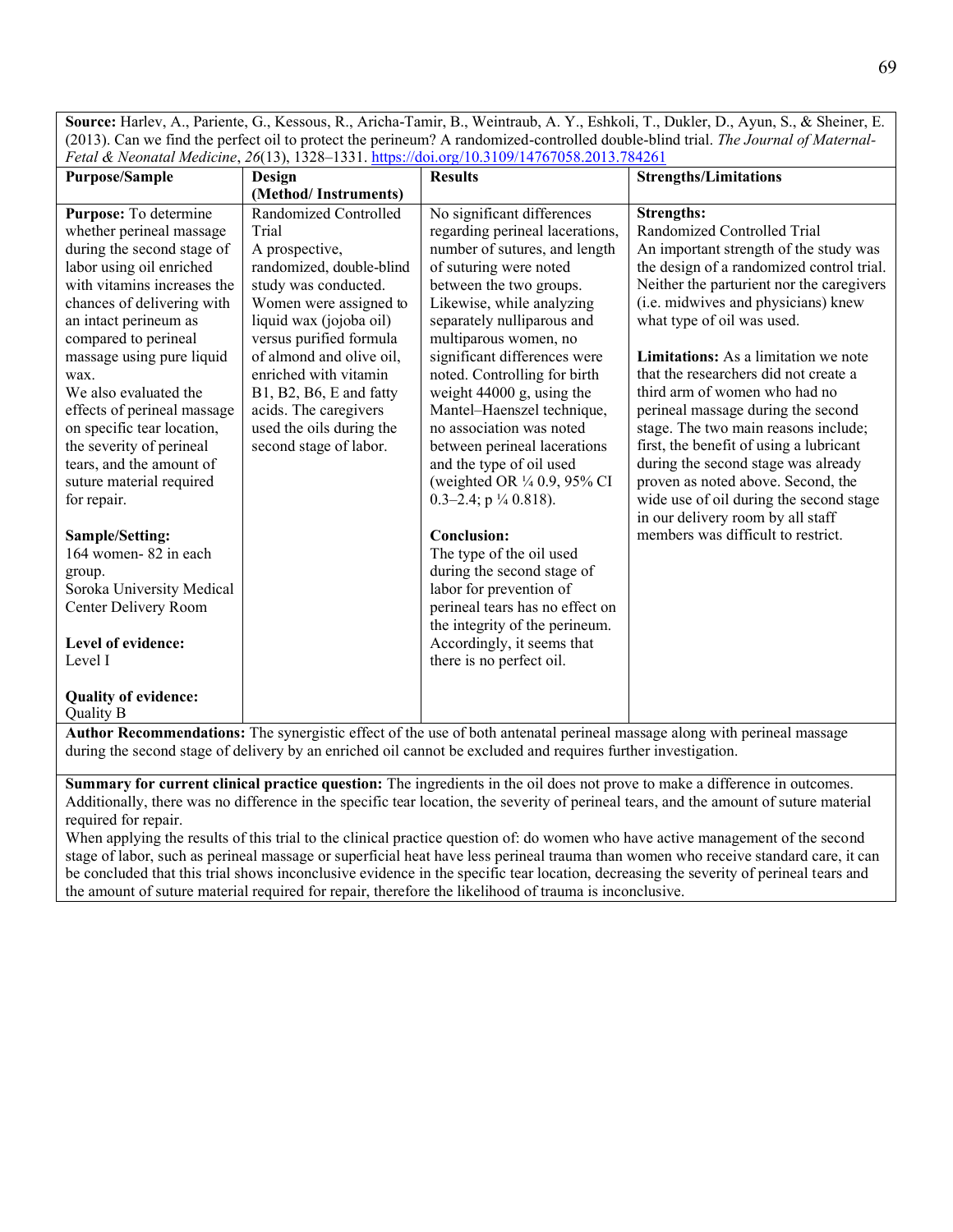**Source:** Harlev, A., Pariente, G., Kessous, R., Aricha-Tamir, B., Weintraub, A. Y., Eshkoli, T., Dukler, D., Ayun, S., & Sheiner, E. (2013). Can we find the perfect oil to protect the perineum? A randomized-controlled double-blind trial. *The Journal of Maternal-Fetal & Neonatal Medicine*, *26*(13), 1328–1331.<https://doi.org/10.3109/14767058.2013.784261>

| <b>Purpose/Sample</b>                                                                                                                                                                                                                                                                   | <b>Design</b>                                                                                                                                                                                                                                                        | <b>Results</b>                                                                                                                                                                                                                                                                                                                       | <b>Strengths/Limitations</b>                                                                                                                                                                                                                                                                                                                                                |
|-----------------------------------------------------------------------------------------------------------------------------------------------------------------------------------------------------------------------------------------------------------------------------------------|----------------------------------------------------------------------------------------------------------------------------------------------------------------------------------------------------------------------------------------------------------------------|--------------------------------------------------------------------------------------------------------------------------------------------------------------------------------------------------------------------------------------------------------------------------------------------------------------------------------------|-----------------------------------------------------------------------------------------------------------------------------------------------------------------------------------------------------------------------------------------------------------------------------------------------------------------------------------------------------------------------------|
|                                                                                                                                                                                                                                                                                         | (Method/Instruments)                                                                                                                                                                                                                                                 |                                                                                                                                                                                                                                                                                                                                      |                                                                                                                                                                                                                                                                                                                                                                             |
| Purpose: To determine<br>whether perineal massage<br>during the second stage of<br>labor using oil enriched<br>with vitamins increases the<br>chances of delivering with<br>an intact perineum as<br>compared to perineal<br>massage using pure liquid<br>wax.<br>We also evaluated the | Randomized Controlled<br>Trial<br>A prospective,<br>randomized, double-blind<br>study was conducted.<br>Women were assigned to<br>liquid wax (jojoba oil)<br>versus purified formula<br>of almond and olive oil,<br>enriched with vitamin<br>B1, B2, B6, E and fatty | No significant differences<br>regarding perineal lacerations,<br>number of sutures, and length<br>of suturing were noted<br>between the two groups.<br>Likewise, while analyzing<br>separately nulliparous and<br>multiparous women, no<br>significant differences were<br>noted. Controlling for birth<br>weight 44000 g, using the | <b>Strengths:</b><br>Randomized Controlled Trial<br>An important strength of the study was<br>the design of a randomized control trial.<br>Neither the parturient nor the caregivers<br>(i.e. midwives and physicians) knew<br>what type of oil was used.<br>Limitations: As a limitation we note<br>that the researchers did not create a<br>third arm of women who had no |
| effects of perineal massage<br>on specific tear location,<br>the severity of perineal<br>tears, and the amount of<br>suture material required<br>for repair.                                                                                                                            | acids. The caregivers<br>used the oils during the<br>second stage of labor.                                                                                                                                                                                          | Mantel-Haenszel technique,<br>no association was noted<br>between perineal lacerations<br>and the type of oil used<br>(weighted OR 1/4 0.9, 95% CI<br>0.3-2.4; $p \frac{1}{4}$ 0.818).                                                                                                                                               | perineal massage during the second<br>stage. The two main reasons include;<br>first, the benefit of using a lubricant<br>during the second stage was already<br>proven as noted above. Second, the<br>wide use of oil during the second stage<br>in our delivery room by all staff                                                                                          |
| Sample/Setting:                                                                                                                                                                                                                                                                         |                                                                                                                                                                                                                                                                      | <b>Conclusion:</b>                                                                                                                                                                                                                                                                                                                   | members was difficult to restrict.                                                                                                                                                                                                                                                                                                                                          |
| 164 women-82 in each<br>group.<br>Soroka University Medical<br>Center Delivery Room                                                                                                                                                                                                     |                                                                                                                                                                                                                                                                      | The type of the oil used<br>during the second stage of<br>labor for prevention of<br>perineal tears has no effect on<br>the integrity of the perineum.                                                                                                                                                                               |                                                                                                                                                                                                                                                                                                                                                                             |
| Level of evidence:<br>Level I                                                                                                                                                                                                                                                           |                                                                                                                                                                                                                                                                      | Accordingly, it seems that                                                                                                                                                                                                                                                                                                           |                                                                                                                                                                                                                                                                                                                                                                             |
|                                                                                                                                                                                                                                                                                         |                                                                                                                                                                                                                                                                      | there is no perfect oil.                                                                                                                                                                                                                                                                                                             |                                                                                                                                                                                                                                                                                                                                                                             |
| <b>Quality of evidence:</b><br>Quality B                                                                                                                                                                                                                                                |                                                                                                                                                                                                                                                                      |                                                                                                                                                                                                                                                                                                                                      |                                                                                                                                                                                                                                                                                                                                                                             |

**Author Recommendations:** The synergistic effect of the use of both antenatal perineal massage along with perineal massage during the second stage of delivery by an enriched oil cannot be excluded and requires further investigation.

**Summary for current clinical practice question:** The ingredients in the oil does not prove to make a difference in outcomes. Additionally, there was no difference in the specific tear location, the severity of perineal tears, and the amount of suture material required for repair.

When applying the results of this trial to the clinical practice question of: do women who have active management of the second stage of labor, such as perineal massage or superficial heat have less perineal trauma than women who receive standard care, it can be concluded that this trial shows inconclusive evidence in the specific tear location, decreasing the severity of perineal tears and the amount of suture material required for repair, therefore the likelihood of trauma is inconclusive.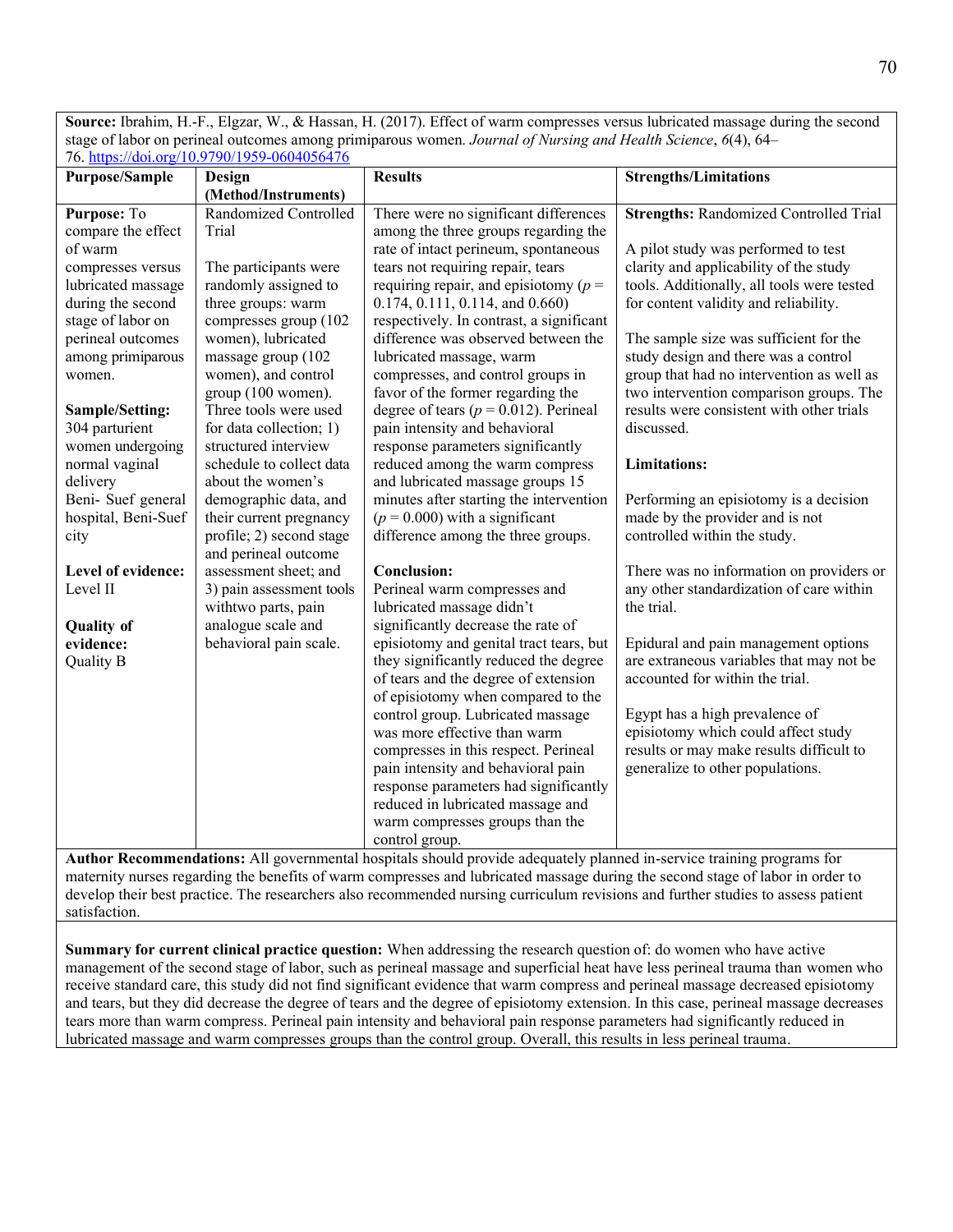**Source:** Ibrahim, H.-F., Elgzar, W., & Hassan, H. (2017). Effect of warm compresses versus lubricated massage during the second stage of labor on perineal outcomes among primiparous women. *Journal of Nursing and Health Science*, *6*(4), 64– 76.<https://doi.org/10.9790/1959-0604056476>

| <b>Purpose/Sample</b>                                         | Design                   | <b>Results</b>                                                                          | <b>Strengths/Limitations</b>                  |
|---------------------------------------------------------------|--------------------------|-----------------------------------------------------------------------------------------|-----------------------------------------------|
|                                                               | (Method/Instruments)     |                                                                                         |                                               |
| Purpose: To                                                   | Randomized Controlled    | There were no significant differences                                                   | <b>Strengths: Randomized Controlled Trial</b> |
| compare the effect                                            | Trial                    | among the three groups regarding the                                                    |                                               |
| of warm                                                       |                          | rate of intact perineum, spontaneous                                                    | A pilot study was performed to test           |
| compresses versus                                             | The participants were    | tears not requiring repair, tears                                                       | clarity and applicability of the study        |
| lubricated massage                                            | randomly assigned to     | requiring repair, and episiotomy ( $p =$                                                | tools. Additionally, all tools were tested    |
| during the second                                             | three groups: warm       | $0.174, 0.111, 0.114,$ and $0.660$ )                                                    | for content validity and reliability.         |
| stage of labor on                                             | compresses group (102    | respectively. In contrast, a significant                                                |                                               |
| perineal outcomes                                             | women), lubricated       | difference was observed between the                                                     | The sample size was sufficient for the        |
| among primiparous                                             | massage group (102       | lubricated massage, warm                                                                | study design and there was a control          |
| women.                                                        | women), and control      | compresses, and control groups in                                                       | group that had no intervention as well as     |
|                                                               | group (100 women).       | favor of the former regarding the                                                       | two intervention comparison groups. The       |
| Sample/Setting:                                               | Three tools were used    | degree of tears ( $p = 0.012$ ). Perineal                                               | results were consistent with other trials     |
| 304 parturient                                                | for data collection; 1)  | pain intensity and behavioral                                                           | discussed.                                    |
| women undergoing                                              | structured interview     | response parameters significantly                                                       |                                               |
| normal vaginal                                                | schedule to collect data | reduced among the warm compress                                                         | <b>Limitations:</b>                           |
| delivery                                                      | about the women's        | and lubricated massage groups 15                                                        |                                               |
| Beni- Suef general                                            | demographic data, and    | minutes after starting the intervention                                                 | Performing an episiotomy is a decision        |
| hospital, Beni-Suef                                           | their current pregnancy  | $(p = 0.000)$ with a significant                                                        | made by the provider and is not               |
| city                                                          | profile; 2) second stage | difference among the three groups.                                                      | controlled within the study.                  |
|                                                               | and perineal outcome     |                                                                                         |                                               |
| Level of evidence:                                            | assessment sheet; and    | <b>Conclusion:</b>                                                                      | There was no information on providers or      |
| Level II                                                      | 3) pain assessment tools | Perineal warm compresses and                                                            | any other standardization of care within      |
|                                                               | withtwo parts, pain      | lubricated massage didn't                                                               | the trial.                                    |
| <b>Quality of</b>                                             | analogue scale and       | significantly decrease the rate of                                                      |                                               |
| evidence:                                                     | behavioral pain scale.   | episiotomy and genital tract tears, but                                                 | Epidural and pain management options          |
| <b>Quality B</b>                                              |                          | they significantly reduced the degree                                                   | are extraneous variables that may not be      |
|                                                               |                          | of tears and the degree of extension                                                    | accounted for within the trial.               |
|                                                               |                          | of episiotomy when compared to the                                                      |                                               |
|                                                               |                          | control group. Lubricated massage                                                       | Egypt has a high prevalence of                |
|                                                               |                          | was more effective than warm                                                            | episiotomy which could affect study           |
|                                                               |                          | compresses in this respect. Perineal                                                    | results or may make results difficult to      |
|                                                               |                          | pain intensity and behavioral pain                                                      | generalize to other populations.              |
|                                                               |                          | response parameters had significantly                                                   |                                               |
|                                                               |                          | reduced in lubricated massage and                                                       |                                               |
|                                                               |                          | warm compresses groups than the                                                         |                                               |
| $\lambda$ uthor Decommendational $\lambda$ <sup>11</sup> agus |                          | control group.<br>experience of the characteristic experience of the common the setting | $\sim$                                        |

**Author Recommendations:** All governmental hospitals should provide adequately planned in-service training programs for maternity nurses regarding the benefits of warm compresses and lubricated massage during the second stage of labor in order to develop their best practice. The researchers also recommended nursing curriculum revisions and further studies to assess patient satisfaction.

**Summary for current clinical practice question:** When addressing the research question of: do women who have active management of the second stage of labor, such as perineal massage and superficial heat have less perineal trauma than women who receive standard care, this study did not find significant evidence that warm compress and perineal massage decreased episiotomy and tears, but they did decrease the degree of tears and the degree of episiotomy extension. In this case, perineal massage decreases tears more than warm compress. Perineal pain intensity and behavioral pain response parameters had significantly reduced in lubricated massage and warm compresses groups than the control group. Overall, this results in less perineal trauma.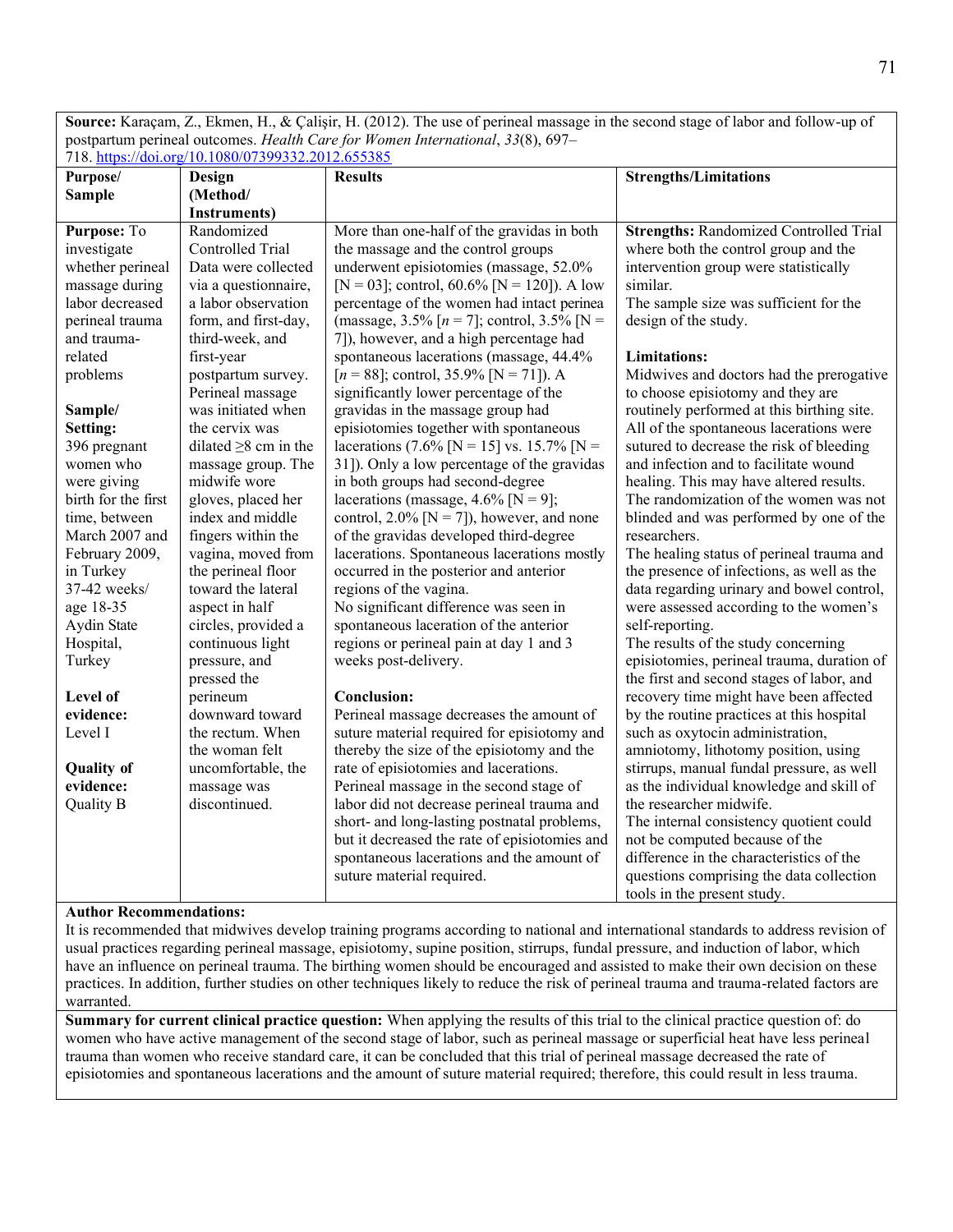**Source:** Karaçam, Z., Ekmen, H., & Çalişir, H. (2012). The use of perineal massage in the second stage of labor and follow-up of postpartum perineal outcomes. *Health Care for Women International*, *33*(8), 697– 718.<https://doi.org/10.1080/07399332.2012.655385>

| Purpose/            | Design                     | <b>Results</b>                                  | <b>Strengths/Limitations</b>                  |
|---------------------|----------------------------|-------------------------------------------------|-----------------------------------------------|
| <b>Sample</b>       | (Method/                   |                                                 |                                               |
|                     | <b>Instruments</b> )       |                                                 |                                               |
| Purpose: To         | Randomized                 | More than one-half of the gravidas in both      | <b>Strengths: Randomized Controlled Trial</b> |
| investigate         | Controlled Trial           | the massage and the control groups              | where both the control group and the          |
| whether perineal    | Data were collected        | underwent episiotomies (massage, 52.0%          | intervention group were statistically         |
| massage during      | via a questionnaire,       | [N = 03]; control, 60.6% [N = 120]). A low      | similar.                                      |
| labor decreased     | a labor observation        | percentage of the women had intact perinea      | The sample size was sufficient for the        |
| perineal trauma     | form, and first-day,       | (massage, 3.5% $[n = 7]$ ; control, 3.5% $[N =$ | design of the study.                          |
| and trauma-         | third-week, and            | 7]), however, and a high percentage had         |                                               |
| related             | first-year                 | spontaneous lacerations (massage, 44.4%         | <b>Limitations:</b>                           |
| problems            | postpartum survey.         | $[n = 88]$ ; control, 35.9% [N = 71]). A        | Midwives and doctors had the prerogative      |
|                     | Perineal massage           | significantly lower percentage of the           | to choose episiotomy and they are             |
| Sample/             | was initiated when         | gravidas in the massage group had               | routinely performed at this birthing site.    |
| Setting:            | the cervix was             | episiotomies together with spontaneous          | All of the spontaneous lacerations were       |
| 396 pregnant        | dilated $\geq$ 8 cm in the | lacerations (7.6% [N = 15] vs. 15.7% [N =       | sutured to decrease the risk of bleeding      |
| women who           | massage group. The         | 31]). Only a low percentage of the gravidas     | and infection and to facilitate wound         |
| were giving         | midwife wore               | in both groups had second-degree                | healing. This may have altered results.       |
| birth for the first | gloves, placed her         | lacerations (massage, $4.6\%$ [N = 9];          | The randomization of the women was not        |
| time, between       | index and middle           | control, $2.0\%$ [N = 7]), however, and none    | blinded and was performed by one of the       |
| March 2007 and      | fingers within the         | of the gravidas developed third-degree          | researchers.                                  |
| February 2009,      | vagina, moved from         | lacerations. Spontaneous lacerations mostly     | The healing status of perineal trauma and     |
| in Turkey           | the perineal floor         | occurred in the posterior and anterior          | the presence of infections, as well as the    |
| 37-42 weeks/        | toward the lateral         | regions of the vagina.                          | data regarding urinary and bowel control,     |
| age 18-35           | aspect in half             | No significant difference was seen in           | were assessed according to the women's        |
| Aydin State         | circles, provided a        | spontaneous laceration of the anterior          | self-reporting.                               |
| Hospital,           | continuous light           | regions or perineal pain at day 1 and 3         | The results of the study concerning           |
| Turkey              | pressure, and              | weeks post-delivery.                            | episiotomies, perineal trauma, duration of    |
|                     | pressed the                |                                                 | the first and second stages of labor, and     |
| Level of            | perineum                   | <b>Conclusion:</b>                              | recovery time might have been affected        |
| evidence:           | downward toward            | Perineal massage decreases the amount of        | by the routine practices at this hospital     |
| Level I             | the rectum. When           | suture material required for episiotomy and     | such as oxytocin administration,              |
|                     | the woman felt             | thereby the size of the episiotomy and the      | amniotomy, lithotomy position, using          |
| <b>Quality of</b>   | uncomfortable, the         | rate of episiotomies and lacerations.           | stirrups, manual fundal pressure, as well     |
| evidence:           | massage was                | Perineal massage in the second stage of         | as the individual knowledge and skill of      |
| Quality B           | discontinued.              | labor did not decrease perineal trauma and      | the researcher midwife.                       |
|                     |                            | short- and long-lasting postnatal problems,     | The internal consistency quotient could       |
|                     |                            | but it decreased the rate of episiotomies and   | not be computed because of the                |
|                     |                            | spontaneous lacerations and the amount of       | difference in the characteristics of the      |
|                     |                            | suture material required.                       | questions comprising the data collection      |
|                     |                            |                                                 | tools in the present study.                   |

#### **Author Recommendations:**

It is recommended that midwives develop training programs according to national and international standards to address revision of usual practices regarding perineal massage, episiotomy, supine position, stirrups, fundal pressure, and induction of labor, which have an influence on perineal trauma. The birthing women should be encouraged and assisted to make their own decision on these practices. In addition, further studies on other techniques likely to reduce the risk of perineal trauma and trauma-related factors are warranted.

**Summary for current clinical practice question:** When applying the results of this trial to the clinical practice question of: do women who have active management of the second stage of labor, such as perineal massage or superficial heat have less perineal trauma than women who receive standard care, it can be concluded that this trial of perineal massage decreased the rate of episiotomies and spontaneous lacerations and the amount of suture material required; therefore, this could result in less trauma.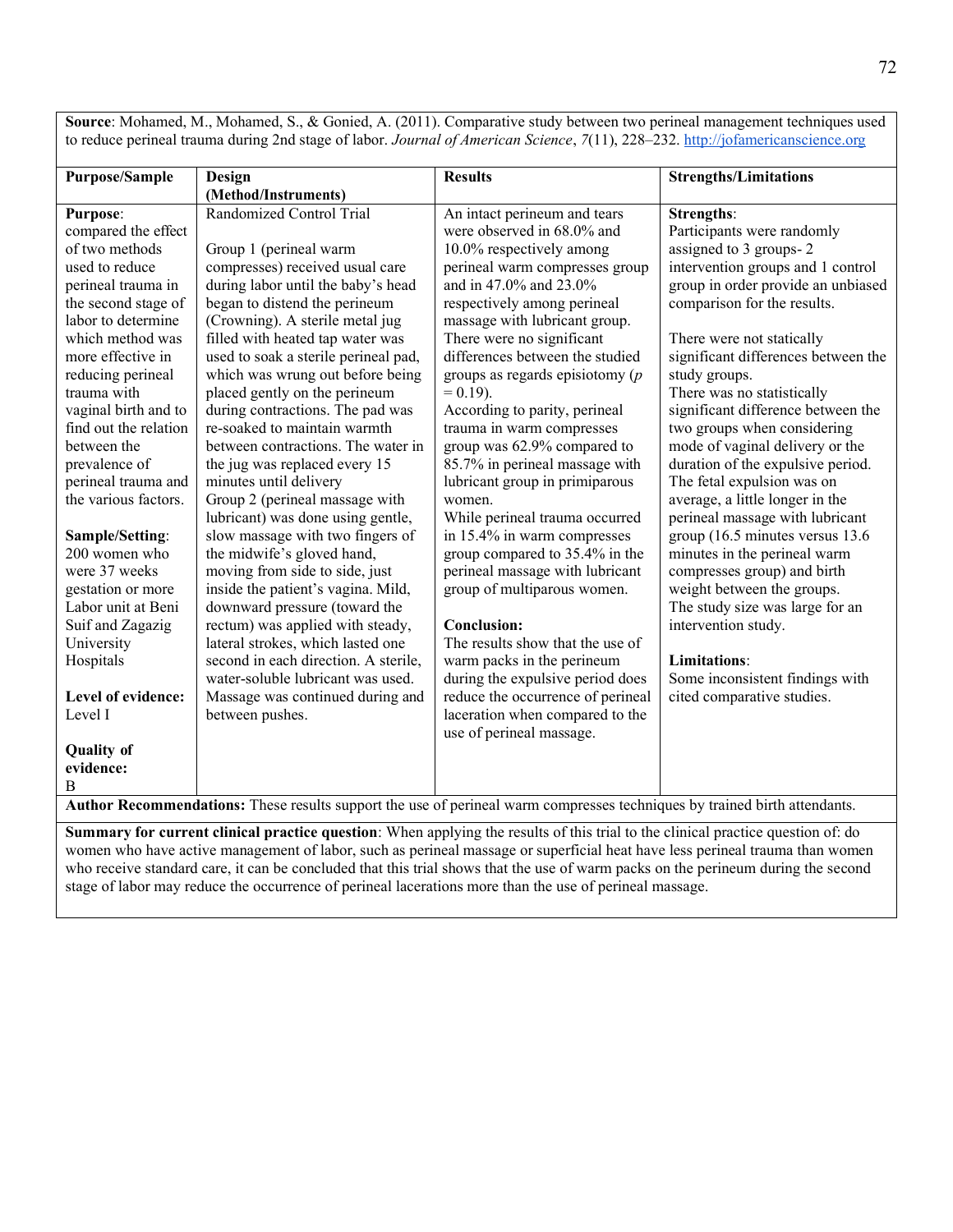**Source**: Mohamed, M., Mohamed, S., & Gonied, A. (2011). Comparative study between two perineal management techniques used to reduce perineal trauma during 2nd stage of labor. *Journal of American Science*, 7(11), 228–232[. http://jofamericanscience.org](http://jofamericanscience.org/)

|                       |                                                                                                                           | <b>Results</b>                     |                                     |
|-----------------------|---------------------------------------------------------------------------------------------------------------------------|------------------------------------|-------------------------------------|
| <b>Purpose/Sample</b> | <b>Design</b><br>(Method/Instruments)                                                                                     |                                    | <b>Strengths/Limitations</b>        |
|                       | Randomized Control Trial                                                                                                  |                                    |                                     |
| <b>Purpose:</b>       |                                                                                                                           | An intact perineum and tears       | <b>Strengths:</b>                   |
| compared the effect   |                                                                                                                           | were observed in 68.0% and         | Participants were randomly          |
| of two methods        | Group 1 (perineal warm                                                                                                    | 10.0% respectively among           | assigned to 3 groups-2              |
| used to reduce        | compresses) received usual care                                                                                           | perineal warm compresses group     | intervention groups and 1 control   |
| perineal trauma in    | during labor until the baby's head                                                                                        | and in 47.0% and 23.0%             | group in order provide an unbiased  |
| the second stage of   | began to distend the perineum                                                                                             | respectively among perineal        | comparison for the results.         |
| labor to determine    | (Crowning). A sterile metal jug                                                                                           | massage with lubricant group.      |                                     |
| which method was      | filled with heated tap water was                                                                                          | There were no significant          | There were not statically           |
| more effective in     | used to soak a sterile perineal pad,                                                                                      | differences between the studied    | significant differences between the |
| reducing perineal     | which was wrung out before being                                                                                          | groups as regards episiotomy $(p)$ | study groups.                       |
| trauma with           | placed gently on the perineum                                                                                             | $= 0.19$ ).                        | There was no statistically          |
| vaginal birth and to  | during contractions. The pad was                                                                                          | According to parity, perineal      | significant difference between the  |
| find out the relation | re-soaked to maintain warmth                                                                                              | trauma in warm compresses          | two groups when considering         |
| between the           | between contractions. The water in                                                                                        | group was 62.9% compared to        | mode of vaginal delivery or the     |
| prevalence of         | the jug was replaced every 15                                                                                             | 85.7% in perineal massage with     | duration of the expulsive period.   |
| perineal trauma and   | minutes until delivery                                                                                                    | lubricant group in primiparous     | The fetal expulsion was on          |
| the various factors.  | Group 2 (perineal massage with                                                                                            | women.                             | average, a little longer in the     |
|                       | lubricant) was done using gentle,                                                                                         | While perineal trauma occurred     | perineal massage with lubricant     |
| Sample/Setting:       | slow massage with two fingers of                                                                                          | in 15.4% in warm compresses        | group (16.5 minutes versus 13.6     |
| 200 women who         | the midwife's gloved hand,                                                                                                | group compared to 35.4% in the     | minutes in the perineal warm        |
| were 37 weeks         | moving from side to side, just                                                                                            | perineal massage with lubricant    | compresses group) and birth         |
| gestation or more     | inside the patient's vagina. Mild,                                                                                        | group of multiparous women.        | weight between the groups.          |
| Labor unit at Beni    | downward pressure (toward the                                                                                             |                                    | The study size was large for an     |
| Suif and Zagazig      | rectum) was applied with steady,                                                                                          | Conclusion:                        | intervention study.                 |
| University            | lateral strokes, which lasted one                                                                                         | The results show that the use of   |                                     |
| Hospitals             | second in each direction. A sterile,                                                                                      | warm packs in the perineum         | <b>Limitations:</b>                 |
|                       | water-soluble lubricant was used.                                                                                         | during the expulsive period does   | Some inconsistent findings with     |
| Level of evidence:    | Massage was continued during and                                                                                          | reduce the occurrence of perineal  | cited comparative studies.          |
| Level I               | between pushes.                                                                                                           | laceration when compared to the    |                                     |
|                       |                                                                                                                           | use of perineal massage.           |                                     |
| <b>Quality of</b>     |                                                                                                                           |                                    |                                     |
| evidence:             |                                                                                                                           |                                    |                                     |
| B                     |                                                                                                                           |                                    |                                     |
|                       | Author Recommendations: These results support the use of perineal warm compresses techniques by trained birth attendants. |                                    |                                     |

**Summary for current clinical practice question**: When applying the results of this trial to the clinical practice question of: do women who have active management of labor, such as perineal massage or superficial heat have less perineal trauma than women who receive standard care, it can be concluded that this trial shows that the use of warm packs on the perineum during the second stage of labor may reduce the occurrence of perineal lacerations more than the use of perineal massage.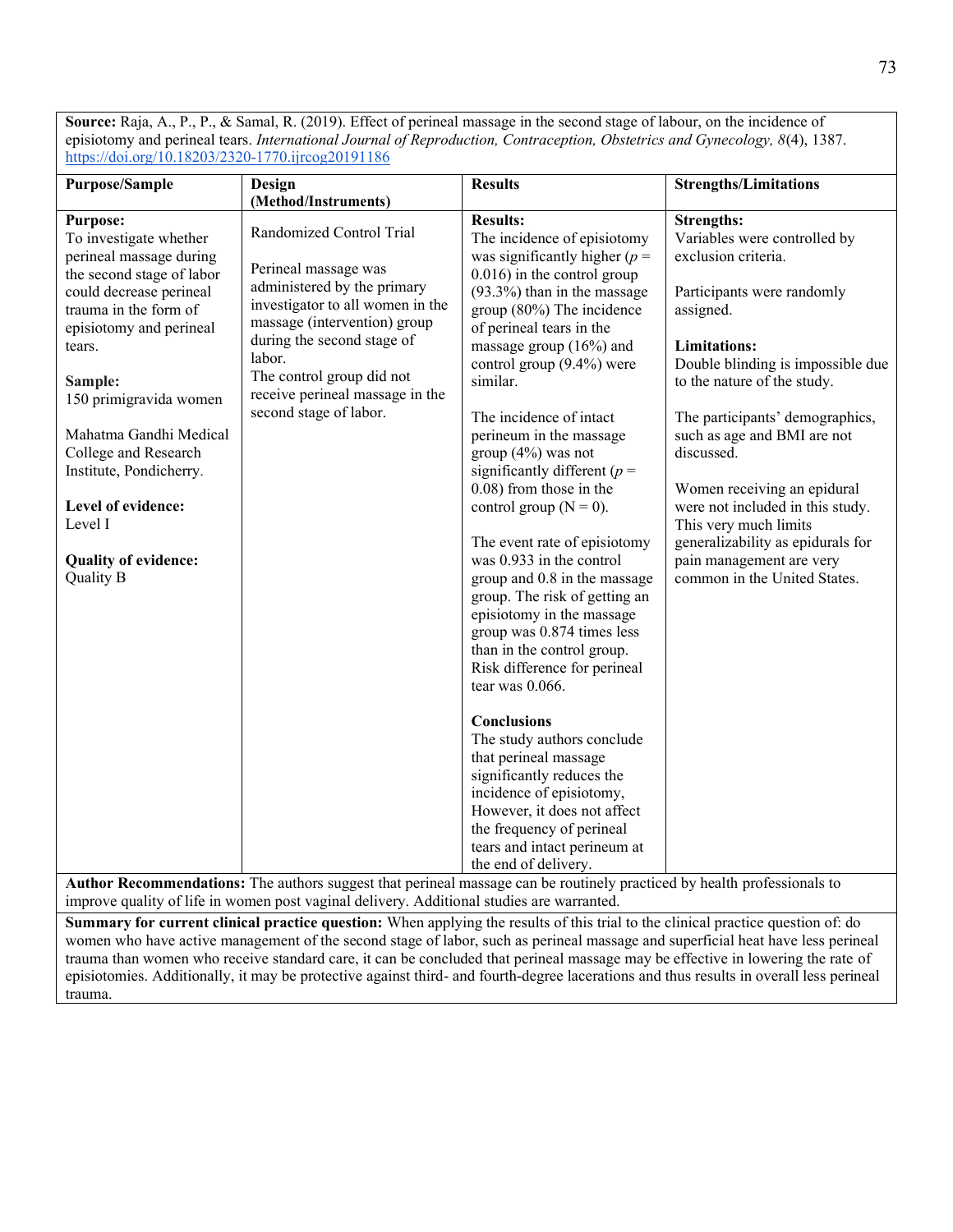**Source:** Raja, A., P., P., & Samal, R. (2019). Effect of perineal massage in the second stage of labour, on the incidence of episiotomy and perineal tears. *International Journal of Reproduction, Contraception, Obstetrics and Gynecology, 8*(4), 1387. <https://doi.org/10.18203/2320-1770.ijrcog20191186>

| <b>Purpose/Sample</b>                                                                                                                                                                                                                                                                                                                                                                     | Design                                                                                                                                                                                                                                                                                                                                                                                                         | <b>Results</b>                                                                                                                                                                                                                                                                                                                                                                                                                                                                                                                                                                                                                                                                                                                                                                                                                                                                                                                                                                                  | <b>Strengths/Limitations</b>                                                                                                                                                                                                                                                                                                                                                                                                                                                                |
|-------------------------------------------------------------------------------------------------------------------------------------------------------------------------------------------------------------------------------------------------------------------------------------------------------------------------------------------------------------------------------------------|----------------------------------------------------------------------------------------------------------------------------------------------------------------------------------------------------------------------------------------------------------------------------------------------------------------------------------------------------------------------------------------------------------------|-------------------------------------------------------------------------------------------------------------------------------------------------------------------------------------------------------------------------------------------------------------------------------------------------------------------------------------------------------------------------------------------------------------------------------------------------------------------------------------------------------------------------------------------------------------------------------------------------------------------------------------------------------------------------------------------------------------------------------------------------------------------------------------------------------------------------------------------------------------------------------------------------------------------------------------------------------------------------------------------------|---------------------------------------------------------------------------------------------------------------------------------------------------------------------------------------------------------------------------------------------------------------------------------------------------------------------------------------------------------------------------------------------------------------------------------------------------------------------------------------------|
|                                                                                                                                                                                                                                                                                                                                                                                           | (Method/Instruments)                                                                                                                                                                                                                                                                                                                                                                                           |                                                                                                                                                                                                                                                                                                                                                                                                                                                                                                                                                                                                                                                                                                                                                                                                                                                                                                                                                                                                 |                                                                                                                                                                                                                                                                                                                                                                                                                                                                                             |
| <b>Purpose:</b><br>To investigate whether<br>perineal massage during<br>the second stage of labor<br>could decrease perineal<br>trauma in the form of<br>episiotomy and perineal<br>tears.<br>Sample:<br>150 primigravida women<br>Mahatma Gandhi Medical<br>College and Research<br>Institute, Pondicherry.<br>Level of evidence:<br>Level I<br><b>Quality of evidence:</b><br>Quality B | Randomized Control Trial<br>Perineal massage was<br>administered by the primary<br>investigator to all women in the<br>massage (intervention) group<br>during the second stage of<br>labor.<br>The control group did not<br>receive perineal massage in the<br>second stage of labor.<br>Author Decommondational The outhors grosset that national messages son he portiodly nuclearly health anofassionals to | <b>Results:</b><br>The incidence of episiotomy<br>was significantly higher ( $p =$<br>$0.016$ ) in the control group<br>(93.3%) than in the massage<br>group (80%) The incidence<br>of perineal tears in the<br>massage group $(16%)$ and<br>control group (9.4%) were<br>similar.<br>The incidence of intact<br>perineum in the massage<br>group $(4%)$ was not<br>significantly different ( $p =$<br>0.08) from those in the<br>control group ( $N = 0$ ).<br>The event rate of episiotomy<br>was 0.933 in the control<br>group and 0.8 in the massage<br>group. The risk of getting an<br>episiotomy in the massage<br>group was 0.874 times less<br>than in the control group.<br>Risk difference for perineal<br>tear was 0.066.<br><b>Conclusions</b><br>The study authors conclude<br>that perineal massage<br>significantly reduces the<br>incidence of episiotomy,<br>However, it does not affect<br>the frequency of perineal<br>tears and intact perineum at<br>the end of delivery. | <b>Strengths:</b><br>Variables were controlled by<br>exclusion criteria.<br>Participants were randomly<br>assigned.<br><b>Limitations:</b><br>Double blinding is impossible due<br>to the nature of the study.<br>The participants' demographics,<br>such as age and BMI are not<br>discussed.<br>Women receiving an epidural<br>were not included in this study.<br>This very much limits<br>generalizability as epidurals for<br>pain management are very<br>common in the United States. |

**Author Recommendations:** The authors suggest that perineal massage can be routinely practiced by health professionals to improve quality of life in women post vaginal delivery. Additional studies are warranted.

**Summary for current clinical practice question:** When applying the results of this trial to the clinical practice question of: do women who have active management of the second stage of labor, such as perineal massage and superficial heat have less perineal trauma than women who receive standard care, it can be concluded that perineal massage may be effective in lowering the rate of episiotomies. Additionally, it may be protective against third- and fourth-degree lacerations and thus results in overall less perineal trauma.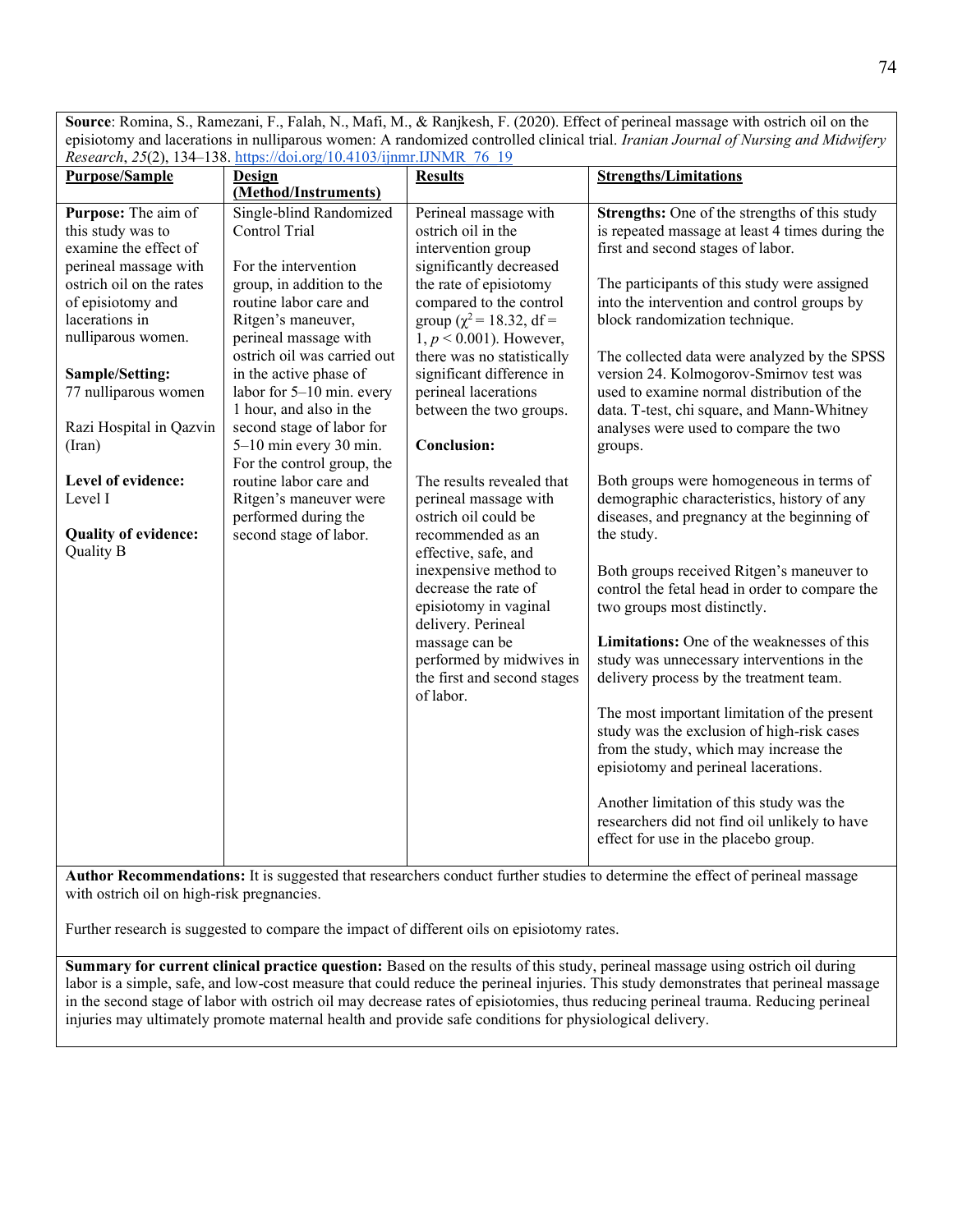**Source**: Romina, S., Ramezani, F., Falah, N., Mafi, M., & Ranjkesh, F. (2020). Effect of perineal massage with ostrich oil on the episiotomy and lacerations in nulliparous women: A randomized controlled clinical trial. *Iranian Journal of Nursing and Midwifery Research*, *25*(2), 134–138. [https://doi.org/10.4103/ijnmr.IJNMR\\_76\\_19](https://doi.org/10.4103/ijnmr.IJNMR_76_19)

| <b>Purpose/Sample</b>                | <u> Research, 29(2), 194–198. https://doi.org/10.4103/11hmr.1JNMR_/6_19</u><br><b>Design</b> | <b>Results</b>                 | <b>Strengths/Limitations</b>                    |
|--------------------------------------|----------------------------------------------------------------------------------------------|--------------------------------|-------------------------------------------------|
|                                      | (Method/Instruments)                                                                         |                                |                                                 |
| Purpose: The aim of                  | Single-blind Randomized                                                                      | Perineal massage with          | Strengths: One of the strengths of this study   |
| this study was to                    | Control Trial                                                                                | ostrich oil in the             | is repeated massage at least 4 times during the |
| examine the effect of                |                                                                                              |                                |                                                 |
| perineal massage with                | For the intervention                                                                         | intervention group             | first and second stages of labor.               |
|                                      |                                                                                              | significantly decreased        |                                                 |
| ostrich oil on the rates             | group, in addition to the                                                                    | the rate of episiotomy         | The participants of this study were assigned    |
| of episiotomy and                    | routine labor care and                                                                       | compared to the control        | into the intervention and control groups by     |
| lacerations in<br>nulliparous women. | Ritgen's maneuver,                                                                           | group ( $\chi^2$ = 18.32, df = | block randomization technique.                  |
|                                      | perineal massage with                                                                        | $1, p < 0.001$ ). However,     |                                                 |
|                                      | ostrich oil was carried out                                                                  | there was no statistically     | The collected data were analyzed by the SPSS    |
| Sample/Setting:                      | in the active phase of                                                                       | significant difference in      | version 24. Kolmogorov-Smirnov test was         |
| 77 nulliparous women                 | labor for $5-10$ min. every                                                                  | perineal lacerations           | used to examine normal distribution of the      |
|                                      | 1 hour, and also in the                                                                      | between the two groups.        | data. T-test, chi square, and Mann-Whitney      |
| Razi Hospital in Qazvin              | second stage of labor for                                                                    |                                | analyses were used to compare the two           |
| (Iran)                               | 5-10 min every 30 min.                                                                       | <b>Conclusion:</b>             | groups.                                         |
|                                      | For the control group, the                                                                   |                                |                                                 |
| Level of evidence:                   | routine labor care and                                                                       | The results revealed that      | Both groups were homogeneous in terms of        |
| Level I                              | Ritgen's maneuver were                                                                       | perineal massage with          | demographic characteristics, history of any     |
|                                      | performed during the                                                                         | ostrich oil could be           | diseases, and pregnancy at the beginning of     |
| <b>Quality of evidence:</b>          | second stage of labor.                                                                       | recommended as an              | the study.                                      |
| Quality B                            |                                                                                              | effective, safe, and           |                                                 |
|                                      |                                                                                              | inexpensive method to          | Both groups received Ritgen's maneuver to       |
|                                      |                                                                                              | decrease the rate of           | control the fetal head in order to compare the  |
|                                      |                                                                                              | episiotomy in vaginal          | two groups most distinctly.                     |
|                                      |                                                                                              | delivery. Perineal             |                                                 |
|                                      |                                                                                              | massage can be                 | Limitations: One of the weaknesses of this      |
|                                      |                                                                                              | performed by midwives in       | study was unnecessary interventions in the      |
|                                      |                                                                                              | the first and second stages    | delivery process by the treatment team.         |
|                                      |                                                                                              | of labor.                      |                                                 |
|                                      |                                                                                              |                                | The most important limitation of the present    |
|                                      |                                                                                              |                                | study was the exclusion of high-risk cases      |
|                                      |                                                                                              |                                | from the study, which may increase the          |
|                                      |                                                                                              |                                | episiotomy and perineal lacerations.            |
|                                      |                                                                                              |                                |                                                 |
|                                      |                                                                                              |                                | Another limitation of this study was the        |
|                                      |                                                                                              |                                | researchers did not find oil unlikely to have   |
|                                      |                                                                                              |                                | effect for use in the placebo group.            |
|                                      |                                                                                              |                                |                                                 |

**Author Recommendations:** It is suggested that researchers conduct further studies to determine the effect of perineal massage with ostrich oil on high-risk pregnancies.

Further research is suggested to compare the impact of different oils on episiotomy rates.

**Summary for current clinical practice question:** Based on the results of this study, perineal massage using ostrich oil during labor is a simple, safe, and low-cost measure that could reduce the perineal injuries. This study demonstrates that perineal massage in the second stage of labor with ostrich oil may decrease rates of episiotomies, thus reducing perineal trauma. Reducing perineal injuries may ultimately promote maternal health and provide safe conditions for physiological delivery.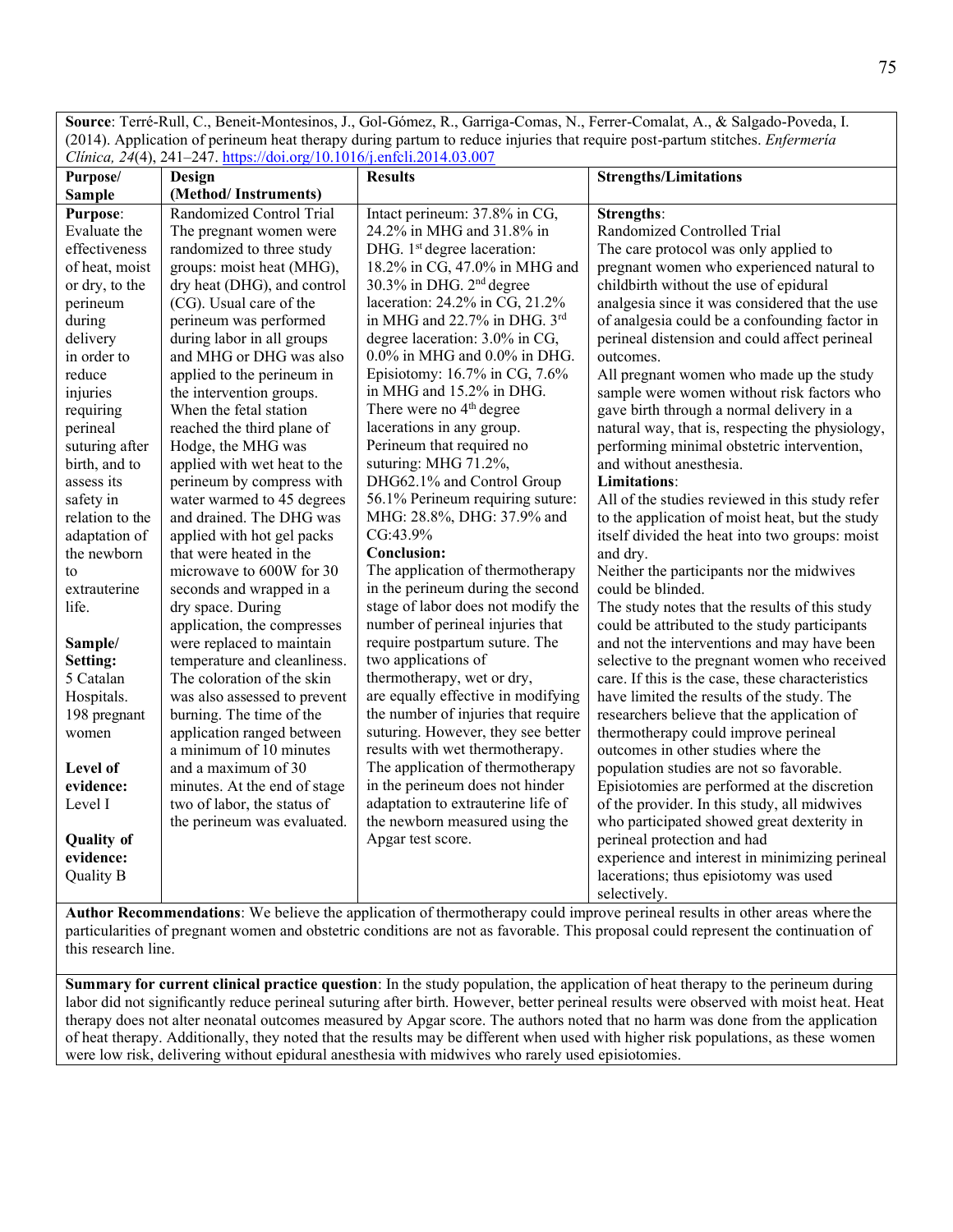**Source**: Terré-Rull, C., Beneit-Montesinos, J., Gol-Gómez, R., Garriga-Comas, N., Ferrer-Comalat, A., & Salgado-Poveda, I. (2014). Application of perineum heat therapy during partum to reduce injuries that require post-partum stitches. *Enfermería Clínica, 24*(4), 241–247.<https://doi.org/10.1016/j.enfcli.2014.03.007>

| Purpose/          | Design                                                     | <b>Results</b>                                                      | <b>Strengths/Limitations</b>                                                               |
|-------------------|------------------------------------------------------------|---------------------------------------------------------------------|--------------------------------------------------------------------------------------------|
| <b>Sample</b>     | (Method/Instruments)                                       |                                                                     |                                                                                            |
| <b>Purpose:</b>   | Randomized Control Trial                                   | Intact perineum: 37.8% in CG,                                       | Strengths:                                                                                 |
| Evaluate the      | The pregnant women were                                    | 24.2% in MHG and 31.8% in                                           | Randomized Controlled Trial                                                                |
| effectiveness     | randomized to three study                                  | DHG. 1 <sup>st</sup> degree laceration:                             | The care protocol was only applied to                                                      |
| of heat, moist    | groups: moist heat (MHG),                                  | 18.2% in CG, 47.0% in MHG and                                       | pregnant women who experienced natural to                                                  |
| or dry, to the    | dry heat (DHG), and control                                | 30.3% in DHG. 2 <sup>nd</sup> degree                                | childbirth without the use of epidural                                                     |
| perineum          | (CG). Usual care of the                                    | laceration: 24.2% in CG, 21.2%                                      | analgesia since it was considered that the use                                             |
| during            | perineum was performed                                     | in MHG and 22.7% in DHG. 3rd                                        | of analgesia could be a confounding factor in                                              |
| delivery          | during labor in all groups                                 | degree laceration: 3.0% in CG,                                      | perineal distension and could affect perineal                                              |
| in order to       | and MHG or DHG was also                                    | $0.0\%$ in MHG and $0.0\%$ in DHG.                                  | outcomes.                                                                                  |
| reduce            | applied to the perineum in                                 | Episiotomy: 16.7% in CG, 7.6%                                       | All pregnant women who made up the study                                                   |
| injuries          | the intervention groups.                                   | in MHG and 15.2% in DHG.                                            | sample were women without risk factors who                                                 |
| requiring         | When the fetal station                                     | There were no 4 <sup>th</sup> degree                                | gave birth through a normal delivery in a                                                  |
| perineal          | reached the third plane of                                 | lacerations in any group.                                           | natural way, that is, respecting the physiology,                                           |
| suturing after    | Hodge, the MHG was                                         | Perineum that required no                                           | performing minimal obstetric intervention,                                                 |
| birth, and to     | applied with wet heat to the                               | suturing: MHG 71.2%,                                                | and without anesthesia.                                                                    |
| assess its        | perineum by compress with                                  | DHG62.1% and Control Group                                          | Limitations:                                                                               |
| safety in         | water warmed to 45 degrees                                 | 56.1% Perineum requiring suture:                                    | All of the studies reviewed in this study refer                                            |
| relation to the   | and drained. The DHG was                                   | MHG: 28.8%, DHG: 37.9% and                                          | to the application of moist heat, but the study                                            |
| adaptation of     | applied with hot gel packs                                 | CG:43.9%                                                            | itself divided the heat into two groups: moist                                             |
| the newborn       | that were heated in the                                    | <b>Conclusion:</b>                                                  | and dry.                                                                                   |
| to                | microwave to 600W for 30                                   | The application of thermotherapy                                    | Neither the participants nor the midwives                                                  |
| extrauterine      | seconds and wrapped in a                                   | in the perineum during the second                                   | could be blinded.                                                                          |
| life.             | dry space. During                                          | stage of labor does not modify the                                  | The study notes that the results of this study                                             |
|                   | application, the compresses                                | number of perineal injuries that                                    | could be attributed to the study participants                                              |
| Sample/           | were replaced to maintain                                  | require postpartum suture. The                                      | and not the interventions and may have been                                                |
| Setting:          | temperature and cleanliness.                               | two applications of                                                 | selective to the pregnant women who received                                               |
| 5 Catalan         | The coloration of the skin                                 | thermotherapy, wet or dry,                                          | care. If this is the case, these characteristics                                           |
| Hospitals.        | was also assessed to prevent                               | are equally effective in modifying                                  | have limited the results of the study. The                                                 |
| 198 pregnant      | burning. The time of the                                   | the number of injuries that require                                 | researchers believe that the application of                                                |
| women             | application ranged between<br>a minimum of 10 minutes      | suturing. However, they see better                                  | thermotherapy could improve perineal<br>outcomes in other studies where the                |
| Level of          | and a maximum of 30                                        | results with wet thermotherapy.<br>The application of thermotherapy |                                                                                            |
| evidence:         | minutes. At the end of stage                               | in the perineum does not hinder                                     | population studies are not so favorable.<br>Episiotomies are performed at the discretion   |
| Level I           |                                                            | adaptation to extrauterine life of                                  |                                                                                            |
|                   | two of labor, the status of<br>the perineum was evaluated. | the newborn measured using the                                      | of the provider. In this study, all midwives<br>who participated showed great dexterity in |
| <b>Quality of</b> |                                                            | Apgar test score.                                                   | perineal protection and had                                                                |
| evidence:         |                                                            |                                                                     | experience and interest in minimizing perineal                                             |
| <b>Quality B</b>  |                                                            |                                                                     | lacerations; thus episiotomy was used                                                      |
|                   |                                                            |                                                                     | selectively.                                                                               |

**Author Recommendations**: We believe the application of thermotherapy could improve perineal results in other areas where the particularities of pregnant women and obstetric conditions are not as favorable. This proposal could represent the continuation of this research line.

**Summary for current clinical practice question**: In the study population, the application of heat therapy to the perineum during labor did not significantly reduce perineal suturing after birth. However, better perineal results were observed with moist heat. Heat therapy does not alter neonatal outcomes measured by Apgar score. The authors noted that no harm was done from the application of heat therapy. Additionally, they noted that the results may be different when used with higher risk populations, as these women were low risk, delivering without epidural anesthesia with midwives who rarely used episiotomies.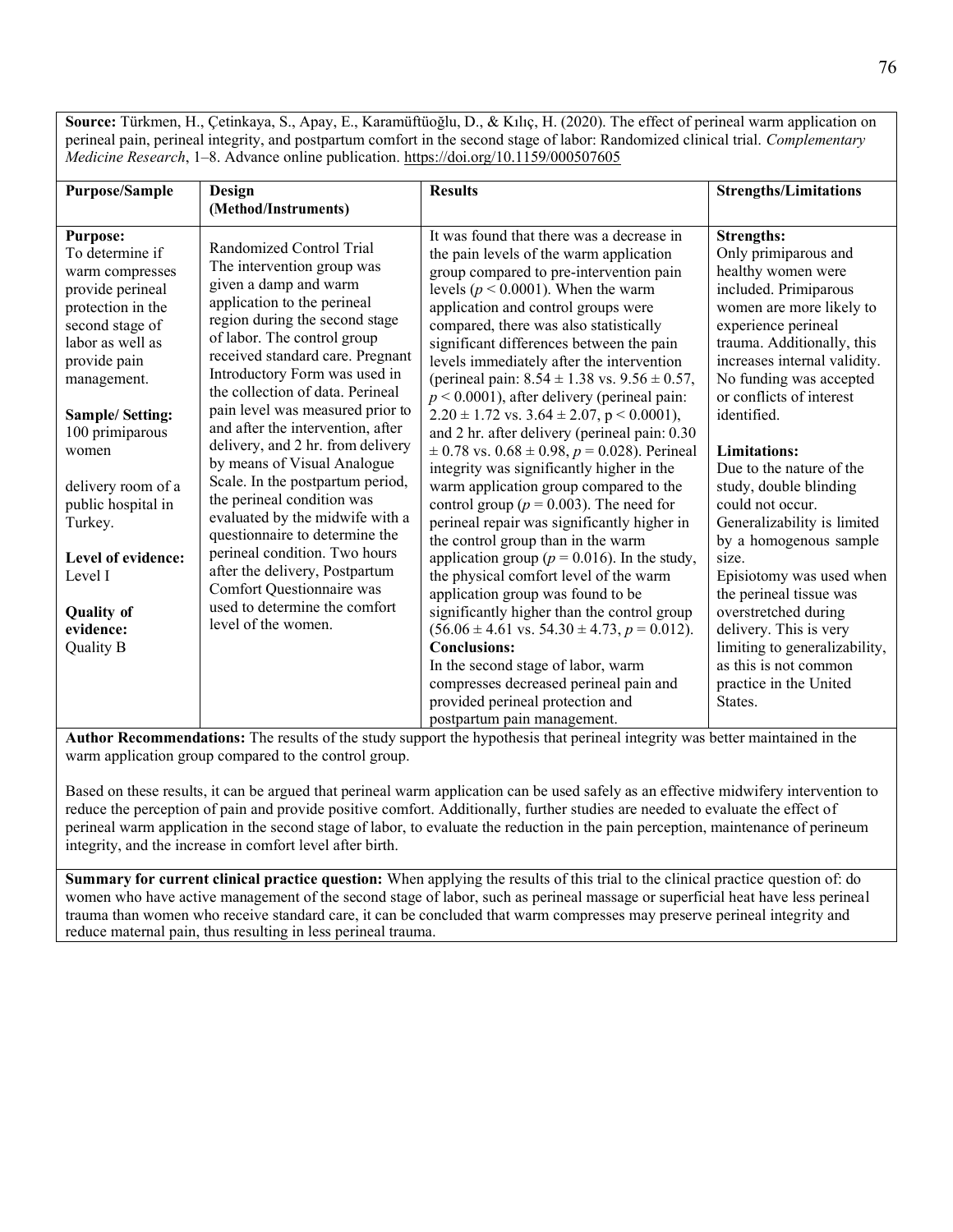**Source:** Türkmen, H., Çetinkaya, S., Apay, E., Karamüftüoğlu, D., & Kılıç, H. (2020). The effect of perineal warm application on perineal pain, perineal integrity, and postpartum comfort in the second stage of labor: Randomized clinical trial. *Complementary Medicine Research*, 1–8. Advance online publication[. https://doi.org/10.1159/000507605](https://doi.org/10.1159/000507605)

| <b>Purpose/Sample</b>                                                                                                                                                                                                                                                                                                                                             | Design                                                                                                                                                                                                                                                                                                                                                                                                                                                                                                                                                                                                                                                                                                                               | <b>Results</b>                                                                                                                                                                                                                                                                                                                                                                                                                                                                                                                                                                                                                                                                                                                                                                                                                                                                                                                                                                                                                                                                                                                                                                                                                                                                     | <b>Strengths/Limitations</b>                                                                                                                                                                                                                                                                                                                                                                                                                                                                                                                                                                                                                               |
|-------------------------------------------------------------------------------------------------------------------------------------------------------------------------------------------------------------------------------------------------------------------------------------------------------------------------------------------------------------------|--------------------------------------------------------------------------------------------------------------------------------------------------------------------------------------------------------------------------------------------------------------------------------------------------------------------------------------------------------------------------------------------------------------------------------------------------------------------------------------------------------------------------------------------------------------------------------------------------------------------------------------------------------------------------------------------------------------------------------------|------------------------------------------------------------------------------------------------------------------------------------------------------------------------------------------------------------------------------------------------------------------------------------------------------------------------------------------------------------------------------------------------------------------------------------------------------------------------------------------------------------------------------------------------------------------------------------------------------------------------------------------------------------------------------------------------------------------------------------------------------------------------------------------------------------------------------------------------------------------------------------------------------------------------------------------------------------------------------------------------------------------------------------------------------------------------------------------------------------------------------------------------------------------------------------------------------------------------------------------------------------------------------------|------------------------------------------------------------------------------------------------------------------------------------------------------------------------------------------------------------------------------------------------------------------------------------------------------------------------------------------------------------------------------------------------------------------------------------------------------------------------------------------------------------------------------------------------------------------------------------------------------------------------------------------------------------|
|                                                                                                                                                                                                                                                                                                                                                                   | (Method/Instruments)                                                                                                                                                                                                                                                                                                                                                                                                                                                                                                                                                                                                                                                                                                                 |                                                                                                                                                                                                                                                                                                                                                                                                                                                                                                                                                                                                                                                                                                                                                                                                                                                                                                                                                                                                                                                                                                                                                                                                                                                                                    |                                                                                                                                                                                                                                                                                                                                                                                                                                                                                                                                                                                                                                                            |
| <b>Purpose:</b><br>To determine if<br>warm compresses<br>provide perineal<br>protection in the<br>second stage of<br>labor as well as<br>provide pain<br>management.<br><b>Sample/Setting:</b><br>100 primiparous<br>women<br>delivery room of a<br>public hospital in<br>Turkey.<br>Level of evidence:<br>Level I<br><b>Quality of</b><br>evidence:<br>Quality B | Randomized Control Trial<br>The intervention group was<br>given a damp and warm<br>application to the perineal<br>region during the second stage<br>of labor. The control group<br>received standard care. Pregnant<br>Introductory Form was used in<br>the collection of data. Perineal<br>pain level was measured prior to<br>and after the intervention, after<br>delivery, and 2 hr. from delivery<br>by means of Visual Analogue<br>Scale. In the postpartum period,<br>the perineal condition was<br>evaluated by the midwife with a<br>questionnaire to determine the<br>perineal condition. Two hours<br>after the delivery, Postpartum<br>Comfort Questionnaire was<br>used to determine the comfort<br>level of the women. | It was found that there was a decrease in<br>the pain levels of the warm application<br>group compared to pre-intervention pain<br>levels ( $p < 0.0001$ ). When the warm<br>application and control groups were<br>compared, there was also statistically<br>significant differences between the pain<br>levels immediately after the intervention<br>(perineal pain: $8.54 \pm 1.38$ vs. $9.56 \pm 0.57$ ,<br>$p < 0.0001$ ), after delivery (perineal pain:<br>$2.20 \pm 1.72$ vs. $3.64 \pm 2.07$ , p < 0.0001),<br>and 2 hr. after delivery (perineal pain: 0.30<br>$\pm$ 0.78 vs. 0.68 $\pm$ 0.98, p = 0.028). Perineal<br>integrity was significantly higher in the<br>warm application group compared to the<br>control group ( $p = 0.003$ ). The need for<br>perineal repair was significantly higher in<br>the control group than in the warm<br>application group ( $p = 0.016$ ). In the study,<br>the physical comfort level of the warm<br>application group was found to be<br>significantly higher than the control group<br>$(56.06 \pm 4.61 \text{ vs. } 54.30 \pm 4.73, p = 0.012).$<br><b>Conclusions:</b><br>In the second stage of labor, warm<br>compresses decreased perineal pain and<br>provided perineal protection and<br>postpartum pain management. | <b>Strengths:</b><br>Only primiparous and<br>healthy women were<br>included. Primiparous<br>women are more likely to<br>experience perineal<br>trauma. Additionally, this<br>increases internal validity.<br>No funding was accepted<br>or conflicts of interest<br>identified.<br><b>Limitations:</b><br>Due to the nature of the<br>study, double blinding<br>could not occur.<br>Generalizability is limited<br>by a homogenous sample<br>size.<br>Episiotomy was used when<br>the perineal tissue was<br>overstretched during<br>delivery. This is very<br>limiting to generalizability,<br>as this is not common<br>practice in the United<br>States. |

**Author Recommendations:** The results of the study support the hypothesis that perineal integrity was better maintained in the warm application group compared to the control group.

Based on these results, it can be argued that perineal warm application can be used safely as an effective midwifery intervention to reduce the perception of pain and provide positive comfort. Additionally, further studies are needed to evaluate the effect of perineal warm application in the second stage of labor, to evaluate the reduction in the pain perception, maintenance of perineum integrity, and the increase in comfort level after birth.

**Summary for current clinical practice question:** When applying the results of this trial to the clinical practice question of: do women who have active management of the second stage of labor, such as perineal massage or superficial heat have less perineal trauma than women who receive standard care, it can be concluded that warm compresses may preserve perineal integrity and reduce maternal pain, thus resulting in less perineal trauma.